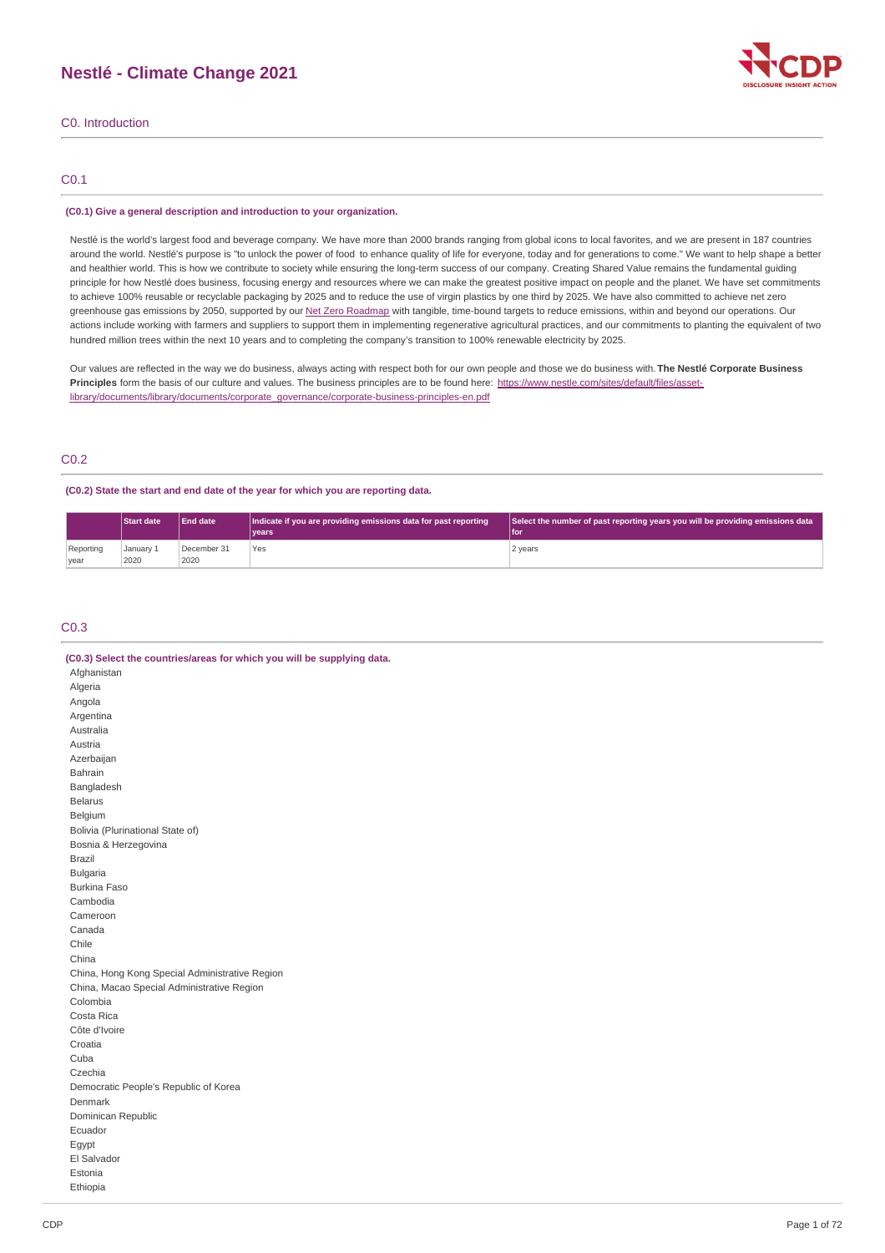# **Nestlé - Climate Change 2021**



C0. Introduction

### C0.1

### **(C0.1) Give a general description and introduction to your organization.**

Nestlé is the world's largest food and beverage company. We have more than 2000 brands ranging from global icons to local favorites, and we are present in 187 countries around the world. Nestlé's purpose is "to unlock the power of food to enhance quality of life for everyone, today and for generations to come." We want to help shape a better and healthier world. This is how we contribute to society while ensuring the long-term success of our company. Creating Shared Value remains the fundamental guiding principle for how Nestlé does business, focusing energy and resources where we can make the greatest positive impact on people and the planet. We have set commitments to achieve 100% reusable or recyclable packaging by 2025 and to reduce the use of virgin plastics by one third by 2025. We have also committed to achieve net zero greenhouse gas emissions by 2050, supported by our Net Zero [Roadmap](https://www.nestle.com/sites/default/files/2020-12/nestle-net-zero-roadmap-en.pdf) with tangible, time-bound targets to reduce emissions, within and beyond our operations. Our actions include working with farmers and suppliers to support them in implementing regenerative agricultural practices, and our commitments to planting the equivalent of two hundred million trees within the next 10 years and to completing the company's transition to 100% renewable electricity by 2025.

Our values are reflected in the way we do business, always acting with respect both for our own people and those we do business with. **The Nestlé Corporate Business** Principles form the basis of our culture and values. The business principles are to be found here: https://www.nestle.com/sites/default/files/asset[library/documents/library/documents/corporate\\_governance/corporate-business-principles-en.pdf](https://www.nestle.com/sites/default/files/asset-library/documents/library/documents/corporate_governance/corporate-business-principles-en.pdf)

### C0.2

### **(C0.2) State the start and end date of the year for which you are reporting data.**

|                   | <b>Start date</b> | <b>End date</b>     | Indicate if you are providing emissions data for past reporting | Select the number of past reporting years you will be providing emissions data |  |  |  |
|-------------------|-------------------|---------------------|-----------------------------------------------------------------|--------------------------------------------------------------------------------|--|--|--|
|                   |                   |                     | <b>Vears</b>                                                    | l for                                                                          |  |  |  |
| Reporting<br>year | January 1<br>2020 | December 31<br>2020 | Yes                                                             | 2 years                                                                        |  |  |  |

### C0.3

| (C0.3) Select the countries/areas for which you will be supplying data. |
|-------------------------------------------------------------------------|
| Afghanistan                                                             |
| Algeria                                                                 |
| Angola                                                                  |
| Argentina                                                               |
| Australia                                                               |
| Austria                                                                 |
| Azerbaijan                                                              |
| Bahrain                                                                 |
| Bangladesh                                                              |
| <b>Belarus</b>                                                          |
| Belgium                                                                 |
| Bolivia (Plurinational State of)                                        |
| Bosnia & Herzegovina                                                    |
| <b>Brazil</b>                                                           |
| <b>Bulgaria</b>                                                         |
| <b>Burkina Faso</b>                                                     |
| Cambodia                                                                |
| Cameroon                                                                |
| Canada                                                                  |
| Chile                                                                   |
| China                                                                   |
| China, Hong Kong Special Administrative Region                          |
| China, Macao Special Administrative Region                              |
| Colombia                                                                |
| Costa Rica                                                              |
| Côte d'Ivoire                                                           |
| Croatia                                                                 |
| Cuba                                                                    |
| Czechia                                                                 |
| Democratic People's Republic of Korea                                   |
| Denmark                                                                 |
| Dominican Republic                                                      |
| Ecuador                                                                 |
| Egypt                                                                   |
| El Salvador                                                             |
| Estonia                                                                 |
| Ethiopia                                                                |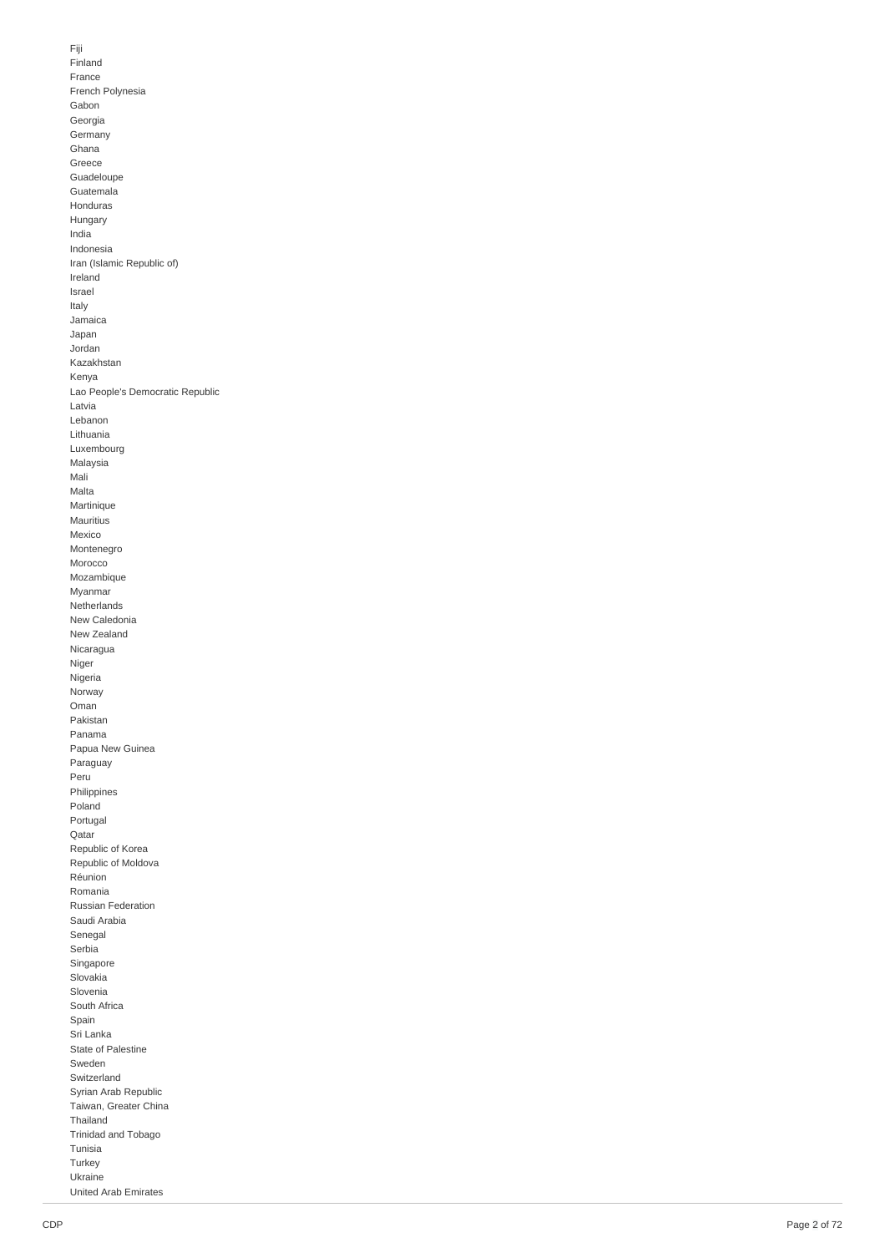Fiji Finla n d France French Polynesia Gabon Georgia Germany G h a n a Greece **Guadeloupe** Guatemala Honduras Hungary India Indonesia Iran (Islamic Republic of) Ireland Israel Italy Jamaica Japan Jordan Kazakhstan Kenya Lao People's Democratic Republic Latvia Lebanon Lithuania Luxembourg M ala y sia M ali Malt a Martinique M a u ritiu s M e xic o Montenegro Morocco M o z a m biq u e Myanmar Netherlands N e w C ale d o nia New Zealand Nicaragua **Niger** Nigeria Norway Oman Pakistan Panama Papua New Guinea Paraguay Peru **Philippines** Poland Portugal Qatar Republic of Korea Republic of Moldova R é u nio n R o m a nia Russian Federation Saudi Arabia Senegal Serbia Singapo r e Slovakia Slovenia South Africa S p ain Sri Lanka State of Palestine Sweden Switzerland Syrian Arab Republic Taiwan, Greater China T h aila n d T rinid a d a n d T o b a g o T u nisia Turkey U k r ain e United Arab Emirates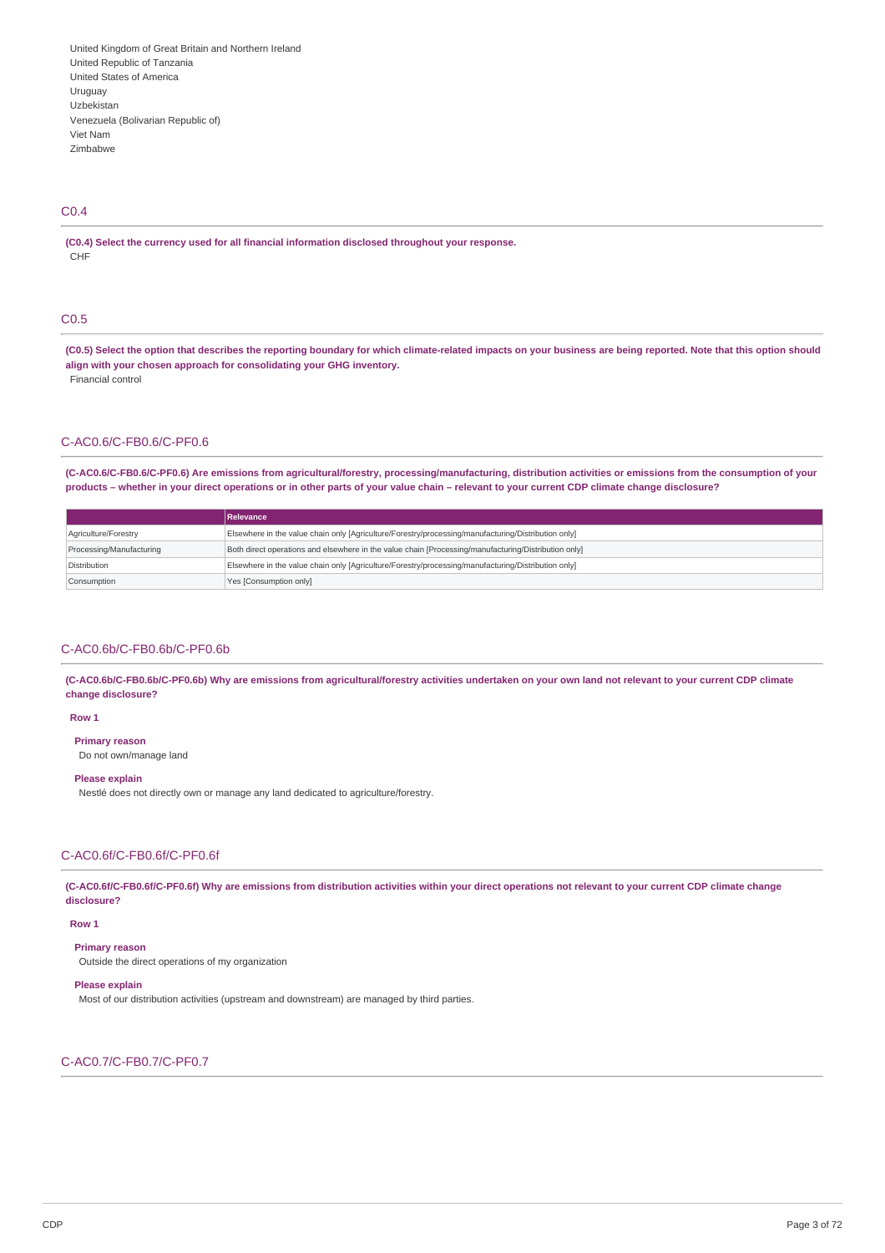### C0.4

**(C0.4) Select the currency used for all financial information disclosed throughout your response.** CHF

### C0.5

(C0.5) Select the option that describes the reporting boundary for which climate-related impacts on your business are being reported. Note that this option should **align with your chosen approach for consolidating your GHG inventory.** Financial control

### C-AC0.6/C-FB0.6/C-PF0.6

(C-AC0.6/C-FB0.6/C-PF0.6) Are emissions from agricultural/forestry, processing/manufacturing, distribution activities or emissions from the consumption of your products - whether in your direct operations or in other parts of your value chain - relevant to your current CDP climate change disclosure?

|                          | <b>Relevance</b>                                                                                     |
|--------------------------|------------------------------------------------------------------------------------------------------|
| Agriculture/Forestry     | Elsewhere in the value chain only [Agriculture/Forestry/processing/manufacturing/Distribution only]  |
| Processing/Manufacturing | Both direct operations and elsewhere in the value chain [Processing/manufacturing/Distribution only] |
| Distribution             | Elsewhere in the value chain only [Agriculture/Forestry/processing/manufacturing/Distribution only]  |
| Consumption              | Yes [Consumption only]                                                                               |

### C-AC0.6b/C-FB0.6b/C-PF0.6b

(C-AC0.6b/C-FB0.6b/C-PF0.6b) Why are emissions from agricultural/forestry activities undertaken on your own land not relevant to your current CDP climate **change disclosure?**

### **Row 1**

**Primary reason**

Do not own/manage land

#### **Please explain**

Nestlé does not directly own or manage any land dedicated to agriculture/forestry.

### C-AC0.6f/C-FB0.6f/C-PF0.6f

(C-AC0.6f/C-FB0.6f/C-PF0.6f) Why are emissions from distribution activities within your direct operations not relevant to your current CDP climate change **disclosure?**

### **Row 1**

**Primary reason**

Outside the direct operations of my organization

### **Please explain**

Most of our distribution activities (upstream and downstream) are managed by third parties.

### C-AC0.7/C-FB0.7/C-PF0.7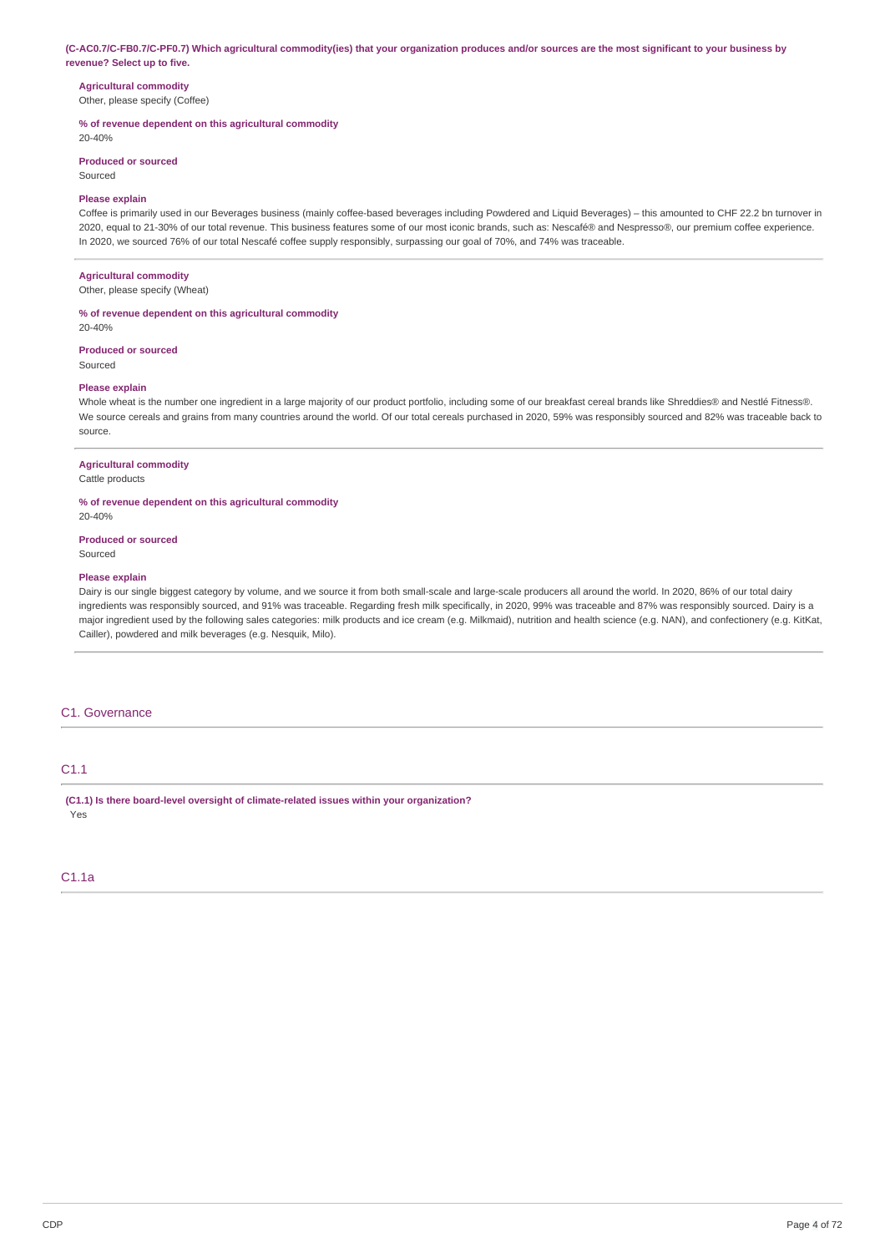#### (C-AC0.7/C-FB0.7/C-PF0.7) Which agricultural commodity(ies) that your organization produces and/or sources are the most significant to your business by **revenue? Select up to five.**

# **Agricultural commodity**

Other, please specify (Coffee)

### **% of revenue dependent on this agricultural commodity**

20-40%

### **Produced or sourced**

Sourced

### **Please explain**

Coffee is primarily used in our Beverages business (mainly coffee-based beverages including Powdered and Liquid Beverages) – this amounted to CHF 22.2 bn turnover in 2020, equal to 21-30% of our total revenue. This business features some of our most iconic brands, such as: Nescafé® and Nespresso®, our premium coffee experience. In 2020, we sourced 76% of our total Nescafé coffee supply responsibly, surpassing our goal of 70%, and 74% was traceable.

### **Agricultural commodity**

Other, please specify (Wheat)

#### **% of revenue dependent on this agricultural commodity**

20-40%

### **Produced or sourced**

Sourced

### **Please explain**

Whole wheat is the number one ingredient in a large majority of our product portfolio, including some of our breakfast cereal brands like Shreddies® and Nestlé Fitness®. We source cereals and grains from many countries around the world. Of our total cereals purchased in 2020, 59% was responsibly sourced and 82% was traceable back to source.

#### **Agricultural commodity**

Cattle products

### **% of revenue dependent on this agricultural commodity**

### **Produced or sourced**

Sourced

20-40%

#### **Please explain**

Dairy is our single biggest category by volume, and we source it from both small-scale and large-scale producers all around the world. In 2020, 86% of our total dairy ingredients was responsibly sourced, and 91% was traceable. Regarding fresh milk specifically, in 2020, 99% was traceable and 87% was responsibly sourced. Dairy is a major ingredient used by the following sales categories: milk products and ice cream (e.g. Milkmaid), nutrition and health science (e.g. NAN), and confectionery (e.g. KitKat, Cailler), powdered and milk beverages (e.g. Nesquik, Milo).

### C1. Governance

# C1.1

**(C1.1) Is there board-level oversight of climate-related issues within your organization?** Yes

# C1.1a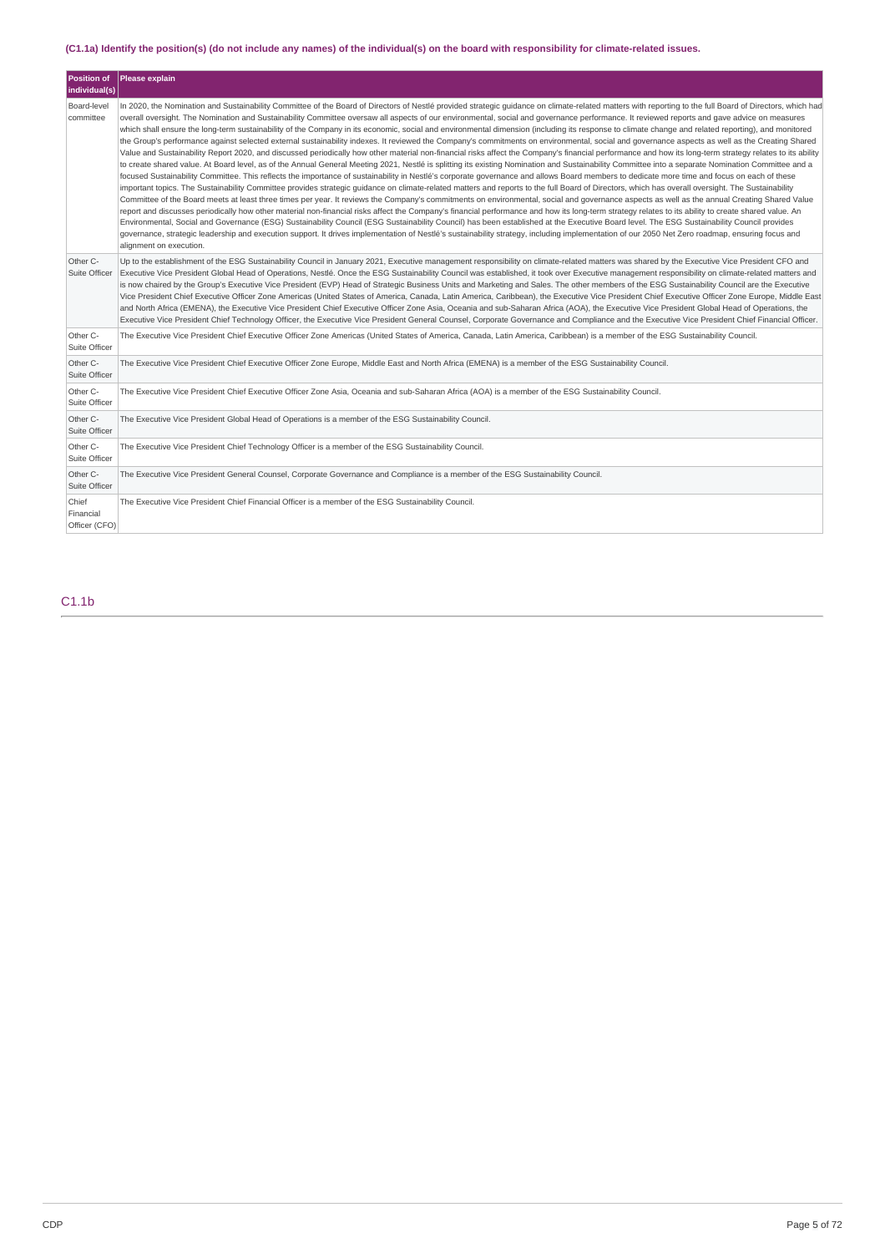# (C1.1a) Identify the position(s) (do not include any names) of the individual(s) on the board with responsibility for climate-related issues.

| <b>Position of</b><br>individual(s) | Please explain                                                                                                                                                                                                                                                                                                                                                                                                                                                                                                                                                                                                                                                                                                                                                                                                                                                                                                                                                                                                                                                                                                                                                                                                                                                                                                                                                                                                                                                                                                                                                                                                                                                                                                                                                                                                                                                                                                                                                                                                                                                                                                                                                                                                                                                                                                                                                                                                                                                           |
|-------------------------------------|--------------------------------------------------------------------------------------------------------------------------------------------------------------------------------------------------------------------------------------------------------------------------------------------------------------------------------------------------------------------------------------------------------------------------------------------------------------------------------------------------------------------------------------------------------------------------------------------------------------------------------------------------------------------------------------------------------------------------------------------------------------------------------------------------------------------------------------------------------------------------------------------------------------------------------------------------------------------------------------------------------------------------------------------------------------------------------------------------------------------------------------------------------------------------------------------------------------------------------------------------------------------------------------------------------------------------------------------------------------------------------------------------------------------------------------------------------------------------------------------------------------------------------------------------------------------------------------------------------------------------------------------------------------------------------------------------------------------------------------------------------------------------------------------------------------------------------------------------------------------------------------------------------------------------------------------------------------------------------------------------------------------------------------------------------------------------------------------------------------------------------------------------------------------------------------------------------------------------------------------------------------------------------------------------------------------------------------------------------------------------------------------------------------------------------------------------------------------------|
| Board-level<br>committee            | In 2020, the Nomination and Sustainability Committee of the Board of Directors of Nestlé provided strategic quidance on climate-related matters with reporting to the full Board of Directors, which had<br>overall oversight. The Nomination and Sustainability Committee oversaw all aspects of our environmental, social and governance performance. It reviewed reports and gave advice on measures<br>which shall ensure the long-term sustainability of the Company in its economic, social and environmental dimension (including its response to climate change and related reporting), and monitored<br>the Group's performance against selected external sustainability indexes. It reviewed the Company's commitments on environmental, social and governance aspects as well as the Creating Shared<br>Value and Sustainability Report 2020, and discussed periodically how other material non-financial risks affect the Company's financial performance and how its long-term strategy relates to its ability<br>to create shared value. At Board level, as of the Annual General Meeting 2021, Nestlé is splitting its existing Nomination and Sustainability Committee into a separate Nomination Committee and a<br>focused Sustainability Committee. This reflects the importance of sustainability in Nestlé's corporate governance and allows Board members to dedicate more time and focus on each of these<br>important topics. The Sustainability Committee provides strategic quidance on climate-related matters and reports to the full Board of Directors, which has overall oversight. The Sustainability<br>Committee of the Board meets at least three times per year. It reviews the Company's commitments on environmental, social and governance aspects as well as the annual Creating Shared Value<br>report and discusses periodically how other material non-financial risks affect the Company's financial performance and how its long-term strategy relates to its ability to create shared value. An<br>Environmental, Social and Governance (ESG) Sustainability Council (ESG Sustainability Council) has been established at the Executive Board level. The ESG Sustainability Council provides<br>governance, strategic leadership and execution support. It drives implementation of Nestlé's sustainability strategy, including implementation of our 2050 Net Zero roadmap, ensuring focus and<br>alignment on execution. |
| Other C-<br>Suite Officer           | Up to the establishment of the ESG Sustainability Council in January 2021, Executive management responsibility on climate-related matters was shared by the Executive Vice President CFO and<br>Executive Vice President Global Head of Operations, Nestlé. Once the ESG Sustainability Council was established, it took over Executive management responsibility on climate-related matters and<br>is now chaired by the Group's Executive Vice President (EVP) Head of Strategic Business Units and Marketing and Sales. The other members of the ESG Sustainability Council are the Executive<br>Vice President Chief Executive Officer Zone Americas (United States of America, Canada, Latin America, Caribbean), the Executive Vice President Chief Executive Officer Zone Europe, Middle East<br>and North Africa (EMENA), the Executive Vice President Chief Executive Officer Zone Asia, Oceania and sub-Saharan Africa (AOA), the Executive Vice President Global Head of Operations, the<br>Executive Vice President Chief Technology Officer, the Executive Vice President General Counsel, Corporate Governance and Compliance and the Executive Vice President Chief Financial Officer.                                                                                                                                                                                                                                                                                                                                                                                                                                                                                                                                                                                                                                                                                                                                                                                                                                                                                                                                                                                                                                                                                                                                                                                                                                                                    |
| Other C-<br>Suite Officer           | The Executive Vice President Chief Executive Officer Zone Americas (United States of America, Canada, Latin America, Caribbean) is a member of the ESG Sustainability Council.                                                                                                                                                                                                                                                                                                                                                                                                                                                                                                                                                                                                                                                                                                                                                                                                                                                                                                                                                                                                                                                                                                                                                                                                                                                                                                                                                                                                                                                                                                                                                                                                                                                                                                                                                                                                                                                                                                                                                                                                                                                                                                                                                                                                                                                                                           |
| Other C-<br>Suite Officer           | The Executive Vice President Chief Executive Officer Zone Europe, Middle East and North Africa (EMENA) is a member of the ESG Sustainability Council.                                                                                                                                                                                                                                                                                                                                                                                                                                                                                                                                                                                                                                                                                                                                                                                                                                                                                                                                                                                                                                                                                                                                                                                                                                                                                                                                                                                                                                                                                                                                                                                                                                                                                                                                                                                                                                                                                                                                                                                                                                                                                                                                                                                                                                                                                                                    |
| Other C-<br>Suite Officer           | The Executive Vice President Chief Executive Officer Zone Asia, Oceania and sub-Saharan Africa (AOA) is a member of the ESG Sustainability Council.                                                                                                                                                                                                                                                                                                                                                                                                                                                                                                                                                                                                                                                                                                                                                                                                                                                                                                                                                                                                                                                                                                                                                                                                                                                                                                                                                                                                                                                                                                                                                                                                                                                                                                                                                                                                                                                                                                                                                                                                                                                                                                                                                                                                                                                                                                                      |
| Other C-<br>Suite Officer           | The Executive Vice President Global Head of Operations is a member of the ESG Sustainability Council.                                                                                                                                                                                                                                                                                                                                                                                                                                                                                                                                                                                                                                                                                                                                                                                                                                                                                                                                                                                                                                                                                                                                                                                                                                                                                                                                                                                                                                                                                                                                                                                                                                                                                                                                                                                                                                                                                                                                                                                                                                                                                                                                                                                                                                                                                                                                                                    |
| Other C-<br>Suite Officer           | The Executive Vice President Chief Technology Officer is a member of the ESG Sustainability Council.                                                                                                                                                                                                                                                                                                                                                                                                                                                                                                                                                                                                                                                                                                                                                                                                                                                                                                                                                                                                                                                                                                                                                                                                                                                                                                                                                                                                                                                                                                                                                                                                                                                                                                                                                                                                                                                                                                                                                                                                                                                                                                                                                                                                                                                                                                                                                                     |
| Other C-<br>Suite Officer           | The Executive Vice President General Counsel, Corporate Governance and Compliance is a member of the ESG Sustainability Council.                                                                                                                                                                                                                                                                                                                                                                                                                                                                                                                                                                                                                                                                                                                                                                                                                                                                                                                                                                                                                                                                                                                                                                                                                                                                                                                                                                                                                                                                                                                                                                                                                                                                                                                                                                                                                                                                                                                                                                                                                                                                                                                                                                                                                                                                                                                                         |
| Chief<br>Financial<br>Officer (CFO) | The Executive Vice President Chief Financial Officer is a member of the ESG Sustainability Council.                                                                                                                                                                                                                                                                                                                                                                                                                                                                                                                                                                                                                                                                                                                                                                                                                                                                                                                                                                                                                                                                                                                                                                                                                                                                                                                                                                                                                                                                                                                                                                                                                                                                                                                                                                                                                                                                                                                                                                                                                                                                                                                                                                                                                                                                                                                                                                      |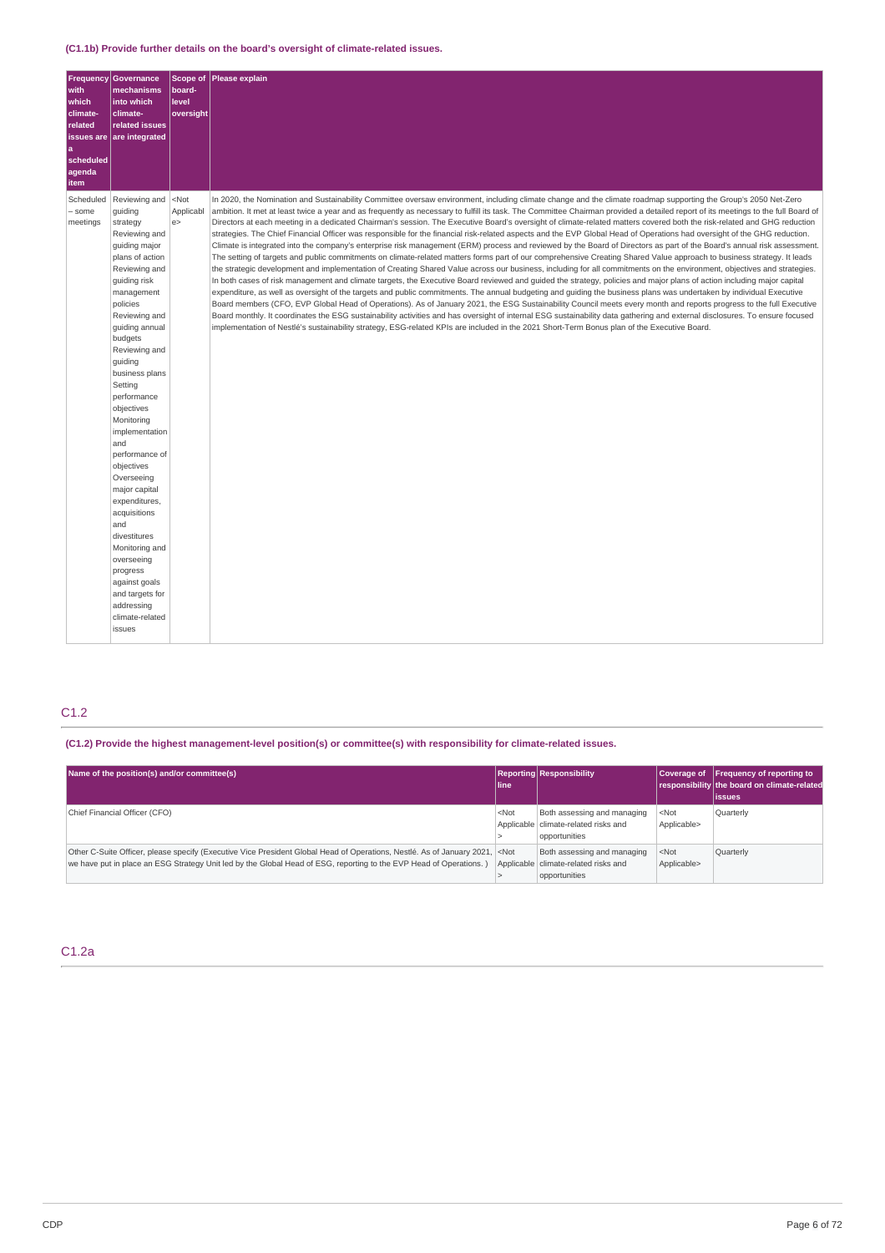| <b>Frequency</b>              | Governance                |           | Scope of Please explain                                                                                                                                                           |
|-------------------------------|---------------------------|-----------|-----------------------------------------------------------------------------------------------------------------------------------------------------------------------------------|
| with                          | mechanisms                | board-    |                                                                                                                                                                                   |
| which                         | into which                | level     |                                                                                                                                                                                   |
| climate-                      | climate-                  | oversight |                                                                                                                                                                                   |
| related                       | related issues            |           |                                                                                                                                                                                   |
| <b>issues</b> are<br><b>a</b> | are integrated            |           |                                                                                                                                                                                   |
| scheduled                     |                           |           |                                                                                                                                                                                   |
| agenda                        |                           |           |                                                                                                                                                                                   |
| item                          |                           |           |                                                                                                                                                                                   |
| Scheduled                     | Reviewing and             | $<$ Not   | In 2020, the Nomination and Sustainability Committee oversaw environment, including climate change and the climate roadmap supporting the Group's 2050 Net-Zero                   |
| - some                        | quiding                   | Applicabl | ambition. It met at least twice a year and as frequently as necessary to fulfill its task. The Committee Chairman provided a detailed report of its meetings to the full Board of |
| meetings                      | strategy                  | e         | Directors at each meeting in a dedicated Chairman's session. The Executive Board's oversight of climate-related matters covered both the risk-related and GHG reduction           |
|                               | Reviewing and             |           | strategies. The Chief Financial Officer was responsible for the financial risk-related aspects and the EVP Global Head of Operations had oversight of the GHG reduction.          |
|                               | guiding major             |           | Climate is integrated into the company's enterprise risk management (ERM) process and reviewed by the Board of Directors as part of the Board's annual risk assessment.           |
|                               | plans of action           |           | The setting of targets and public commitments on climate-related matters forms part of our comprehensive Creating Shared Value approach to business strategy. It leads            |
|                               | Reviewing and             |           | the strategic development and implementation of Creating Shared Value across our business, including for all commitments on the environment, objectives and strategies.           |
|                               | guiding risk              |           | In both cases of risk management and climate targets, the Executive Board reviewed and guided the strategy, policies and major plans of action including major capital            |
|                               | management                |           | expenditure, as well as oversight of the targets and public commitments. The annual budgeting and quiding the business plans was undertaken by individual Executive               |
|                               | policies                  |           | Board members (CFO, EVP Global Head of Operations). As of January 2021, the ESG Sustainability Council meets every month and reports progress to the full Executive               |
|                               | Reviewing and             |           | Board monthly. It coordinates the ESG sustainability activities and has oversight of internal ESG sustainability data gathering and external disclosures. To ensure focused       |
|                               | guiding annual            |           | implementation of Nestlé's sustainability strategy, ESG-related KPIs are included in the 2021 Short-Term Bonus plan of the Executive Board.                                       |
|                               | budgets                   |           |                                                                                                                                                                                   |
|                               | Reviewing and             |           |                                                                                                                                                                                   |
|                               | guiding                   |           |                                                                                                                                                                                   |
|                               | business plans<br>Setting |           |                                                                                                                                                                                   |
|                               | performance               |           |                                                                                                                                                                                   |
|                               | objectives                |           |                                                                                                                                                                                   |
|                               | Monitoring                |           |                                                                                                                                                                                   |
|                               | implementation            |           |                                                                                                                                                                                   |
|                               | and                       |           |                                                                                                                                                                                   |
|                               | performance of            |           |                                                                                                                                                                                   |
|                               | objectives                |           |                                                                                                                                                                                   |
|                               | Overseeing                |           |                                                                                                                                                                                   |
|                               | major capital             |           |                                                                                                                                                                                   |
|                               | expenditures,             |           |                                                                                                                                                                                   |
|                               | acquisitions              |           |                                                                                                                                                                                   |
|                               | and                       |           |                                                                                                                                                                                   |
|                               | divestitures              |           |                                                                                                                                                                                   |
|                               | Monitoring and            |           |                                                                                                                                                                                   |
|                               | overseeing                |           |                                                                                                                                                                                   |
|                               | progress<br>against goals |           |                                                                                                                                                                                   |
|                               | and targets for           |           |                                                                                                                                                                                   |
|                               | addressing                |           |                                                                                                                                                                                   |
|                               | climate-related           |           |                                                                                                                                                                                   |
|                               | issues                    |           |                                                                                                                                                                                   |
|                               |                           |           |                                                                                                                                                                                   |

# C1.2

### **(C1.2) Provide the highest management-level position(s) or committee(s) with responsibility for climate-related issues.**

| Name of the position(s) and/or committee(s)                                                                                                                                                                                                                | l line  | <b>Reporting Responsibility</b>                                                        |                        | Coverage of Frequency of reporting to<br>responsibility the board on climate-related<br>lissues |
|------------------------------------------------------------------------------------------------------------------------------------------------------------------------------------------------------------------------------------------------------------|---------|----------------------------------------------------------------------------------------|------------------------|-------------------------------------------------------------------------------------------------|
| Chief Financial Officer (CFO)                                                                                                                                                                                                                              | $<$ Not | Both assessing and managing<br>Applicable   climate-related risks and<br>opportunities | $<$ Not<br>Applicable> | Quarterly                                                                                       |
| Other C-Suite Officer, please specify (Executive Vice President Global Head of Operations, Nestlé. As of January 2021, <not<br>we have put in place an ESG Strategy Unit led by the Global Head of ESG, reporting to the EVP Head of Operations.)</not<br> |         | Both assessing and managing<br>Applicable climate-related risks and<br>opportunities   | $<$ Not<br>Applicable> | Quarterly                                                                                       |

### C1.2a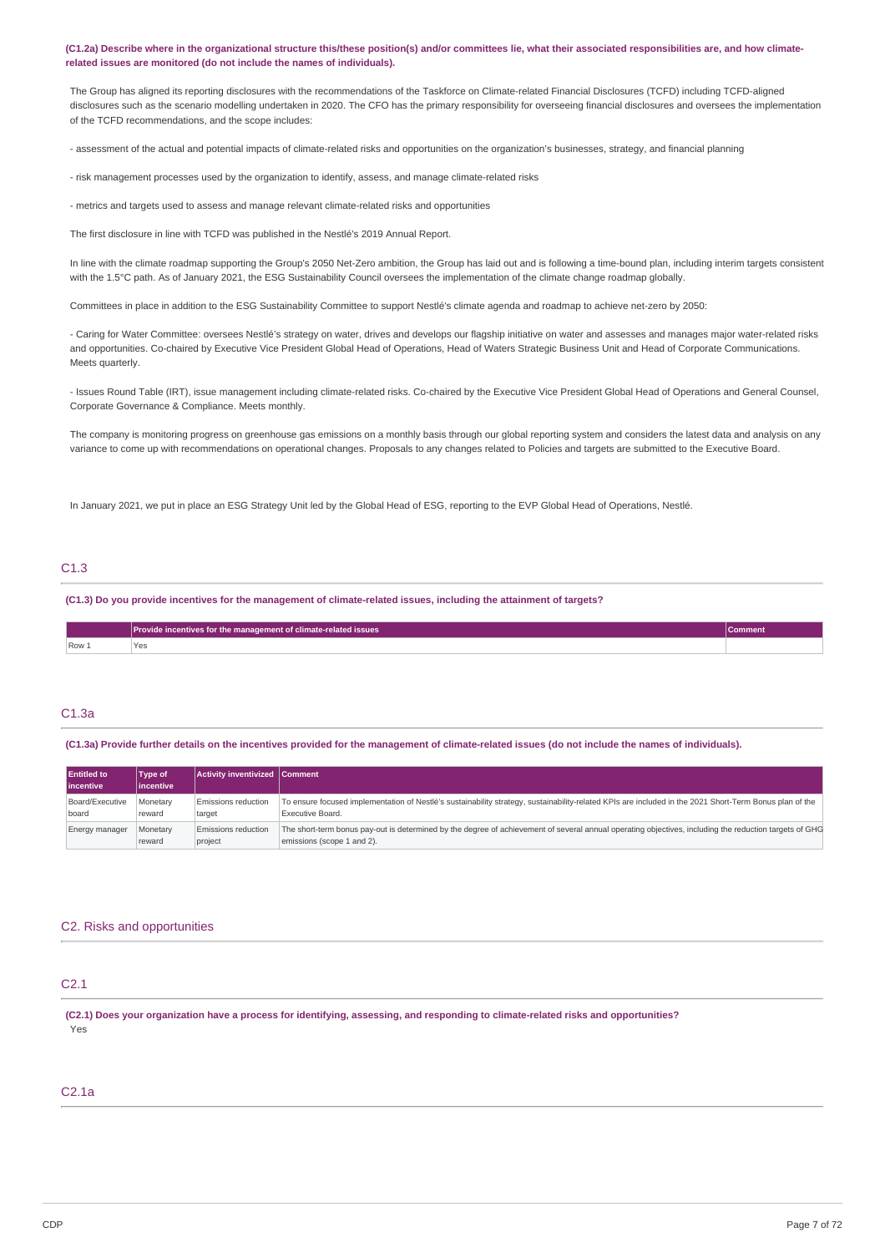(C1.2a) Describe where in the organizational structure this/these position(s) and/or committees lie, what their associated responsibilities are, and how climate**related issues are monitored (do not include the names of individuals).**

The Group has aligned its reporting disclosures with the recommendations of the Taskforce on Climate-related Financial Disclosures (TCFD) including TCFD-aligned disclosures such as the scenario modelling undertaken in 2020. The CFO has the primary responsibility for overseeing financial disclosures and oversees the implementation of the TCFD recommendations, and the scope includes:

- assessment of the actual and potential impacts of climate-related risks and opportunities on the organization's businesses, strategy, and financial planning

- risk management processes used by the organization to identify, assess, and manage climate-related risks

- metrics and targets used to assess and manage relevant climate-related risks and opportunities

The first disclosure in line with TCFD was published in the Nestlé's 2019 Annual Report.

In line with the climate roadmap supporting the Group's 2050 Net-Zero ambition, the Group has laid out and is following a time-bound plan, including interim targets consistent with the 1.5°C path. As of January 2021, the ESG Sustainability Council oversees the implementation of the climate change roadmap globally.

Committees in place in addition to the ESG Sustainability Committee to support Nestlé's climate agenda and roadmap to achieve net-zero by 2050:

- Caring for Water Committee: oversees Nestlé's strategy on water, drives and develops our flagship initiative on water and assesses and manages major water-related risks and opportunities. Co-chaired by Executive Vice President Global Head of Operations, Head of Waters Strategic Business Unit and Head of Corporate Communications. Meets quarterly.

- Issues Round Table (IRT), issue management including climate-related risks. Co-chaired by the Executive Vice President Global Head of Operations and General Counsel, Corporate Governance & Compliance. Meets monthly.

The company is monitoring progress on greenhouse gas emissions on a monthly basis through our global reporting system and considers the latest data and analysis on any variance to come up with recommendations on operational changes. Proposals to any changes related to Policies and targets are submitted to the Executive Board.

In January 2021, we put in place an ESG Strategy Unit led by the Global Head of ESG, reporting to the EVP Global Head of Operations, Nestlé

### C1.3

(C1.3) Do you provide incentives for the management of climate-related issues, including the attainment of targets?

|                                          | Provide incentives for the management of climate-related issues<br>Comment |  |
|------------------------------------------|----------------------------------------------------------------------------|--|
| Row 1<br>the contract of the contract of | <b>Yes</b>                                                                 |  |

### C1.3a

(C1.3a) Provide further details on the incentives provided for the management of climate-related issues (do not include the names of individuals).

| <b>Entitled to</b><br><b>lincentive</b> | Type of<br>lincentive | Activity inventivized Comment |                                                                                                                                                         |
|-----------------------------------------|-----------------------|-------------------------------|---------------------------------------------------------------------------------------------------------------------------------------------------------|
| Board/Executive                         | Monetary              | <b>Emissions reduction</b>    | To ensure focused implementation of Nestlé's sustainability strategy, sustainability-related KPIs are included in the 2021 Short-Term Bonus plan of the |
| board                                   | reward                | target                        | Executive Board.                                                                                                                                        |
| Energy manager                          | Monetary              | <b>Emissions reduction</b>    | The short-term bonus pay-out is determined by the degree of achievement of several annual operating objectives, including the reduction targets of GHG  |
|                                         | reward                | project                       | emissions (scope 1 and 2).                                                                                                                              |

### C2. Risks and opportunities

# C2.1

(C2.1) Does your organization have a process for identifying, assessing, and responding to climate-related risks and opportunities? Yes

### C2.1a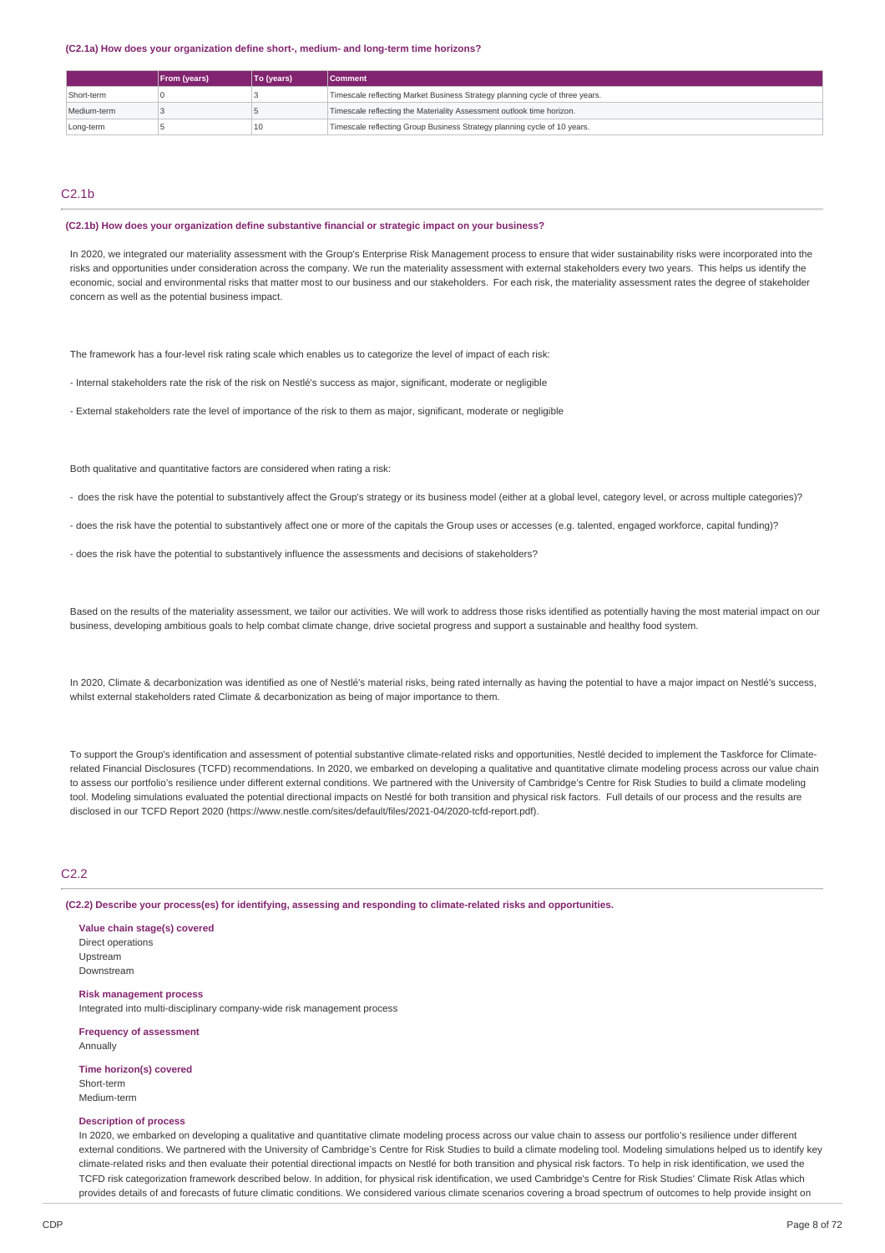**(C2.1a) How does your organization define short-, medium- and long-term time horizons?**

|             | <b>From (years)</b> | To (years) | <b>Comment</b>                                                               |
|-------------|---------------------|------------|------------------------------------------------------------------------------|
| Short-term  |                     |            | Timescale reflecting Market Business Strategy planning cycle of three years. |
| Medium-term |                     |            | Timescale reflecting the Materiality Assessment outlook time horizon.        |
| Long-term   |                     | 10         | Timescale reflecting Group Business Strategy planning cycle of 10 years.     |

### $C2.1<sub>b</sub>$

### **(C2.1b) How does your organization define substantive financial or strategic impact on your business?**

In 2020, we integrated our materiality assessment with the Group's Enterprise Risk Management process to ensure that wider sustainability risks were incorporated into the risks and opportunities under consideration across the company. We run the materiality assessment with external stakeholders every two years. This helps us identify the economic, social and environmental risks that matter most to our business and our stakeholders. For each risk, the materiality assessment rates the degree of stakeholder concern as well as the potential business impact.

The framework has a four-level risk rating scale which enables us to categorize the level of impact of each risk:

- Internal stakeholders rate the risk of the risk on Nestlé's success as major, significant, moderate or negligible
- External stakeholders rate the level of importance of the risk to them as major, significant, moderate or negligible

Both qualitative and quantitative factors are considered when rating a risk:

- does the risk have the potential to substantively affect the Group's strategy or its business model (either at a global level, category level, or across multiple categories)?
- does the risk have the potential to substantively affect one or more of the capitals the Group uses or accesses (e.g. talented, engaged workforce, capital funding)?
- does the risk have the potential to substantively influence the assessments and decisions of stakeholders?

Based on the results of the materiality assessment, we tailor our activities. We will work to address those risks identified as potentially having the most material impact on our business, developing ambitious goals to help combat climate change, drive societal progress and support a sustainable and healthy food system.

In 2020, Climate & decarbonization was identified as one of Nestlé's material risks, being rated internally as having the potential to have a major impact on Nestlé's success, whilst external stakeholders rated Climate & decarbonization as being of major importance to them.

To support the Group's identification and assessment of potential substantive climate-related risks and opportunities, Nestlé decided to implement the Taskforce for Climaterelated Financial Disclosures (TCFD) recommendations. In 2020, we embarked on developing a qualitative and quantitative climate modeling process across our value chain to assess our portfolio's resilience under different external conditions. We partnered with the University of Cambridge's Centre for Risk Studies to build a climate modeling tool. Modeling simulations evaluated the potential directional impacts on Nestlé for both transition and physical risk factors. Full details of our process and the results are disclosed in our TCFD Report 2020 (https://www.nestle.com/sites/default/files/2021-04/2020-tcfd-report.pdf).

### C2.2

**(C2.2) Describe your process(es) for identifying, assessing and responding to climate-related risks and opportunities.**

**Value chain stage(s) covered** Direct operations Upstream Downstream

**Risk management process**

Integrated into multi-disciplinary company-wide risk management process

**Frequency of assessment** Annually

**Time horizon(s) covered** Short-term Medium-term

### **Description of process**

In 2020, we embarked on developing a qualitative and quantitative climate modeling process across our value chain to assess our portfolio's resilience under different external conditions. We partnered with the University of Cambridge's Centre for Risk Studies to build a climate modeling tool. Modeling simulations helped us to identify key climate-related risks and then evaluate their potential directional impacts on Nestlé for both transition and physical risk factors. To help in risk identification, we used the TCFD risk categorization framework described below. In addition, for physical risk identification, we used Cambridge's Centre for Risk Studies' Climate Risk Atlas which provides details of and forecasts of future climatic conditions. We considered various climate scenarios covering a broad spectrum of outcomes to help provide insight on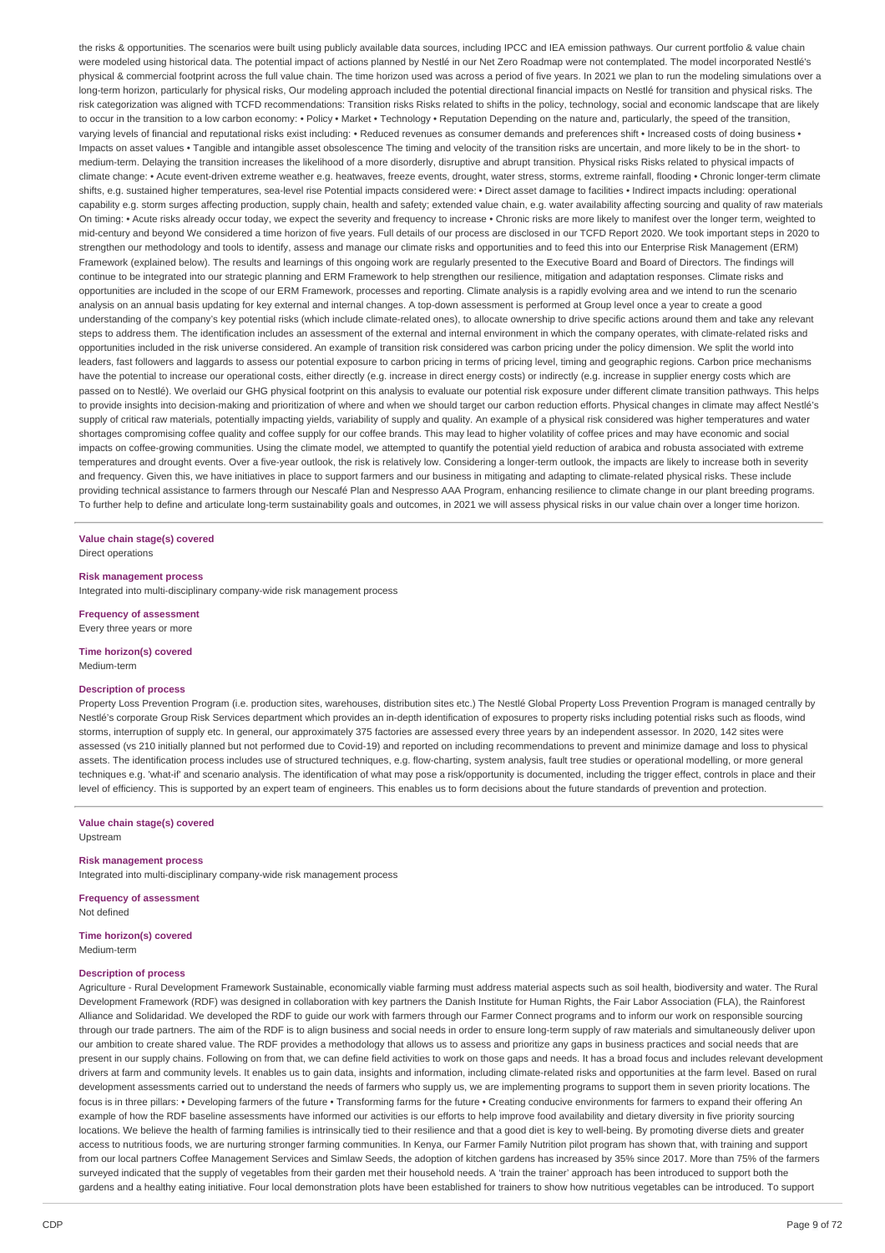the risks & opportunities. The scenarios were built using publicly available data sources, including IPCC and IEA emission pathways. Our current portfolio & value chain were modeled using historical data. The potential impact of actions planned by Nestlé in our Net Zero Roadmap were not contemplated. The model incorporated Nestlé's physical & commercial footprint across the full value chain. The time horizon used was across a period of five years. In 2021 we plan to run the modeling simulations over a long-term horizon, particularly for physical risks, Our modeling approach included the potential directional financial impacts on Nestlé for transition and physical risks. The risk categorization was aligned with TCFD recommendations: Transition risks Risks related to shifts in the policy, technology, social and economic landscape that are likely to occur in the transition to a low carbon economy: • Policy • Market • Technology • Reputation Depending on the nature and, particularly, the speed of the transition, varying levels of financial and reputational risks exist including: • Reduced revenues as consumer demands and preferences shift • Increased costs of doing business • Impacts on asset values • Tangible and intangible asset obsolescence The timing and velocity of the transition risks are uncertain, and more likely to be in the short- to medium-term. Delaying the transition increases the likelihood of a more disorderly, disruptive and abrupt transition. Physical risks Risks related to physical impacts of climate change: • Acute event-driven extreme weather e.g. heatwaves, freeze events, drought, water stress, storms, extreme rainfall, flooding • Chronic longer-term climate shifts, e.g. sustained higher temperatures, sea-level rise Potential impacts considered were: • Direct asset damage to facilities • Indirect impacts including: operational capability e.g. storm surges affecting production, supply chain, health and safety; extended value chain, e.g. water availability affecting sourcing and quality of raw materials On timing: • Acute risks already occur today, we expect the severity and frequency to increase • Chronic risks are more likely to manifest over the longer term, weighted to mid-century and beyond We considered a time horizon of five years. Full details of our process are disclosed in our TCFD Report 2020. We took important steps in 2020 to strengthen our methodology and tools to identify, assess and manage our climate risks and opportunities and to feed this into our Enterprise Risk Management (ERM) Framework (explained below). The results and learnings of this ongoing work are regularly presented to the Executive Board and Board of Directors. The findings will continue to be integrated into our strategic planning and ERM Framework to help strengthen our resilience, mitigation and adaptation responses. Climate risks and opportunities are included in the scope of our ERM Framework, processes and reporting. Climate analysis is a rapidly evolving area and we intend to run the scenario analysis on an annual basis updating for key external and internal changes. A top-down assessment is performed at Group level once a year to create a good understanding of the company's key potential risks (which include climate-related ones), to allocate ownership to drive specific actions around them and take any relevant steps to address them. The identification includes an assessment of the external and internal environment in which the company operates, with climate-related risks and opportunities included in the risk universe considered. An example of transition risk considered was carbon pricing under the policy dimension. We split the world into leaders, fast followers and laggards to assess our potential exposure to carbon pricing in terms of pricing level, timing and geographic regions. Carbon price mechanisms have the potential to increase our operational costs, either directly (e.g. increase in direct energy costs) or indirectly (e.g. increase in supplier energy costs which are passed on to Nestlé). We overlaid our GHG physical footprint on this analysis to evaluate our potential risk exposure under different climate transition pathways. This helps to provide insights into decision-making and prioritization of where and when we should target our carbon reduction efforts. Physical changes in climate may affect Nestlé's supply of critical raw materials, potentially impacting yields, variability of supply and quality. An example of a physical risk considered was higher temperatures and water shortages compromising coffee quality and coffee supply for our coffee brands. This may lead to higher volatility of coffee prices and may have economic and social impacts on coffee-growing communities. Using the climate model, we attempted to quantify the potential yield reduction of arabica and robusta associated with extreme temperatures and drought events. Over a five-year outlook, the risk is relatively low. Considering a longer-term outlook, the impacts are likely to increase both in severity and frequency. Given this, we have initiatives in place to support farmers and our business in mitigating and adapting to climate-related physical risks. These include providing technical assistance to farmers through our Nescafé Plan and Nespresso AAA Program, enhancing resilience to climate change in our plant breeding programs. To further help to define and articulate long-term sustainability goals and outcomes, in 2021 we will assess physical risks in our value chain over a longer time horizon.

# **Value chain stage(s) covered**

Direct operations

**Risk management process**

**Frequency of assessment**

# Every three years or more **Time horizon(s) covered**

Medium-term

### **Description of process**

Property Loss Prevention Program (i.e. production sites, warehouses, distribution sites etc.) The Nestlé Global Property Loss Prevention Program is managed centrally by Nestlé's corporate Group Risk Services department which provides an in-depth identification of exposures to property risks including potential risks such as floods, wind storms, interruption of supply etc. In general, our approximately 375 factories are assessed every three years by an independent assessor. In 2020, 142 sites were assessed (vs 210 initially planned but not performed due to Covid-19) and reported on including recommendations to prevent and minimize damage and loss to physical assets. The identification process includes use of structured techniques, e.g. flow-charting, system analysis, fault tree studies or operational modelling, or more general techniques e.g. 'what-if' and scenario analysis. The identification of what may pose a risk/opportunity is documented, including the trigger effect, controls in place and their level of efficiency. This is supported by an expert team of engineers. This enables us to form decisions about the future standards of prevention and protection.

**Value chain stage(s) covered** Upstream

#### **Risk management process**

Integrated into multi-disciplinary company-wide risk management process

Integrated into multi-disciplinary company-wide risk management process

**Frequency of assessment** Not defined

**Time horizon(s) covered** Medium-term

### **Description of process**

Agriculture - Rural Development Framework Sustainable, economically viable farming must address material aspects such as soil health, biodiversity and water. The Rural Development Framework (RDF) was designed in collaboration with key partners the Danish Institute for Human Rights, the Fair Labor Association (FLA), the Rainforest Alliance and Solidaridad. We developed the RDF to guide our work with farmers through our Farmer Connect programs and to inform our work on responsible sourcing through our trade partners. The aim of the RDF is to align business and social needs in order to ensure long-term supply of raw materials and simultaneously deliver upon our ambition to create shared value. The RDF provides a methodology that allows us to assess and prioritize any gaps in business practices and social needs that are present in our supply chains. Following on from that, we can define field activities to work on those gaps and needs. It has a broad focus and includes relevant development drivers at farm and community levels. It enables us to gain data, insights and information, including climate-related risks and opportunities at the farm level. Based on rural development assessments carried out to understand the needs of farmers who supply us, we are implementing programs to support them in seven priority locations. The focus is in three pillars: • Developing farmers of the future • Transforming farms for the future • Creating conducive environments for farmers to expand their offering An example of how the RDF baseline assessments have informed our activities is our efforts to help improve food availability and dietary diversity in five priority sourcing locations. We believe the health of farming families is intrinsically tied to their resilience and that a good diet is key to well-being. By promoting diverse diets and greater access to nutritious foods, we are nurturing stronger farming communities. In Kenya, our Farmer Family Nutrition pilot program has shown that, with training and support from our local partners Coffee Management Services and Simlaw Seeds, the adoption of kitchen gardens has increased by 35% since 2017. More than 75% of the farmers surveyed indicated that the supply of vegetables from their garden met their household needs. A 'train the trainer' approach has been introduced to support both the gardens and a healthy eating initiative. Four local demonstration plots have been established for trainers to show how nutritious vegetables can be introduced. To support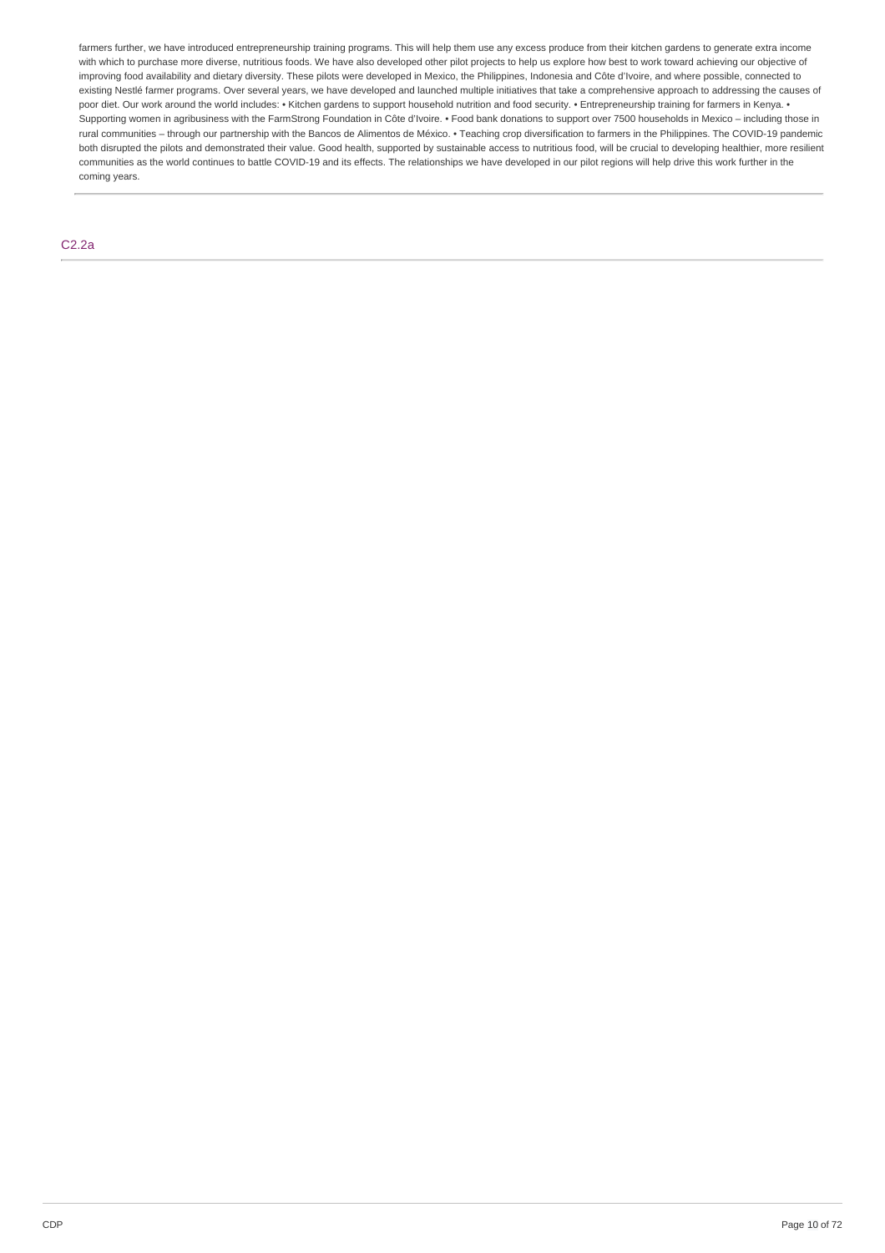farmers further, we have introduced entrepreneurship training programs. This will help them use any excess produce from their kitchen gardens to generate extra income with which to purchase more diverse, nutritious foods. We have also developed other pilot projects to help us explore how best to work toward achieving our objective of improving food availability and dietary diversity. These pilots were developed in Mexico, the Philippines, Indonesia and Côte d'Ivoire, and where possible, connected to existing Nestlé farmer programs. Over several years, we have developed and launched multiple initiatives that take a comprehensive approach to addressing the causes of poor diet. Our work around the world includes: • Kitchen gardens to support household nutrition and food security. • Entrepreneurship training for farmers in Kenya. • Supporting women in agribusiness with the FarmStrong Foundation in Côte d'Ivoire. • Food bank donations to support over 7500 households in Mexico – including those in rural communities – through our partnership with the Bancos de Alimentos de México. • Teaching crop diversification to farmers in the Philippines. The COVID-19 pandemic both disrupted the pilots and demonstrated their value. Good health, supported by sustainable access to nutritious food, will be crucial to developing healthier, more resilient communities as the world continues to battle COVID-19 and its effects. The relationships we have developed in our pilot regions will help drive this work further in the coming years.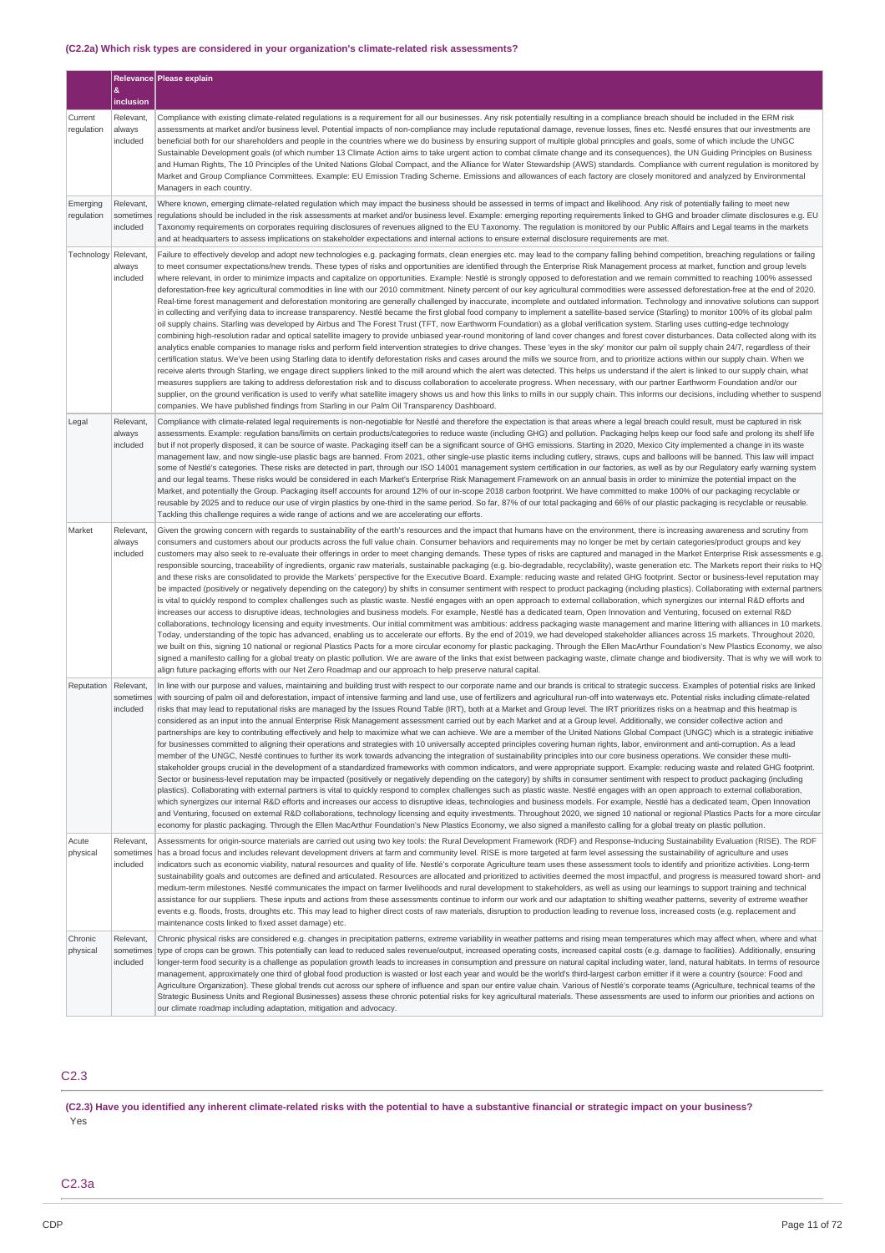### **(C2.2a) Which risk types are considered in your organization's climate-related risk assessments?**

|                        | &                                  | Relevance Please explain                                                                                                                                                                                                                                                                                                                                                                                                                                                                                                                                                                                                                                                                                                                                                                                                                                                                                                                                                                                                                                                                                                                                                                                                                                                                                                                                                                                                                                                                                                                                                                                                                                                                                                                                                                                                                                                                                                                                                                                                                                                                                                                                                                                                                                                                                                                                                                                                                                                                                                                                                                                                             |
|------------------------|------------------------------------|--------------------------------------------------------------------------------------------------------------------------------------------------------------------------------------------------------------------------------------------------------------------------------------------------------------------------------------------------------------------------------------------------------------------------------------------------------------------------------------------------------------------------------------------------------------------------------------------------------------------------------------------------------------------------------------------------------------------------------------------------------------------------------------------------------------------------------------------------------------------------------------------------------------------------------------------------------------------------------------------------------------------------------------------------------------------------------------------------------------------------------------------------------------------------------------------------------------------------------------------------------------------------------------------------------------------------------------------------------------------------------------------------------------------------------------------------------------------------------------------------------------------------------------------------------------------------------------------------------------------------------------------------------------------------------------------------------------------------------------------------------------------------------------------------------------------------------------------------------------------------------------------------------------------------------------------------------------------------------------------------------------------------------------------------------------------------------------------------------------------------------------------------------------------------------------------------------------------------------------------------------------------------------------------------------------------------------------------------------------------------------------------------------------------------------------------------------------------------------------------------------------------------------------------------------------------------------------------------------------------------------------|
|                        | inclusion                          |                                                                                                                                                                                                                                                                                                                                                                                                                                                                                                                                                                                                                                                                                                                                                                                                                                                                                                                                                                                                                                                                                                                                                                                                                                                                                                                                                                                                                                                                                                                                                                                                                                                                                                                                                                                                                                                                                                                                                                                                                                                                                                                                                                                                                                                                                                                                                                                                                                                                                                                                                                                                                                      |
| Current<br>regulation  | Relevant,<br>always<br>included    | Compliance with existing climate-related regulations is a reguirement for all our businesses. Any risk potentially resulting in a compliance breach should be included in the ERM risk<br>assessments at market and/or business level. Potential impacts of non-compliance may include reputational damage, revenue losses, fines etc. Nestlé ensures that our investments are<br>beneficial both for our shareholders and people in the countries where we do business by ensuring support of multiple global principles and goals, some of which include the UNGC<br>Sustainable Development goals (of which number 13 Climate Action aims to take urgent action to combat climate change and its consequences), the UN Guiding Principles on Business<br>and Human Rights, The 10 Principles of the United Nations Global Compact, and the Alliance for Water Stewardship (AWS) standards. Compliance with current regulation is monitored by<br>Market and Group Compliance Committees. Example: EU Emission Trading Scheme. Emissions and allowances of each factory are closely monitored and analyzed by Environmental<br>Managers in each country.                                                                                                                                                                                                                                                                                                                                                                                                                                                                                                                                                                                                                                                                                                                                                                                                                                                                                                                                                                                                                                                                                                                                                                                                                                                                                                                                                                                                                                                                           |
| Emerging<br>regulation | Relevant,<br>sometimes<br>included | Where known, emerging climate-related regulation which may impact the business should be assessed in terms of impact and likelihood. Any risk of potentially failing to meet new<br>regulations should be included in the risk assessments at market and/or business level. Example: emerging reporting requirements linked to GHG and broader climate disclosures e.g. EU<br>Taxonomy requirements on corporates requiring disclosures of revenues aligned to the EU Taxonomy. The regulation is monitored by our Public Affairs and Legal teams in the markets<br>and at headquarters to assess implications on stakeholder expectations and internal actions to ensure external disclosure requirements are met.                                                                                                                                                                                                                                                                                                                                                                                                                                                                                                                                                                                                                                                                                                                                                                                                                                                                                                                                                                                                                                                                                                                                                                                                                                                                                                                                                                                                                                                                                                                                                                                                                                                                                                                                                                                                                                                                                                                  |
| Technology             | Relevant,<br>always<br>included    | Failure to effectively develop and adopt new technologies e.g. packaging formats, clean energies etc. may lead to the company falling behind competition, breaching regulations or failing<br>to meet consumer expectations/new trends. These types of risks and opportunities are identified through the Enterprise Risk Management process at market, function and group levels<br>where relevant, in order to minimize impacts and capitalize on opportunities. Example: Nestlé is strongly opposed to deforestation and we remain committed to reaching 100% assessed<br>deforestation-free key agricultural commodities in line with our 2010 commitment. Ninety percent of our key agricultural commodities were assessed deforestation-free at the end of 2020.<br>Real-time forest management and deforestation monitoring are generally challenged by inaccurate, incomplete and outdated information. Technology and innovative solutions can support<br>in collecting and verifying data to increase transparency. Nestlé became the first global food company to implement a satellite-based service (Starling) to monitor 100% of its global palm<br>oil supply chains. Starling was developed by Airbus and The Forest Trust (TFT, now Earthworm Foundation) as a global verification system. Starling uses cutting-edge technology<br>combining high-resolution radar and optical satellite imagery to provide unbiased year-round monitoring of land cover changes and forest cover disturbances. Data collected along with its<br>analytics enable companies to manage risks and perform field intervention strategies to drive changes. These 'eyes in the sky' monitor our palm oil supply chain 24/7, regardless of their<br>certification status. We've been using Starling data to identify deforestation risks and cases around the mills we source from, and to prioritize actions within our supply chain. When we<br>receive alerts through Starling, we engage direct suppliers linked to the mill around which the alert was detected. This helps us understand if the alert is linked to our supply chain, what<br>measures suppliers are taking to address deforestation risk and to discuss collaboration to accelerate progress. When necessary, with our partner Earthworm Foundation and/or our<br>supplier, on the ground verification is used to verify what satellite imagery shows us and how this links to mills in our supply chain. This informs our decisions, including whether to suspend<br>companies. We have published findings from Starling in our Palm Oil Transparency Dashboard. |
| Legal                  | Relevant.<br>always<br>included    | Compliance with climate-related legal requirements is non-negotiable for Nestlé and therefore the expectation is that areas where a legal breach could result, must be captured in risk<br>assessments. Example: regulation bans/limits on certain products/categories to reduce waste (including GHG) and pollution. Packaging helps keep our food safe and prolong its shelf life<br>but if not properly disposed, it can be source of waste. Packaging itself can be a significant source of GHG emissions. Starting in 2020, Mexico City implemented a change in its waste<br>management law, and now single-use plastic bags are banned. From 2021, other single-use plastic items including cutlery, straws, cups and balloons will be banned. This law will impact<br>some of Nestlé's categories. These risks are detected in part, through our ISO 14001 management system certification in our factories, as well as by our Regulatory early warning system<br>and our legal teams. These risks would be considered in each Market's Enterprise Risk Management Framework on an annual basis in order to minimize the potential impact on the<br>Market, and potentially the Group. Packaging itself accounts for around 12% of our in-scope 2018 carbon footprint. We have committed to make 100% of our packaging recyclable or<br>reusable by 2025 and to reduce our use of virgin plastics by one-third in the same period. So far, 87% of our total packaging and 66% of our plastic packaging is recyclable or reusable.<br>Tackling this challenge requires a wide range of actions and we are accelerating our efforts.                                                                                                                                                                                                                                                                                                                                                                                                                                                                                                                                                                                                                                                                                                                                                                                                                                                                                                                                                                                            |
| Market                 | Relevant,<br>always<br>included    | Given the growing concern with regards to sustainability of the earth's resources and the impact that humans have on the environment, there is increasing awareness and scrutiny from<br>consumers and customers about our products across the full value chain. Consumer behaviors and requirements may no longer be met by certain categories/product groups and key<br>customers may also seek to re-evaluate their offerings in order to meet changing demands. These types of risks are captured and managed in the Market Enterprise Risk assessments e.g.<br>responsible sourcing, traceability of ingredients, organic raw materials, sustainable packaging (e.g. bio-degradable, recyclability), waste generation etc. The Markets report their risks to HQ<br>and these risks are consolidated to provide the Markets' perspective for the Executive Board. Example: reducing waste and related GHG footprint. Sector or business-level reputation may<br>be impacted (positively or negatively depending on the category) by shifts in consumer sentiment with respect to product packaging (including plastics). Collaborating with external partners<br>is vital to quickly respond to complex challenges such as plastic waste. Nestlé engages with an open approach to external collaboration, which synergizes our internal R&D efforts and<br>increases our access to disruptive ideas, technologies and business models. For example, Nestlé has a dedicated team, Open Innovation and Venturing, focused on external R&D<br>collaborations, technology licensing and equity investments. Our initial commitment was ambitious: address packaging waste management and marine littering with alliances in 10 markets.<br>Today, understanding of the topic has advanced, enabling us to accelerate our efforts. By the end of 2019, we had developed stakeholder alliances across 15 markets. Throughout 2020,<br>we built on this, signing 10 national or regional Plastics Pacts for a more circular economy for plastic packaging. Through the Ellen MacArthur Foundation's New Plastics Economy, we also<br>signed a manifesto calling for a global treaty on plastic pollution. We are aware of the links that exist between packaging waste, climate change and biodiversity. That is why we will work to<br>align future packaging efforts with our Net Zero Roadmap and our approach to help preserve natural capital.                                                                                                                                                                                     |
| Reputation             | Relevant,<br>sometimes<br>included | In line with our purpose and values, maintaining and building trust with respect to our corporate name and our brands is critical to strategic success. Examples of potential risks are linked<br>with sourcing of palm oil and deforestation, impact of intensive farming and land use, use of fertilizers and agricultural run-off into waterways etc. Potential risks including climate-related<br>risks that may lead to reputational risks are managed by the Issues Round Table (IRT), both at a Market and Group level. The IRT prioritizes risks on a heatmap and this heatmap is<br>considered as an input into the annual Enterprise Risk Management assessment carried out by each Market and at a Group level. Additionally, we consider collective action and<br>partnerships are key to contributing effectively and help to maximize what we can achieve. We are a member of the United Nations Global Compact (UNGC) which is a strategic initiative<br>for businesses committed to aligning their operations and strategies with 10 universally accepted principles covering human rights, labor, environment and anti-corruption. As a lead<br>member of the UNGC, Nestlé continues to further its work towards advancing the integration of sustainability principles into our core business operations. We consider these multi-<br>stakeholder groups crucial in the development of a standardized frameworks with common indicators, and were appropriate support. Example: reducing waste and related GHG footprint.<br>Sector or business-level reputation may be impacted (positively or negatively depending on the category) by shifts in consumer sentiment with respect to product packaging (including<br>plastics). Collaborating with external partners is vital to quickly respond to complex challenges such as plastic waste. Nestlé engages with an open approach to external collaboration,<br>which synergizes our internal R&D efforts and increases our access to disruptive ideas, technologies and business models. For example, Nestlé has a dedicated team, Open Innovation<br>and Venturing, focused on external R&D collaborations, technology licensing and equity investments. Throughout 2020, we signed 10 national or regional Plastics Pacts for a more circular<br>economy for plastic packaging. Through the Ellen MacArthur Foundation's New Plastics Economy, we also signed a manifesto calling for a global treaty on plastic pollution.                                                                                                                                   |
| Acute<br>physical      | Relevant,<br>sometimes<br>included | Assessments for origin-source materials are carried out using two key tools: the Rural Development Framework (RDF) and Response-Inducing Sustainability Evaluation (RISE). The RDF<br>has a broad focus and includes relevant development drivers at farm and community level. RISE is more targeted at farm level assessing the sustainability of agriculture and uses<br>indicators such as economic viability, natural resources and quality of life. Nestlé's corporate Agriculture team uses these assessment tools to identify and prioritize activities. Long-term<br>sustainability goals and outcomes are defined and articulated. Resources are allocated and prioritized to activities deemed the most impactful, and progress is measured toward short- and<br>medium-term milestones. Nestlé communicates the impact on farmer livelihoods and rural development to stakeholders, as well as using our learnings to support training and technical<br>assistance for our suppliers. These inputs and actions from these assessments continue to inform our work and our adaptation to shifting weather patterns, severity of extreme weather<br>events e.g. floods, frosts, droughts etc. This may lead to higher direct costs of raw materials, disruption to production leading to revenue loss, increased costs (e.g. replacement and<br>maintenance costs linked to fixed asset damage) etc.                                                                                                                                                                                                                                                                                                                                                                                                                                                                                                                                                                                                                                                                                                                                                                                                                                                                                                                                                                                                                                                                                                                                                                                                                        |
| Chronic<br>physical    | Relevant,<br>sometimes<br>included | Chronic physical risks are considered e.g. changes in precipitation patterns, extreme variability in weather patterns and rising mean temperatures which may affect when, where and what<br>type of crops can be grown. This potentially can lead to reduced sales revenue/output, increased operating costs, increased capital costs (e.g. damage to facilities). Additionally, ensuring<br>longer-term food security is a challenge as population growth leads to increases in consumption and pressure on natural capital including water, land, natural habitats. In terms of resource<br>management, approximately one third of global food production is wasted or lost each year and would be the world's third-largest carbon emitter if it were a country (source: Food and<br>Agriculture Organization). These global trends cut across our sphere of influence and span our entire value chain. Various of Nestlé's corporate teams (Agriculture, technical teams of the<br>Strategic Business Units and Regional Businesses) assess these chronic potential risks for key agricultural materials. These assessments are used to inform our priorities and actions on<br>our climate roadmap including adaptation, mitigation and advocacy.                                                                                                                                                                                                                                                                                                                                                                                                                                                                                                                                                                                                                                                                                                                                                                                                                                                                                                                                                                                                                                                                                                                                                                                                                                                                                                                                                                               |

# C2.3

(C2.3) Have you identified any inherent climate-related risks with the potential to have a substantive financial or strategic impact on your business? Yes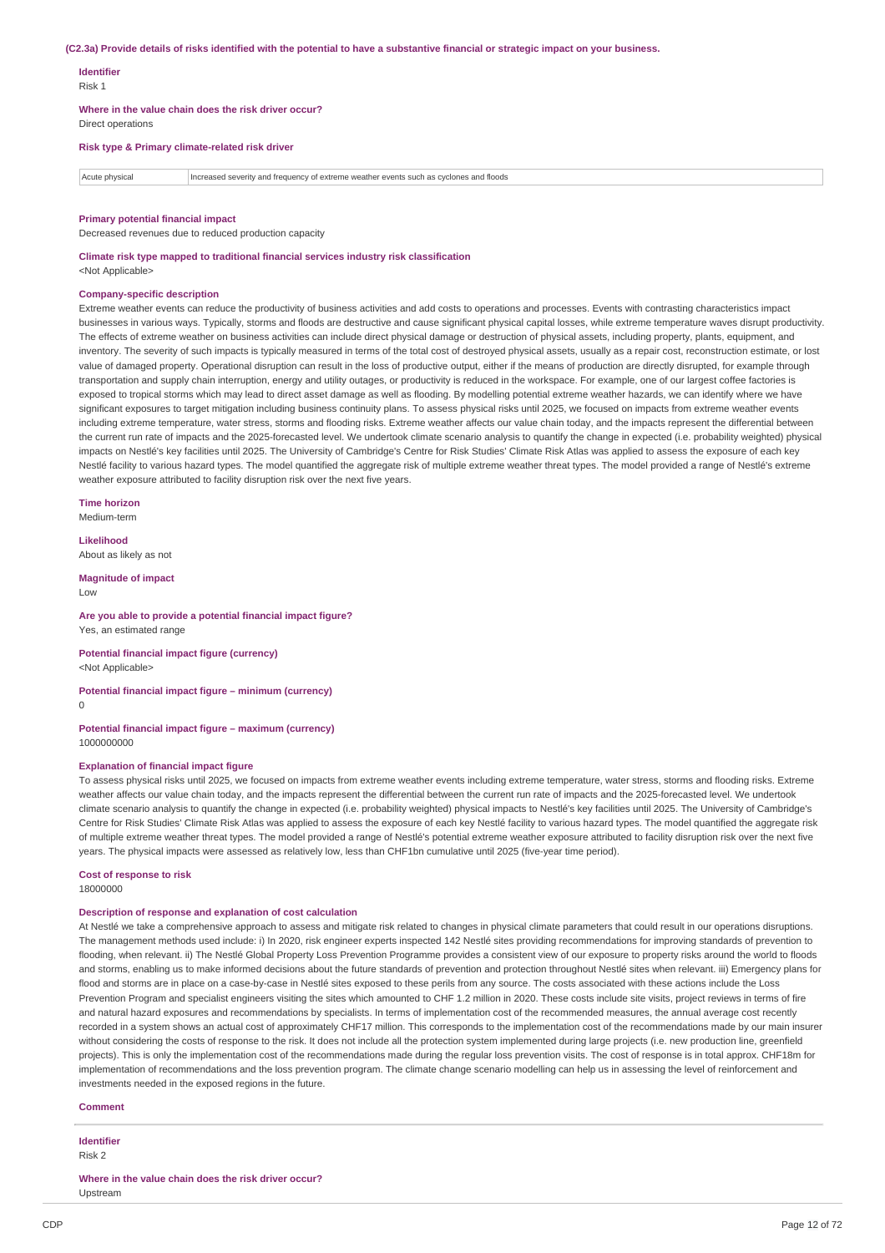#### (C2.3a) Provide details of risks identified with the potential to have a substantive financial or strategic impact on your business.

### **Identifier**

Risk 1

**Where in the value chain does the risk driver occur?** Direct operations

## **Risk type & Primary climate-related risk driver**

Acute physical Increased severity and frequency of extreme weather events such as cyclones and floods

#### **Primary potential financial impact**

Decreased revenues due to reduced production capacity

**Climate risk type mapped to traditional financial services industry risk classification**

<Not Applicable>

#### **Company-specific description**

Extreme weather events can reduce the productivity of business activities and add costs to operations and processes. Events with contrasting characteristics impact businesses in various ways. Typically, storms and floods are destructive and cause significant physical capital losses, while extreme temperature waves disrupt productivity. The effects of extreme weather on business activities can include direct physical damage or destruction of physical assets, including property, plants, equipment, and inventory. The severity of such impacts is typically measured in terms of the total cost of destroyed physical assets, usually as a repair cost, reconstruction estimate, or lost value of damaged property. Operational disruption can result in the loss of productive output, either if the means of production are directly disrupted, for example through transportation and supply chain interruption, energy and utility outages, or productivity is reduced in the workspace. For example, one of our largest coffee factories is exposed to tropical storms which may lead to direct asset damage as well as flooding. By modelling potential extreme weather hazards, we can identify where we have significant exposures to target mitigation including business continuity plans. To assess physical risks until 2025, we focused on impacts from extreme weather events including extreme temperature, water stress, storms and flooding risks. Extreme weather affects our value chain today, and the impacts represent the differential between the current run rate of impacts and the 2025-forecasted level. We undertook climate scenario analysis to quantify the change in expected (i.e. probability weighted) physical impacts on Nestlé's key facilities until 2025. The University of Cambridge's Centre for Risk Studies' Climate Risk Atlas was applied to assess the exposure of each key Nestlé facility to various hazard types. The model quantified the aggregate risk of multiple extreme weather threat types. The model provided a range of Nestlé's extreme weather exposure attributed to facility disruption risk over the next five years.

**Time horizon** Medium-term

**Likelihood**

About as likely as not

**Magnitude of impact** Low

#### **Are you able to provide a potential financial impact figure?** Yes, an estimated range

**Potential financial impact figure (currency)**

<Not Applicable>

### **Potential financial impact figure – minimum (currency)**  $\theta$

**Potential financial impact figure – maximum (currency)** 1000000000

### **Explanation of financial impact figure**

To assess physical risks until 2025, we focused on impacts from extreme weather events including extreme temperature, water stress, storms and flooding risks. Extreme weather affects our value chain today, and the impacts represent the differential between the current run rate of impacts and the 2025-forecasted level. We undertook climate scenario analysis to quantify the change in expected (i.e. probability weighted) physical impacts to Nestlé's key facilities until 2025. The University of Cambridge's Centre for Risk Studies' Climate Risk Atlas was applied to assess the exposure of each key Nestlé facility to various hazard types. The model quantified the aggregate risk of multiple extreme weather threat types. The model provided a range of Nestlé's potential extreme weather exposure attributed to facility disruption risk over the next five years. The physical impacts were assessed as relatively low, less than CHF1bn cumulative until 2025 (five-year time period).

### **Cost of response to risk**

18000000

#### **Description of response and explanation of cost calculation**

At Nestlé we take a comprehensive approach to assess and mitigate risk related to changes in physical climate parameters that could result in our operations disruptions. The management methods used include: i) In 2020, risk engineer experts inspected 142 Nestlé sites providing recommendations for improving standards of prevention to flooding, when relevant. ii) The Nestlé Global Property Loss Prevention Programme provides a consistent view of our exposure to property risks around the world to floods and storms, enabling us to make informed decisions about the future standards of prevention and protection throughout Nestlé sites when relevant. iii) Emergency plans for flood and storms are in place on a case-by-case in Nestlé sites exposed to these perils from any source. The costs associated with these actions include the Loss Prevention Program and specialist engineers visiting the sites which amounted to CHF 1.2 million in 2020. These costs include site visits, project reviews in terms of fire and natural hazard exposures and recommendations by specialists. In terms of implementation cost of the recommended measures, the annual average cost recently recorded in a system shows an actual cost of approximately CHF17 million. This corresponds to the implementation cost of the recommendations made by our main insurer without considering the costs of response to the risk. It does not include all the protection system implemented during large projects (i.e. new production line, greenfield projects). This is only the implementation cost of the recommendations made during the regular loss prevention visits. The cost of response is in total approx. CHF18m for implementation of recommendations and the loss prevention program. The climate change scenario modelling can help us in assessing the level of reinforcement and investments needed in the exposed regions in the future.

### **Comment**

**Identifier**

Risk 2

**Where in the value chain does the risk driver occur?** Upstream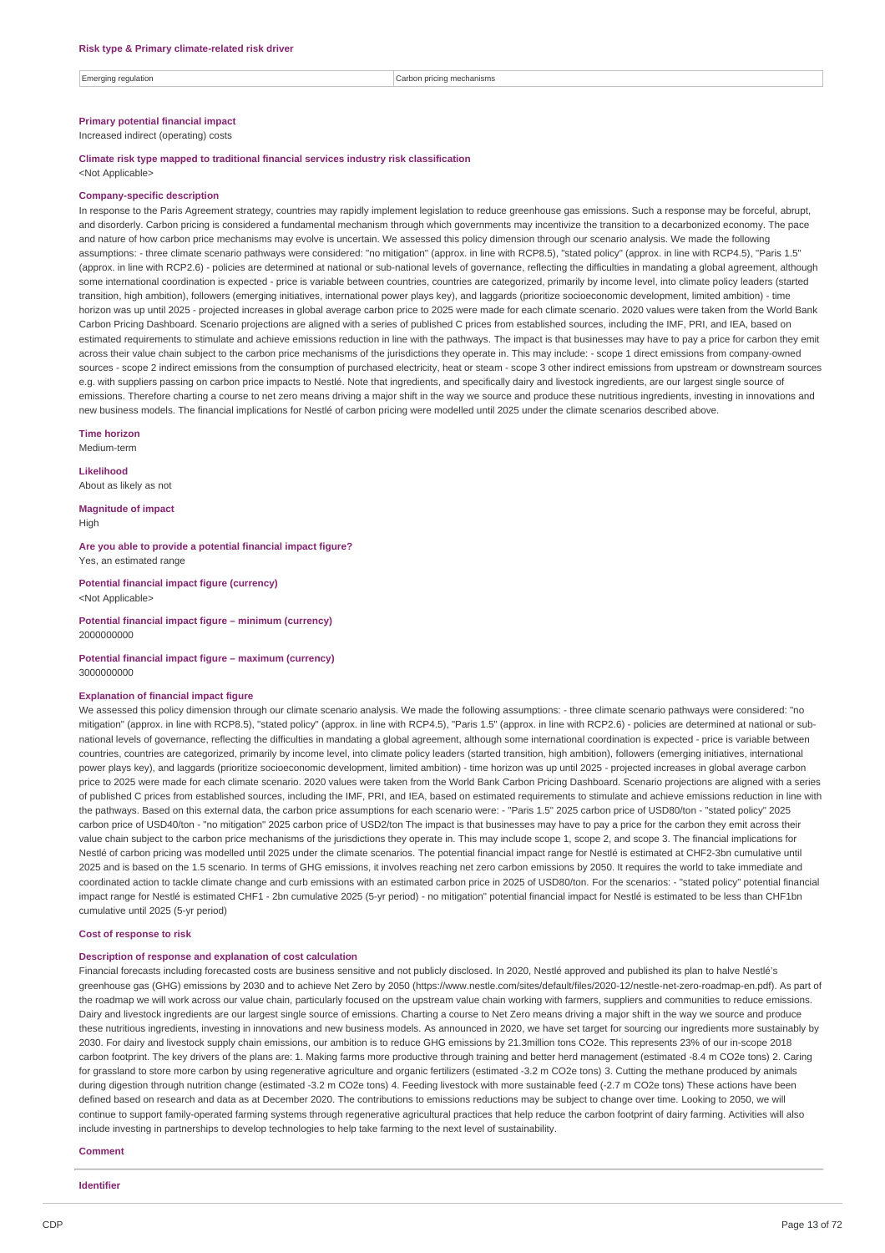Emerging regulation **Carbon pricing mechanisms** carbon pricing mechanisms

### **Primary potential financial impact**

Increased indirect (operating) costs

#### **Climate risk type mapped to traditional financial services industry risk classification** <Not Applicable>

#### **Company-specific description**

In response to the Paris Agreement strategy, countries may rapidly implement legislation to reduce greenhouse gas emissions. Such a response may be forceful, abrupt, and disorderly. Carbon pricing is considered a fundamental mechanism through which governments may incentivize the transition to a decarbonized economy. The pace and nature of how carbon price mechanisms may evolve is uncertain. We assessed this policy dimension through our scenario analysis. We made the following assumptions: - three climate scenario pathways were considered: "no mitigation" (approx. in line with RCP8.5), "stated policy" (approx. in line with RCP4.5), "Paris 1.5" (approx. in line with RCP2.6) - policies are determined at national or sub-national levels of governance, reflecting the difficulties in mandating a global agreement, although some international coordination is expected - price is variable between countries, countries are categorized, primarily by income level, into climate policy leaders (started transition, high ambition), followers (emerging initiatives, international power plays key), and laggards (prioritize socioeconomic development, limited ambition) - time horizon was up until 2025 - projected increases in global average carbon price to 2025 were made for each climate scenario. 2020 values were taken from the World Bank Carbon Pricing Dashboard. Scenario projections are aligned with a series of published C prices from established sources, including the IMF, PRI, and IEA, based on estimated requirements to stimulate and achieve emissions reduction in line with the pathways. The impact is that businesses may have to pay a price for carbon they emit across their value chain subject to the carbon price mechanisms of the jurisdictions they operate in. This may include: - scope 1 direct emissions from company-owned sources - scope 2 indirect emissions from the consumption of purchased electricity, heat or steam - scope 3 other indirect emissions from upstream or downstream sources e.g. with suppliers passing on carbon price impacts to Nestlé. Note that ingredients, and specifically dairy and livestock ingredients, are our largest single source of emissions. Therefore charting a course to net zero means driving a major shift in the way we source and produce these nutritious ingredients, investing in innovations and new business models. The financial implications for Nestlé of carbon pricing were modelled until 2025 under the climate scenarios described above.

**Time horizon**

Medium-term

### **Likelihood** About as likely as not

**Magnitude of impact**

High

**Are you able to provide a potential financial impact figure?** Yes, an estimated range

**Potential financial impact figure (currency)** <Not Applicable>

**Potential financial impact figure – minimum (currency)** 2000000000

#### **Potential financial impact figure – maximum (currency)** 3000000000

#### **Explanation of financial impact figure**

We assessed this policy dimension through our climate scenario analysis. We made the following assumptions: - three climate scenario pathways were considered: "no mitigation" (approx. in line with RCP8.5), "stated policy" (approx. in line with RCP4.5), "Paris 1.5" (approx. in line with RCP2.6) - policies are determined at national or subnational levels of governance, reflecting the difficulties in mandating a global agreement, although some international coordination is expected - price is variable between countries, countries are categorized, primarily by income level, into climate policy leaders (started transition, high ambition), followers (emerging initiatives, international power plays key), and laggards (prioritize socioeconomic development, limited ambition) - time horizon was up until 2025 - projected increases in global average carbon price to 2025 were made for each climate scenario. 2020 values were taken from the World Bank Carbon Pricing Dashboard. Scenario projections are aligned with a series of published C prices from established sources, including the IMF, PRI, and IEA, based on estimated requirements to stimulate and achieve emissions reduction in line with the pathways. Based on this external data, the carbon price assumptions for each scenario were: - "Paris 1.5" 2025 carbon price of USD80/ton - "stated policy" 2025 carbon price of USD40/ton - "no mitigation" 2025 carbon price of USD2/ton The impact is that businesses may have to pay a price for the carbon they emit across their value chain subject to the carbon price mechanisms of the jurisdictions they operate in. This may include scope 1, scope 2, and scope 3. The financial implications for Nestlé of carbon pricing was modelled until 2025 under the climate scenarios. The potential financial impact range for Nestlé is estimated at CHF2-3bn cumulative until 2025 and is based on the 1.5 scenario. In terms of GHG emissions, it involves reaching net zero carbon emissions by 2050. It requires the world to take immediate and coordinated action to tackle climate change and curb emissions with an estimated carbon price in 2025 of USD80/ton. For the scenarios: - "stated policy" potential financial impact range for Nestlé is estimated CHF1 - 2bn cumulative 2025 (5-yr period) - no mitigation" potential financial impact for Nestlé is estimated to be less than CHF1bn cumulative until 2025 (5-yr period)

#### **Cost of response to risk**

### **Description of response and explanation of cost calculation**

Financial forecasts including forecasted costs are business sensitive and not publicly disclosed. In 2020, Nestlé approved and published its plan to halve Nestlé's greenhouse gas (GHG) emissions by 2030 and to achieve Net Zero by 2050 (https://www.nestle.com/sites/default/files/2020-12/nestle-net-zero-roadmap-en.pdf). As part of the roadmap we will work across our value chain, particularly focused on the upstream value chain working with farmers, suppliers and communities to reduce emissions Dairy and livestock ingredients are our largest single source of emissions. Charting a course to Net Zero means driving a major shift in the way we source and produce these nutritious ingredients, investing in innovations and new business models. As announced in 2020, we have set target for sourcing our ingredients more sustainably by 2030. For dairy and livestock supply chain emissions, our ambition is to reduce GHG emissions by 21.3million tons CO2e. This represents 23% of our in-scope 2018 carbon footprint. The key drivers of the plans are: 1. Making farms more productive through training and better herd management (estimated -8.4 m CO2e tons) 2. Caring for grassland to store more carbon by using regenerative agriculture and organic fertilizers (estimated -3.2 m CO2e tons) 3. Cutting the methane produced by animals during digestion through nutrition change (estimated -3.2 m CO2e tons) 4. Feeding livestock with more sustainable feed (-2.7 m CO2e tons) These actions have been defined based on research and data as at December 2020. The contributions to emissions reductions may be subject to change over time. Looking to 2050, we will continue to support family-operated farming systems through regenerative agricultural practices that help reduce the carbon footprint of dairy farming. Activities will also include investing in partnerships to develop technologies to help take farming to the next level of sustainability.

#### **Comment**

**Identifier**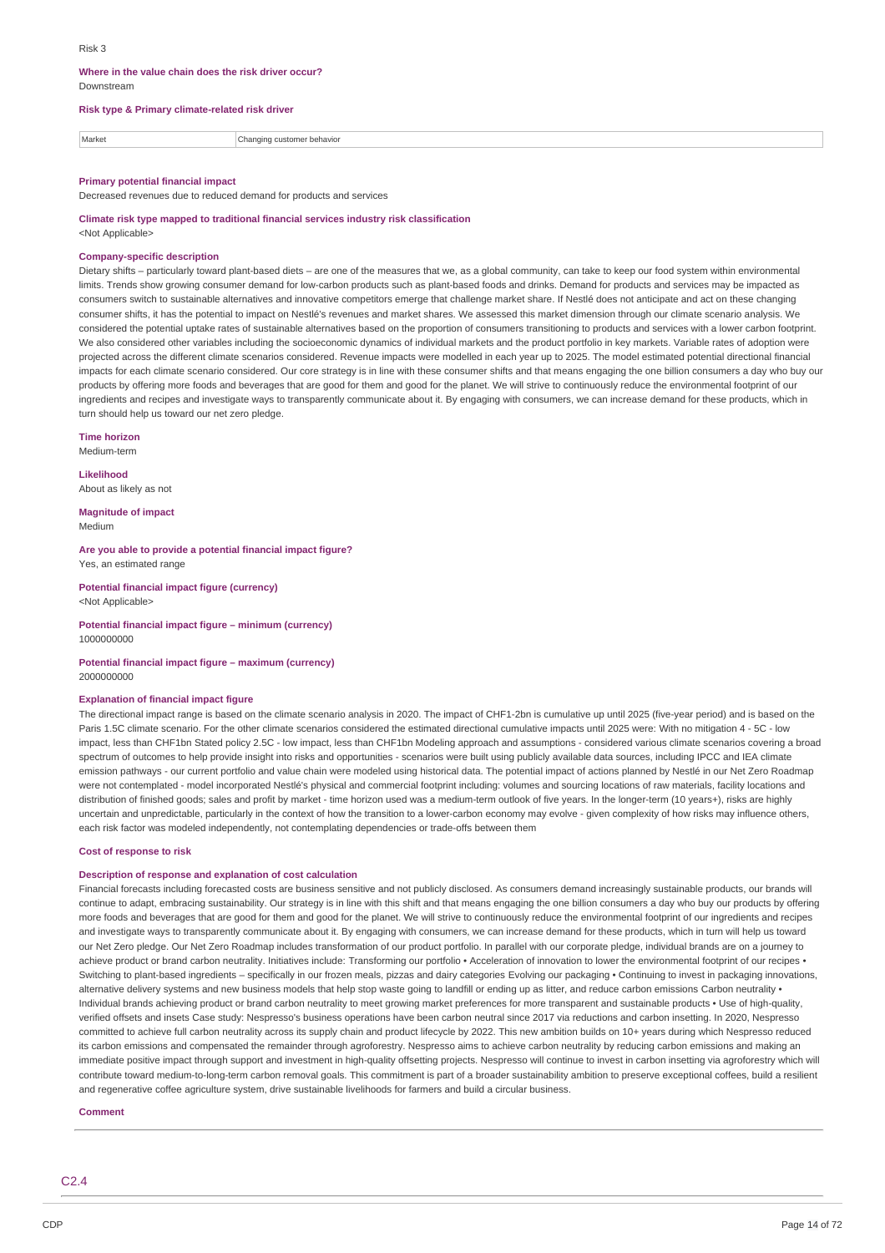#### **Where in the value chain does the risk driver occur?** Downstream

### **Risk type & Primary climate-related risk driver**

Market **Changing customer behavior** 

#### **Primary potential financial impact**

Decreased revenues due to reduced demand for products and services

**Climate risk type mapped to traditional financial services industry risk classification** <Not Applicable>

### **Company-specific description**

Dietary shifts – particularly toward plant-based diets – are one of the measures that we, as a global community, can take to keep our food system within environmental limits. Trends show growing consumer demand for low-carbon products such as plant-based foods and drinks. Demand for products and services may be impacted as consumers switch to sustainable alternatives and innovative competitors emerge that challenge market share. If Nestlé does not anticipate and act on these changing consumer shifts, it has the potential to impact on Nestlé's revenues and market shares. We assessed this market dimension through our climate scenario analysis. We considered the potential uptake rates of sustainable alternatives based on the proportion of consumers transitioning to products and services with a lower carbon footprint. We also considered other variables including the socioeconomic dynamics of individual markets and the product portfolio in key markets. Variable rates of adoption were projected across the different climate scenarios considered. Revenue impacts were modelled in each year up to 2025. The model estimated potential directional financial impacts for each climate scenario considered. Our core strategy is in line with these consumer shifts and that means engaging the one billion consumers a day who buy our products by offering more foods and beverages that are good for them and good for the planet. We will strive to continuously reduce the environmental footprint of our ingredients and recipes and investigate ways to transparently communicate about it. By engaging with consumers, we can increase demand for these products, which in turn should help us toward our net zero pledge.

**Time horizon**

Medium-term

**Likelihood** About as likely as not

**Magnitude of impact** Medium

**Are you able to provide a potential financial impact figure?** Yes, an estimated range

**Potential financial impact figure (currency)** <Not Applicable>

**Potential financial impact figure – minimum (currency)** 1000000000

#### **Potential financial impact figure – maximum (currency)** 2000000000

### **Explanation of financial impact figure**

The directional impact range is based on the climate scenario analysis in 2020. The impact of CHF1-2bn is cumulative up until 2025 (five-year period) and is based on the Paris 1.5C climate scenario. For the other climate scenarios considered the estimated directional cumulative impacts until 2025 were: With no mitigation 4 - 5C - low impact, less than CHF1bn Stated policy 2.5C - low impact, less than CHF1bn Modeling approach and assumptions - considered various climate scenarios covering a broad spectrum of outcomes to help provide insight into risks and opportunities - scenarios were built using publicly available data sources, including IPCC and IEA climate emission pathways - our current portfolio and value chain were modeled using historical data. The potential impact of actions planned by Nestlé in our Net Zero Roadmap were not contemplated - model incorporated Nestlé's physical and commercial footprint including: volumes and sourcing locations of raw materials, facility locations and distribution of finished goods; sales and profit by market - time horizon used was a medium-term outlook of five years. In the longer-term (10 years+), risks are highly uncertain and unpredictable, particularly in the context of how the transition to a lower-carbon economy may evolve - given complexity of how risks may influence others, each risk factor was modeled independently, not contemplating dependencies or trade-offs between them

#### **Cost of response to risk**

#### **Description of response and explanation of cost calculation**

Financial forecasts including forecasted costs are business sensitive and not publicly disclosed. As consumers demand increasingly sustainable products, our brands will continue to adapt, embracing sustainability. Our strategy is in line with this shift and that means engaging the one billion consumers a day who buy our products by offering more foods and beverages that are good for them and good for the planet. We will strive to continuously reduce the environmental footprint of our ingredients and recipes and investigate ways to transparently communicate about it. By engaging with consumers, we can increase demand for these products, which in turn will help us toward our Net Zero pledge. Our Net Zero Roadmap includes transformation of our product portfolio. In parallel with our corporate pledge, individual brands are on a journey to achieve product or brand carbon neutrality. Initiatives include: Transforming our portfolio · Acceleration of innovation to lower the environmental footprint of our recipes Switching to plant-based ingredients – specifically in our frozen meals, pizzas and dairy categories Evolving our packaging • Continuing to invest in packaging innovations, alternative delivery systems and new business models that help stop waste going to landfill or ending up as litter, and reduce carbon emissions Carbon neutrality . Individual brands achieving product or brand carbon neutrality to meet growing market preferences for more transparent and sustainable products • Use of high-quality, verified offsets and insets Case study: Nespresso's business operations have been carbon neutral since 2017 via reductions and carbon insetting. In 2020, Nespresso committed to achieve full carbon neutrality across its supply chain and product lifecycle by 2022. This new ambition builds on 10+ years during which Nespresso reduced its carbon emissions and compensated the remainder through agroforestry. Nespresso aims to achieve carbon neutrality by reducing carbon emissions and making an immediate positive impact through support and investment in high-quality offsetting projects. Nespresso will continue to invest in carbon insetting via agroforestry which will contribute toward medium-to-long-term carbon removal goals. This commitment is part of a broader sustainability ambition to preserve exceptional coffees, build a resilient and regenerative coffee agriculture system, drive sustainable livelihoods for farmers and build a circular business.

#### **Comment**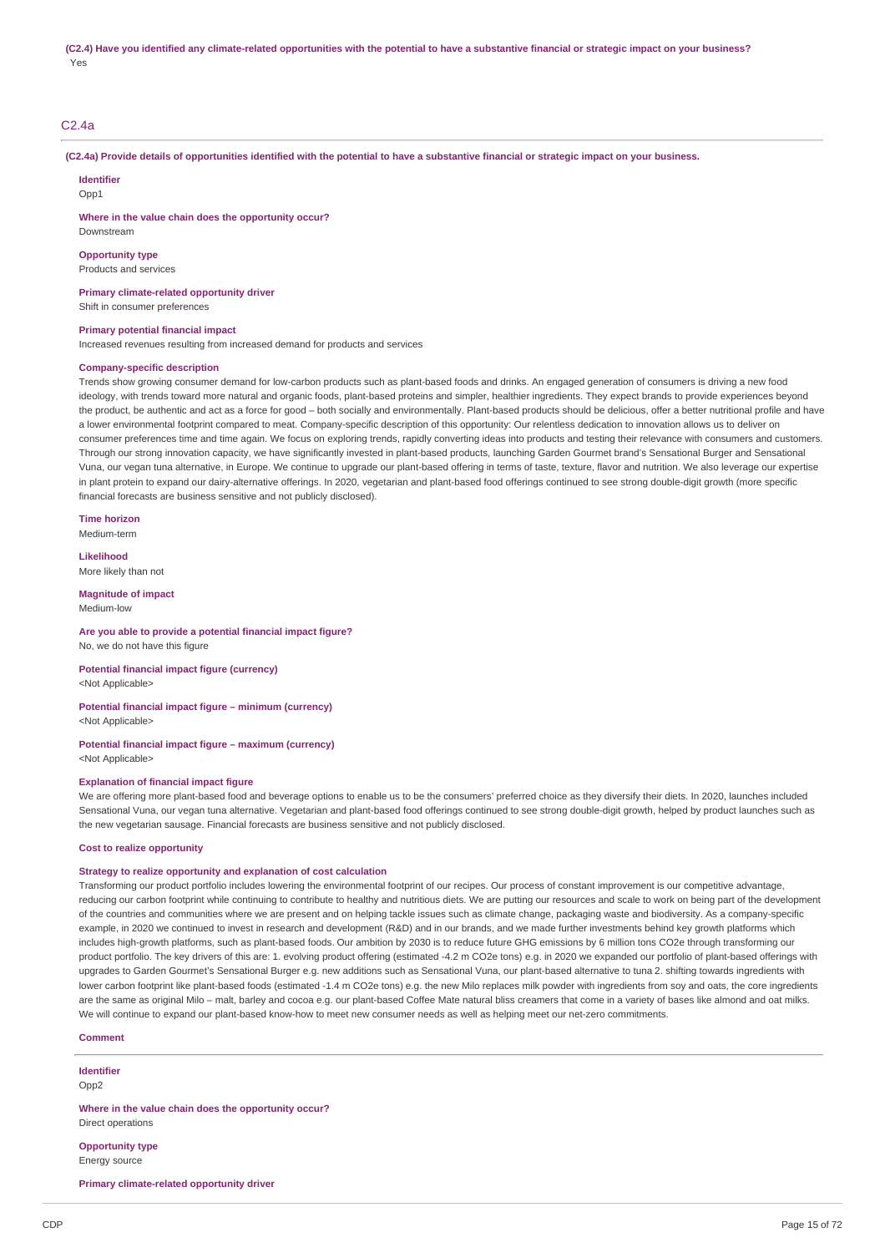### C2.4a

(C2.4a) Provide details of opportunities identified with the potential to have a substantive financial or strategic impact on your business.

**Identifier**

 $Onn1$ 

Downstream

**Where in the value chain does the opportunity occur?**

**Opportunity type**

Products and services

**Primary climate-related opportunity driver** Shift in consumer preferences

### **Primary potential financial impact**

Increased revenues resulting from increased demand for products and services

### **Company-specific description**

Trends show growing consumer demand for low-carbon products such as plant-based foods and drinks. An engaged generation of consumers is driving a new food ideology, with trends toward more natural and organic foods, plant-based proteins and simpler, healthier ingredients. They expect brands to provide experiences beyond the product, be authentic and act as a force for good – both socially and environmentally. Plant-based products should be delicious, offer a better nutritional profile and have a lower environmental footprint compared to meat. Company-specific description of this opportunity: Our relentless dedication to innovation allows us to deliver on consumer preferences time and time again. We focus on exploring trends, rapidly converting ideas into products and testing their relevance with consumers and customers. Through our strong innovation capacity, we have significantly invested in plant-based products, launching Garden Gourmet brand's Sensational Burger and Sensational Vuna, our vegan tuna alternative, in Europe. We continue to upgrade our plant-based offering in terms of taste, texture, flavor and nutrition. We also leverage our expertise in plant protein to expand our dairy-alternative offerings. In 2020, vegetarian and plant-based food offerings continued to see strong double-digit growth (more specific financial forecasts are business sensitive and not publicly disclosed).

**Time horizon**

Medium-term

**Likelihood** More likely than not

**Magnitude of impact**

Medium-low

**Are you able to provide a potential financial impact figure?** No, we do not have this figure

**Potential financial impact figure (currency)** <Not Applicable>

### **Potential financial impact figure – minimum (currency)** <Not Applicable>

**Potential financial impact figure – maximum (currency)**

<Not Applicable>

### **Explanation of financial impact figure**

We are offering more plant-based food and beverage options to enable us to be the consumers' preferred choice as they diversify their diets. In 2020, launches included Sensational Vuna, our vegan tuna alternative. Vegetarian and plant-based food offerings continued to see strong double-digit growth, helped by product launches such as the new vegetarian sausage. Financial forecasts are business sensitive and not publicly disclosed.

#### **Cost to realize opportunity**

### **Strategy to realize opportunity and explanation of cost calculation**

Transforming our product portfolio includes lowering the environmental footprint of our recipes. Our process of constant improvement is our competitive advantage, reducing our carbon footprint while continuing to contribute to healthy and nutritious diets. We are putting our resources and scale to work on being part of the development of the countries and communities where we are present and on helping tackle issues such as climate change, packaging waste and biodiversity. As a company-specific example, in 2020 we continued to invest in research and development (R&D) and in our brands, and we made further investments behind key growth platforms which includes high-growth platforms, such as plant-based foods. Our ambition by 2030 is to reduce future GHG emissions by 6 million tons CO2e through transforming our product portfolio. The key drivers of this are: 1. evolving product offering (estimated -4.2 m CO2e tons) e.g. in 2020 we expanded our portfolio of plant-based offerings with upgrades to Garden Gourmet's Sensational Burger e.g. new additions such as Sensational Vuna, our plant-based alternative to tuna 2. shifting towards ingredients with lower carbon footprint like plant-based foods (estimated -1.4 m CO2e tons) e.g. the new Milo replaces milk powder with ingredients from soy and oats, the core ingredients are the same as original Milo – malt, barley and cocoa e.g. our plant-based Coffee Mate natural bliss creamers that come in a variety of bases like almond and oat milks. We will continue to expand our plant-based know-how to meet new consumer needs as well as helping meet our net-zero commitments.

#### **Comment**

**Identifier**

Opp2

**Where in the value chain does the opportunity occur?** Direct operations

**Opportunity type** Energy source

**Primary climate-related opportunity driver**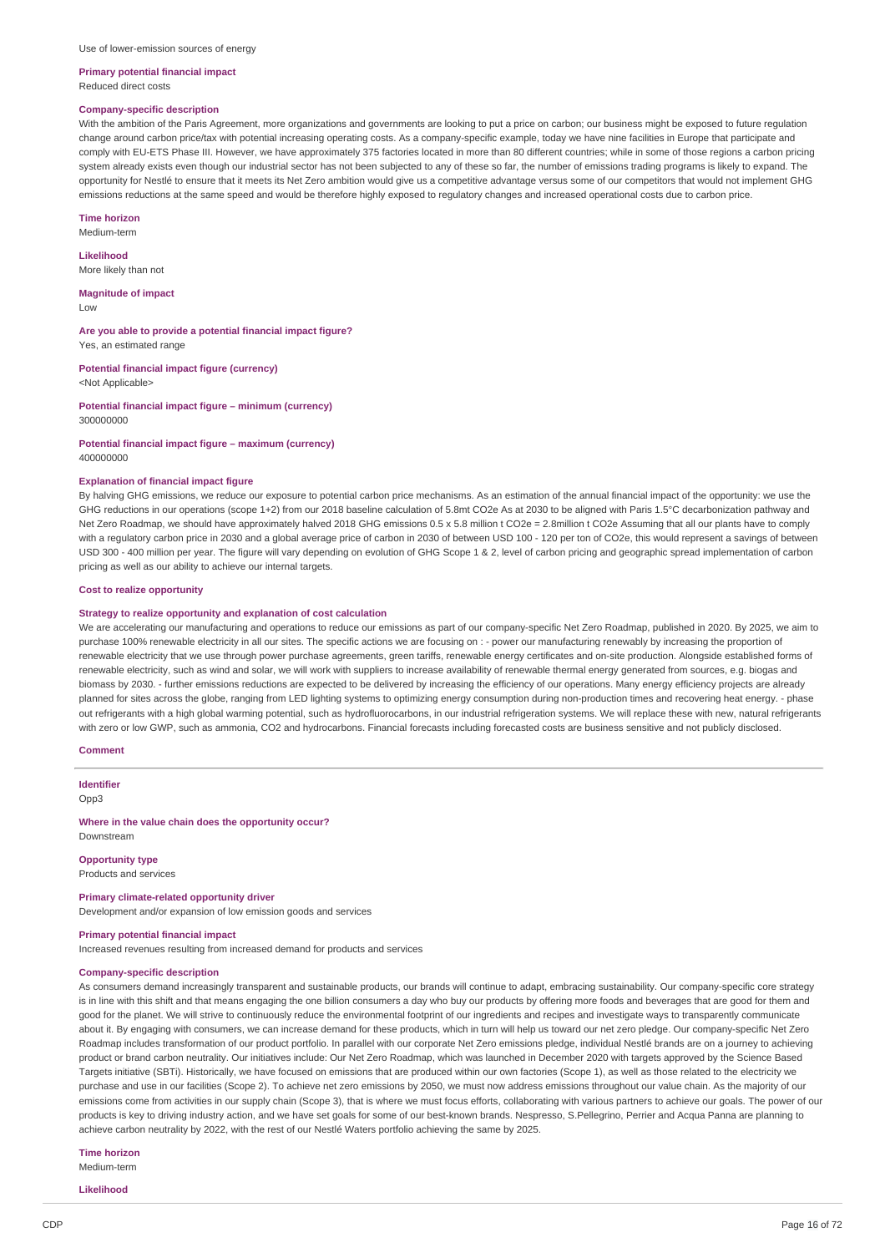#### **Primary potential financial impact** Reduced direct costs

### **Company-specific description**

With the ambition of the Paris Agreement, more organizations and governments are looking to put a price on carbon; our business might be exposed to future regulation change around carbon price/tax with potential increasing operating costs. As a company-specific example, today we have nine facilities in Europe that participate and comply with EU-ETS Phase III. However, we have approximately 375 factories located in more than 80 different countries; while in some of those regions a carbon pricing system already exists even though our industrial sector has not been subjected to any of these so far, the number of emissions trading programs is likely to expand. The opportunity for Nestlé to ensure that it meets its Net Zero ambition would give us a competitive advantage versus some of our competitors that would not implement GHG emissions reductions at the same speed and would be therefore highly exposed to regulatory changes and increased operational costs due to carbon price.

**Time horizon**

Medium-term

**Likelihood** More likely than not

**Magnitude of impact** Low

**Are you able to provide a potential financial impact figure?** Yes, an estimated range

**Potential financial impact figure (currency)** <Not Applicable>

**Potential financial impact figure – minimum (currency)** 300000000

# **Potential financial impact figure – maximum (currency)**

400000000

### **Explanation of financial impact figure**

By halving GHG emissions, we reduce our exposure to potential carbon price mechanisms. As an estimation of the annual financial impact of the opportunity: we use the GHG reductions in our operations (scope 1+2) from our 2018 baseline calculation of 5.8mt CO2e As at 2030 to be aligned with Paris 1.5°C decarbonization pathway and Net Zero Roadmap, we should have approximately halved 2018 GHG emissions 0.5 x 5.8 million t CO2e = 2.8million t CO2e Assuming that all our plants have to comply with a regulatory carbon price in 2030 and a global average price of carbon in 2030 of between USD 100 - 120 per ton of CO2e, this would represent a savings of between USD 300 - 400 million per year. The figure will vary depending on evolution of GHG Scope 1 & 2, level of carbon pricing and geographic spread implementation of carbon pricing as well as our ability to achieve our internal targets.

#### **Cost to realize opportunity**

#### **Strategy to realize opportunity and explanation of cost calculation**

We are accelerating our manufacturing and operations to reduce our emissions as part of our company-specific Net Zero Roadmap, published in 2020, By 2025, we aim to purchase 100% renewable electricity in all our sites. The specific actions we are focusing on : - power our manufacturing renewably by increasing the proportion of renewable electricity that we use through power purchase agreements, green tariffs, renewable energy certificates and on-site production. Alongside established forms of renewable electricity, such as wind and solar, we will work with suppliers to increase availability of renewable thermal energy generated from sources, e.g. biogas and biomass by 2030. - further emissions reductions are expected to be delivered by increasing the efficiency of our operations. Many energy efficiency projects are already planned for sites across the globe, ranging from LED lighting systems to optimizing energy consumption during non-production times and recovering heat energy. - phase out refrigerants with a high global warming potential, such as hydrofluorocarbons, in our industrial refrigeration systems. We will replace these with new, natural refrigerants with zero or low GWP, such as ammonia, CO2 and hydrocarbons. Financial forecasts including forecasted costs are business sensitive and not publicly disclosed.

#### **Comment**

**Identifier** Opp3

**Where in the value chain does the opportunity occur?** Downstream

**Opportunity type** Products and services

**Primary climate-related opportunity driver** Development and/or expansion of low emission goods and services

**Primary potential financial impact**

Increased revenues resulting from increased demand for products and services

### **Company-specific description**

As consumers demand increasingly transparent and sustainable products, our brands will continue to adapt, embracing sustainability. Our company-specific core strategy is in line with this shift and that means engaging the one billion consumers a day who buy our products by offering more foods and beverages that are good for them and good for the planet. We will strive to continuously reduce the environmental footprint of our ingredients and recipes and investigate ways to transparently communicate about it. By engaging with consumers, we can increase demand for these products, which in turn will help us toward our net zero pledge. Our company-specific Net Zero Roadmap includes transformation of our product portfolio. In parallel with our corporate Net Zero emissions pledge, individual Nestlé brands are on a journey to achieving product or brand carbon neutrality. Our initiatives include: Our Net Zero Roadmap, which was launched in December 2020 with targets approved by the Science Based Targets initiative (SBTi). Historically, we have focused on emissions that are produced within our own factories (Scope 1), as well as those related to the electricity we purchase and use in our facilities (Scope 2). To achieve net zero emissions by 2050, we must now address emissions throughout our value chain. As the majority of our emissions come from activities in our supply chain (Scope 3), that is where we must focus efforts, collaborating with various partners to achieve our goals. The power of our products is key to driving industry action, and we have set goals for some of our best-known brands. Nespresso, S.Pellegrino, Perrier and Acqua Panna are planning to achieve carbon neutrality by 2022, with the rest of our Nestlé Waters portfolio achieving the same by 2025.

#### **Time horizon** Medium-term

**Likelihood**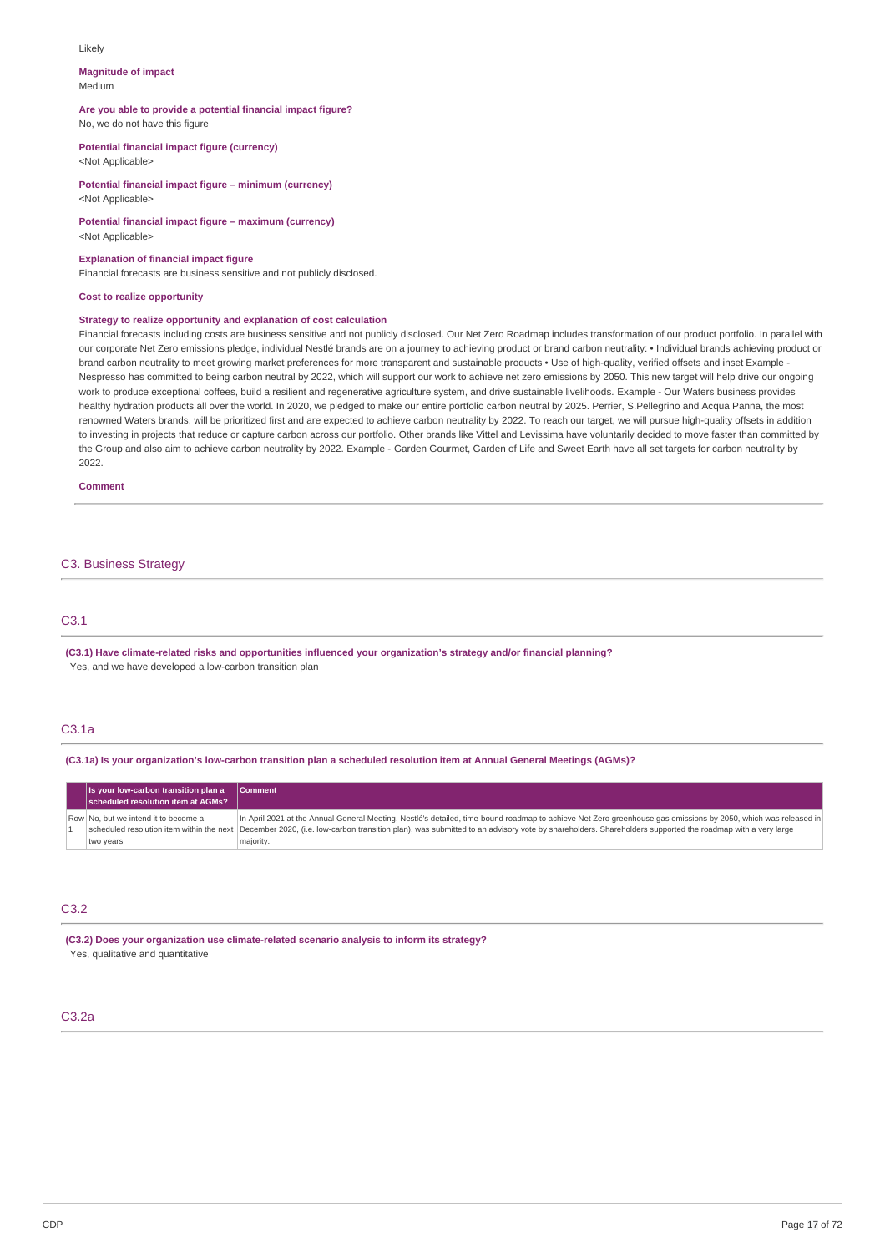#### Likely

#### **Magnitude of impact** Medium

### **Are you able to provide a potential financial impact figure?** No, we do not have this figure

**Potential financial impact figure (currency)** <Not Applicable>

**Potential financial impact figure – minimum (currency)** <Not Applicable>

**Potential financial impact figure – maximum (currency)** <Not Applicable>

### **Explanation of financial impact figure**

Financial forecasts are business sensitive and not publicly disclosed.

### **Cost to realize opportunity**

### **Strategy to realize opportunity and explanation of cost calculation**

Financial forecasts including costs are business sensitive and not publicly disclosed. Our Net Zero Roadmap includes transformation of our product portfolio. In parallel with our corporate Net Zero emissions pledge, individual Nestlé brands are on a journey to achieving product or brand carbon neutrality: • Individual brands achieving product or brand carbon neutrality to meet growing market preferences for more transparent and sustainable products · Use of high-quality, verified offsets and inset Example -Nespresso has committed to being carbon neutral by 2022, which will support our work to achieve net zero emissions by 2050. This new target will help drive our ongoing work to produce exceptional coffees, build a resilient and regenerative agriculture system, and drive sustainable livelihoods. Example - Our Waters business provides healthy hydration products all over the world. In 2020, we pledged to make our entire portfolio carbon neutral by 2025. Perrier, S.Pellegrino and Acqua Panna, the most renowned Waters brands, will be prioritized first and are expected to achieve carbon neutrality by 2022. To reach our target, we will pursue high-quality offsets in addition to investing in projects that reduce or capture carbon across our portfolio. Other brands like Vittel and Levissima have voluntarily decided to move faster than committed by the Group and also aim to achieve carbon neutrality by 2022. Example - Garden Gourmet, Garden of Life and Sweet Earth have all set targets for carbon neutrality by 2022.

#### **Comment**

### C3. Business Strategy

### C3.1

**(C3.1) Have climate-related risks and opportunities influenced your organization's strategy and/or financial planning?** Yes, and we have developed a low-carbon transition plan

#### C3.1a

(C3.1a) Is your organization's low-carbon transition plan a scheduled resolution item at Annual General Meetings (AGMs)?

| Is your low-carbon transition plan a<br>scheduled resolution item at AGMs? | <b>Comment</b>                                                                                                                                                                                       |
|----------------------------------------------------------------------------|------------------------------------------------------------------------------------------------------------------------------------------------------------------------------------------------------|
| Row No. but we intend it to become a                                       | In April 2021 at the Annual General Meeting, Nestlé's detailed, time-bound roadmap to achieve Net Zero greenhouse gas emissions by 2050, which was released in                                       |
|                                                                            | scheduled resolution item within the next  December 2020, (i.e. low-carbon transition plan), was submitted to an advisory vote by shareholders. Shareholders supported the roadmap with a very large |
| two years                                                                  | majority.                                                                                                                                                                                            |

### C3.2

**(C3.2) Does your organization use climate-related scenario analysis to inform its strategy?** Yes, qualitative and quantitative

### C3.2a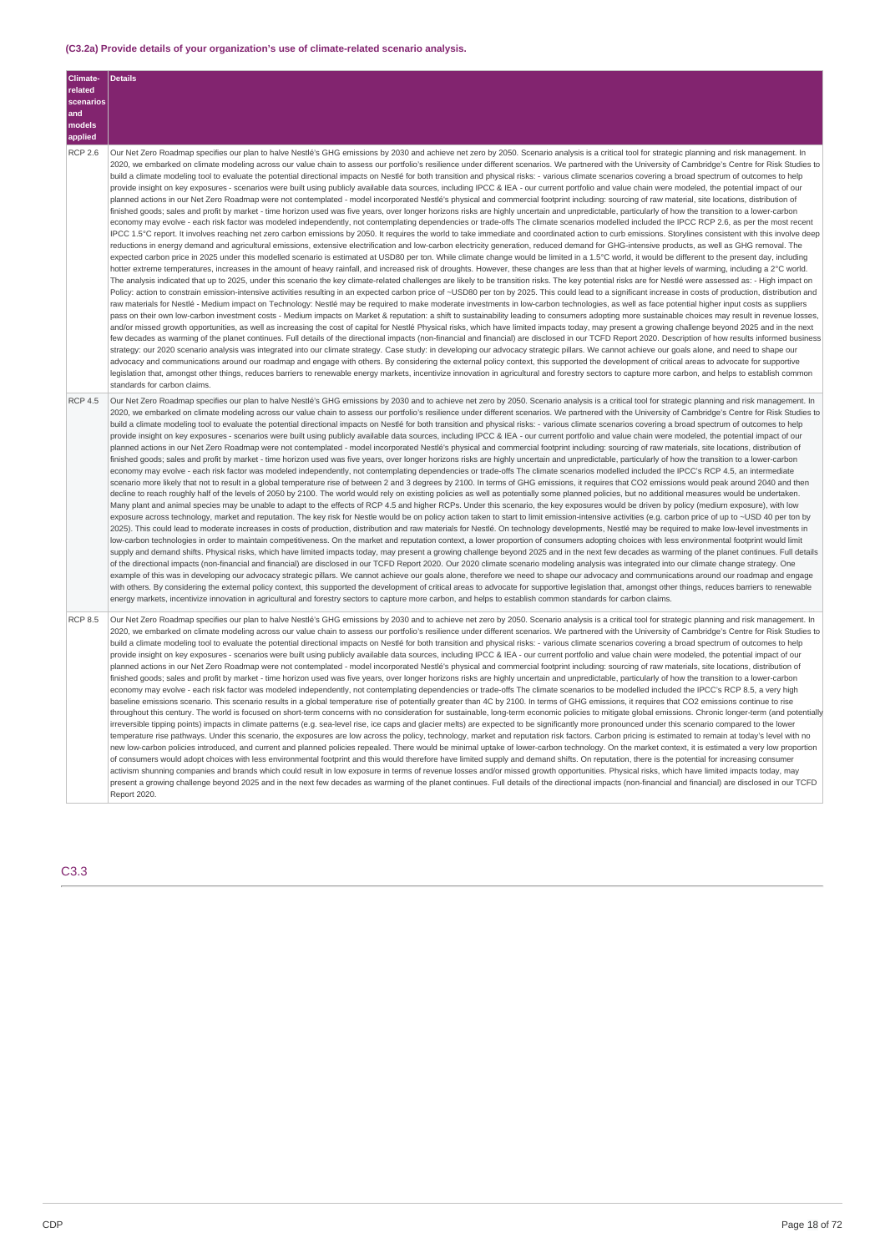### **(C3.2a) Provide details of your organization's use of climate-related scenario analysis.**

| Climate-<br>related<br>scenarios<br>and<br>models<br>applied | <b>Details</b>                                                                                                                                                                                                                                                                                                                                                                                                                                                                                                                                                                                                                                                                                                                                                                                                                                                                                                                                                                                                                                                                                                                                                                                                                                                                                                                                                                                                                                                                                                                                                                                                                                                                                                                                                                                                                                                                                                                                                                                                                                                                                                                                                                                                                                                                                                                                                                                                                                                                                                                                                                                                                                                                                                                                                                                                                                                                                                                                                                                                                                                                                                                                                                                                                                                                                                                                                                                                                                                                                                                                                                                                                                                                                                                                                                                                                                                                                                                                                                                                                                                                                                                                                                                              |
|--------------------------------------------------------------|-------------------------------------------------------------------------------------------------------------------------------------------------------------------------------------------------------------------------------------------------------------------------------------------------------------------------------------------------------------------------------------------------------------------------------------------------------------------------------------------------------------------------------------------------------------------------------------------------------------------------------------------------------------------------------------------------------------------------------------------------------------------------------------------------------------------------------------------------------------------------------------------------------------------------------------------------------------------------------------------------------------------------------------------------------------------------------------------------------------------------------------------------------------------------------------------------------------------------------------------------------------------------------------------------------------------------------------------------------------------------------------------------------------------------------------------------------------------------------------------------------------------------------------------------------------------------------------------------------------------------------------------------------------------------------------------------------------------------------------------------------------------------------------------------------------------------------------------------------------------------------------------------------------------------------------------------------------------------------------------------------------------------------------------------------------------------------------------------------------------------------------------------------------------------------------------------------------------------------------------------------------------------------------------------------------------------------------------------------------------------------------------------------------------------------------------------------------------------------------------------------------------------------------------------------------------------------------------------------------------------------------------------------------------------------------------------------------------------------------------------------------------------------------------------------------------------------------------------------------------------------------------------------------------------------------------------------------------------------------------------------------------------------------------------------------------------------------------------------------------------------------------------------------------------------------------------------------------------------------------------------------------------------------------------------------------------------------------------------------------------------------------------------------------------------------------------------------------------------------------------------------------------------------------------------------------------------------------------------------------------------------------------------------------------------------------------------------------------------------------------------------------------------------------------------------------------------------------------------------------------------------------------------------------------------------------------------------------------------------------------------------------------------------------------------------------------------------------------------------------------------------------------------------------------------------------------------------|
| <b>RCP 2.6</b>                                               | Our Net Zero Roadmap specifies our plan to halve Nestlé's GHG emissions by 2030 and achieve net zero by 2050. Scenario analysis is a critical tool for strategic planning and risk management. In<br>2020, we embarked on climate modeling across our value chain to assess our portfolio's resilience under different scenarios. We partnered with the University of Cambridge's Centre for Risk Studies to<br>build a climate modeling tool to evaluate the potential directional impacts on Nestlé for both transition and physical risks: - various climate scenarios covering a broad spectrum of outcomes to help<br>provide insight on key exposures - scenarios were built using publicly available data sources, including IPCC & IEA - our current portfolio and value chain were modeled, the potential impact of our<br>planned actions in our Net Zero Roadmap were not contemplated - model incorporated Nestlé's physical and commercial footprint including: sourcing of raw material, site locations, distribution of<br>finished goods; sales and profit by market - time horizon used was five years, over longer horizons risks are highly uncertain and unpredictable, particularly of how the transition to a lower-carbon<br>economy may evolve - each risk factor was modeled independently, not contemplating dependencies or trade-offs The climate scenarios modelled included the IPCC RCP 2.6, as per the most recent<br>IPCC 1.5°C report. It involves reaching net zero carbon emissions by 2050. It requires the world to take immediate and coordinated action to curb emissions. Storylines consistent with this involve deep<br>reductions in energy demand and agricultural emissions, extensive electrification and low-carbon electricity generation, reduced demand for GHG-intensive products, as well as GHG removal. The<br>expected carbon price in 2025 under this modelled scenario is estimated at USD80 per ton. While climate change would be limited in a 1.5°C world, it would be different to the present day, including<br>hotter extreme temperatures, increases in the amount of heavy rainfall, and increased risk of droughts. However, these changes are less than that at higher levels of warming, including a 2°C world.<br>The analysis indicated that up to 2025, under this scenario the key climate-related challenges are likely to be transition risks. The key potential risks are for Nestlé were assessed as: - High impact on<br>Policy: action to constrain emission-intensive activities resulting in an expected carbon price of ~USD80 per ton by 2025. This could lead to a significant increase in costs of production, distribution and<br>raw materials for Nestlé - Medium impact on Technology: Nestlé may be required to make moderate investments in low-carbon technologies, as well as face potential higher input costs as suppliers<br>pass on their own low-carbon investment costs - Medium impacts on Market & reputation: a shift to sustainability leading to consumers adopting more sustainable choices may result in revenue losses,<br>and/or missed growth opportunities, as well as increasing the cost of capital for Nestlé Physical risks, which have limited impacts today, may present a growing challenge beyond 2025 and in the next<br>few decades as warming of the planet continues. Full details of the directional impacts (non-financial and financial) are disclosed in our TCFD Report 2020. Description of how results informed business<br>strategy: our 2020 scenario analysis was integrated into our climate strategy. Case study: in developing our advocacy strategic pillars. We cannot achieve our goals alone, and need to shape our<br>advocacy and communications around our roadmap and engage with others. By considering the external policy context, this supported the development of critical areas to advocate for supportive<br>legislation that, amongst other things, reduces barriers to renewable energy markets, incentivize innovation in agricultural and forestry sectors to capture more carbon, and helps to establish common<br>standards for carbon claims. |
| <b>RCP 4.5</b>                                               | Our Net Zero Roadmap specifies our plan to halve Nestlé's GHG emissions by 2030 and to achieve net zero by 2050. Scenario analysis is a critical tool for strategic planning and risk management. In<br>2020, we embarked on climate modeling across our value chain to assess our portfolio's resilience under different scenarios. We partnered with the University of Cambridge's Centre for Risk Studies to<br>build a climate modeling tool to evaluate the potential directional impacts on Nestlé for both transition and physical risks: - various climate scenarios covering a broad spectrum of outcomes to help<br>provide insight on key exposures - scenarios were built using publicly available data sources, including IPCC & IEA - our current portfolio and value chain were modeled, the potential impact of our<br>planned actions in our Net Zero Roadmap were not contemplated - model incorporated Nestlé's physical and commercial footprint including: sourcing of raw materials, site locations, distribution of<br>finished goods; sales and profit by market - time horizon used was five years, over longer horizons risks are highly uncertain and unpredictable, particularly of how the transition to a lower-carbon<br>economy may evolve - each risk factor was modeled independently, not contemplating dependencies or trade-offs The climate scenarios modelled included the IPCC's RCP 4.5, an intermediate<br>scenario more likely that not to result in a global temperature rise of between 2 and 3 degrees by 2100. In terms of GHG emissions, it requires that CO2 emissions would peak around 2040 and then<br>decline to reach roughly half of the levels of 2050 by 2100. The world would rely on existing policies as well as potentially some planned policies, but no additional measures would be undertaken.<br>Many plant and animal species may be unable to adapt to the effects of RCP 4.5 and higher RCPs. Under this scenario, the key exposures would be driven by policy (medium exposure), with low<br>exposure across technology, market and reputation. The key risk for Nestle would be on policy action taken to start to limit emission-intensive activities (e.g. carbon price of up to ~USD 40 per ton by<br>2025). This could lead to moderate increases in costs of production, distribution and raw materials for Nestlé. On technology developments, Nestlé may be required to make low-level investments in<br>low-carbon technologies in order to maintain competitiveness. On the market and reputation context, a lower proportion of consumers adopting choices with less environmental footprint would limit<br>supply and demand shifts. Physical risks, which have limited impacts today, may present a growing challenge beyond 2025 and in the next few decades as warming of the planet continues. Full details<br>of the directional impacts (non-financial and financial) are disclosed in our TCFD Report 2020. Our 2020 climate scenario modeling analysis was integrated into our climate change strategy. One<br>example of this was in developing our advocacy strategic pillars. We cannot achieve our goals alone, therefore we need to shape our advocacy and communications around our roadmap and engage<br>with others. By considering the external policy context, this supported the development of critical areas to advocate for supportive legislation that, amongst other things, reduces barriers to renewable<br>energy markets, incentivize innovation in agricultural and forestry sectors to capture more carbon, and helps to establish common standards for carbon claims.                                                                                                                                                                                                                                                                                                                                                                                                                                                                                                                      |
| <b>RCP 8.5</b>                                               | Our Net Zero Roadmap specifies our plan to halve Nestlé's GHG emissions by 2030 and to achieve net zero by 2050. Scenario analysis is a critical tool for strategic planning and risk management. In<br>2020, we embarked on climate modeling across our value chain to assess our portfolio's resilience under different scenarios. We partnered with the University of Cambridge's Centre for Risk Studies to<br>build a climate modeling tool to evaluate the potential directional impacts on Nestlé for both transition and physical risks: - various climate scenarios covering a broad spectrum of outcomes to help<br>provide insight on key exposures - scenarios were built using publicly available data sources, including IPCC & IEA - our current portfolio and value chain were modeled, the potential impact of our<br>planned actions in our Net Zero Roadmap were not contemplated - model incorporated Nestlé's physical and commercial footprint including: sourcing of raw materials, site locations, distribution of<br>finished goods; sales and profit by market - time horizon used was five years, over longer horizons risks are highly uncertain and unpredictable, particularly of how the transition to a lower-carbon<br>economy may evolve - each risk factor was modeled independently, not contemplating dependencies or trade-offs The climate scenarios to be modelled included the IPCC's RCP 8.5, a very high<br>baseline emissions scenario. This scenario results in a global temperature rise of potentially greater than 4C by 2100. In terms of GHG emissions, it requires that CO2 emissions continue to rise<br>throughout this century. The world is focused on short-term concerns with no consideration for sustainable, long-term economic policies to mitigate global emissions. Chronic longer-term (and potentially<br>irreversible tipping points) impacts in climate patterns (e.g. sea-level rise, ice caps and glacier melts) are expected to be significantly more pronounced under this scenario compared to the lower<br>temperature rise pathways. Under this scenario, the exposures are low across the policy, technology, market and reputation risk factors. Carbon pricing is estimated to remain at today's level with no<br>new low-carbon policies introduced, and current and planned policies repealed. There would be minimal uptake of lower-carbon technology. On the market context, it is estimated a very low proportion<br>of consumers would adopt choices with less environmental footprint and this would therefore have limited supply and demand shifts. On reputation, there is the potential for increasing consumer<br>activism shunning companies and brands which could result in low exposure in terms of revenue losses and/or missed growth opportunities. Physical risks, which have limited impacts today, may<br>present a growing challenge beyond 2025 and in the next few decades as warming of the planet continues. Full details of the directional impacts (non-financial and financial) are disclosed in our TCFD<br>Report 2020.                                                                                                                                                                                                                                                                                                                                                                                                                                                                                                                                                                                                                                                                                                                                                                                                                                                                                                                                                                                                                                                                       |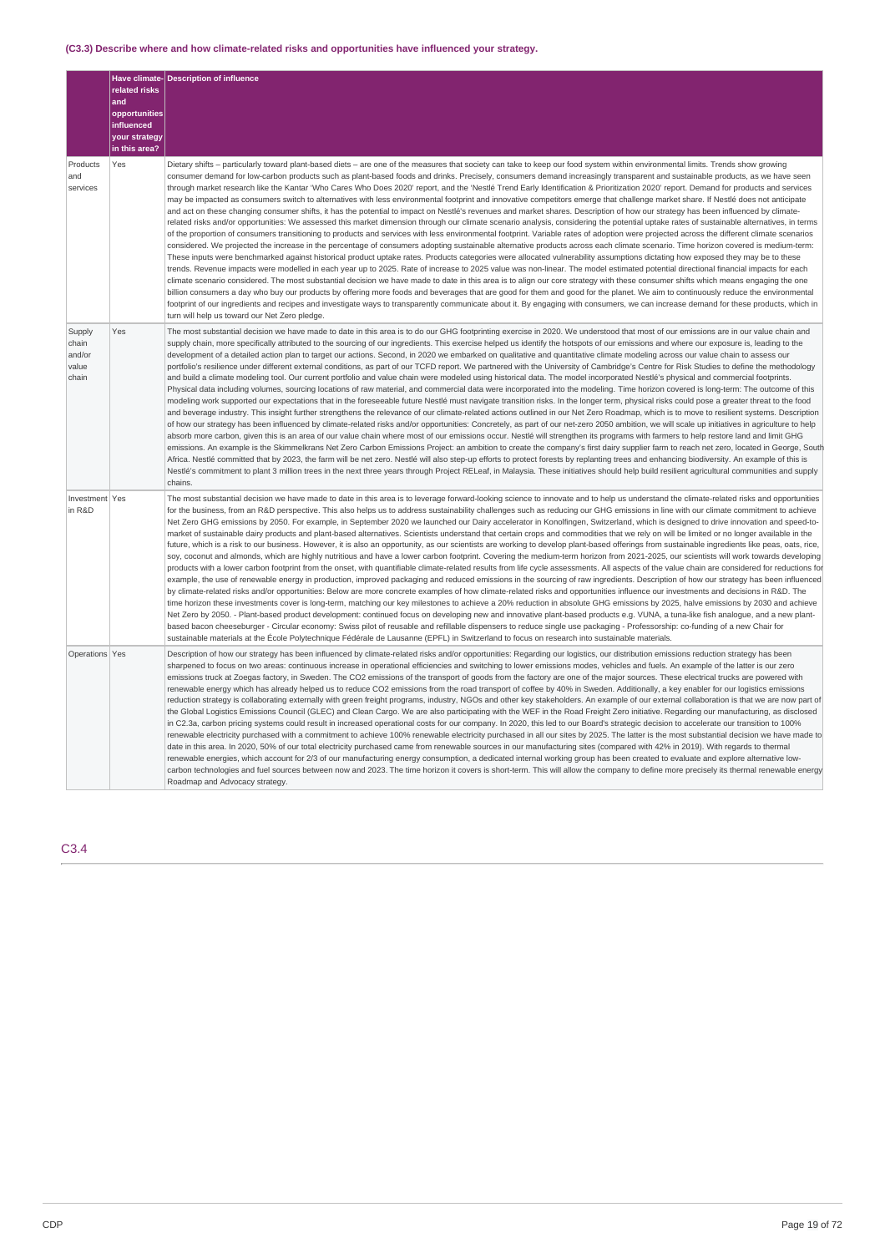### **(C3.3) Describe where and how climate-related risks and opportunities have influenced your strategy.**

|                                             | related risks<br>and<br>opportunities<br>influenced<br>your strategy<br>in this area? | Have climate-Description of influence                                                                                                                                                                                                                                                                                                                                                                                                                                                                                                                                                                                                                                                                                                                                                                                                                                                                                                                                                                                                                                                                                                                                                                                                                                                                                                                                                                                                                                                                                                                                                                                                                                                                                                                                                                                                                                                                                                                                                                                                                                                                                                                                                                                                                                                                                                                                                                                                                                                                                          |  |
|---------------------------------------------|---------------------------------------------------------------------------------------|--------------------------------------------------------------------------------------------------------------------------------------------------------------------------------------------------------------------------------------------------------------------------------------------------------------------------------------------------------------------------------------------------------------------------------------------------------------------------------------------------------------------------------------------------------------------------------------------------------------------------------------------------------------------------------------------------------------------------------------------------------------------------------------------------------------------------------------------------------------------------------------------------------------------------------------------------------------------------------------------------------------------------------------------------------------------------------------------------------------------------------------------------------------------------------------------------------------------------------------------------------------------------------------------------------------------------------------------------------------------------------------------------------------------------------------------------------------------------------------------------------------------------------------------------------------------------------------------------------------------------------------------------------------------------------------------------------------------------------------------------------------------------------------------------------------------------------------------------------------------------------------------------------------------------------------------------------------------------------------------------------------------------------------------------------------------------------------------------------------------------------------------------------------------------------------------------------------------------------------------------------------------------------------------------------------------------------------------------------------------------------------------------------------------------------------------------------------------------------------------------------------------------------|--|
| Products<br>and<br>services                 | Yes                                                                                   | Dietary shifts – particularly toward plant-based diets – are one of the measures that society can take to keep our food system within environmental limits. Trends show growing<br>consumer demand for low-carbon products such as plant-based foods and drinks. Precisely, consumers demand increasingly transparent and sustainable products, as we have seen<br>through market research like the Kantar 'Who Cares Who Does 2020' report, and the 'Nestlé Trend Early Identification & Prioritization 2020' report. Demand for products and services<br>may be impacted as consumers switch to alternatives with less environmental footprint and innovative competitors emerge that challenge market share. If Nestlé does not anticipate<br>and act on these changing consumer shifts, it has the potential to impact on Nestlé's revenues and market shares. Description of how our strategy has been influenced by climate-<br>related risks and/or opportunities: We assessed this market dimension through our climate scenario analysis, considering the potential uptake rates of sustainable alternatives, in terms<br>of the proportion of consumers transitioning to products and services with less environmental footprint. Variable rates of adoption were projected across the different climate scenarios<br>considered. We projected the increase in the percentage of consumers adopting sustainable alternative products across each climate scenario. Time horizon covered is medium-term:<br>These inputs were benchmarked against historical product uptake rates. Products categories were allocated vulnerability assumptions dictating how exposed they may be to these<br>trends. Revenue impacts were modelled in each year up to 2025. Rate of increase to 2025 value was non-linear. The model estimated potential directional financial impacts for each<br>climate scenario considered. The most substantial decision we have made to date in this area is to align our core strategy with these consumer shifts which means engaging the one<br>billion consumers a day who buy our products by offering more foods and beverages that are good for them and good for the planet. We aim to continuously reduce the environmental<br>footprint of our ingredients and recipes and investigate ways to transparently communicate about it. By engaging with consumers, we can increase demand for these products, which in<br>turn will help us toward our Net Zero pledge.                  |  |
| Supply<br>chain<br>and/or<br>value<br>chain | Yes                                                                                   | The most substantial decision we have made to date in this area is to do our GHG footprinting exercise in 2020. We understood that most of our emissions are in our value chain and<br>supply chain, more specifically attributed to the sourcing of our ingredients. This exercise helped us identify the hotspots of our emissions and where our exposure is, leading to the<br>development of a detailed action plan to target our actions. Second, in 2020 we embarked on qualitative and quantitative climate modeling across our value chain to assess our<br>portfolio's resilience under different external conditions, as part of our TCFD report. We partnered with the University of Cambridge's Centre for Risk Studies to define the methodology<br>and build a climate modeling tool. Our current portfolio and value chain were modeled using historical data. The model incorporated Nestlé's physical and commercial footprints.<br>Physical data including volumes, sourcing locations of raw material, and commercial data were incorporated into the modeling. Time horizon covered is long-term: The outcome of this<br>modeling work supported our expectations that in the foreseeable future Nestlé must navigate transition risks. In the longer term, physical risks could pose a greater threat to the food<br>and beverage industry. This insight further strengthens the relevance of our climate-related actions outlined in our Net Zero Roadmap, which is to move to resilient systems. Description<br>of how our strategy has been influenced by climate-related risks and/or opportunities: Concretely, as part of our net-zero 2050 ambition, we will scale up initiatives in agriculture to help<br>absorb more carbon, given this is an area of our value chain where most of our emissions occur. Nestlé will strengthen its programs with farmers to help restore land and limit GHG<br>emissions. An example is the Skimmelkrans Net Zero Carbon Emissions Project: an ambition to create the company's first dairy supplier farm to reach net zero, located in George, South<br>Africa. Nestlé committed that by 2023, the farm will be net zero. Nestlé will also step-up efforts to protect forests by replanting trees and enhancing biodiversity. An example of this is<br>Nestlé's commitment to plant 3 million trees in the next three years through Project RELeaf, in Malaysia. These initiatives should help build resilient agricultural communities and supply<br>chains. |  |
| Investment Yes<br>in R&D                    |                                                                                       | The most substantial decision we have made to date in this area is to leverage forward-looking science to innovate and to help us understand the climate-related risks and opportunities<br>for the business, from an R&D perspective. This also helps us to address sustainability challenges such as reducing our GHG emissions in line with our climate commitment to achieve<br>Net Zero GHG emissions by 2050. For example, in September 2020 we launched our Dairy accelerator in Konolfingen, Switzerland, which is designed to drive innovation and speed-to-<br>market of sustainable dairy products and plant-based alternatives. Scientists understand that certain crops and commodities that we rely on will be limited or no longer available in the<br>future, which is a risk to our business. However, it is also an opportunity, as our scientists are working to develop plant-based offerings from sustainable ingredients like peas, oats, rice,<br>soy, coconut and almonds, which are highly nutritious and have a lower carbon footprint. Covering the medium-term horizon from 2021-2025, our scientists will work towards developing<br>products with a lower carbon footprint from the onset, with quantifiable climate-related results from life cycle assessments. All aspects of the value chain are considered for reductions for<br>example, the use of renewable energy in production, improved packaging and reduced emissions in the sourcing of raw ingredients. Description of how our strategy has been influenced<br>by climate-related risks and/or opportunities: Below are more concrete examples of how climate-related risks and opportunities influence our investments and decisions in R&D. The<br>time horizon these investments cover is long-term, matching our key milestones to achieve a 20% reduction in absolute GHG emissions by 2025, halve emissions by 2030 and achieve<br>Net Zero by 2050. - Plant-based product development: continued focus on developing new and innovative plant-based products e.g. VUNA, a tuna-like fish analoque, and a new plant-<br>based bacon cheeseburger - Circular economy: Swiss pilot of reusable and refillable dispensers to reduce single use packaging - Professorship: co-funding of a new Chair for<br>sustainable materials at the École Polytechnique Fédérale de Lausanne (EPFL) in Switzerland to focus on research into sustainable materials.                                                                        |  |
| Operations Yes                              |                                                                                       | Description of how our strategy has been influenced by climate-related risks and/or opportunities: Regarding our logistics, our distribution emissions reduction strategy has been<br>sharpened to focus on two areas: continuous increase in operational efficiencies and switching to lower emissions modes, vehicles and fuels. An example of the latter is our zero<br>emissions truck at Zoegas factory, in Sweden. The CO2 emissions of the transport of goods from the factory are one of the major sources. These electrical trucks are powered with<br>renewable energy which has already helped us to reduce CO2 emissions from the road transport of coffee by 40% in Sweden. Additionally, a key enabler for our logistics emissions<br>reduction strategy is collaborating externally with green freight programs, industry, NGOs and other key stakeholders. An example of our external collaboration is that we are now part of<br>the Global Logistics Emissions Council (GLEC) and Clean Cargo. We are also participating with the WEF in the Road Freight Zero initiative. Regarding our manufacturing, as disclosed<br>in C2.3a, carbon pricing systems could result in increased operational costs for our company. In 2020, this led to our Board's strategic decision to accelerate our transition to 100%<br>renewable electricity purchased with a commitment to achieve 100% renewable electricity purchased in all our sites by 2025. The latter is the most substantial decision we have made to<br>date in this area. In 2020, 50% of our total electricity purchased came from renewable sources in our manufacturing sites (compared with 42% in 2019). With regards to thermal<br>renewable energies, which account for 2/3 of our manufacturing energy consumption, a dedicated internal working group has been created to evaluate and explore alternative low-<br>carbon technologies and fuel sources between now and 2023. The time horizon it covers is short-term. This will allow the company to define more precisely its thermal renewable energy<br>Roadmap and Advocacy strategy.                                                                                                                                                                                                                                                                                                                                                                                                   |  |

### C3.4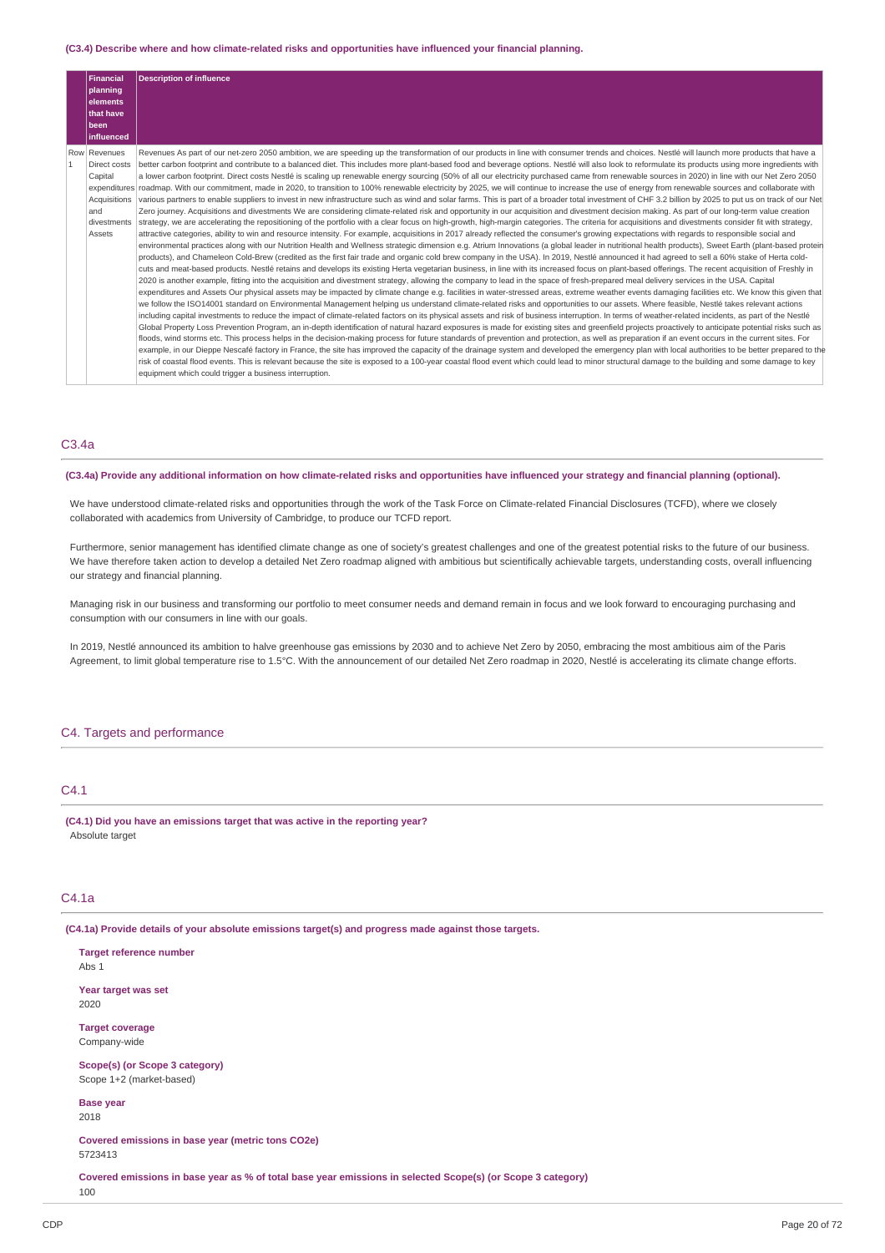#### **(C3.4) Describe where and how climate-related risks and opportunities have influenced your financial planning.**

|                | Financial<br>  planning <br>lelements<br>that have<br>l been<br><b>linfluenced</b>       | <b>Description of influence</b>                                                                                                                                                                                                                                                                                                                                                                                                                                                                                                                                                                                                                                                                                                                                                                                                                                                                                                                                                                                                                                                                                                                                                                                                                                                                                                                                                                                                                                                                                                                                                                                                                                                                                                                                                                                                                                                                                                                                                                                                                                                                                                                                                                                                                                                                                                                                                                                                                                                                                                                                                                                                                                                                                                                                                                                                                                                                                                                                                                                                                                                                                                                                                                                                                                                                                                                                                                                                                                                                                                                                                                                                                                                                                                                                                                                                                                                                                              |
|----------------|------------------------------------------------------------------------------------------|------------------------------------------------------------------------------------------------------------------------------------------------------------------------------------------------------------------------------------------------------------------------------------------------------------------------------------------------------------------------------------------------------------------------------------------------------------------------------------------------------------------------------------------------------------------------------------------------------------------------------------------------------------------------------------------------------------------------------------------------------------------------------------------------------------------------------------------------------------------------------------------------------------------------------------------------------------------------------------------------------------------------------------------------------------------------------------------------------------------------------------------------------------------------------------------------------------------------------------------------------------------------------------------------------------------------------------------------------------------------------------------------------------------------------------------------------------------------------------------------------------------------------------------------------------------------------------------------------------------------------------------------------------------------------------------------------------------------------------------------------------------------------------------------------------------------------------------------------------------------------------------------------------------------------------------------------------------------------------------------------------------------------------------------------------------------------------------------------------------------------------------------------------------------------------------------------------------------------------------------------------------------------------------------------------------------------------------------------------------------------------------------------------------------------------------------------------------------------------------------------------------------------------------------------------------------------------------------------------------------------------------------------------------------------------------------------------------------------------------------------------------------------------------------------------------------------------------------------------------------------------------------------------------------------------------------------------------------------------------------------------------------------------------------------------------------------------------------------------------------------------------------------------------------------------------------------------------------------------------------------------------------------------------------------------------------------------------------------------------------------------------------------------------------------------------------------------------------------------------------------------------------------------------------------------------------------------------------------------------------------------------------------------------------------------------------------------------------------------------------------------------------------------------------------------------------------------------------------------------------------------------------------------------------------|
| $\overline{1}$ | Row Revenues<br>Direct costs<br>Capital<br>Acquisitions<br>land<br>divestments<br>Assets | Revenues As part of our net-zero 2050 ambition, we are speeding up the transformation of our products in line with consumer trends and choices. Nestlé will launch more products that have a<br>better carbon footprint and contribute to a balanced diet. This includes more plant-based food and beverage options. Nestlé will also look to reformulate its products using more ingredients with<br>a lower carbon footprint. Direct costs Nestlé is scaling up renewable energy sourcing (50% of all our electricity purchased came from renewable sources in 2020) in line with our Net Zero 2050<br>expenditures   roadmap. With our commitment, made in 2020, to transition to 100% renewable electricity by 2025, we will continue to increase the use of energy from renewable sources and collaborate with<br>various partners to enable suppliers to invest in new infrastructure such as wind and solar farms. This is part of a broader total investment of CHF 3.2 billion by 2025 to put us on track of our Net<br>Zero journey. Acquisitions and divestments We are considering climate-related risk and opportunity in our acquisition and divestment decision making. As part of our long-term value creation<br>strategy, we are accelerating the repositioning of the portfolio with a clear focus on high-growth, high-margin categories. The criteria for acquisitions and divestments consider fit with strategy,<br>attractive categories, ability to win and resource intensity. For example, acquisitions in 2017 already reflected the consumer's growing expectations with regards to responsible social and<br>environmental practices along with our Nutrition Health and Wellness strategic dimension e.g. Atrium Innovations (a global leader in nutritional health products), Sweet Earth (plant-based protein<br>products), and Chameleon Cold-Brew (credited as the first fair trade and organic cold brew company in the USA). In 2019, Nestlé announced it had agreed to sell a 60% stake of Herta cold-<br>cuts and meat-based products. Nestlé retains and develops its existing Herta vegetarian business, in line with its increased focus on plant-based offerings. The recent acquisition of Freshly in<br>2020 is another example, fitting into the acquisition and divestment strategy, allowing the company to lead in the space of fresh-prepared meal delivery services in the USA. Capital<br>expenditures and Assets Our physical assets may be impacted by climate change e.g. facilities in water-stressed areas, extreme weather events damaging facilities etc. We know this given that<br>we follow the ISO14001 standard on Environmental Management helping us understand climate-related risks and opportunities to our assets. Where feasible, Nestlé takes relevant actions<br>including capital investments to reduce the impact of climate-related factors on its physical assets and risk of business interruption. In terms of weather-related incidents, as part of the Nestlé<br>Global Property Loss Prevention Program, an in-depth identification of natural hazard exposures is made for existing sites and greenfield projects proactively to anticipate potential risks such as<br>floods, wind storms etc. This process helps in the decision-making process for future standards of prevention and protection, as well as preparation if an event occurs in the current sites. For<br>example, in our Dieppe Nescafé factory in France, the site has improved the capacity of the drainage system and developed the emergency plan with local authorities to be better prepared to the<br>risk of coastal flood events. This is relevant because the site is exposed to a 100-year coastal flood event which could lead to minor structural damage to the building and some damage to the<br>equipment which could trigger a business interruption. |

### C3.4a

(C3.4a) Provide any additional information on how climate-related risks and opportunities have influenced your strategy and financial planning (optional).

We have understood climate-related risks and opportunities through the work of the Task Force on Climate-related Financial Disclosures (TCFD), where we closely collaborated with academics from University of Cambridge, to produce our TCFD report.

Furthermore, senior management has identified climate change as one of society's greatest challenges and one of the greatest potential risks to the future of our business. We have therefore taken action to develop a detailed Net Zero roadmap aligned with ambitious but scientifically achievable targets, understanding costs, overall influencing our strategy and financial planning.

Managing risk in our business and transforming our portfolio to meet consumer needs and demand remain in focus and we look forward to encouraging purchasing and consumption with our consumers in line with our goals.

In 2019, Nestlé announced its ambition to halve greenhouse gas emissions by 2030 and to achieve Net Zero by 2050, embracing the most ambitious aim of the Paris Agreement, to limit global temperature rise to 1.5°C. With the announcement of our detailed Net Zero roadmap in 2020, Nestlé is accelerating its climate change efforts.

### C4. Targets and performance

### C4.1

**(C4.1) Did you have an emissions target that was active in the reporting year?** Absolute target

### C4.1a

**(C4.1a) Provide details of your absolute emissions target(s) and progress made against those targets.**

**Target reference number** Abs 1 **Year target was set** 2020 **Target coverage** Company-wide **Scope(s) (or Scope 3 category)** Scope 1+2 (market-based) **Base year** 2018 **Covered emissions in base year (metric tons CO2e)** 5723413 Covered emissions in base year as % of total base year emissions in selected Scope(s) (or Scope 3 category) 100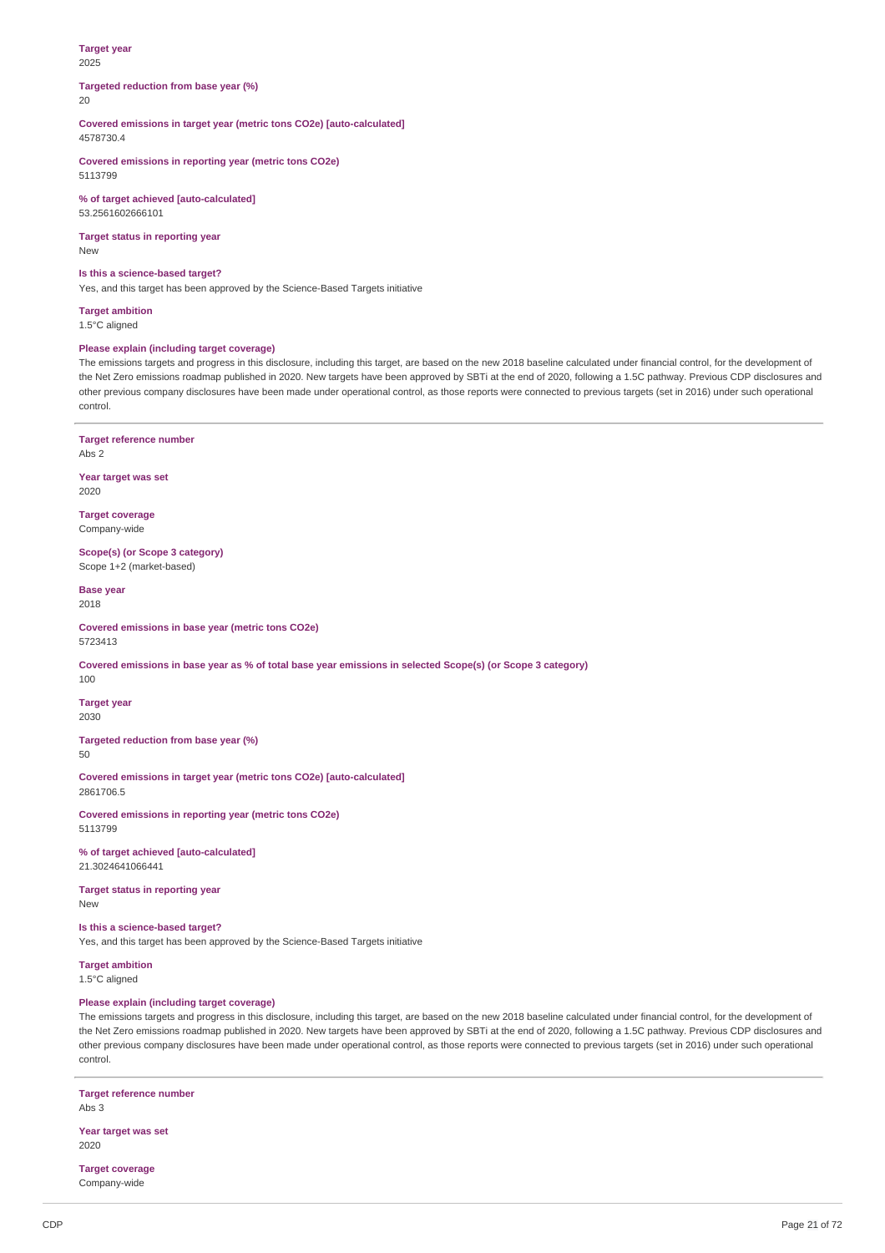#### **Target year** 2025

**Targeted reduction from base year (%)** 20

**Covered emissions in target year (metric tons CO2e) [auto-calculated]** 4578730.4

**Covered emissions in reporting year (metric tons CO2e)** 5113799

**% of target achieved [auto-calculated]** 53.2561602666101

**Target status in reporting year** New

### **Is this a science-based target?**

Yes, and this target has been approved by the Science-Based Targets initiative

**Target ambition** 1.5°C aligned

### **Please explain (including target coverage)**

The emissions targets and progress in this disclosure, including this target, are based on the new 2018 baseline calculated under financial control, for the development of the Net Zero emissions roadmap published in 2020. New targets have been approved by SBTi at the end of 2020, following a 1.5C pathway. Previous CDP disclosures and other previous company disclosures have been made under operational control, as those reports were connected to previous targets (set in 2016) under such operational control.

**Target reference number** Abs 2

**Year target was set** 2020

**Target coverage** Company-wide

**Scope(s) (or Scope 3 category)** Scope 1+2 (market-based)

**Base year** 2018

**Covered emissions in base year (metric tons CO2e)** 5723413

Covered emissions in base year as % of total base year emissions in selected Scope(s) (or Scope 3 category)

100

**Target year** 2030

**Targeted reduction from base year (%)**  $50$ 

**Covered emissions in target year (metric tons CO2e) [auto-calculated]** 2861706.5

**Covered emissions in reporting year (metric tons CO2e)** 5113799

**% of target achieved [auto-calculated]** 21.3024641066441

**Target status in reporting year** New

**Is this a science-based target?**

Yes, and this target has been approved by the Science-Based Targets initiative

**Target ambition** 1.5°C aligned

### **Please explain (including target coverage)**

The emissions targets and progress in this disclosure, including this target, are based on the new 2018 baseline calculated under financial control, for the development of the Net Zero emissions roadmap published in 2020. New targets have been approved by SBTi at the end of 2020, following a 1.5C pathway. Previous CDP disclosures and other previous company disclosures have been made under operational control, as those reports were connected to previous targets (set in 2016) under such operational control.

**Target reference number** Abs 3

**Year target was set** 2020

**Target coverage** Company-wide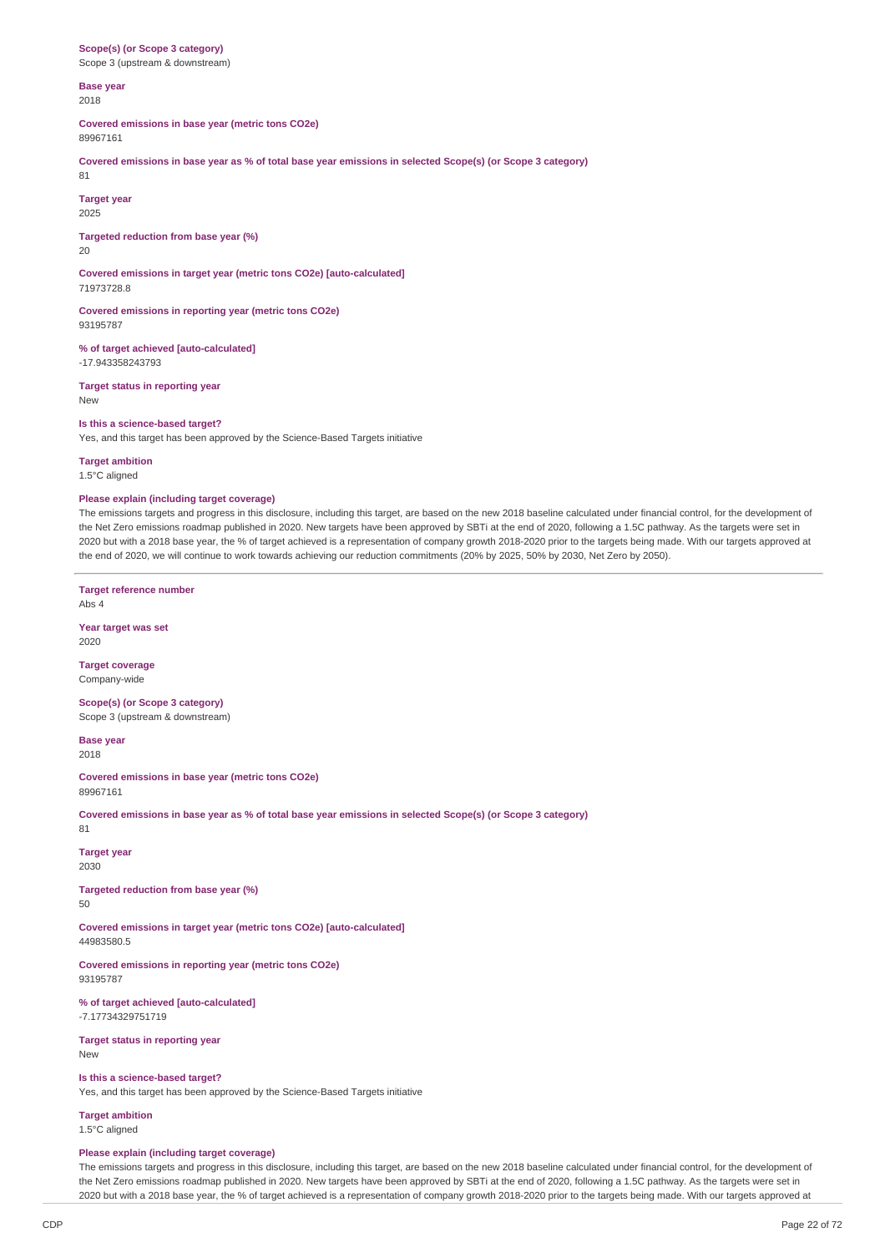**Scope(s) (or Scope 3 category)** Scope 3 (upstream & downstream)

#### **Base year** 2018

**Covered emissions in base year (metric tons CO2e)** 89967161

Covered emissions in base year as % of total base year emissions in selected Scope(s) (or Scope 3 category)

### **Target year**

2025

81

**Targeted reduction from base year (%)**

# 20

**Covered emissions in target year (metric tons CO2e) [auto-calculated]** 71973728.8

**Covered emissions in reporting year (metric tons CO2e)** 93195787

**% of target achieved [auto-calculated]** -17.943358243793

**Target status in reporting year** New

### **Is this a science-based target?**

Yes, and this target has been approved by the Science-Based Targets initiative

### **Target ambition**

1.5°C aligned

### **Please explain (including target coverage)**

The emissions targets and progress in this disclosure, including this target, are based on the new 2018 baseline calculated under financial control, for the development of the Net Zero emissions roadmap published in 2020. New targets have been approved by SBTi at the end of 2020, following a 1.5C pathway. As the targets were set in 2020 but with a 2018 base year, the % of target achieved is a representation of company growth 2018-2020 prior to the targets being made. With our targets approved at the end of 2020, we will continue to work towards achieving our reduction commitments (20% by 2025, 50% by 2030, Net Zero by 2050).

**Target reference number** Abs 4

**Year target was set** 2020

**Target coverage** Company-wide

**Scope(s) (or Scope 3 category)** Scope 3 (upstream & downstream)

**Base year** 2018

**Covered emissions in base year (metric tons CO2e)** 89967161

Covered emissions in base year as % of total base year emissions in selected Scope(s) (or Scope 3 category) 81

**Target year** 2030

**Targeted reduction from base year (%)** 50

**Covered emissions in target year (metric tons CO2e) [auto-calculated]** 44983580.5

**Covered emissions in reporting year (metric tons CO2e)** 93195787

**% of target achieved [auto-calculated]** -7.17734329751719

**Target status in reporting year** New

**Is this a science-based target?** Yes, and this target has been approved by the Science-Based Targets initiative

**Target ambition**

1.5°C aligned

### **Please explain (including target coverage)**

The emissions targets and progress in this disclosure, including this target, are based on the new 2018 baseline calculated under financial control, for the development of the Net Zero emissions roadmap published in 2020. New targets have been approved by SBTi at the end of 2020, following a 1.5C pathway. As the targets were set in 2020 but with a 2018 base year, the % of target achieved is a representation of company growth 2018-2020 prior to the targets being made. With our targets approved at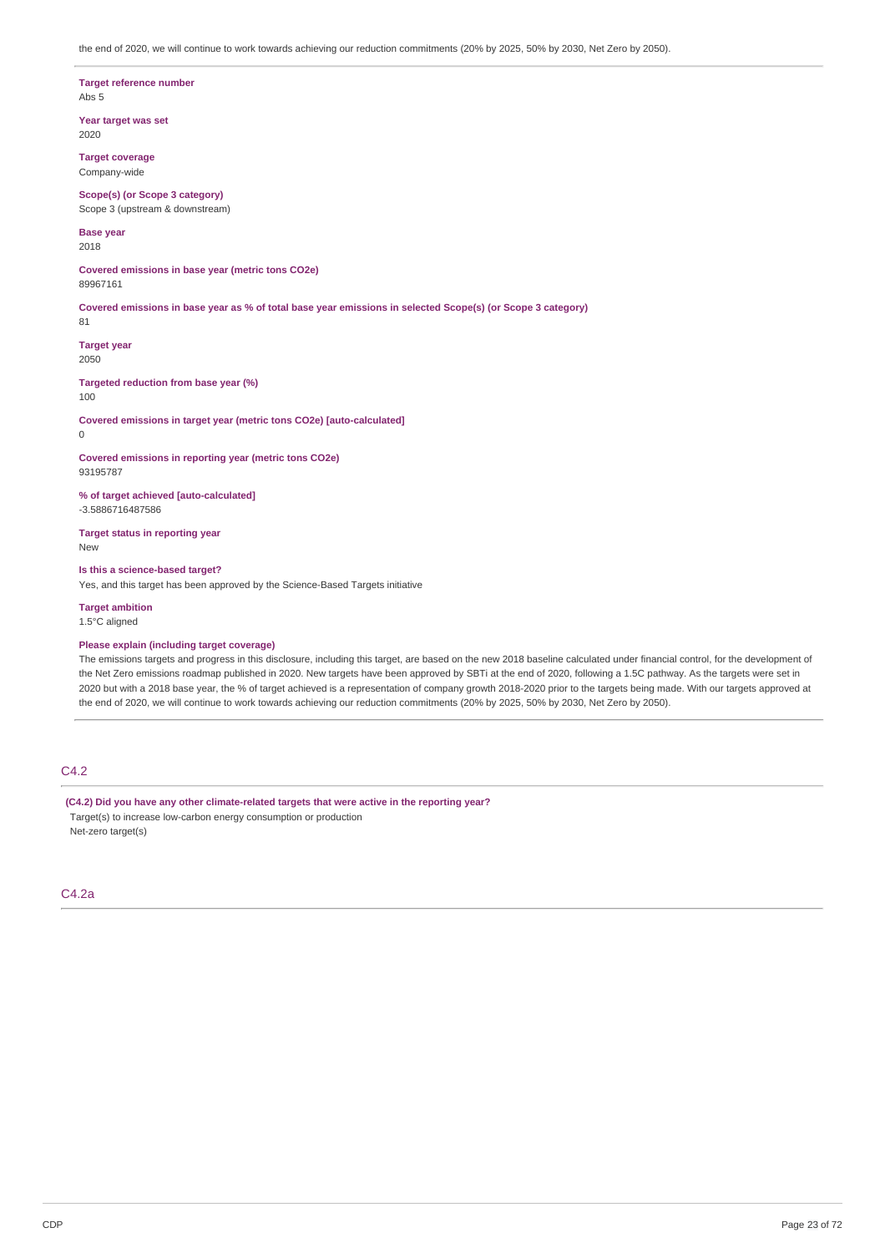the end of 2020, we will continue to work towards achieving our reduction commitments (20% by 2025, 50% by 2030, Net Zero by 2050).

**Target reference number** Abs 5

**Year target was set** 2020

**Target coverage** Company-wide

**Scope(s) (or Scope 3 category)** Scope 3 (upstream & downstream)

**Base year** 2018

**Covered emissions in base year (metric tons CO2e)** 89967161

Covered emissions in base year as % of total base year emissions in selected Scope(s) (or Scope 3 category) 81

**Target year** 2050

**Targeted reduction from base year (%)** 100

**Covered emissions in target year (metric tons CO2e) [auto-calculated]**

0

**Covered emissions in reporting year (metric tons CO2e)** 93195787

**% of target achieved [auto-calculated]** -3.5886716487586

**Target status in reporting year** New

**Is this a science-based target?** Yes, and this target has been approved by the Science-Based Targets initiative

**Target ambition** 1.5°C aligned

### **Please explain (including target coverage)**

The emissions targets and progress in this disclosure, including this target, are based on the new 2018 baseline calculated under financial control, for the development of the Net Zero emissions roadmap published in 2020. New targets have been approved by SBTi at the end of 2020, following a 1.5C pathway. As the targets were set in 2020 but with a 2018 base year, the % of target achieved is a representation of company growth 2018-2020 prior to the targets being made. With our targets approved at the end of 2020, we will continue to work towards achieving our reduction commitments (20% by 2025, 50% by 2030, Net Zero by 2050).

### C4.2

**(C4.2) Did you have any other climate-related targets that were active in the reporting year?** Target(s) to increase low-carbon energy consumption or production Net-zero target(s)

C4.2a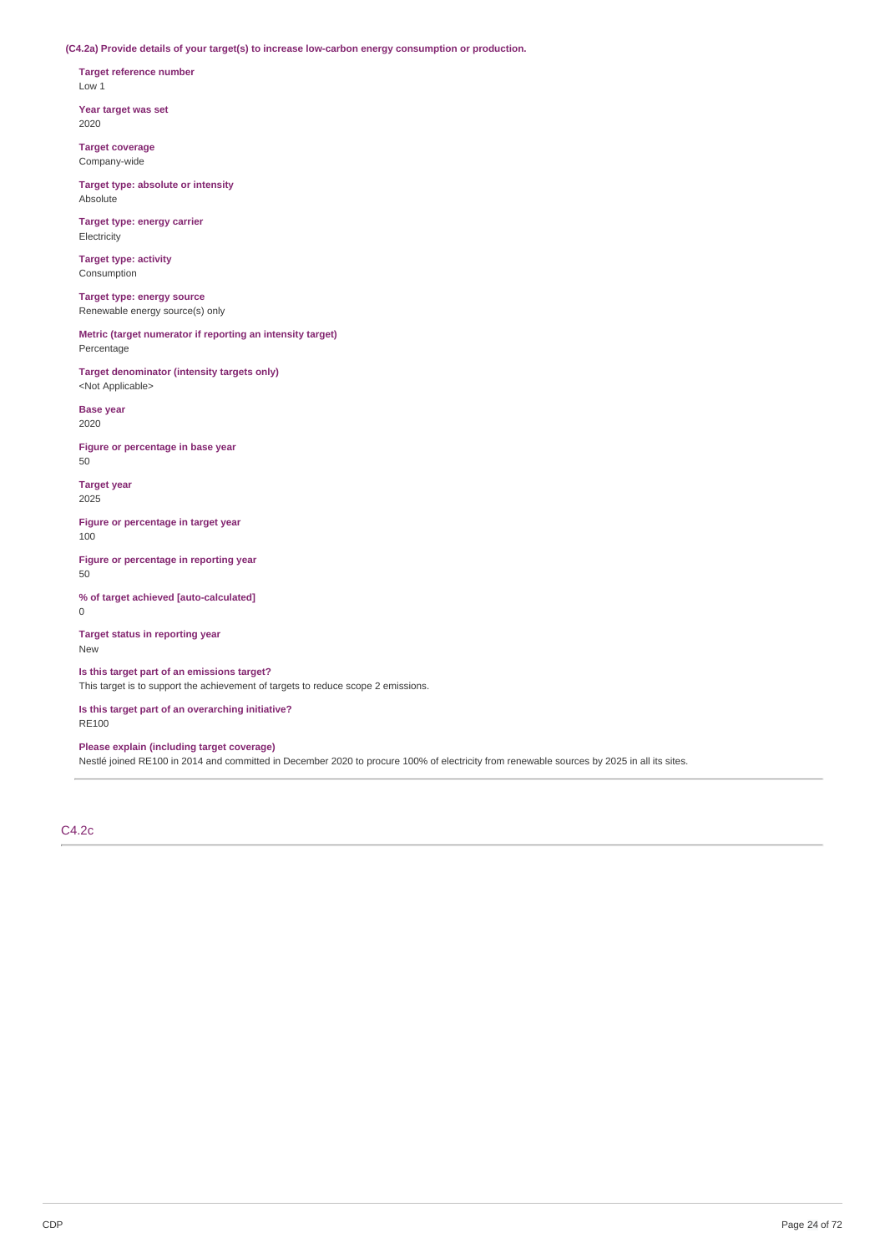**(C4.2a) Provide details of your target(s) to increase low-carbon energy consumption or production.**

**Target reference number** Low 1

**Year target was set** 2020

**Target coverage** Company-wide

**Target type: absolute or intensity** Absolute

**Target type: energy carrier** Electricity

**Target type: activity** Consumption

**Target type: energy source** Renewable energy source(s) only

**Metric (target numerator if reporting an intensity target)** Percentage

**Target denominator (intensity targets only)** <Not Applicable>

**Base year** 2020

**Figure or percentage in base year** 50

**Target year** 2025

**Figure or percentage in target year** 100

**Figure or percentage in reporting year** 50

**% of target achieved [auto-calculated]** 0

**Target status in reporting year** New

**Is this target part of an emissions target?** This target is to support the achievement of targets to reduce scope 2 emissions.

**Is this target part of an overarching initiative?** RE100

**Please explain (including target coverage)**

Nestlé joined RE100 in 2014 and committed in December 2020 to procure 100% of electricity from renewable sources by 2025 in all its sites.

C4.2c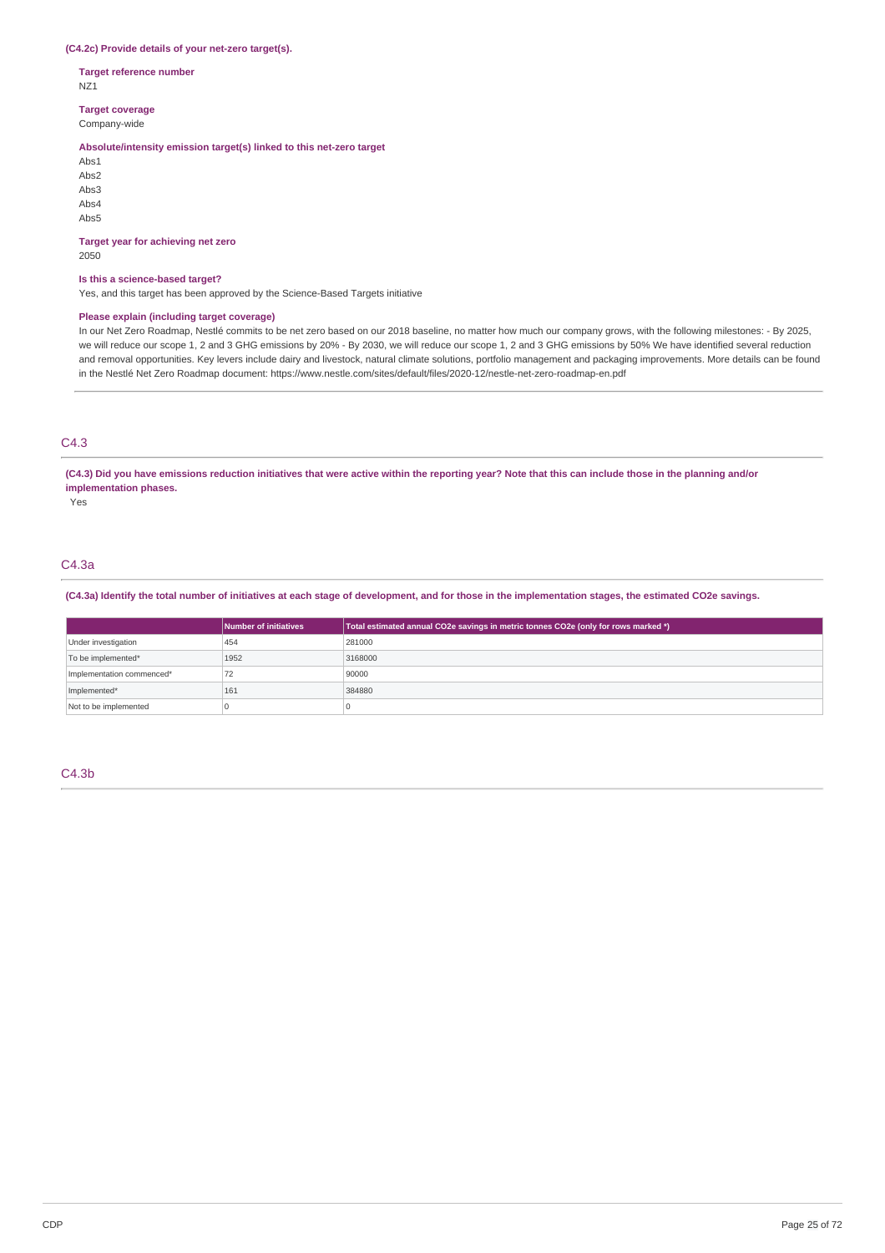### **(C4.2c) Provide details of your net-zero target(s).**

**Target reference number** NZ1

**Target coverage**

Company-wide

### **Absolute/intensity emission target(s) linked to this net-zero target**

Abs1 Abs2 Abs3 Abs4 Abs5

### **Target year for achieving net zero**

2050

### **Is this a science-based target?**

Yes, and this target has been approved by the Science-Based Targets initiative

### **Please explain (including target coverage)**

In our Net Zero Roadmap, Nestlé commits to be net zero based on our 2018 baseline, no matter how much our company grows, with the following milestones: - By 2025, we will reduce our scope 1, 2 and 3 GHG emissions by 20% - By 2030, we will reduce our scope 1, 2 and 3 GHG emissions by 50% We have identified several reduction and removal opportunities. Key levers include dairy and livestock, natural climate solutions, portfolio management and packaging improvements. More details can be found in the Nestlé Net Zero Roadmap document: https://www.nestle.com/sites/default/files/2020-12/nestle-net-zero-roadmap-en.pdf

### C4.3

(C4.3) Did you have emissions reduction initiatives that were active within the reporting year? Note that this can include those in the planning and/or **implementation phases.**

Yes

## C4.3a

(C4.3a) Identify the total number of initiatives at each stage of development, and for those in the implementation stages, the estimated CO2e savings.

|                           | Number of initiatives | Total estimated annual CO2e savings in metric tonnes CO2e (only for rows marked *) |  |  |  |
|---------------------------|-----------------------|------------------------------------------------------------------------------------|--|--|--|
| Under investigation       | 454                   | 281000                                                                             |  |  |  |
| To be implemented*        | 1952                  | 3168000                                                                            |  |  |  |
| Implementation commenced* | 72                    | 90000                                                                              |  |  |  |
| Implemented*              | 161                   | 384880                                                                             |  |  |  |
| Not to be implemented     |                       |                                                                                    |  |  |  |

### C4.3b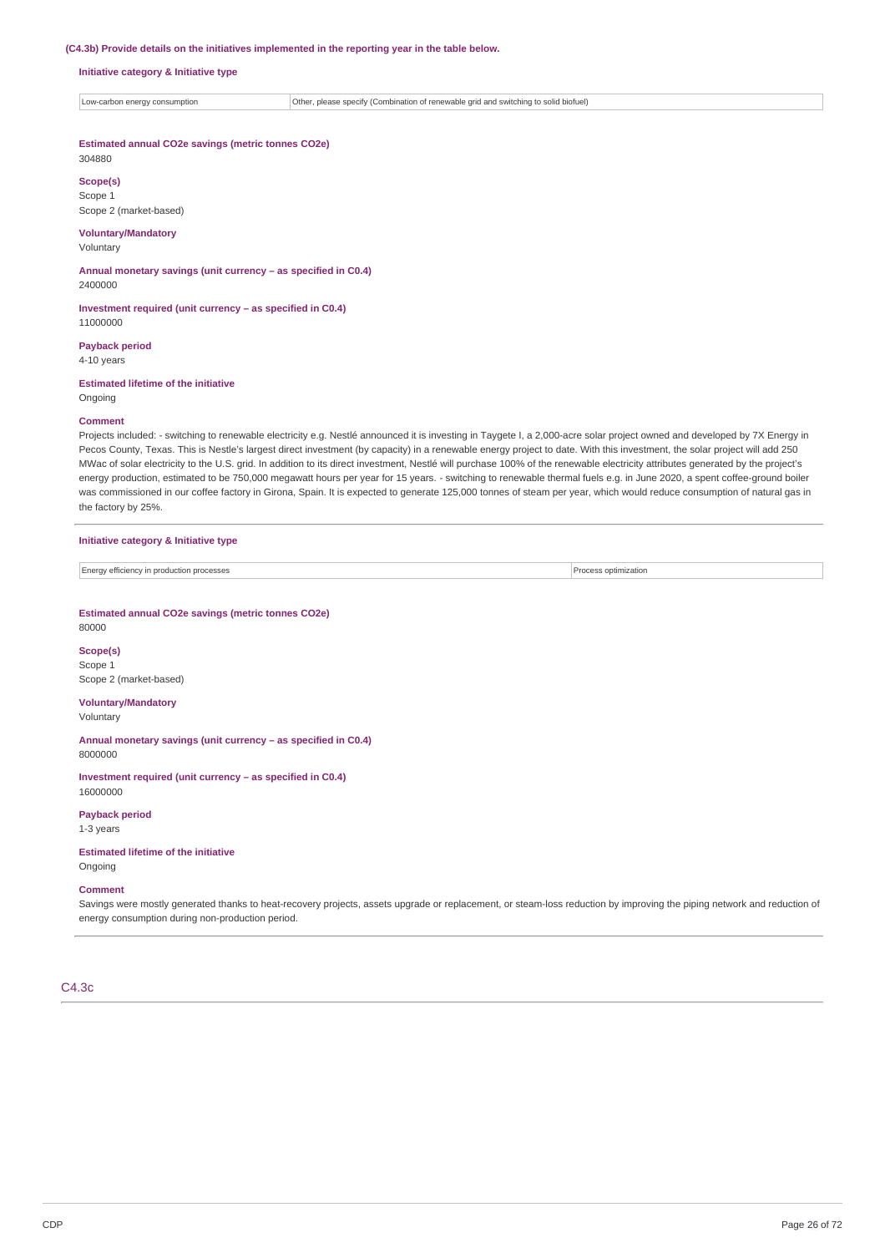#### **(C4.3b) Provide details on the initiatives implemented in the reporting year in the table below.**

#### **Initiative category & Initiative type**

Low-carbon energy consumption **Other, please specify (Combination of renewable grid and switching to solid biofuel)** 

### **Estimated annual CO2e savings (metric tonnes CO2e)**

304880 **Scope(s)**

Scope 1 Scope 2 (market-based)

#### **Voluntary/Mandatory** Voluntary

**Annual monetary savings (unit currency – as specified in C0.4)** 2400000

**Investment required (unit currency – as specified in C0.4)** 11000000

### **Payback period**

4-10 years

### **Estimated lifetime of the initiative**

**Ongoing** 

### **Comment**

Projects included: - switching to renewable electricity e.g. Nestlé announced it is investing in Taygete I, a 2,000-acre solar project owned and developed by 7X Energy in Pecos County, Texas. This is Nestle's largest direct investment (by capacity) in a renewable energy project to date. With this investment, the solar project will add 250 MWac of solar electricity to the U.S. grid. In addition to its direct investment, Nestlé will purchase 100% of the renewable electricity attributes generated by the project's energy production, estimated to be 750,000 megawatt hours per year for 15 years. - switching to renewable thermal fuels e.g. in June 2020, a spent coffee-ground boiler was commissioned in our coffee factory in Girona, Spain. It is expected to generate 125,000 tonnes of steam per year, which would reduce consumption of natural gas in the factory by 25%.

#### **Initiative category & Initiative type**

Energy efficiency in production processes **Process optimization** Process optimization

#### **Estimated annual CO2e savings (metric tonnes CO2e)** 80000

**Scope(s)** Scope 1 Scope 2 (market-based)

# **Voluntary/Mandatory**

Voluntary

**Annual monetary savings (unit currency – as specified in C0.4)** 8000000

### **Investment required (unit currency – as specified in C0.4)** 16000000

**Payback period** 1-3 years

### **Estimated lifetime of the initiative** Ongoing

# **Comment**

Savings were mostly generated thanks to heat-recovery projects, assets upgrade or replacement, or steam-loss reduction by improving the piping network and reduction of energy consumption during non-production period.

### C4.3c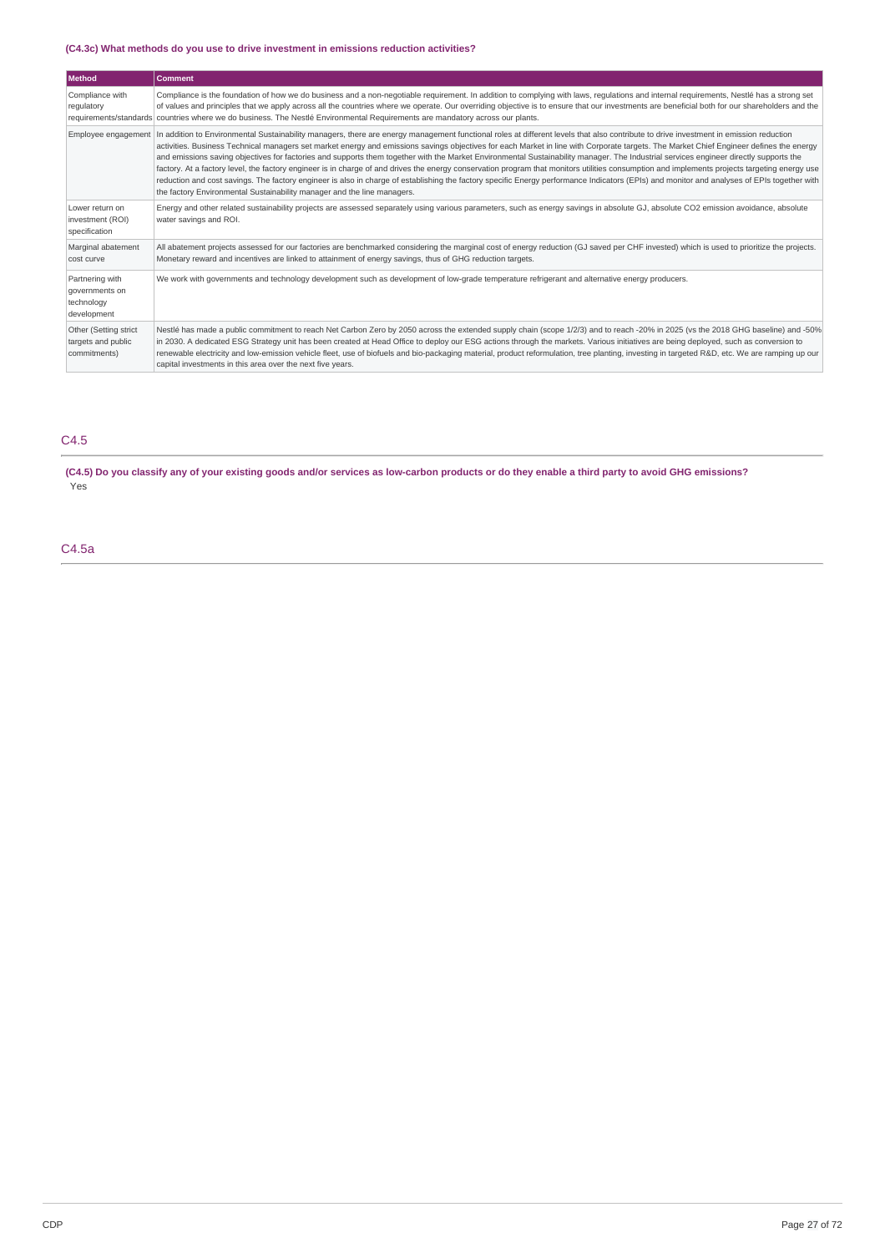### **(C4.3c) What methods do you use to drive investment in emissions reduction activities?**

| <b>Method</b>                                                  | <b>Comment</b>                                                                                                                                                                                                                                                                                                                                                                                                                                                                                                                                                                                                                                                                                                                                                                                                                                                                                                                                                                                                                                                             |  |  |
|----------------------------------------------------------------|----------------------------------------------------------------------------------------------------------------------------------------------------------------------------------------------------------------------------------------------------------------------------------------------------------------------------------------------------------------------------------------------------------------------------------------------------------------------------------------------------------------------------------------------------------------------------------------------------------------------------------------------------------------------------------------------------------------------------------------------------------------------------------------------------------------------------------------------------------------------------------------------------------------------------------------------------------------------------------------------------------------------------------------------------------------------------|--|--|
| Compliance with<br>regulatory                                  | Compliance is the foundation of how we do business and a non-negotiable requirement. In addition to complying with laws, requlations and internal requirements, Nestlé has a strong set<br>of values and principles that we apply across all the countries where we operate. Our overriding objective is to ensure that our investments are beneficial both for our shareholders and the<br>requirements/standards countries where we do business. The Nestlé Environmental Requirements are mandatory across our plants.                                                                                                                                                                                                                                                                                                                                                                                                                                                                                                                                                  |  |  |
|                                                                | Employee engagement   In addition to Environmental Sustainability managers, there are energy management functional roles at different levels that also contribute to drive investment in emission reduction<br>activities. Business Technical managers set market energy and emissions savings objectives for each Market in line with Corporate targets. The Market Chief Engineer defines the energy<br>and emissions saving objectives for factories and supports them together with the Market Environmental Sustainability manager. The Industrial services engineer directly supports the<br>factory. At a factory level, the factory engineer is in charge of and drives the energy conservation program that monitors utilities consumption and implements projects targeting energy use<br>reduction and cost savings. The factory engineer is also in charge of establishing the factory specific Energy performance Indicators (EPIs) and monitor and analyses of EPIs together with<br>the factory Environmental Sustainability manager and the line managers. |  |  |
| Lower return on<br>investment (ROI)<br>specification           | Energy and other related sustainability projects are assessed separately using various parameters, such as energy savings in absolute GJ, absolute CO2 emission avoidance, absolute<br>water savings and ROI.                                                                                                                                                                                                                                                                                                                                                                                                                                                                                                                                                                                                                                                                                                                                                                                                                                                              |  |  |
| Marginal abatement<br>cost curve                               | All abatement projects assessed for our factories are benchmarked considering the marginal cost of energy reduction (GJ saved per CHF invested) which is used to prioritize the projects.<br>Monetary reward and incentives are linked to attainment of energy savings, thus of GHG reduction targets.                                                                                                                                                                                                                                                                                                                                                                                                                                                                                                                                                                                                                                                                                                                                                                     |  |  |
| Partnering with<br>governments on<br>technology<br>development | We work with governments and technology development such as development of low-grade temperature refrigerant and alternative energy producers.                                                                                                                                                                                                                                                                                                                                                                                                                                                                                                                                                                                                                                                                                                                                                                                                                                                                                                                             |  |  |
| Other (Setting strict<br>targets and public<br>commitments)    | Nestlé has made a public commitment to reach Net Carbon Zero by 2050 across the extended supply chain (scope 1/2/3) and to reach -20% in 2025 (vs the 2018 GHG baseline) and -50%<br>in 2030. A dedicated ESG Strategy unit has been created at Head Office to deploy our ESG actions through the markets. Various initiatives are being deployed, such as conversion to<br>renewable electricity and low-emission vehicle fleet, use of biofuels and bio-packaging material, product reformulation, tree planting, investing in targeted R&D, etc. We are ramping up our<br>capital investments in this area over the next five years.                                                                                                                                                                                                                                                                                                                                                                                                                                    |  |  |

# C4.5

(C4.5) Do you classify any of your existing goods and/or services as low-carbon products or do they enable a third party to avoid GHG emissions? Yes

C4.5a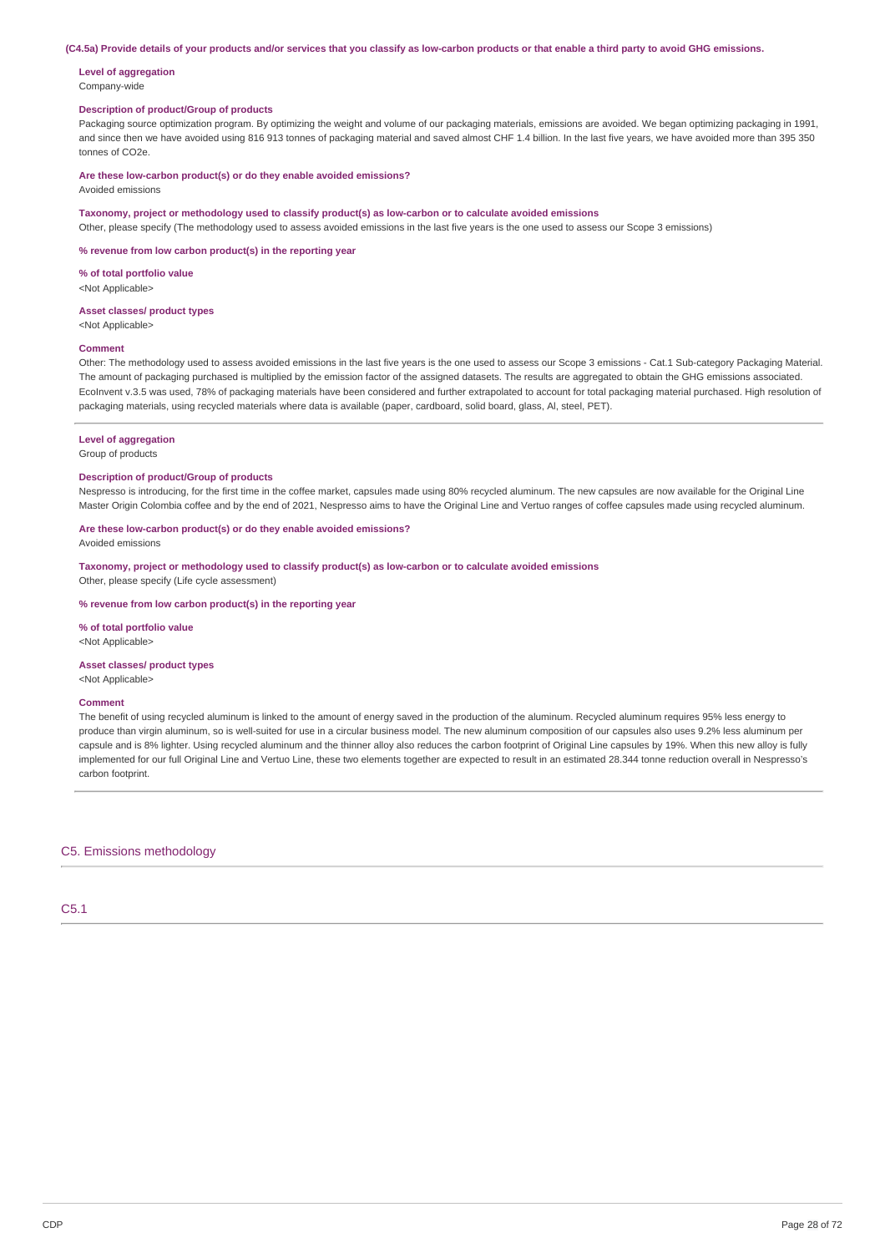#### (C4.5a) Provide details of your products and/or services that you classify as low-carbon products or that enable a third party to avoid GHG emissions.

#### **Level of aggregation** Company-wide

### **Description of product/Group of products**

Packaging source optimization program. By optimizing the weight and volume of our packaging materials, emissions are avoided. We began optimizing packaging in 1991, and since then we have avoided using 816 913 tonnes of packaging material and saved almost CHF 1.4 billion. In the last five years, we have avoided more than 395 350 tonnes of CO2e.

### **Are these low-carbon product(s) or do they enable avoided emissions?**

Avoided emissions

### **Taxonomy, project or methodology used to classify product(s) as low-carbon or to calculate avoided emissions**

Other, please specify (The methodology used to assess avoided emissions in the last five years is the one used to assess our Scope 3 emissions)

**% revenue from low carbon product(s) in the reporting year**

#### **% of total portfolio value** <Not Applicable>

# **Asset classes/ product types**

<Not Applicable>

#### **Comment**

Other: The methodology used to assess avoided emissions in the last five years is the one used to assess our Scope 3 emissions - Cat.1 Sub-category Packaging Material. The amount of packaging purchased is multiplied by the emission factor of the assigned datasets. The results are aggregated to obtain the GHG emissions associated. EcoInvent v.3.5 was used, 78% of packaging materials have been considered and further extrapolated to account for total packaging material purchased. High resolution of packaging materials, using recycled materials where data is available (paper, cardboard, solid board, glass, Al, steel, PET).

#### **Level of aggregation**

#### Group of products

### **Description of product/Group of products**

Nespresso is introducing, for the first time in the coffee market, capsules made using 80% recycled aluminum. The new capsules are now available for the Original Line Master Origin Colombia coffee and by the end of 2021, Nespresso aims to have the Original Line and Vertuo ranges of coffee capsules made using recycled aluminum.

### **Are these low-carbon product(s) or do they enable avoided emissions?**

Avoided emissions

**Taxonomy, project or methodology used to classify product(s) as low-carbon or to calculate avoided emissions** Other, please specify (Life cycle assessment)

#### **% revenue from low carbon product(s) in the reporting year**

**% of total portfolio value** <Not Applicable>

#### **Asset classes/ product types**

<Not Applicable>

#### **Comment**

The benefit of using recycled aluminum is linked to the amount of energy saved in the production of the aluminum. Recycled aluminum requires 95% less energy to produce than virgin aluminum, so is well-suited for use in a circular business model. The new aluminum composition of our capsules also uses 9.2% less aluminum per capsule and is 8% lighter. Using recycled aluminum and the thinner alloy also reduces the carbon footprint of Original Line capsules by 19%. When this new alloy is fully implemented for our full Original Line and Vertuo Line, these two elements together are expected to result in an estimated 28.344 tonne reduction overall in Nespresso's carbon footprint.

C5. Emissions methodology

C5.1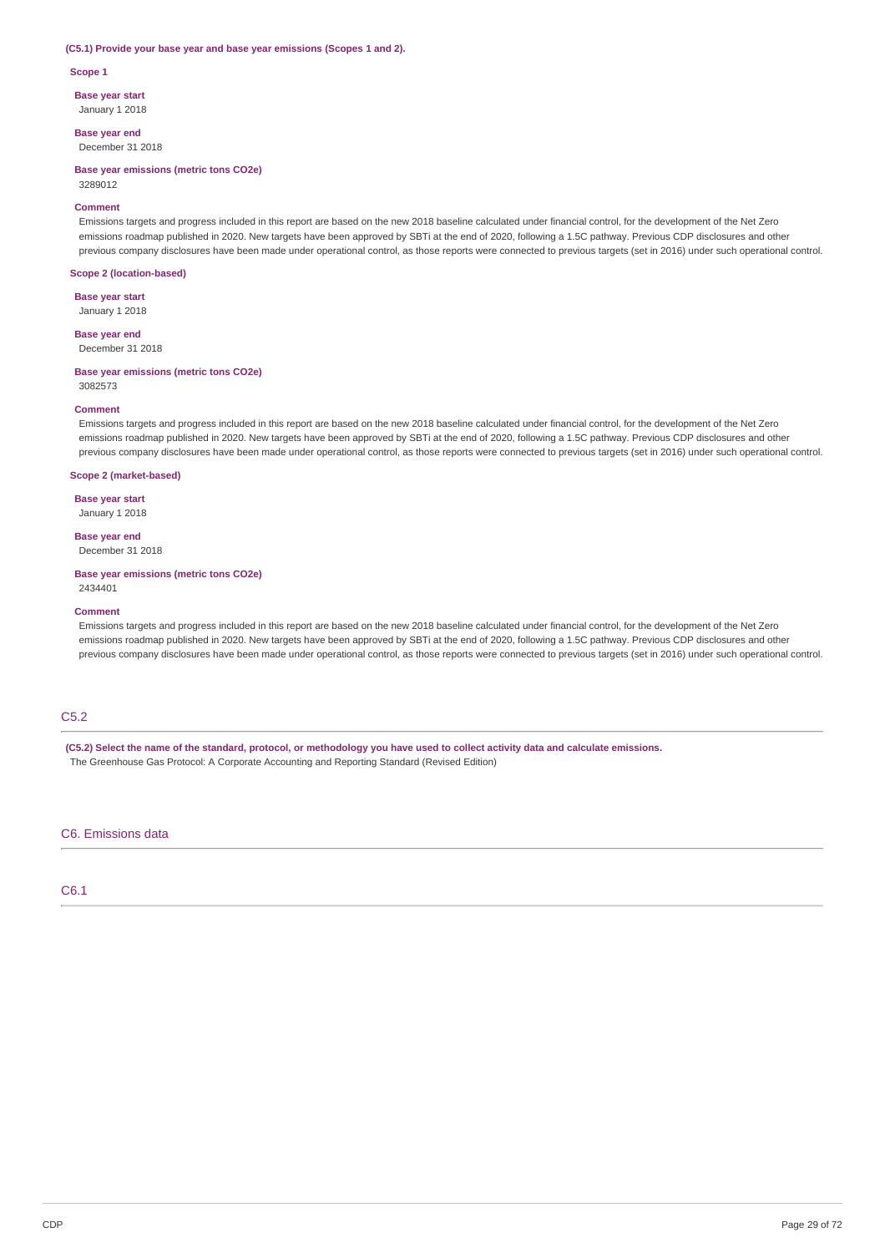#### **(C5.1) Provide your base year and base year emissions (Scopes 1 and 2).**

**Scope 1**

**Base year start**

January 1 2018

**Base year end** December 31 2018

**Base year emissions (metric tons CO2e)** 3289012

#### **Comment**

Emissions targets and progress included in this report are based on the new 2018 baseline calculated under financial control, for the development of the Net Zero emissions roadmap published in 2020. New targets have been approved by SBTi at the end of 2020, following a 1.5C pathway. Previous CDP disclosures and other previous company disclosures have been made under operational control, as those reports were connected to previous targets (set in 2016) under such operational control.

### **Scope 2 (location-based)**

**Base year start**

January 1 2018

**Base year end** December 31 2018

#### **Base year emissions (metric tons CO2e)** 3082573

#### **Comment**

Emissions targets and progress included in this report are based on the new 2018 baseline calculated under financial control, for the development of the Net Zero emissions roadmap published in 2020. New targets have been approved by SBTi at the end of 2020, following a 1.5C pathway. Previous CDP disclosures and other previous company disclosures have been made under operational control, as those reports were connected to previous targets (set in 2016) under such operational control.

### **Scope 2 (market-based)**

**Base year start**

January 1 2018

### **Base year end**

December 31 2018

#### **Base year emissions (metric tons CO2e)** 2434401

#### **Comment**

Emissions targets and progress included in this report are based on the new 2018 baseline calculated under financial control, for the development of the Net Zero emissions roadmap published in 2020. New targets have been approved by SBTi at the end of 2020, following a 1.5C pathway. Previous CDP disclosures and other previous company disclosures have been made under operational control, as those reports were connected to previous targets (set in 2016) under such operational control.

### C5.2

(C5.2) Select the name of the standard, protocol, or methodology you have used to collect activity data and calculate emissions. The Greenhouse Gas Protocol: A Corporate Accounting and Reporting Standard (Revised Edition)

### C6. Emissions data

C6.1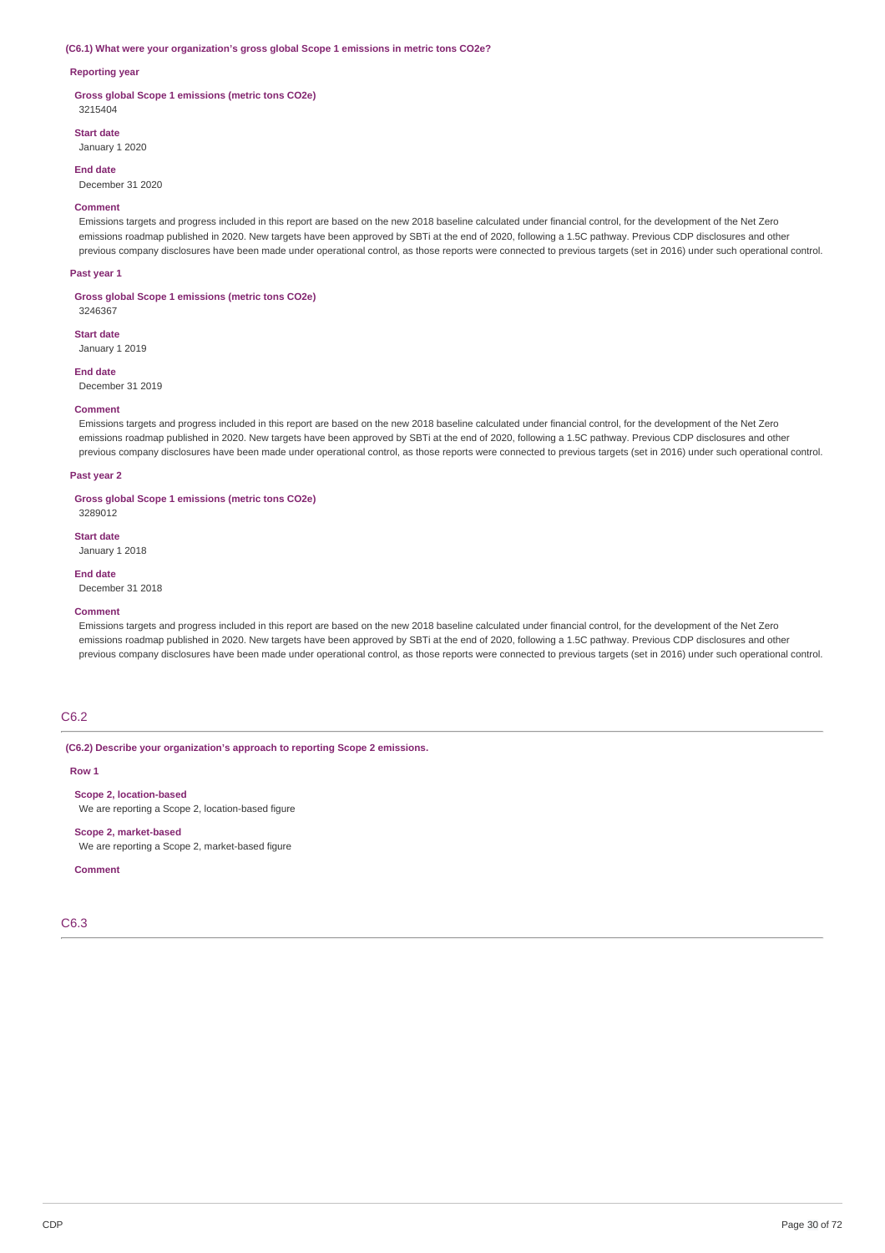#### **(C6.1) What were your organization's gross global Scope 1 emissions in metric tons CO2e?**

### **Reporting year**

**Gross global Scope 1 emissions (metric tons CO2e)** 3215404

### **Start date**

January 1 2020

### **End date**

December 31 2020

#### **Comment**

Emissions targets and progress included in this report are based on the new 2018 baseline calculated under financial control, for the development of the Net Zero emissions roadmap published in 2020. New targets have been approved by SBTi at the end of 2020, following a 1.5C pathway. Previous CDP disclosures and other previous company disclosures have been made under operational control, as those reports were connected to previous targets (set in 2016) under such operational control.

#### **Past year 1**

**Gross global Scope 1 emissions (metric tons CO2e)**

# 3246367 **Start date**

January 1 2019

December 31 2019

# **End date**

### **Comment**

Emissions targets and progress included in this report are based on the new 2018 baseline calculated under financial control, for the development of the Net Zero emissions roadmap published in 2020. New targets have been approved by SBTi at the end of 2020, following a 1.5C pathway. Previous CDP disclosures and other previous company disclosures have been made under operational control, as those reports were connected to previous targets (set in 2016) under such operational control.

#### **Past year 2**

### **Gross global Scope 1 emissions (metric tons CO2e)**

### 3289012 **Start date**

January 1 2018

**End date** December 31 2018

#### **Comment**

Emissions targets and progress included in this report are based on the new 2018 baseline calculated under financial control, for the development of the Net Zero emissions roadmap published in 2020. New targets have been approved by SBTi at the end of 2020, following a 1.5C pathway. Previous CDP disclosures and other previous company disclosures have been made under operational control, as those reports were connected to previous targets (set in 2016) under such operational control.

### C6.2

### **(C6.2) Describe your organization's approach to reporting Scope 2 emissions.**

**Row 1**

### **Scope 2, location-based**

We are reporting a Scope 2, location-based figure

**Scope 2, market-based** We are reporting a Scope 2, market-based figure

### **Comment**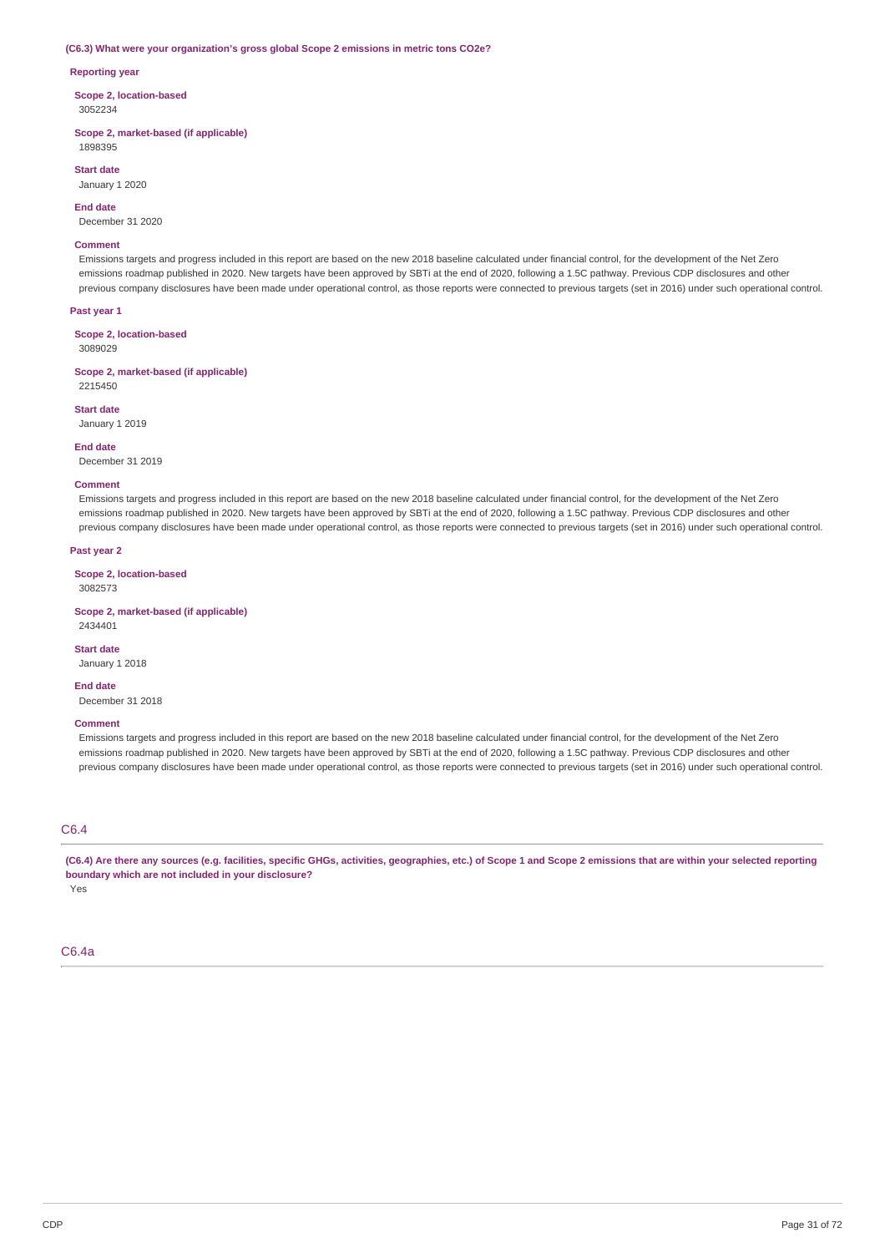#### **(C6.3) What were your organization's gross global Scope 2 emissions in metric tons CO2e?**

#### **Reporting year**

**Scope 2, location-based** 3052234

**Scope 2, market-based (if applicable)** 1898395

**Start date** January 1 2020

**End date**

December 31 2020

### **Comment**

Emissions targets and progress included in this report are based on the new 2018 baseline calculated under financial control, for the development of the Net Zero emissions roadmap published in 2020. New targets have been approved by SBTi at the end of 2020, following a 1.5C pathway. Previous CDP disclosures and other previous company disclosures have been made under operational control, as those reports were connected to previous targets (set in 2016) under such operational control.

#### **Past year 1**

**Scope 2, location-based**

3089029

**Scope 2, market-based (if applicable)** 2215450

### **Start date**

January 1 2019

#### **End date**

December 31 2019

### **Comment**

Emissions targets and progress included in this report are based on the new 2018 baseline calculated under financial control, for the development of the Net Zero emissions roadmap published in 2020. New targets have been approved by SBTi at the end of 2020, following a 1.5C pathway. Previous CDP disclosures and other previous company disclosures have been made under operational control, as those reports were connected to previous targets (set in 2016) under such operational control.

### **Past year 2**

**Scope 2, location-based** 3082573

**Scope 2, market-based (if applicable)** 2434401

#### **Start date**

January 1 2018

#### **End date**

December 31 2018

### **Comment**

Emissions targets and progress included in this report are based on the new 2018 baseline calculated under financial control, for the development of the Net Zero emissions roadmap published in 2020. New targets have been approved by SBTi at the end of 2020, following a 1.5C pathway. Previous CDP disclosures and other previous company disclosures have been made under operational control, as those reports were connected to previous targets (set in 2016) under such operational control.

### C6.4

(C6.4) Are there any sources (e.g. facilities, specific GHGs, activities, geographies, etc.) of Scope 1 and Scope 2 emissions that are within your selected reporting **boundary which are not included in your disclosure?** Yes

### C6.4a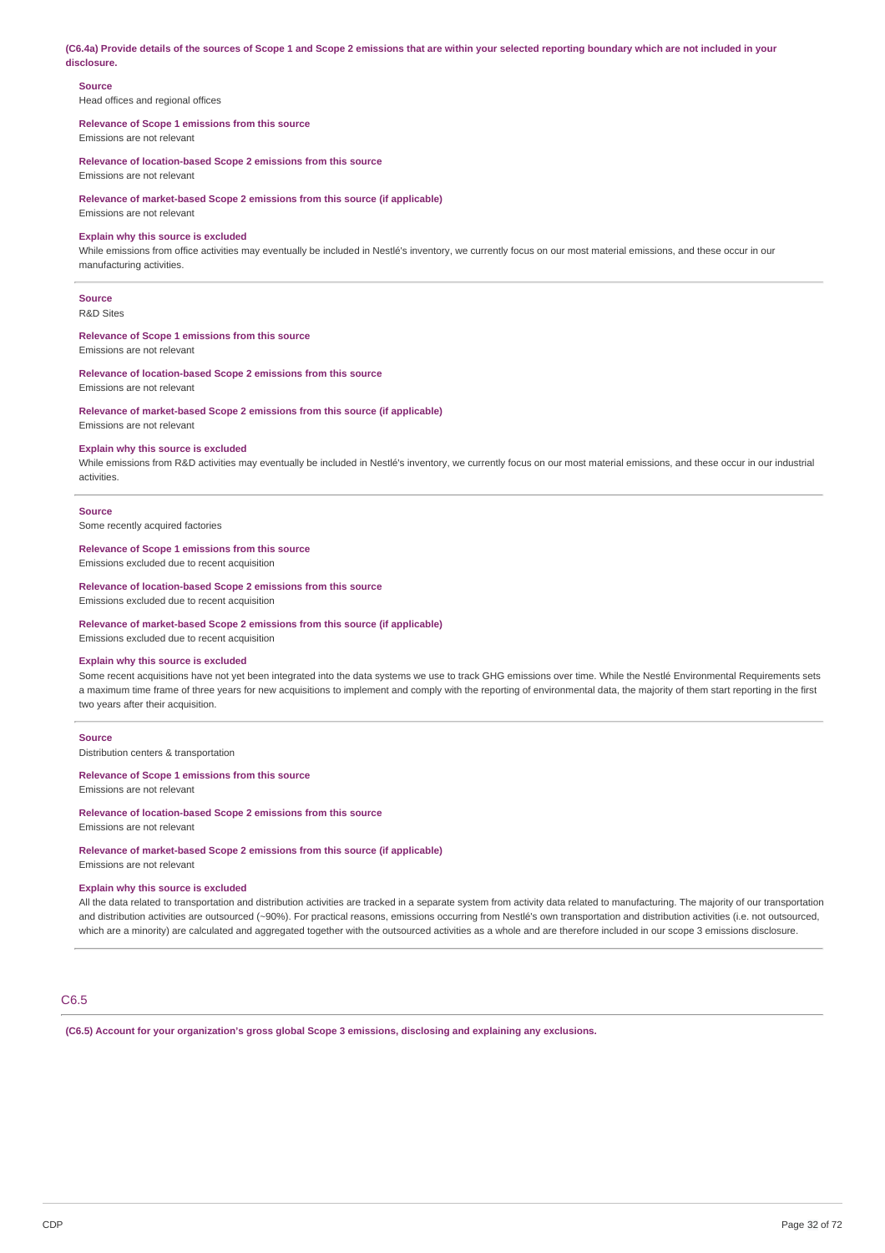(C6.4a) Provide details of the sources of Scope 1 and Scope 2 emissions that are within your selected reporting boundary which are not included in your **disclosure.**

### **Source**

Head offices and regional offices

# **Relevance of Scope 1 emissions from this source**

Emissions are not relevant

**Relevance of location-based Scope 2 emissions from this source** Emissions are not relevant

**Relevance of market-based Scope 2 emissions from this source (if applicable)**

Emissions are not relevant

### **Explain why this source is excluded**

While emissions from office activities may eventually be included in Nestlé's inventory, we currently focus on our most material emissions, and these occur in our manufacturing activities.

### **Source**

R&D Sites

### **Relevance of Scope 1 emissions from this source**

Emissions are not relevant

### **Relevance of location-based Scope 2 emissions from this source**

Emissions are not relevant

### **Relevance of market-based Scope 2 emissions from this source (if applicable)**

Emissions are not relevant

### **Explain why this source is excluded**

While emissions from R&D activities may eventually be included in Nestlé's inventory, we currently focus on our most material emissions, and these occur in our industrial activities.

#### **Source**

Some recently acquired factories

### **Relevance of Scope 1 emissions from this source**

Emissions excluded due to recent acquisition

#### **Relevance of location-based Scope 2 emissions from this source**

Emissions excluded due to recent acquisition

### **Relevance of market-based Scope 2 emissions from this source (if applicable)**

Emissions excluded due to recent acquisition

### **Explain why this source is excluded**

Some recent acquisitions have not yet been integrated into the data systems we use to track GHG emissions over time. While the Nestlé Environmental Requirements sets a maximum time frame of three years for new acquisitions to implement and comply with the reporting of environmental data, the majority of them start reporting in the first two years after their acquisition.

### **Source**

Distribution centers & transportation

#### **Relevance of Scope 1 emissions from this source**

Emissions are not relevant

### **Relevance of location-based Scope 2 emissions from this source**

Emissions are not relevant

**Relevance of market-based Scope 2 emissions from this source (if applicable)** Emissions are not relevant

#### **Explain why this source is excluded**

All the data related to transportation and distribution activities are tracked in a separate system from activity data related to manufacturing. The majority of our transportation and distribution activities are outsourced (~90%). For practical reasons, emissions occurring from Nestlé's own transportation and distribution activities (i.e. not outsourced, which are a minority) are calculated and aggregated together with the outsourced activities as a whole and are therefore included in our scope 3 emissions disclosure.

### C6.5

**(C6.5) Account for your organization's gross global Scope 3 emissions, disclosing and explaining any exclusions.**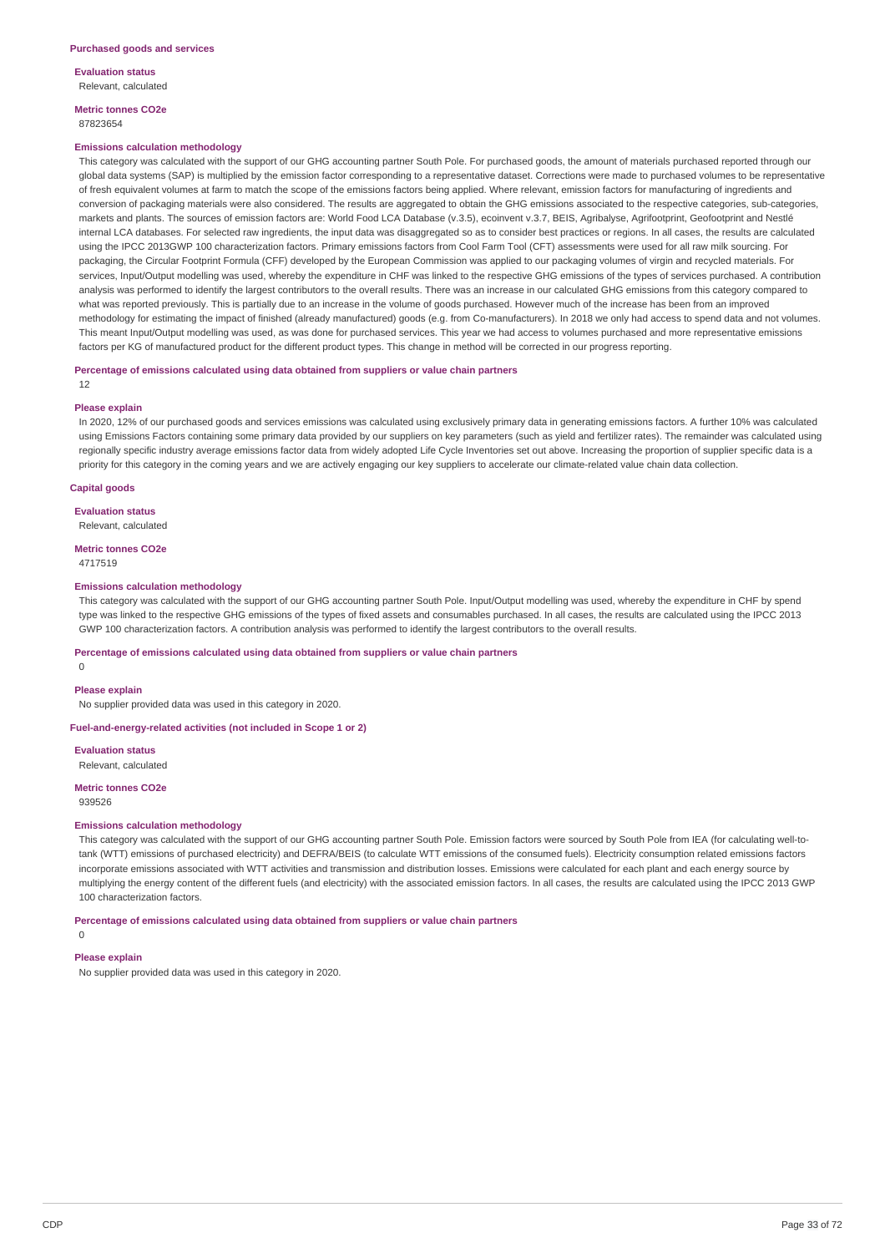**Metric tonnes CO2e**

### 87823654

#### **Emissions calculation methodology**

This category was calculated with the support of our GHG accounting partner South Pole. For purchased goods, the amount of materials purchased reported through our global data systems (SAP) is multiplied by the emission factor corresponding to a representative dataset. Corrections were made to purchased volumes to be representative of fresh equivalent volumes at farm to match the scope of the emissions factors being applied. Where relevant, emission factors for manufacturing of ingredients and conversion of packaging materials were also considered. The results are aggregated to obtain the GHG emissions associated to the respective categories, sub-categories, markets and plants. The sources of emission factors are: World Food LCA Database (v.3.5), ecoinvent v.3.7, BEIS, Agribalyse, Agrifootprint, Geofootprint and Nestlé internal LCA databases. For selected raw ingredients, the input data was disaggregated so as to consider best practices or regions. In all cases, the results are calculated using the IPCC 2013GWP 100 characterization factors. Primary emissions factors from Cool Farm Tool (CFT) assessments were used for all raw milk sourcing. For packaging, the Circular Footprint Formula (CFF) developed by the European Commission was applied to our packaging volumes of virgin and recycled materials. For services, Input/Output modelling was used, whereby the expenditure in CHF was linked to the respective GHG emissions of the types of services purchased. A contribution analysis was performed to identify the largest contributors to the overall results. There was an increase in our calculated GHG emissions from this category compared to what was reported previously. This is partially due to an increase in the volume of goods purchased. However much of the increase has been from an improved methodology for estimating the impact of finished (already manufactured) goods (e.g. from Co-manufacturers). In 2018 we only had access to spend data and not volumes. This meant Input/Output modelling was used, as was done for purchased services. This year we had access to volumes purchased and more representative emissions factors per KG of manufactured product for the different product types. This change in method will be corrected in our progress reporting.

#### **Percentage of emissions calculated using data obtained from suppliers or value chain partners**

12

#### **Please explain**

In 2020, 12% of our purchased goods and services emissions was calculated using exclusively primary data in generating emissions factors. A further 10% was calculated using Emissions Factors containing some primary data provided by our suppliers on key parameters (such as yield and fertilizer rates). The remainder was calculated using regionally specific industry average emissions factor data from widely adopted Life Cycle Inventories set out above. Increasing the proportion of supplier specific data is a priority for this category in the coming years and we are actively engaging our key suppliers to accelerate our climate-related value chain data collection.

#### **Capital goods**

**Evaluation status**

Relevant, calculated

### **Metric tonnes CO2e**

4717519

### **Emissions calculation methodology**

This category was calculated with the support of our GHG accounting partner South Pole. Input/Output modelling was used, whereby the expenditure in CHF by spend type was linked to the respective GHG emissions of the types of fixed assets and consumables purchased. In all cases, the results are calculated using the IPCC 2013 GWP 100 characterization factors. A contribution analysis was performed to identify the largest contributors to the overall results.

### **Percentage of emissions calculated using data obtained from suppliers or value chain partners**

 $\Omega$ 

### **Please explain**

No supplier provided data was used in this category in 2020.

### **Fuel-and-energy-related activities (not included in Scope 1 or 2)**

**Evaluation status**

Relevant, calculated

**Metric tonnes CO2e** 939526

### **Emissions calculation methodology**

This category was calculated with the support of our GHG accounting partner South Pole. Emission factors were sourced by South Pole from IEA (for calculating well-totank (WTT) emissions of purchased electricity) and DEFRA/BEIS (to calculate WTT emissions of the consumed fuels). Electricity consumption related emissions factors incorporate emissions associated with WTT activities and transmission and distribution losses. Emissions were calculated for each plant and each energy source by multiplying the energy content of the different fuels (and electricity) with the associated emission factors. In all cases, the results are calculated using the IPCC 2013 GWP 100 characterization factors.

**Percentage of emissions calculated using data obtained from suppliers or value chain partners**

 $\Omega$ 

### **Please explain**

No supplier provided data was used in this category in 2020.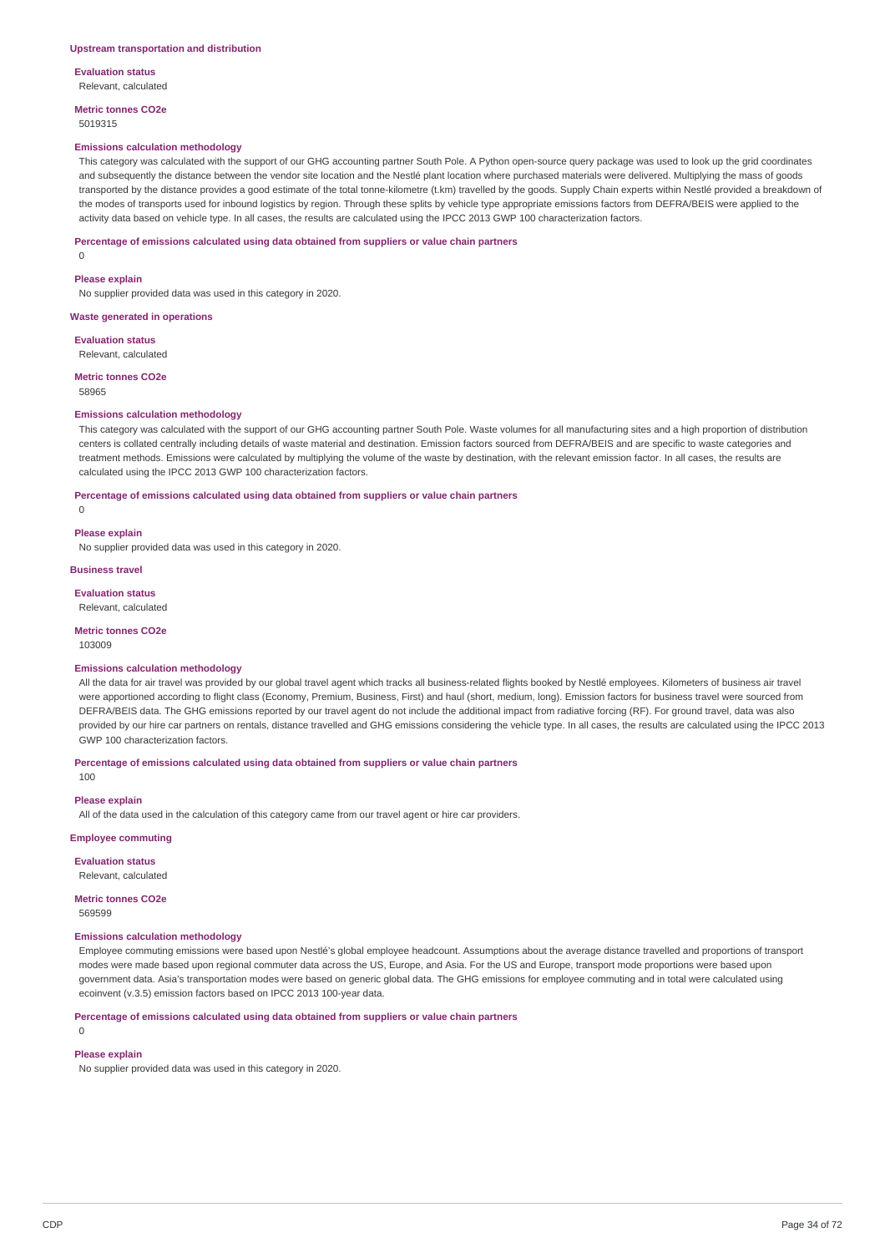**Metric tonnes CO2e** 5019315

#### **Emissions calculation methodology**

This category was calculated with the support of our GHG accounting partner South Pole. A Python open-source query package was used to look up the grid coordinates and subsequently the distance between the vendor site location and the Nestlé plant location where purchased materials were delivered. Multiplying the mass of goods transported by the distance provides a good estimate of the total tonne-kilometre (t.km) travelled by the goods. Supply Chain experts within Nestlé provided a breakdown of the modes of transports used for inbound logistics by region. Through these splits by vehicle type appropriate emissions factors from DEFRA/BEIS were applied to the activity data based on vehicle type. In all cases, the results are calculated using the IPCC 2013 GWP 100 characterization factors.

### **Percentage of emissions calculated using data obtained from suppliers or value chain partners**

0

#### **Please explain**

No supplier provided data was used in this category in 2020.

### **Waste generated in operations**

**Evaluation status**

Relevant, calculated

**Metric tonnes CO2e**

58965

#### **Emissions calculation methodology**

This category was calculated with the support of our GHG accounting partner South Pole. Waste volumes for all manufacturing sites and a high proportion of distribution centers is collated centrally including details of waste material and destination. Emission factors sourced from DEFRA/BEIS and are specific to waste categories and treatment methods. Emissions were calculated by multiplying the volume of the waste by destination, with the relevant emission factor. In all cases, the results are calculated using the IPCC 2013 GWP 100 characterization factors.

**Percentage of emissions calculated using data obtained from suppliers or value chain partners**

 $\theta$ 

### **Please explain**

No supplier provided data was used in this category in 2020.

#### **Business travel**

**Evaluation status**

Relevant, calculated

# **Metric tonnes CO2e**

103009

### **Emissions calculation methodology**

All the data for air travel was provided by our global travel agent which tracks all business-related flights booked by Nestlé employees. Kilometers of business air travel were apportioned according to flight class (Economy, Premium, Business, First) and haul (short, medium, long). Emission factors for business travel were sourced from DEFRA/BEIS data. The GHG emissions reported by our travel agent do not include the additional impact from radiative forcing (RF). For ground travel, data was also provided by our hire car partners on rentals, distance travelled and GHG emissions considering the vehicle type. In all cases, the results are calculated using the IPCC 2013 GWP 100 characterization factors.

**Percentage of emissions calculated using data obtained from suppliers or value chain partners**

100

### **Please explain**

All of the data used in the calculation of this category came from our travel agent or hire car providers.

**Employee commuting**

### **Evaluation status**

Relevant, calculated

### **Metric tonnes CO2e**

569599

### **Emissions calculation methodology**

Employee commuting emissions were based upon Nestlé's global employee headcount. Assumptions about the average distance travelled and proportions of transport modes were made based upon regional commuter data across the US, Europe, and Asia. For the US and Europe, transport mode proportions were based upon government data. Asia's transportation modes were based on generic global data. The GHG emissions for employee commuting and in total were calculated using ecoinvent (v.3.5) emission factors based on IPCC 2013 100-year data.

**Percentage of emissions calculated using data obtained from suppliers or value chain partners**

### $\Omega$

### **Please explain**

No supplier provided data was used in this category in 2020.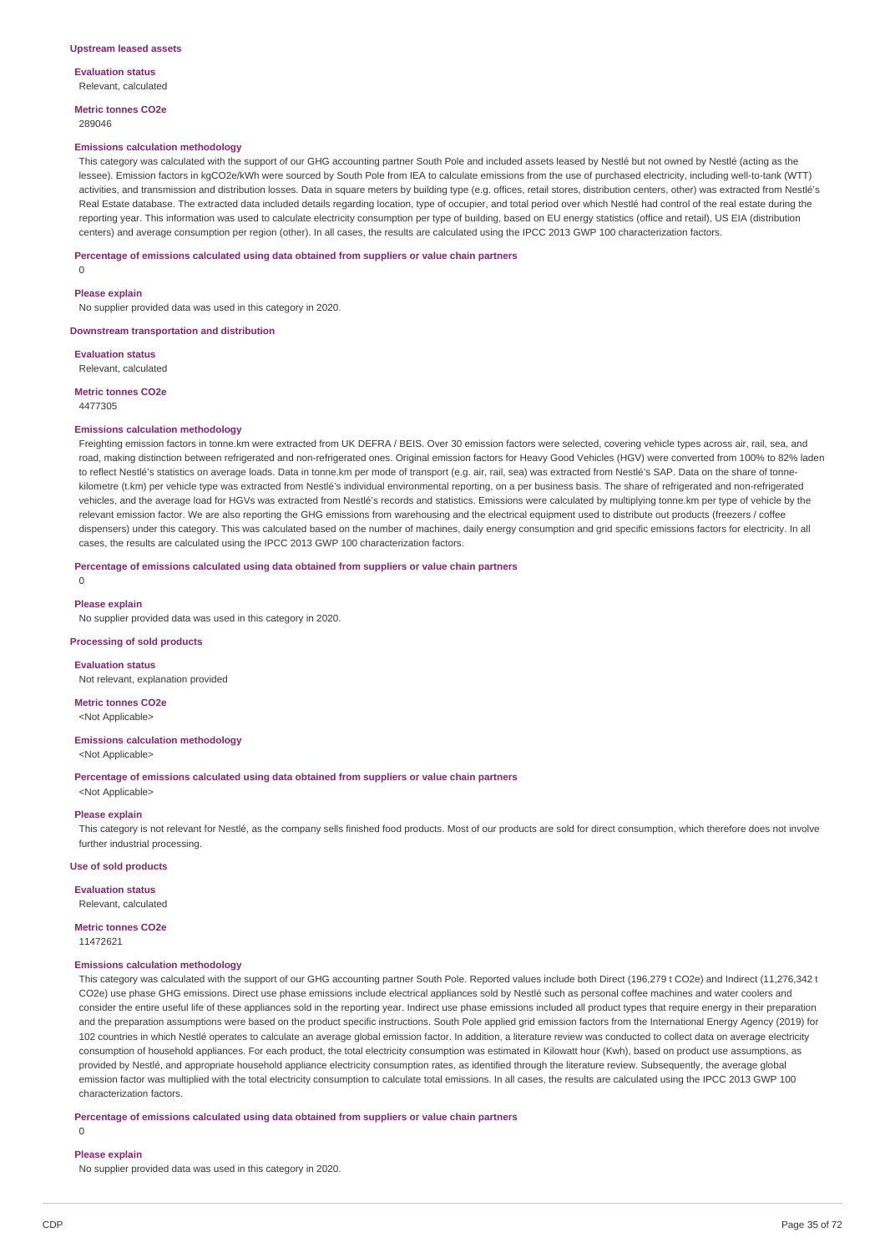**Metric tonnes CO2e** 289046

#### **Emissions calculation methodology**

This category was calculated with the support of our GHG accounting partner South Pole and included assets leased by Nestlé but not owned by Nestlé (acting as the lessee). Emission factors in kgCO2e/kWh were sourced by South Pole from IEA to calculate emissions from the use of purchased electricity, including well-to-tank (WTT) activities, and transmission and distribution losses. Data in square meters by building type (e.g. offices, retail stores, distribution centers, other) was extracted from Nestlé's Real Estate database. The extracted data included details regarding location, type of occupier, and total period over which Nestlé had control of the real estate during the reporting year. This information was used to calculate electricity consumption per type of building, based on EU energy statistics (office and retail), US EIA (distribution centers) and average consumption per region (other). In all cases, the results are calculated using the IPCC 2013 GWP 100 characterization factors.

#### **Percentage of emissions calculated using data obtained from suppliers or value chain partners**

 $\Omega$ 

#### **Please explain**

No supplier provided data was used in this category in 2020.

**Downstream transportation and distribution**

**Evaluation status** Relevant, calculated

**Metric tonnes CO2e** 4477305

### **Emissions calculation methodology**

Freighting emission factors in tonne.km were extracted from UK DEFRA / BEIS. Over 30 emission factors were selected, covering vehicle types across air, rail, sea, and road, making distinction between refrigerated and non-refrigerated ones. Original emission factors for Heavy Good Vehicles (HGV) were converted from 100% to 82% laden to reflect Nestlé's statistics on average loads. Data in tonne.km per mode of transport (e.g. air, rail, sea) was extracted from Nestlé's SAP. Data on the share of tonnekilometre (t.km) per vehicle type was extracted from Nestlé's individual environmental reporting, on a per business basis. The share of refrigerated and non-refrigerated vehicles, and the average load for HGVs was extracted from Nestlé's records and statistics. Emissions were calculated by multiplying tonne.km per type of vehicle by the relevant emission factor. We are also reporting the GHG emissions from warehousing and the electrical equipment used to distribute out products (freezers / coffee dispensers) under this category. This was calculated based on the number of machines, daily energy consumption and grid specific emissions factors for electricity. In all cases, the results are calculated using the IPCC 2013 GWP 100 characterization factors.

#### **Percentage of emissions calculated using data obtained from suppliers or value chain partners**

0

### **Please explain**

No supplier provided data was used in this category in 2020.

#### **Processing of sold products**

**Evaluation status** Not relevant, explanation provided

### **Metric tonnes CO2e** <Not Applicable>

**Emissions calculation methodology**

<Not Applicable>

**Percentage of emissions calculated using data obtained from suppliers or value chain partners** <Not Applicable>

**Please explain**

This category is not relevant for Nestlé, as the company sells finished food products. Most of our products are sold for direct consumption, which therefore does not involve further industrial processing.

#### **Use of sold products**

**Evaluation status**

Relevant, calculated

**Metric tonnes CO2e**

11472621

### **Emissions calculation methodology**

This category was calculated with the support of our GHG accounting partner South Pole. Reported values include both Direct (196,279 t CO2e) and Indirect (11,276,342 t CO2e) use phase GHG emissions. Direct use phase emissions include electrical appliances sold by Nestlé such as personal coffee machines and water coolers and consider the entire useful life of these appliances sold in the reporting year. Indirect use phase emissions included all product types that require energy in their preparation and the preparation assumptions were based on the product specific instructions. South Pole applied grid emission factors from the International Energy Agency (2019) for 102 countries in which Nestlé operates to calculate an average global emission factor. In addition, a literature review was conducted to collect data on average electricity consumption of household appliances. For each product, the total electricity consumption was estimated in Kilowatt hour (Kwh), based on product use assumptions, as provided by Nestlé, and appropriate household appliance electricity consumption rates, as identified through the literature review. Subsequently, the average global emission factor was multiplied with the total electricity consumption to calculate total emissions. In all cases, the results are calculated using the IPCC 2013 GWP 100 characterization factors.

### **Percentage of emissions calculated using data obtained from suppliers or value chain partners**

 $\theta$ 

#### **Please explain**

No supplier provided data was used in this category in 2020.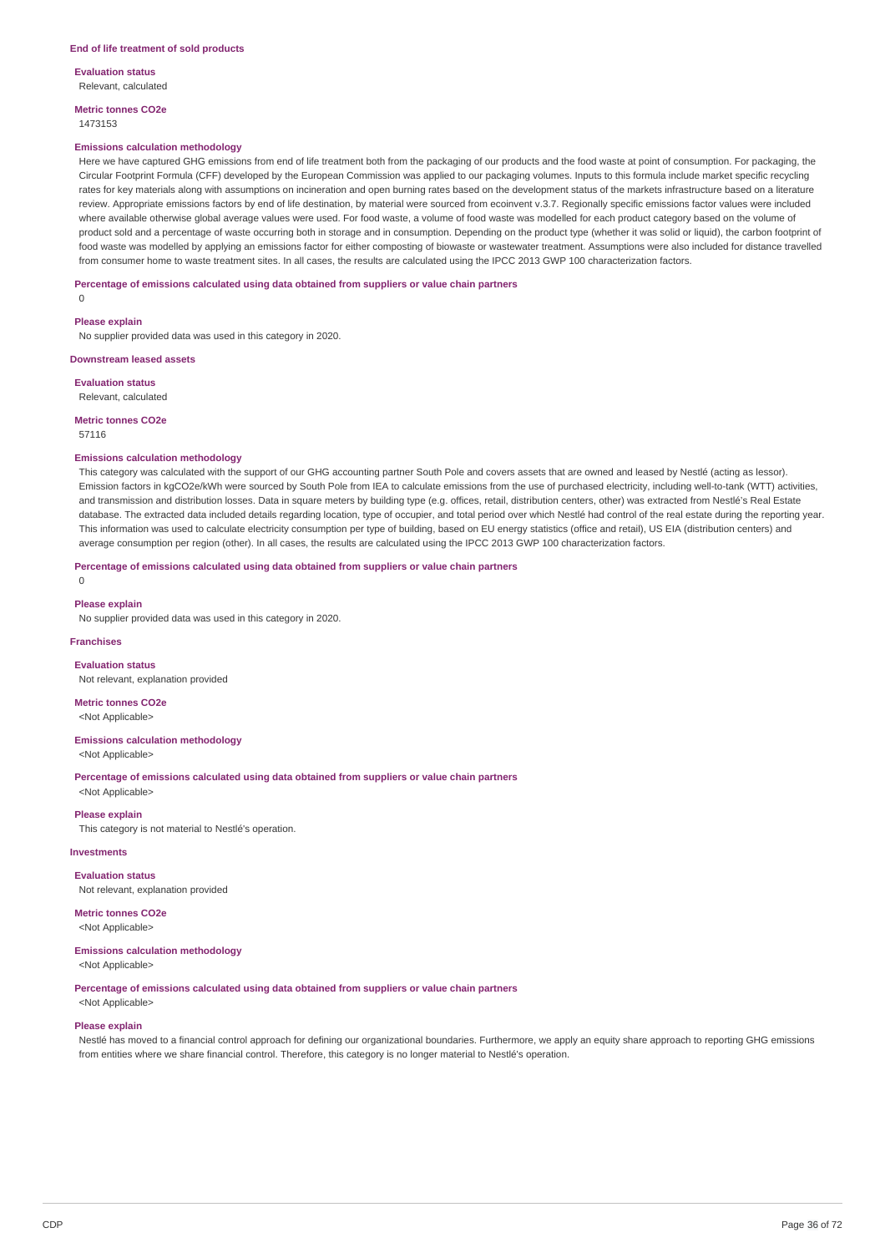**Metric tonnes CO2e** 1473153

### **Emissions calculation methodology**

Here we have captured GHG emissions from end of life treatment both from the packaging of our products and the food waste at point of consumption. For packaging, the Circular Footprint Formula (CFF) developed by the European Commission was applied to our packaging volumes. Inputs to this formula include market specific recycling rates for key materials along with assumptions on incineration and open burning rates based on the development status of the markets infrastructure based on a literature review. Appropriate emissions factors by end of life destination, by material were sourced from ecoinvent v.3.7. Regionally specific emissions factor values were included where available otherwise global average values were used. For food waste, a volume of food waste was modelled for each product category based on the volume of product sold and a percentage of waste occurring both in storage and in consumption. Depending on the product type (whether it was solid or liquid), the carbon footprint of food waste was modelled by applying an emissions factor for either composting of biowaste or wastewater treatment. Assumptions were also included for distance travelled from consumer home to waste treatment sites. In all cases, the results are calculated using the IPCC 2013 GWP 100 characterization factors.

### **Percentage of emissions calculated using data obtained from suppliers or value chain partners**

 $\Omega$ 

### **Please explain**

No supplier provided data was used in this category in 2020.

### **Downstream leased assets**

**Evaluation status**

Relevant, calculated

### **Metric tonnes CO2e**

57116

### **Emissions calculation methodology**

This category was calculated with the support of our GHG accounting partner South Pole and covers assets that are owned and leased by Nestlé (acting as lessor). Emission factors in kgCO2e/kWh were sourced by South Pole from IEA to calculate emissions from the use of purchased electricity, including well-to-tank (WTT) activities, and transmission and distribution losses. Data in square meters by building type (e.g. offices, retail, distribution centers, other) was extracted from Nestlé's Real Estate database. The extracted data included details regarding location, type of occupier, and total period over which Nestlé had control of the real estate during the reporting year. This information was used to calculate electricity consumption per type of building, based on EU energy statistics (office and retail), US EIA (distribution centers) and average consumption per region (other). In all cases, the results are calculated using the IPCC 2013 GWP 100 characterization factors.

**Percentage of emissions calculated using data obtained from suppliers or value chain partners**

 $\overline{0}$ 

#### **Please explain**

No supplier provided data was used in this category in 2020.

### **Franchises**

**Evaluation status** Not relevant, explanation provided

**Metric tonnes CO2e** <Not Applicable>

**Emissions calculation methodology** <Not Applicable>

**Percentage of emissions calculated using data obtained from suppliers or value chain partners**

<Not Applicable>

### **Please explain**

This category is not material to Nestlé's operation.

### **Investments**

**Evaluation status** Not relevant, explanation provided

### **Metric tonnes CO2e**

<Not Applicable>

### **Emissions calculation methodology**

<Not Applicable>

**Percentage of emissions calculated using data obtained from suppliers or value chain partners**

<Not Applicable>

#### **Please explain**

Nestlé has moved to a financial control approach for defining our organizational boundaries. Furthermore, we apply an equity share approach to reporting GHG emissions from entities where we share financial control. Therefore, this category is no longer material to Nestlé's operation.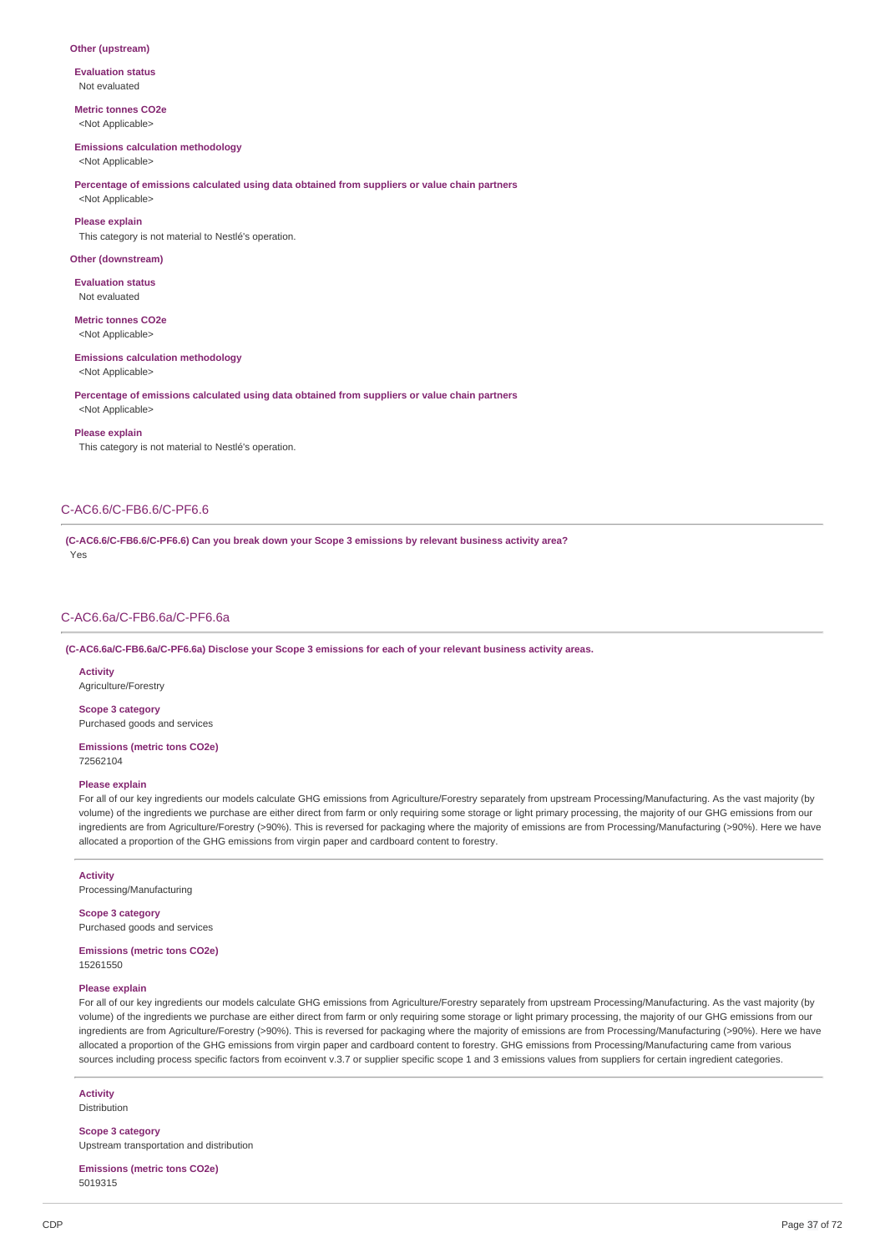### **Other (upstream)**

**Evaluation status** Not evaluated

### **Metric tonnes CO2e** <Not Applicable>

## **Emissions calculation methodology**

<Not Applicable>

## **Percentage of emissions calculated using data obtained from suppliers or value chain partners**

<Not Applicable>

**Please explain** This category is not material to Nestlé's operation.

### **Other (downstream)**

**Evaluation status** Not evaluated

## **Metric tonnes CO2e**

<Not Applicable>

### **Emissions calculation methodology**

<Not Applicable>

### **Percentage of emissions calculated using data obtained from suppliers or value chain partners**

<Not Applicable>

#### **Please explain**

This category is not material to Nestlé's operation.

### C-AC6.6/C-FB6.6/C-PF6.6

**(C-AC6.6/C-FB6.6/C-PF6.6) Can you break down your Scope 3 emissions by relevant business activity area?** Yes

### C-AC6.6a/C-FB6.6a/C-PF6.6a

### **(C-AC6.6a/C-FB6.6a/C-PF6.6a) Disclose your Scope 3 emissions for each of your relevant business activity areas.**

**Activity** Agriculture/Forestry

**Scope 3 category** Purchased goods and services

### **Emissions (metric tons CO2e)** 72562104

### **Please explain**

For all of our key ingredients our models calculate GHG emissions from Agriculture/Forestry separately from upstream Processing/Manufacturing. As the vast majority (by volume) of the ingredients we purchase are either direct from farm or only requiring some storage or light primary processing, the majority of our GHG emissions from our ingredients are from Agriculture/Forestry (>90%). This is reversed for packaging where the majority of emissions are from Processing/Manufacturing (>90%). Here we have allocated a proportion of the GHG emissions from virgin paper and cardboard content to forestry.

### **Activity**

Processing/Manufacturing

### **Scope 3 category**

Purchased goods and services

### **Emissions (metric tons CO2e)** 15261550

### **Please explain**

For all of our key ingredients our models calculate GHG emissions from Agriculture/Forestry separately from upstream Processing/Manufacturing. As the vast majority (by volume) of the ingredients we purchase are either direct from farm or only requiring some storage or light primary processing, the majority of our GHG emissions from our ingredients are from Agriculture/Forestry (>90%). This is reversed for packaging where the majority of emissions are from Processing/Manufacturing (>90%). Here we have allocated a proportion of the GHG emissions from virgin paper and cardboard content to forestry. GHG emissions from Processing/Manufacturing came from various sources including process specific factors from ecoinvent v.3.7 or supplier specific scope 1 and 3 emissions values from suppliers for certain ingredient categories.

### **Activity** Distribution

**Scope 3 category** Upstream transportation and distribution

### **Emissions (metric tons CO2e)** 5019315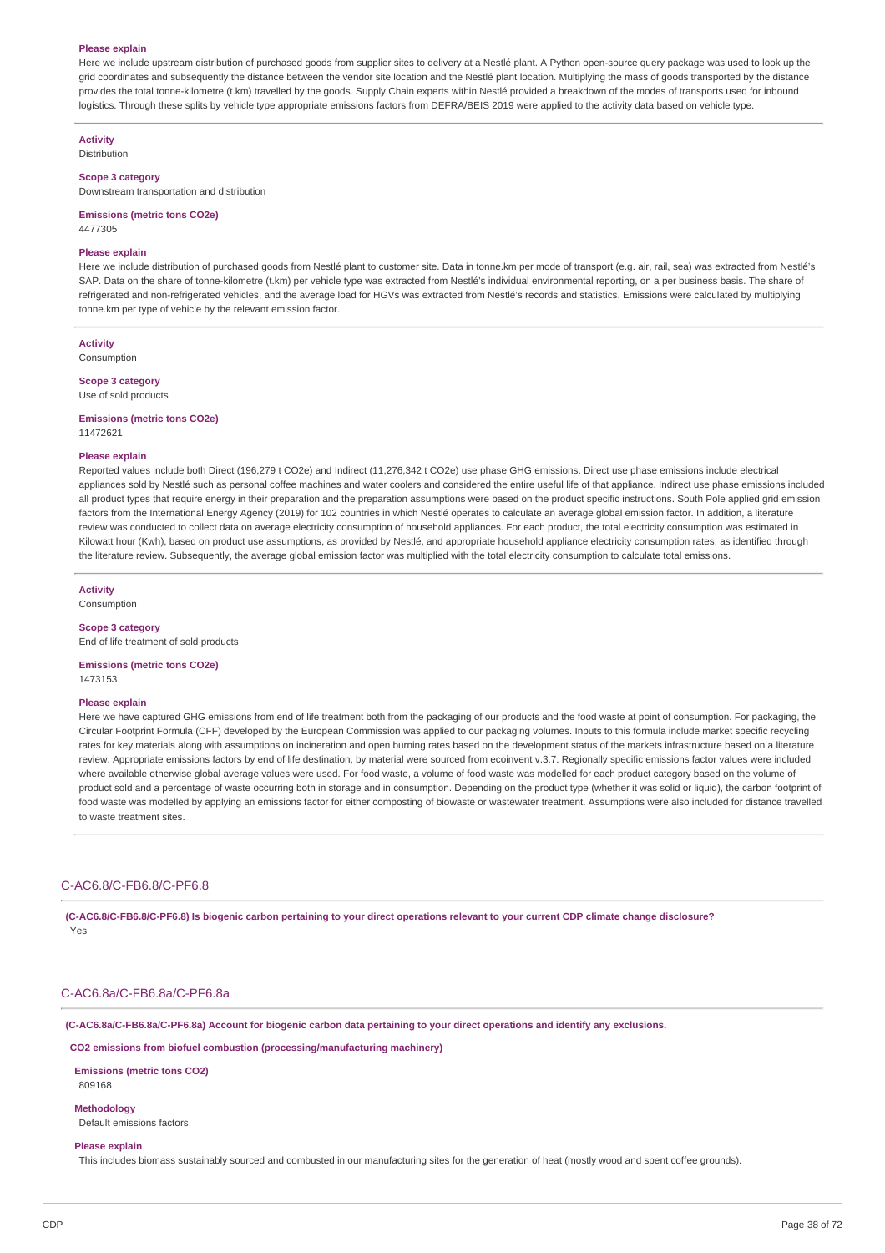### **Please explain**

Here we include upstream distribution of purchased goods from supplier sites to delivery at a Nestlé plant. A Python open-source query package was used to look up the grid coordinates and subsequently the distance between the vendor site location and the Nestlé plant location. Multiplying the mass of goods transported by the distance provides the total tonne-kilometre (t.km) travelled by the goods. Supply Chain experts within Nestlé provided a breakdown of the modes of transports used for inbound logistics. Through these splits by vehicle type appropriate emissions factors from DEFRA/BEIS 2019 were applied to the activity data based on vehicle type

**Activity** Distribution

#### **Scope 3 category**

Downstream transportation and distribution

**Emissions (metric tons CO2e)** 4477305

#### **Please explain**

Here we include distribution of purchased goods from Nestlé plant to customer site. Data in tonne.km per mode of transport (e.g. air, rail, sea) was extracted from Nestlé's SAP. Data on the share of tonne-kilometre (t.km) per vehicle type was extracted from Nestlé's individual environmental reporting, on a per business basis. The share of refrigerated and non-refrigerated vehicles, and the average load for HGVs was extracted from Nestlé's records and statistics. Emissions were calculated by multiplying tonne.km per type of vehicle by the relevant emission factor.

**Activity** Consumption

### **Scope 3 category**

Use of sold products

**Emissions (metric tons CO2e)** 11472621

## **Please explain**

Reported values include both Direct (196,279 t CO2e) and Indirect (11,276,342 t CO2e) use phase GHG emissions. Direct use phase emissions include electrical appliances sold by Nestlé such as personal coffee machines and water coolers and considered the entire useful life of that appliance. Indirect use phase emissions included all product types that require energy in their preparation and the preparation assumptions were based on the product specific instructions. South Pole applied grid emission factors from the International Energy Agency (2019) for 102 countries in which Nestlé operates to calculate an average global emission factor. In addition, a literature review was conducted to collect data on average electricity consumption of household appliances. For each product, the total electricity consumption was estimated in Kilowatt hour (Kwh), based on product use assumptions, as provided by Nestlé, and appropriate household appliance electricity consumption rates, as identified through the literature review. Subsequently, the average global emission factor was multiplied with the total electricity consumption to calculate total emissions.

**Activity**

Consumption

## **Scope 3 category**

End of life treatment of sold products

### **Emissions (metric tons CO2e)** 1473153

#### **Please explain**

Here we have captured GHG emissions from end of life treatment both from the packaging of our products and the food waste at point of consumption. For packaging, the Circular Footprint Formula (CFF) developed by the European Commission was applied to our packaging volumes. Inputs to this formula include market specific recycling rates for key materials along with assumptions on incineration and open burning rates based on the development status of the markets infrastructure based on a literature review. Appropriate emissions factors by end of life destination, by material were sourced from ecoinvent v.3.7. Regionally specific emissions factor values were included where available otherwise global average values were used. For food waste, a volume of food waste was modelled for each product category based on the volume of product sold and a percentage of waste occurring both in storage and in consumption. Depending on the product type (whether it was solid or liquid), the carbon footprint of food waste was modelled by applying an emissions factor for either composting of biowaste or wastewater treatment. Assumptions were also included for distance travelled to waste treatment sites.

### C-AC6.8/C-FB6.8/C-PF6.8

(C-AC6.8/C-FB6.8/C-PF6.8) Is biogenic carbon pertaining to your direct operations relevant to your current CDP climate change disclosure? Yes

### C-AC6.8a/C-FB6.8a/C-PF6.8a

(C-AC6.8a/C-FB6.8a/C-PF6.8a) Account for biogenic carbon data pertaining to your direct operations and identify any exclusions.

**CO2 emissions from biofuel combustion (processing/manufacturing machinery)**

**Emissions (metric tons CO2)** 809168

**Methodology** Default emissions factors

#### **Please explain**

This includes biomass sustainably sourced and combusted in our manufacturing sites for the generation of heat (mostly wood and spent coffee grounds).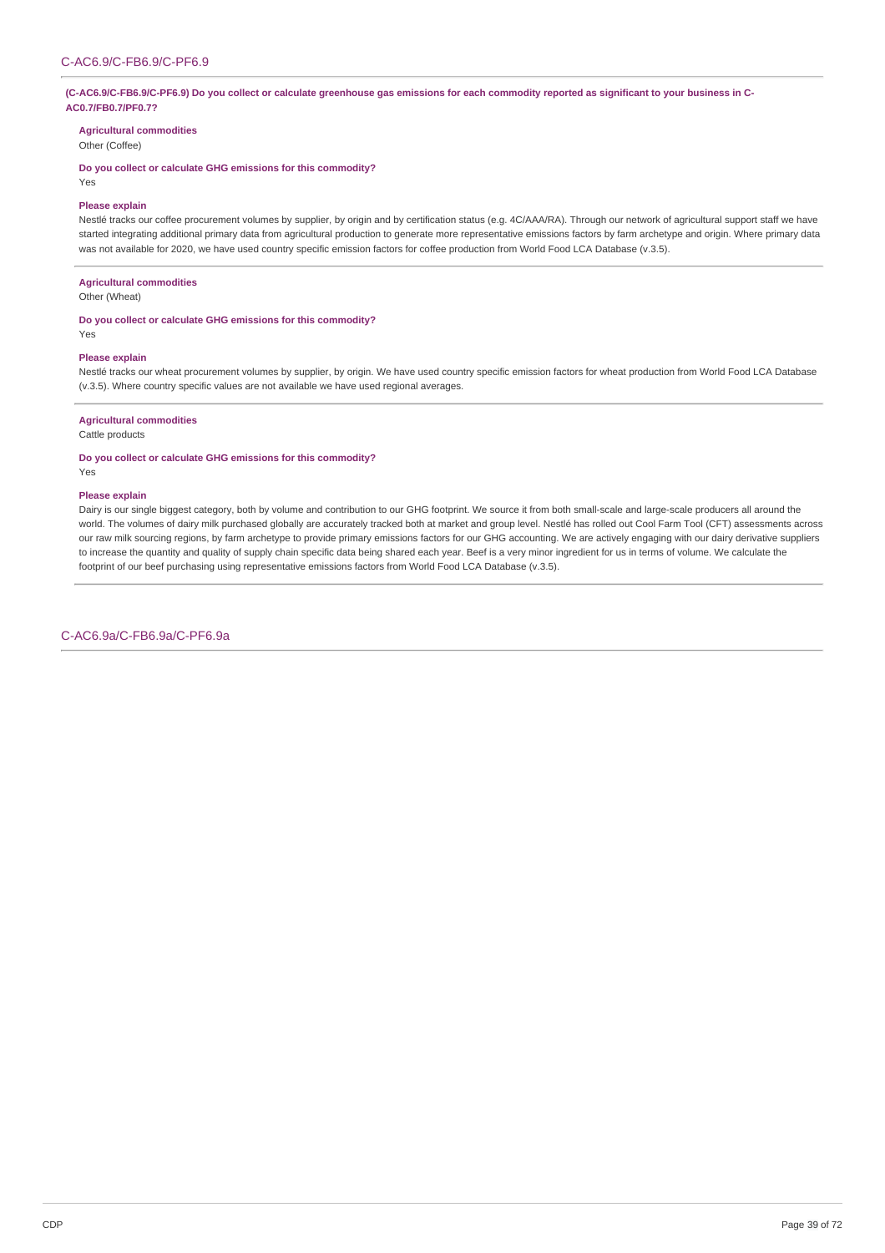### (C-AC6.9/C-FB6.9/C-PF6.9) Do you collect or calculate greenhouse gas emissions for each commodity reported as significant to your business in C-**AC0.7/FB0.7/PF0.7?**

**Agricultural commodities**

Other (Coffee)

**Do you collect or calculate GHG emissions for this commodity?**

Yes

### **Please explain**

Nestlé tracks our coffee procurement volumes by supplier, by origin and by certification status (e.g. 4C/AAA/RA). Through our network of agricultural support staff we have started integrating additional primary data from agricultural production to generate more representative emissions factors by farm archetype and origin. Where primary data was not available for 2020, we have used country specific emission factors for coffee production from World Food LCA Database (v.3.5).

### **Agricultural commodities**

Other (Wheat)

### **Do you collect or calculate GHG emissions for this commodity?**

## **Please explain**

Yes

Nestlé tracks our wheat procurement volumes by supplier, by origin. We have used country specific emission factors for wheat production from World Food LCA Database (v.3.5). Where country specific values are not available we have used regional averages.

### **Agricultural commodities**

Cattle products

### **Do you collect or calculate GHG emissions for this commodity?**

Yes

### **Please explain**

Dairy is our single biggest category, both by volume and contribution to our GHG footprint. We source it from both small-scale and large-scale producers all around the world. The volumes of dairy milk purchased globally are accurately tracked both at market and group level. Nestlé has rolled out Cool Farm Tool (CFT) assessments across our raw milk sourcing regions, by farm archetype to provide primary emissions factors for our GHG accounting. We are actively engaging with our dairy derivative suppliers to increase the quantity and quality of supply chain specific data being shared each year. Beef is a very minor ingredient for us in terms of volume. We calculate the footprint of our beef purchasing using representative emissions factors from World Food LCA Database (v.3.5).

C-AC6.9a/C-FB6.9a/C-PF6.9a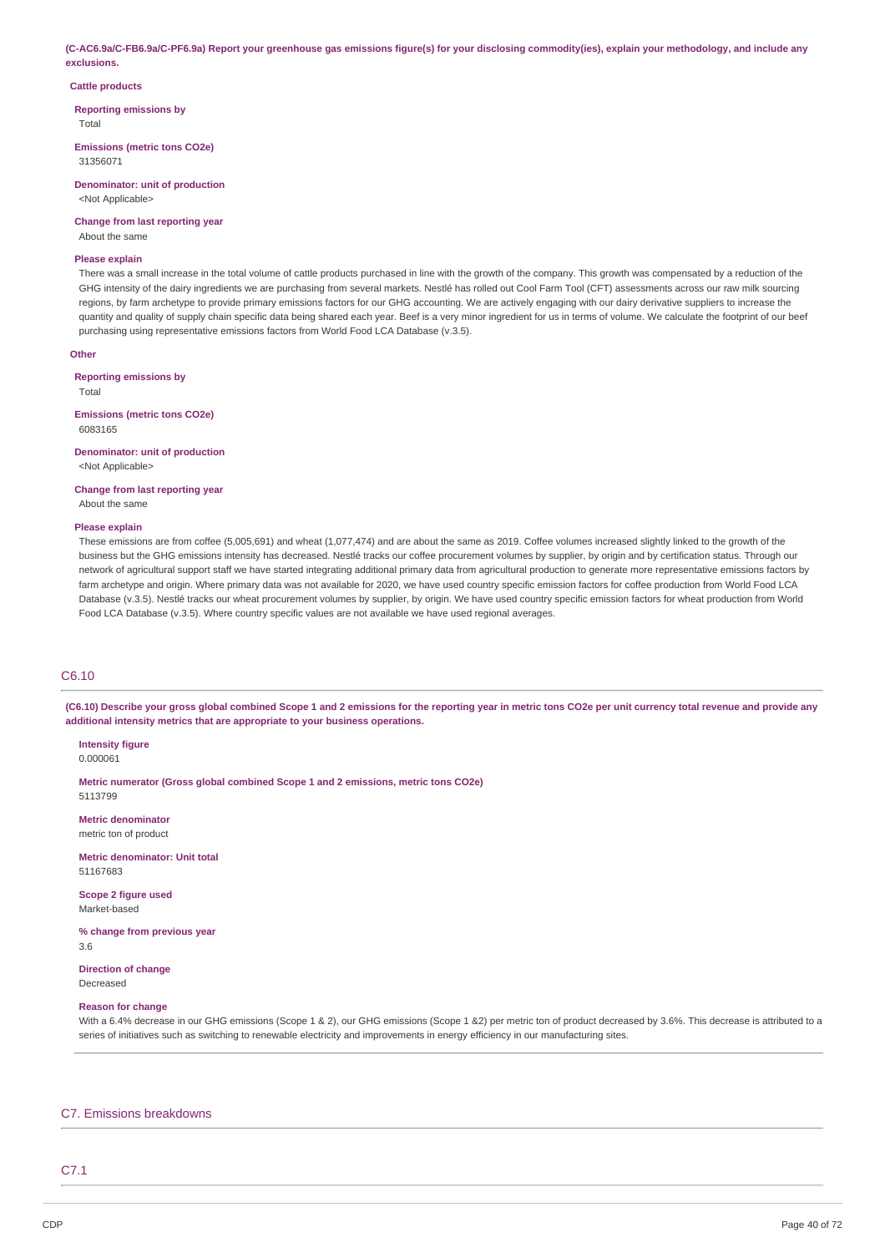(C-AC6.9a/C-FB6.9a/C-PF6.9a) Report your greenhouse gas emissions figure(s) for your disclosing commodity(ies), explain your methodology, and include any **exclusions.**

### **Cattle products**

**Reporting emissions by**

Total

**Emissions (metric tons CO2e)** 31356071

**Denominator: unit of production** <Not Applicable>

**Change from last reporting year** About the same

### **Please explain**

There was a small increase in the total volume of cattle products purchased in line with the growth of the company. This growth was compensated by a reduction of the GHG intensity of the dairy ingredients we are purchasing from several markets. Nestlé has rolled out Cool Farm Tool (CFT) assessments across our raw milk sourcing regions, by farm archetype to provide primary emissions factors for our GHG accounting. We are actively engaging with our dairy derivative suppliers to increase the quantity and quality of supply chain specific data being shared each year. Beef is a very minor ingredient for us in terms of volume. We calculate the footprint of our beef purchasing using representative emissions factors from World Food LCA Database (v.3.5).

## **Other**

**Reporting emissions by**

Total

**Emissions (metric tons CO2e)** 6083165

**Denominator: unit of production** <Not Applicable>

**Change from last reporting year**

About the same

### **Please explain**

These emissions are from coffee (5,005,691) and wheat (1,077,474) and are about the same as 2019. Coffee volumes increased slightly linked to the growth of the business but the GHG emissions intensity has decreased. Nestlé tracks our coffee procurement volumes by supplier, by origin and by certification status. Through our network of agricultural support staff we have started integrating additional primary data from agricultural production to generate more representative emissions factors by farm archetype and origin. Where primary data was not available for 2020, we have used country specific emission factors for coffee production from World Food LCA Database (v.3.5). Nestlé tracks our wheat procurement volumes by supplier, by origin. We have used country specific emission factors for wheat production from World Food LCA Database (v.3.5). Where country specific values are not available we have used regional averages.

## C6.10

(C6.10) Describe your gross global combined Scope 1 and 2 emissions for the reporting year in metric tons CO2e per unit currency total revenue and provide any **additional intensity metrics that are appropriate to your business operations.**

**Intensity figure** 0.000061

**Metric numerator (Gross global combined Scope 1 and 2 emissions, metric tons CO2e)** 5113799

**Metric denominator** metric ton of product

**Metric denominator: Unit total** 51167683

**Scope 2 figure used** Market-based

**% change from previous year** 3.6

**Direction of change** Decreased

## **Reason for change**

With a 6.4% decrease in our GHG emissions (Scope 1 & 2), our GHG emissions (Scope 1 & 2) per metric ton of product decreased by 3.6%. This decrease is attributed to a series of initiatives such as switching to renewable electricity and improvements in energy efficiency in our manufacturing sites.

### C7. Emissions breakdowns

## C7.1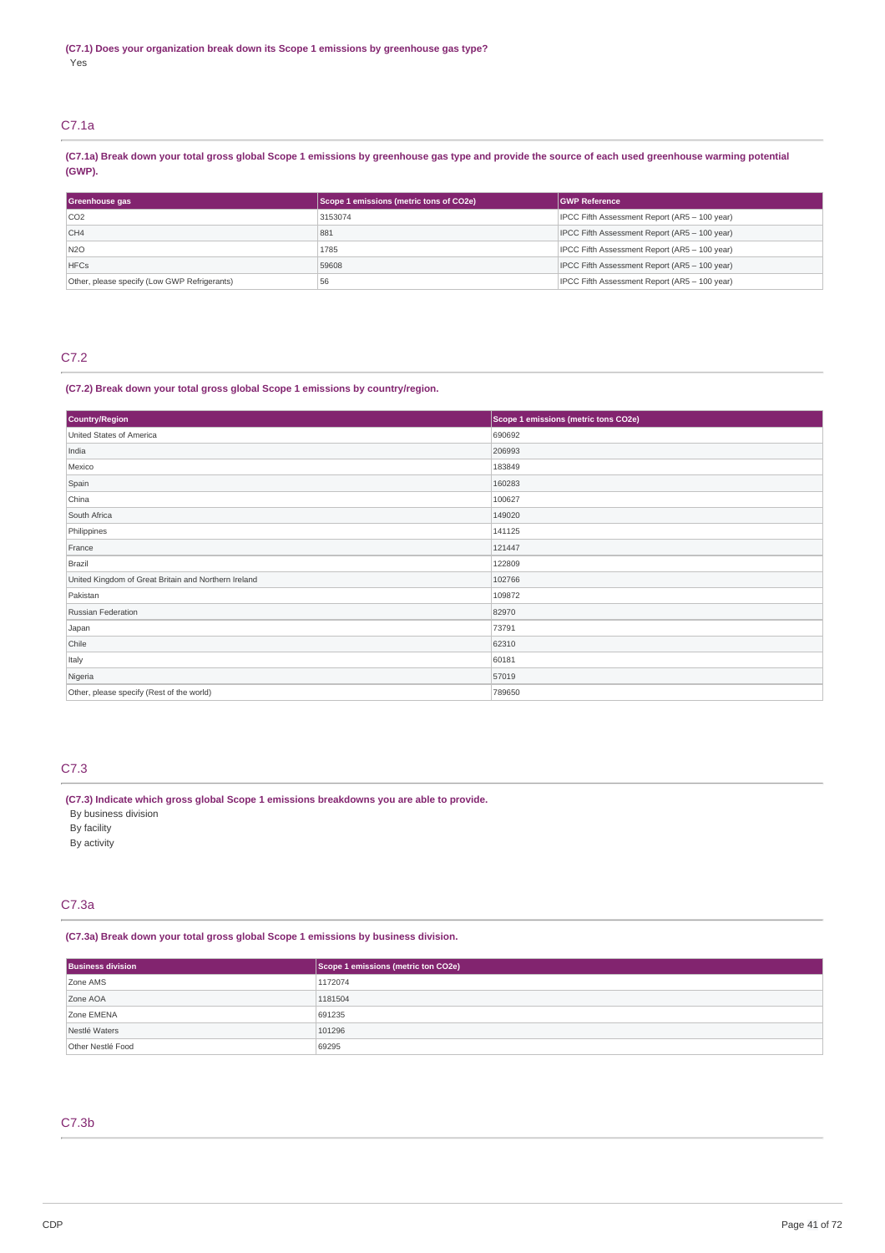## C7.1a

(C7.1a) Break down your total gross global Scope 1 emissions by greenhouse gas type and provide the source of each used greenhouse warming potential **(GWP).**

| Greenhouse gas                               | Scope 1 emissions (metric tons of CO2e) | <b>GWP Reference</b>                          |  |
|----------------------------------------------|-----------------------------------------|-----------------------------------------------|--|
| CO <sub>2</sub>                              | 3153074                                 | IPCC Fifth Assessment Report (AR5 - 100 year) |  |
| CH4                                          | 881                                     | IPCC Fifth Assessment Report (AR5 - 100 year) |  |
| N <sub>20</sub>                              | 1785                                    | IPCC Fifth Assessment Report (AR5 - 100 year) |  |
| <b>HFCs</b>                                  | 59608                                   | IPCC Fifth Assessment Report (AR5 - 100 year) |  |
| Other, please specify (Low GWP Refrigerants) | 56                                      | IPCC Fifth Assessment Report (AR5 - 100 year) |  |

## C7.2

## **(C7.2) Break down your total gross global Scope 1 emissions by country/region.**

| <b>Country/Region</b>                                | Scope 1 emissions (metric tons CO2e) |
|------------------------------------------------------|--------------------------------------|
| United States of America                             | 690692                               |
| India                                                | 206993                               |
| Mexico                                               | 183849                               |
| Spain                                                | 160283                               |
| China                                                | 100627                               |
| South Africa                                         | 149020                               |
| Philippines                                          | 141125                               |
| France                                               | 121447                               |
| Brazil                                               | 122809                               |
| United Kingdom of Great Britain and Northern Ireland | 102766                               |
| Pakistan                                             | 109872                               |
| Russian Federation                                   | 82970                                |
| Japan                                                | 73791                                |
| Chile                                                | 62310                                |
| Italy                                                | 60181                                |
| Nigeria                                              | 57019                                |
| Other, please specify (Rest of the world)            | 789650                               |

## C7.3

## **(C7.3) Indicate which gross global Scope 1 emissions breakdowns you are able to provide.**

By business division By facility

By activity

## C7.3a

**(C7.3a) Break down your total gross global Scope 1 emissions by business division.**

| <b>Business division</b> | Scope 1 emissions (metric ton CO2e) |
|--------------------------|-------------------------------------|
| Zone AMS                 | 1172074                             |
| Zone AOA                 | 1181504                             |
| Zone EMENA               | 691235                              |
| Nestlé Waters            | 101296                              |
| Other Nestlé Food        | 69295                               |

## C7.3b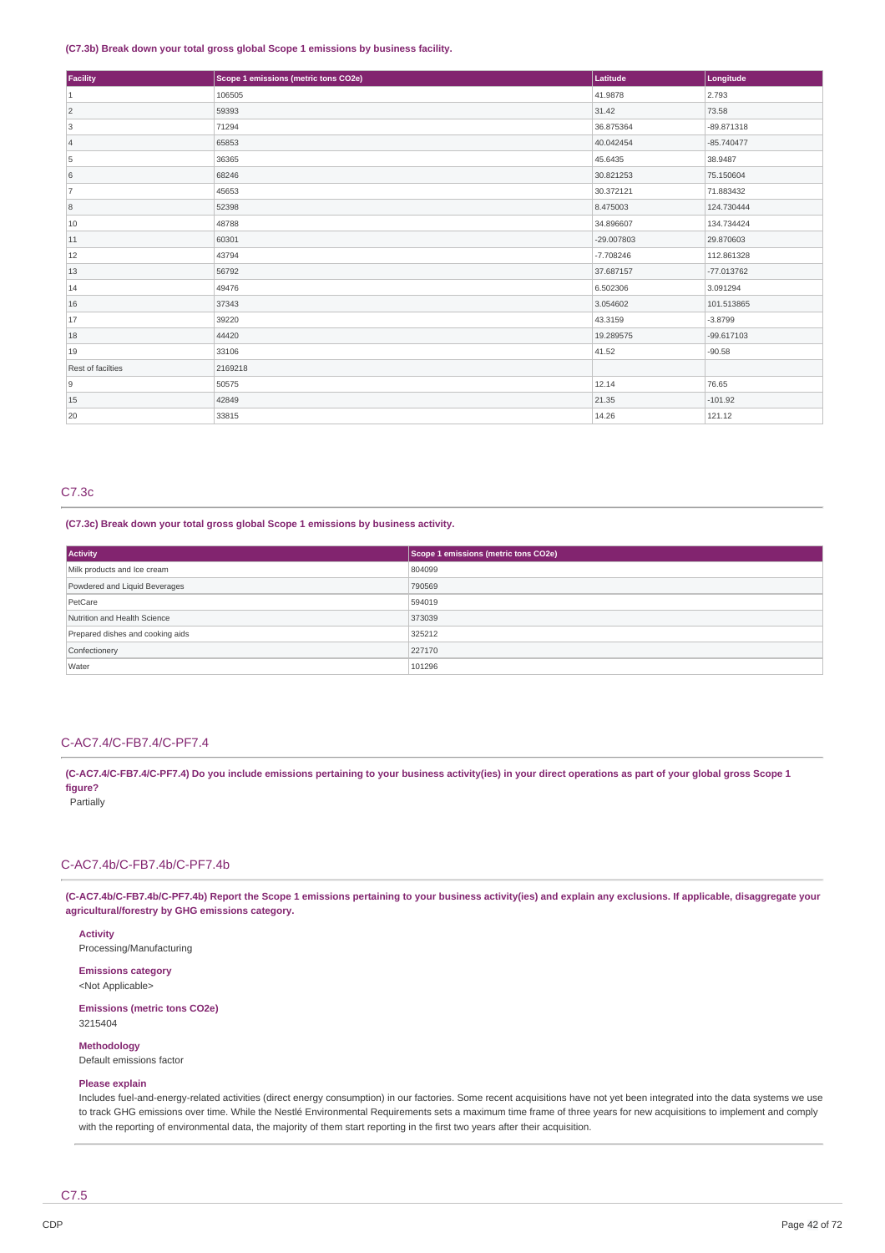### **(C7.3b) Break down your total gross global Scope 1 emissions by business facility.**

| Facility          | Scope 1 emissions (metric tons CO2e) | Latitude     | Longitude    |
|-------------------|--------------------------------------|--------------|--------------|
| $\vert$ 1         | 106505                               | 41.9878      | 2.793        |
| $\overline{2}$    | 59393                                | 31.42        | 73.58        |
| 3                 | 71294                                | 36.875364    | $-89.871318$ |
| $\vert$ 4         | 65853                                | 40.042454    | $-85.740477$ |
| 5                 | 36365                                | 45.6435      | 38.9487      |
| 6                 | 68246                                | 30.821253    | 75.150604    |
| 7                 | 45653                                | 30.372121    | 71.883432    |
| 8                 | 52398                                | 8.475003     | 124.730444   |
| 10                | 48788                                | 34.896607    | 134.734424   |
| 11                | 60301                                | $-29.007803$ | 29.870603    |
| 12                | 43794                                | $-7.708246$  | 112.861328   |
| 13                | 56792                                | 37.687157    | $-77.013762$ |
| 14                | 49476                                | 6.502306     | 3.091294     |
| 16                | 37343                                | 3.054602     | 101.513865   |
| 17                | 39220                                | 43.3159      | $-3.8799$    |
| 18                | 44420                                | 19.289575    | $-99.617103$ |
| 19                | 33106                                | 41.52        | $-90.58$     |
| Rest of facilties | 2169218                              |              |              |
| 9                 | 50575                                | 12.14        | 76.65        |
| 15                | 42849                                | 21.35        | $-101.92$    |
| 20                | 33815                                | 14.26        | 121.12       |

## C7.3c

**(C7.3c) Break down your total gross global Scope 1 emissions by business activity.**

| Activity                         | Scope 1 emissions (metric tons CO2e) |
|----------------------------------|--------------------------------------|
| Milk products and Ice cream      | 804099                               |
| Powdered and Liquid Beverages    | 790569                               |
| PetCare                          | 594019                               |
| Nutrition and Health Science     | 373039                               |
| Prepared dishes and cooking aids | 325212                               |
| Confectionery                    | 227170                               |
| Water                            | 101296                               |

## C-AC7.4/C-FB7.4/C-PF7.4

(C-AC7.4/C-FB7.4/C-PF7.4) Do you include emissions pertaining to your business activity(ies) in your direct operations as part of your global gross Scope 1 **figure?** Partially

### C-AC7.4b/C-FB7.4b/C-PF7.4b

(C-AC7.4b/C-FB7.4b/C-PF7.4b) Report the Scope 1 emissions pertaining to your business activity(ies) and explain any exclusions. If applicable, disaggregate your **agricultural/forestry by GHG emissions category.**

**Activity** Processing/Manufacturing

**Emissions category** <Not Applicable>

**Emissions (metric tons CO2e)** 3215404

**Methodology** Default emissions factor

## **Please explain**

Includes fuel-and-energy-related activities (direct energy consumption) in our factories. Some recent acquisitions have not yet been integrated into the data systems we use to track GHG emissions over time. While the Nestlé Environmental Requirements sets a maximum time frame of three years for new acquisitions to implement and comply with the reporting of environmental data, the majority of them start reporting in the first two years after their acquisition.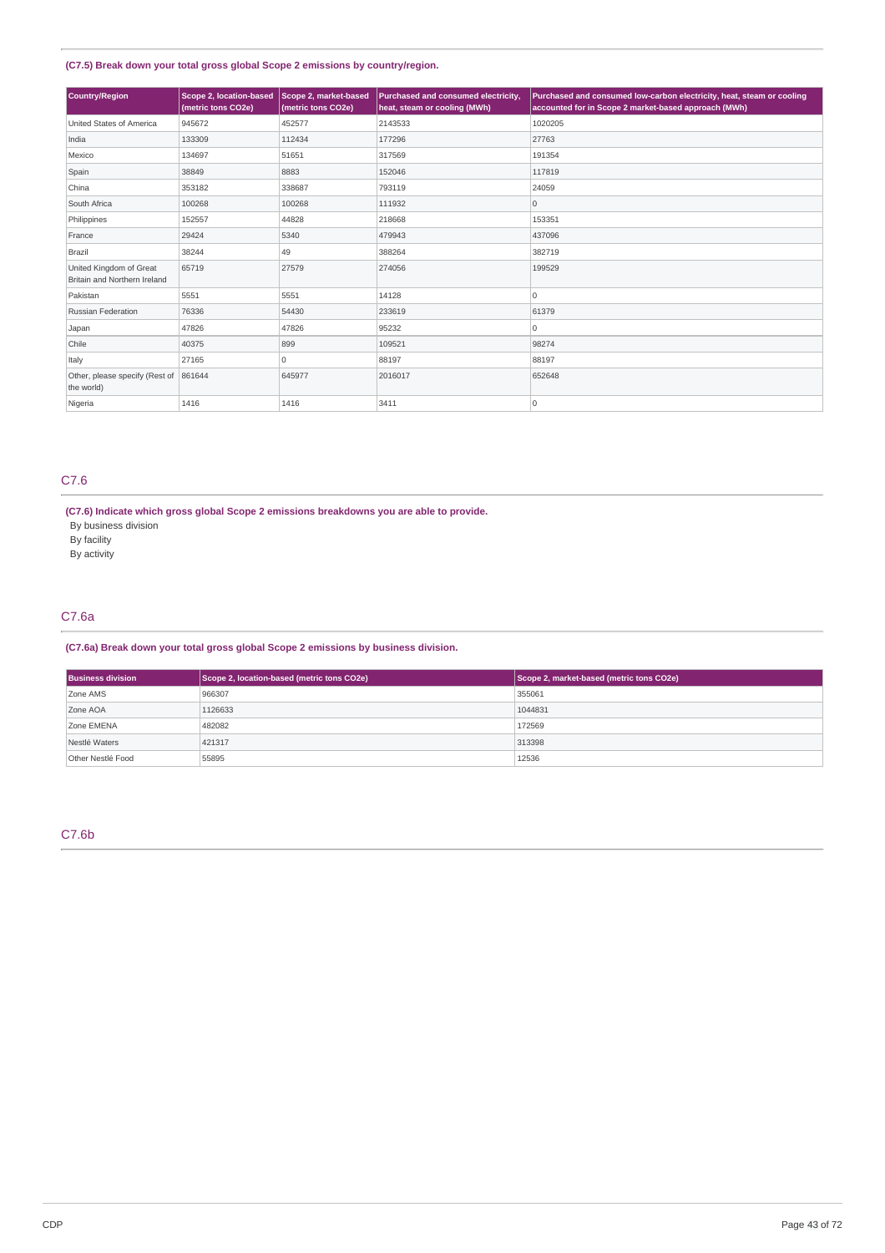## **(C7.5) Break down your total gross global Scope 2 emissions by country/region.**

| <b>Country/Region</b>                                   | Scope 2, location-based<br>(metric tons CO2e) | Scope 2, market-based<br>(metric tons CO2e) | Purchased and consumed electricity,<br>heat, steam or cooling (MWh) | Purchased and consumed low-carbon electricity, heat, steam or cooling<br>accounted for in Scope 2 market-based approach (MWh) |
|---------------------------------------------------------|-----------------------------------------------|---------------------------------------------|---------------------------------------------------------------------|-------------------------------------------------------------------------------------------------------------------------------|
| United States of America                                | 945672                                        | 452577                                      | 2143533                                                             | 1020205                                                                                                                       |
| India                                                   | 133309                                        | 112434                                      | 177296                                                              | 27763                                                                                                                         |
| Mexico                                                  | 134697                                        | 51651                                       | 317569                                                              | 191354                                                                                                                        |
| Spain                                                   | 38849                                         | 8883                                        | 152046                                                              | 117819                                                                                                                        |
| China                                                   | 353182                                        | 338687                                      | 793119                                                              | 24059                                                                                                                         |
| South Africa                                            | 100268                                        | 100268                                      | 111932                                                              | $\mathsf{O}\xspace$                                                                                                           |
| Philippines                                             | 152557                                        | 44828                                       | 218668                                                              | 153351                                                                                                                        |
| France                                                  | 29424                                         | 5340                                        | 479943                                                              | 437096                                                                                                                        |
| Brazil                                                  | 38244                                         | 49                                          | 388264                                                              | 382719                                                                                                                        |
| United Kingdom of Great<br>Britain and Northern Ireland | 65719                                         | 27579                                       | 274056                                                              | 199529                                                                                                                        |
| Pakistan                                                | 5551                                          | 5551                                        | 14128                                                               | 0                                                                                                                             |
| <b>Russian Federation</b>                               | 76336                                         | 54430                                       | 233619                                                              | 61379                                                                                                                         |
| Japan                                                   | 47826                                         | 47826                                       | 95232                                                               | $\mathbf 0$                                                                                                                   |
| Chile                                                   | 40375                                         | 899                                         | 109521                                                              | 98274                                                                                                                         |
| Italy                                                   | 27165                                         | 0                                           | 88197                                                               | 88197                                                                                                                         |
| Other, please specify (Rest of<br>the world)            | 861644                                        | 645977                                      | 2016017                                                             | 652648                                                                                                                        |
| Nigeria                                                 | 1416                                          | 1416                                        | 3411                                                                | 10                                                                                                                            |

## C7.6

**(C7.6) Indicate which gross global Scope 2 emissions breakdowns you are able to provide.**

By business division

By facility

By activity

## C7.6a

**(C7.6a) Break down your total gross global Scope 2 emissions by business division.**

| <b>Business division</b> | Scope 2, location-based (metric tons CO2e) | Scope 2, market-based (metric tons CO2e) |
|--------------------------|--------------------------------------------|------------------------------------------|
| Zone AMS                 | 966307                                     | 355061                                   |
| Zone AOA                 | 1126633                                    | 1044831                                  |
| Zone EMENA               | 482082                                     | 172569                                   |
| Nestlé Waters            | 421317                                     | 313398                                   |
| Other Nestlé Food        | 55895                                      | 12536                                    |

## C7.6b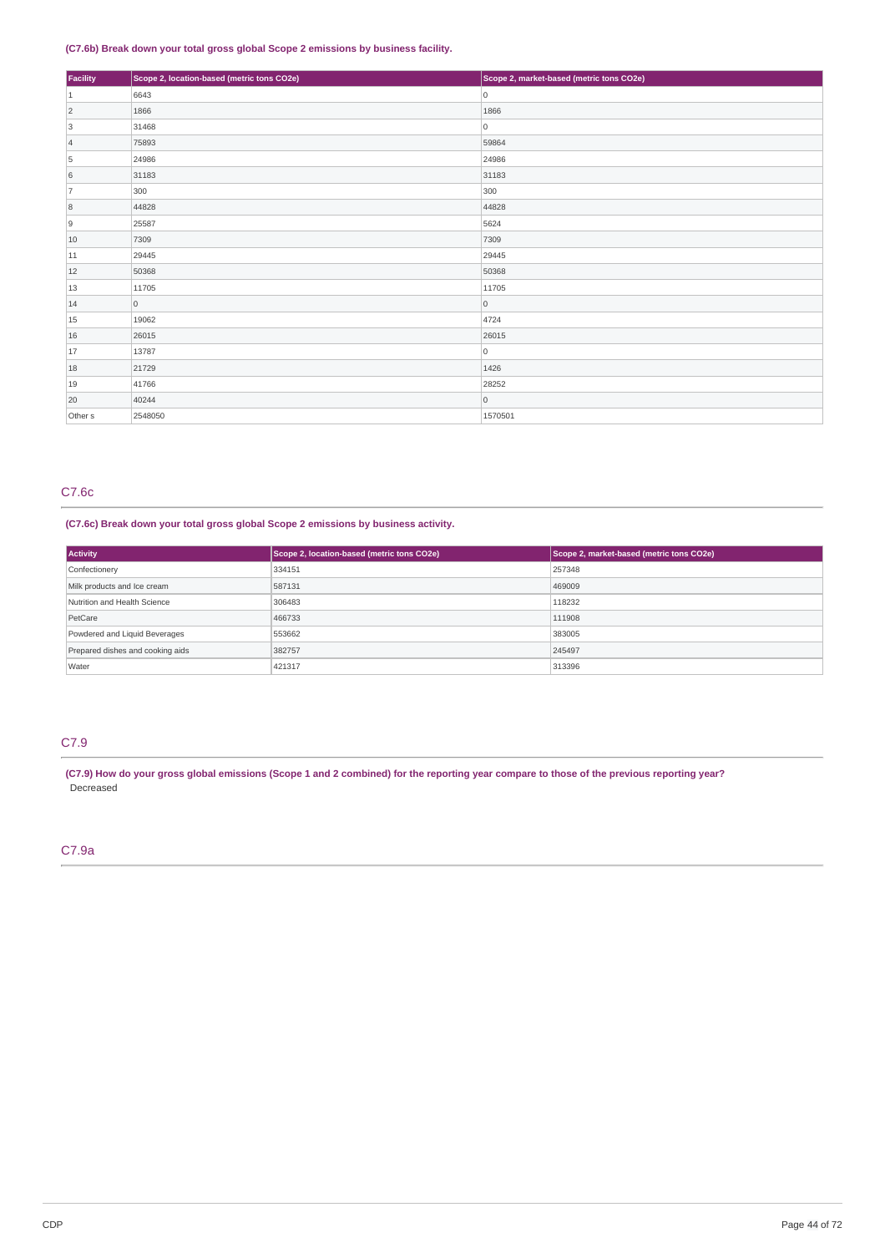## **(C7.6b) Break down your total gross global Scope 2 emissions by business facility.**

| Facility           | Scope 2, location-based (metric tons CO2e) | Scope 2, market-based (metric tons CO2e) |
|--------------------|--------------------------------------------|------------------------------------------|
| $\vert$ 1          | 6643                                       | 0                                        |
| $\overline{2}$     | 1866                                       | 1866                                     |
| 3                  | 31468                                      | 0                                        |
| $\vert 4 \vert$    | 75893                                      | 59864                                    |
| 5                  | 24986                                      | 24986                                    |
| 6                  | 31183                                      | 31183                                    |
| 7                  | 300                                        | 300                                      |
| 8                  | 44828                                      | 44828                                    |
| 9                  | 25587                                      | 5624                                     |
| 10                 | 7309                                       | 7309                                     |
| 11                 | 29445                                      | 29445                                    |
| 12                 | 50368                                      | 50368                                    |
| 13                 | 11705                                      | 11705                                    |
| 14                 | $\overline{0}$                             | 0                                        |
| 15                 | 19062                                      | 4724                                     |
| 16                 | 26015                                      | 26015                                    |
| 17                 | 13787                                      | 0                                        |
| 18                 | 21729                                      | 1426                                     |
| 19                 | 41766                                      | 28252                                    |
| 20                 | 40244                                      | 0                                        |
| Other <sub>s</sub> | 2548050                                    | 1570501                                  |

## C7.6c

## **(C7.6c) Break down your total gross global Scope 2 emissions by business activity.**

| <b>Activity</b>                  | Scope 2, location-based (metric tons CO2e) | Scope 2, market-based (metric tons CO2e) |
|----------------------------------|--------------------------------------------|------------------------------------------|
| Confectionery                    | 334151                                     | 257348                                   |
| Milk products and Ice cream      | 587131                                     | 469009                                   |
| Nutrition and Health Science     | 306483                                     | 118232                                   |
| PetCare                          | 466733                                     | 111908                                   |
| Powdered and Liquid Beverages    | 553662                                     | 383005                                   |
| Prepared dishes and cooking aids | 382757                                     | 245497                                   |
| Water                            | 421317                                     | 313396                                   |

## C7.9

(C7.9) How do your gross global emissions (Scope 1 and 2 combined) for the reporting year compare to those of the previous reporting year? Decreased

## C7.9a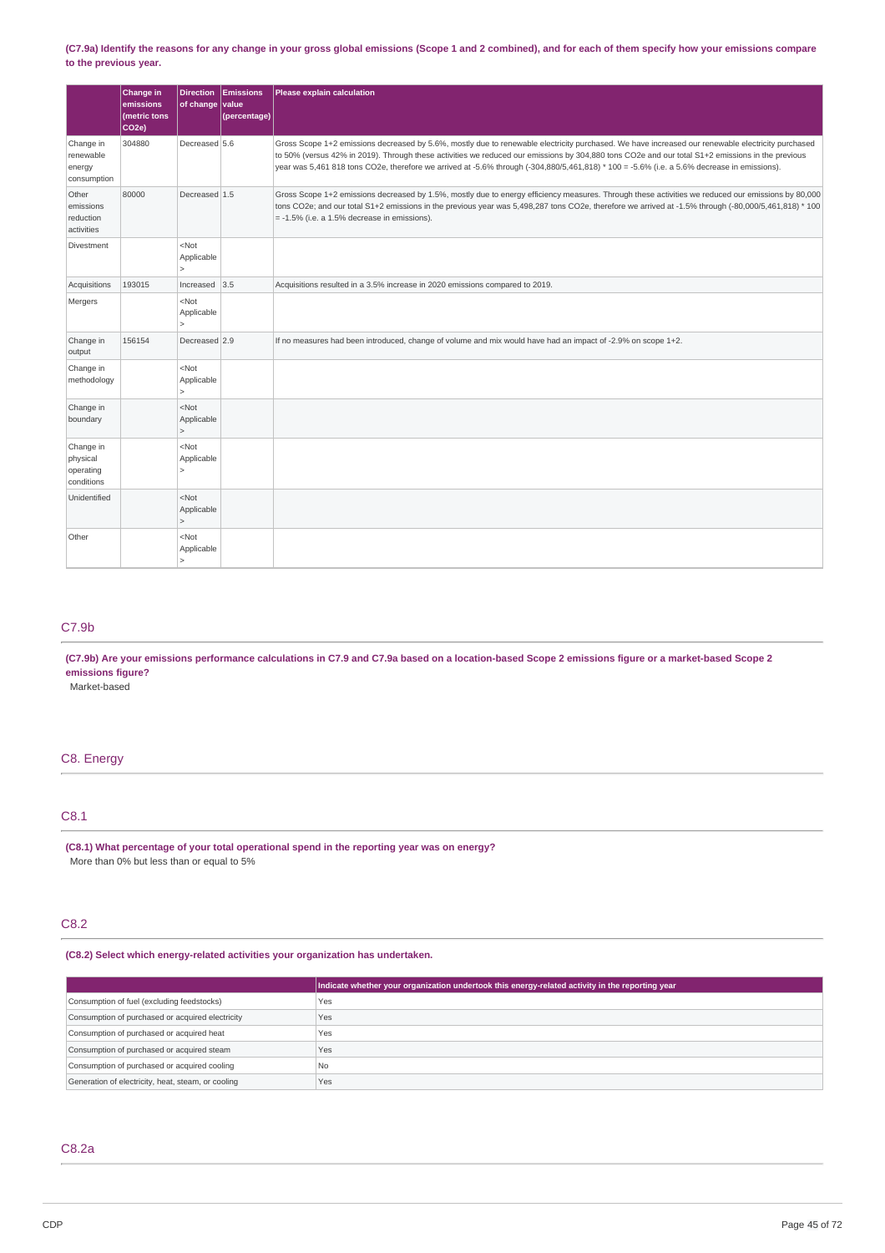### (C7.9a) Identify the reasons for any change in your gross global emissions (Scope 1 and 2 combined), and for each of them specify how your emissions compare **to the previous year.**

|                                                  | Change in<br>emissions<br>(metric tons<br>CO <sub>2e</sub> ) | of change value                                           | Direction Emissions<br>(percentage) | Please explain calculation                                                                                                                                                                                                                                                                                                                                                                                                                           |
|--------------------------------------------------|--------------------------------------------------------------|-----------------------------------------------------------|-------------------------------------|------------------------------------------------------------------------------------------------------------------------------------------------------------------------------------------------------------------------------------------------------------------------------------------------------------------------------------------------------------------------------------------------------------------------------------------------------|
| Change in<br>renewable<br>energy<br>consumption  | 304880                                                       | Decreased 5.6                                             |                                     | Gross Scope 1+2 emissions decreased by 5.6%, mostly due to renewable electricity purchased. We have increased our renewable electricity purchased<br>to 50% (versus 42% in 2019). Through these activities we reduced our emissions by 304,880 tons CO2e and our total S1+2 emissions in the previous<br>year was 5,461 818 tons CO2e, therefore we arrived at -5.6% through (-304,880/5,461,818) * 100 = -5.6% (i.e. a 5.6% decrease in emissions). |
| Other<br>emissions<br>reduction<br>activities    | 80000                                                        | Decreased 1.5                                             |                                     | Gross Scope 1+2 emissions decreased by 1.5%, mostly due to energy efficiency measures. Through these activities we reduced our emissions by 80,000<br>tons CO2e; and our total S1+2 emissions in the previous year was 5,498,287 tons CO2e, therefore we arrived at -1.5% through (-80,000/5,461,818) * 100<br>$= -1.5\%$ (i.e. a 1.5% decrease in emissions).                                                                                       |
| Divestment                                       |                                                              | <not<br>Applicable<br/><math>\overline{ }</math></not<br> |                                     |                                                                                                                                                                                                                                                                                                                                                                                                                                                      |
| Acquisitions                                     | 193015                                                       | Increased $ 3.5$                                          |                                     | Acquisitions resulted in a 3.5% increase in 2020 emissions compared to 2019.                                                                                                                                                                                                                                                                                                                                                                         |
| Mergers                                          |                                                              | <not<br>Applicable</not<br>                               |                                     |                                                                                                                                                                                                                                                                                                                                                                                                                                                      |
| Change in<br>output                              | 156154                                                       | Decreased 2.9                                             |                                     | If no measures had been introduced, change of volume and mix would have had an impact of -2.9% on scope 1+2.                                                                                                                                                                                                                                                                                                                                         |
| Change in<br>methodology                         |                                                              | <not<br>Applicable<br/><math>\mathbf{r}</math></not<br>   |                                     |                                                                                                                                                                                                                                                                                                                                                                                                                                                      |
| Change in<br>boundary                            |                                                              | <not<br>Applicable<br/><math>\mathbf{r}</math></not<br>   |                                     |                                                                                                                                                                                                                                                                                                                                                                                                                                                      |
| Change in<br>physical<br>operating<br>conditions |                                                              | <not<br>Applicable<br/>Š</not<br>                         |                                     |                                                                                                                                                                                                                                                                                                                                                                                                                                                      |
| Unidentified                                     |                                                              | <not<br>Applicable<br/><math>\mathbf{r}</math></not<br>   |                                     |                                                                                                                                                                                                                                                                                                                                                                                                                                                      |
| Other                                            |                                                              | <not<br>Applicable<br/><math>\mathbf{r}</math></not<br>   |                                     |                                                                                                                                                                                                                                                                                                                                                                                                                                                      |

## C7.9b

## (C7.9b) Are your emissions performance calculations in C7.9 and C7.9a based on a location-based Scope 2 emissions figure or a market-based Scope 2 **emissions figure?**

Market-based

## C8. Energy

## C8.1

**(C8.1) What percentage of your total operational spend in the reporting year was on energy?** More than 0% but less than or equal to 5%

## C8.2

## **(C8.2) Select which energy-related activities your organization has undertaken.**

|                                                    | Indicate whether your organization undertook this energy-related activity in the reporting year |
|----------------------------------------------------|-------------------------------------------------------------------------------------------------|
| Consumption of fuel (excluding feedstocks)         | Yes                                                                                             |
| Consumption of purchased or acquired electricity   | Yes                                                                                             |
| Consumption of purchased or acquired heat          | Yes                                                                                             |
| Consumption of purchased or acquired steam         | Yes                                                                                             |
| Consumption of purchased or acquired cooling       | l No                                                                                            |
| Generation of electricity, heat, steam, or cooling | Yes                                                                                             |

## C8.2a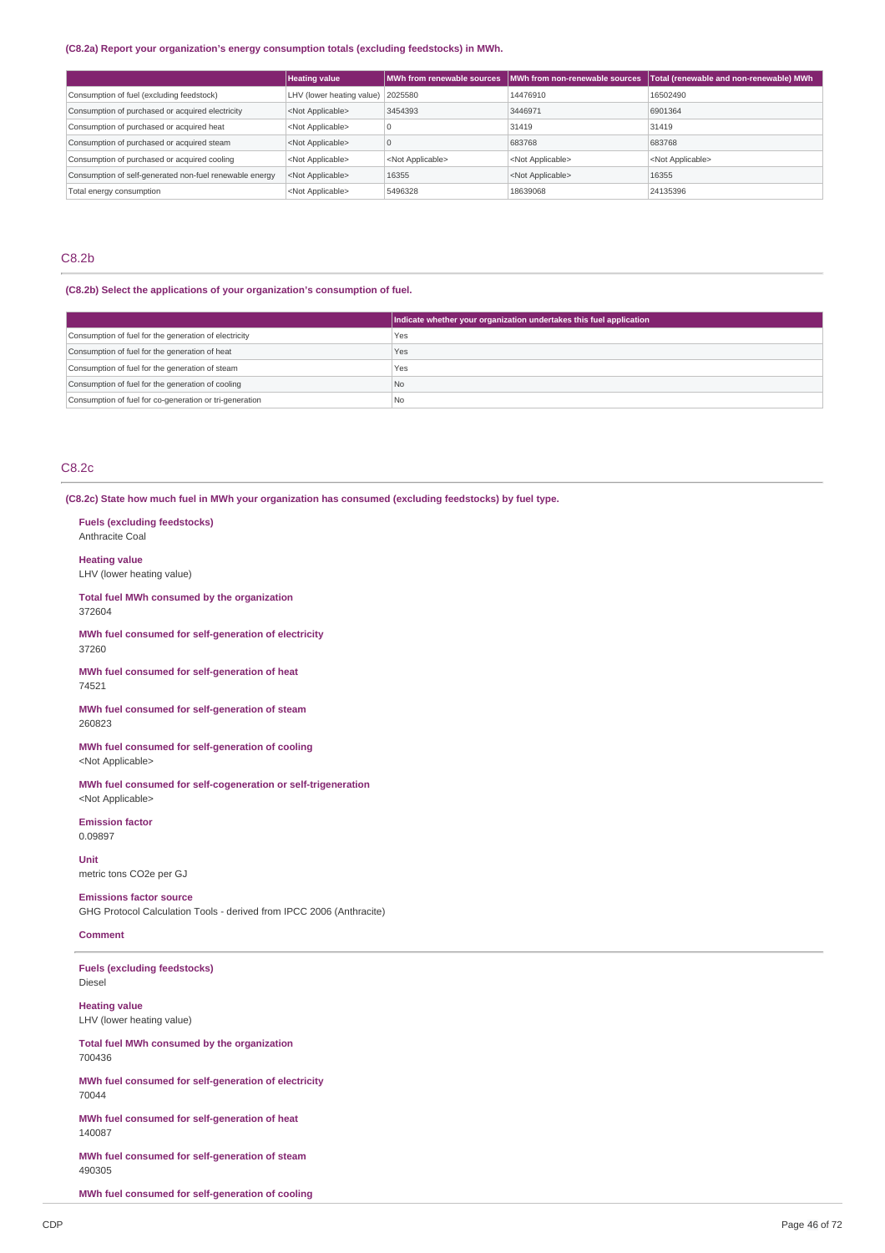## **(C8.2a) Report your organization's energy consumption totals (excluding feedstocks) in MWh.**

|                                                         | <b>Heating value</b>              | MWh from renewable sources | MWh from non-renewable sources | Total (renewable and non-renewable) MWh |
|---------------------------------------------------------|-----------------------------------|----------------------------|--------------------------------|-----------------------------------------|
| Consumption of fuel (excluding feedstock)               | LHV (lower heating value) 2025580 |                            | 14476910                       | 16502490                                |
| Consumption of purchased or acquired electricity        | <not applicable=""></not>         | 3454393                    | 3446971                        | 6901364                                 |
| Consumption of purchased or acquired heat               | <not applicable=""></not>         |                            | 31419                          | 31419                                   |
| Consumption of purchased or acquired steam              | <not applicable=""></not>         |                            | 683768                         | 683768                                  |
| Consumption of purchased or acquired cooling            | <not applicable=""></not>         | <not applicable=""></not>  | <not applicable=""></not>      | <not applicable=""></not>               |
| Consumption of self-generated non-fuel renewable energy | <not applicable=""></not>         | 16355                      | <not applicable=""></not>      | 16355                                   |
| Total energy consumption                                | <not applicable=""></not>         | 5496328                    | 18639068                       | 24135396                                |

## C8.2b

## **(C8.2b) Select the applications of your organization's consumption of fuel.**

|                                                         | Indicate whether your organization undertakes this fuel application |
|---------------------------------------------------------|---------------------------------------------------------------------|
| Consumption of fuel for the generation of electricity   | <b>Yes</b>                                                          |
| Consumption of fuel for the generation of heat          | Yes                                                                 |
| Consumption of fuel for the generation of steam         | Yes                                                                 |
| Consumption of fuel for the generation of cooling       | l No                                                                |
| Consumption of fuel for co-generation or tri-generation | l No                                                                |

## C8.2c

**(C8.2c) State how much fuel in MWh your organization has consumed (excluding feedstocks) by fuel type.**

**Fuels (excluding feedstocks)** Anthracite Coal **Heating value** LHV (lower heating value) **Total fuel MWh consumed by the organization** 372604 **MWh fuel consumed for self-generation of electricity** 37260 **MWh fuel consumed for self-generation of heat** 74521 **MWh fuel consumed for self-generation of steam** 260823 **MWh fuel consumed for self-generation of cooling** <Not Applicable> **MWh fuel consumed for self-cogeneration or self-trigeneration** <Not Applicable> **Emission factor** 0.09897 **Unit** metric tons CO2e per GJ **Emissions factor source** GHG Protocol Calculation Tools - derived from IPCC 2006 (Anthracite) **Comment Fuels (excluding feedstocks)** Diesel **Heating value** LHV (lower heating value) **Total fuel MWh consumed by the organization** 700436 **MWh fuel consumed for self-generation of electricity**

**MWh fuel consumed for self-generation of heat** 140087

**MWh fuel consumed for self-generation of steam** 490305

**MWh fuel consumed for self-generation of cooling**

70044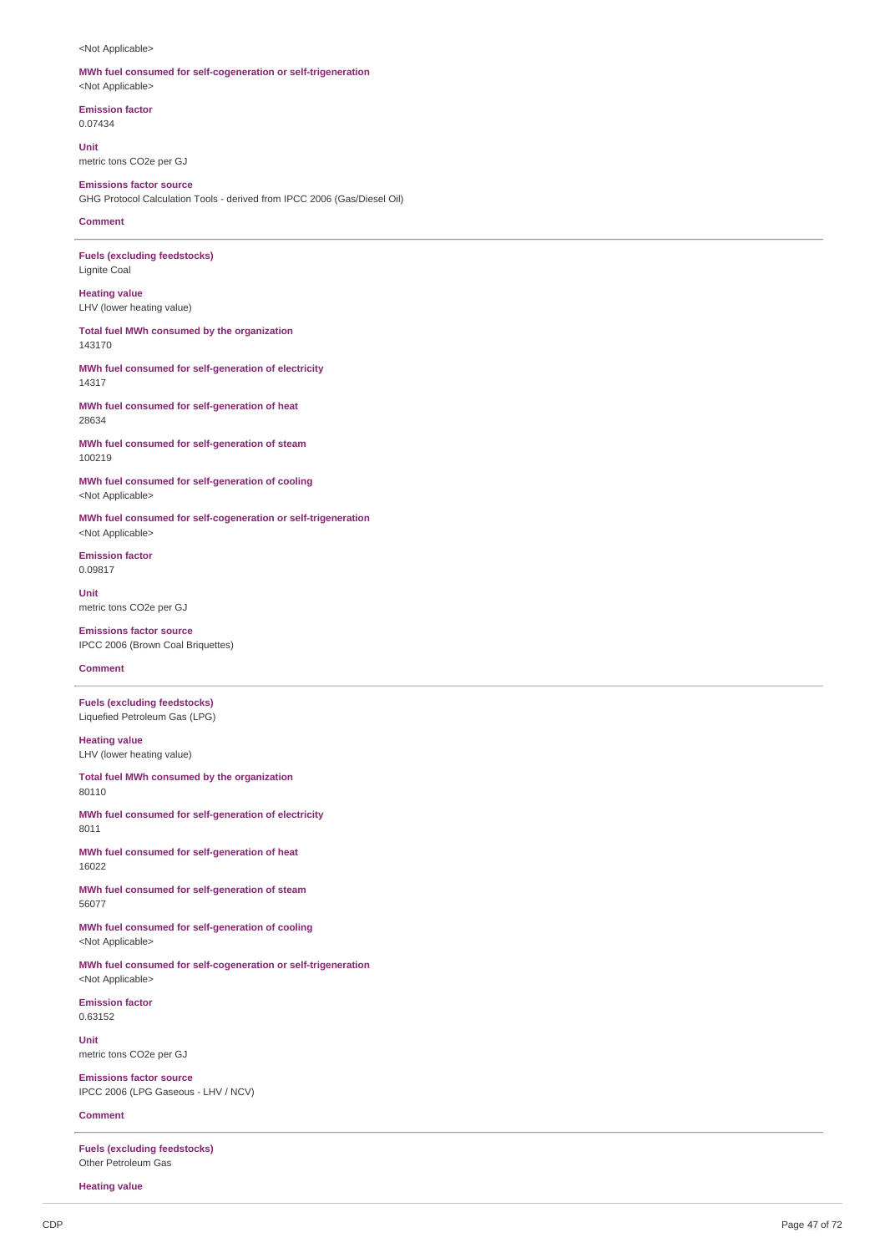<Not Applicable>

### **MWh fuel consumed for self-cogeneration or self-trigeneration** <Not Applicable>

**Emission factor** 0.07434

**Unit** metric tons CO2e per GJ

**Emissions factor source** GHG Protocol Calculation Tools - derived from IPCC 2006 (Gas/Diesel Oil)

**Comment**

**Fuels (excluding feedstocks)** Lignite Coal

**Heating value** LHV (lower heating value)

**Total fuel MWh consumed by the organization** 143170

**MWh fuel consumed for self-generation of electricity** 14317

**MWh fuel consumed for self-generation of heat** 28634

**MWh fuel consumed for self-generation of steam** 100219

**MWh fuel consumed for self-generation of cooling** <Not Applicable>

**MWh fuel consumed for self-cogeneration or self-trigeneration** <Not Applicable>

**Emission factor** 0.09817

**Unit** metric tons CO2e per GJ

**Emissions factor source** IPCC 2006 (Brown Coal Briquettes)

**Comment**

**Fuels (excluding feedstocks)** Liquefied Petroleum Gas (LPG)

**Heating value** LHV (lower heating value)

**Total fuel MWh consumed by the organization** 80110

**MWh fuel consumed for self-generation of electricity** 8011

**MWh fuel consumed for self-generation of heat** 16022

**MWh fuel consumed for self-generation of steam** 56077

**MWh fuel consumed for self-generation of cooling** <Not Applicable>

**MWh fuel consumed for self-cogeneration or self-trigeneration** <Not Applicable>

**Emission factor** 0.63152

**Unit** metric tons CO2e per GJ

**Emissions factor source** IPCC 2006 (LPG Gaseous - LHV / NCV)

**Comment**

**Fuels (excluding feedstocks)** Other Petroleum Gas

**Heating value**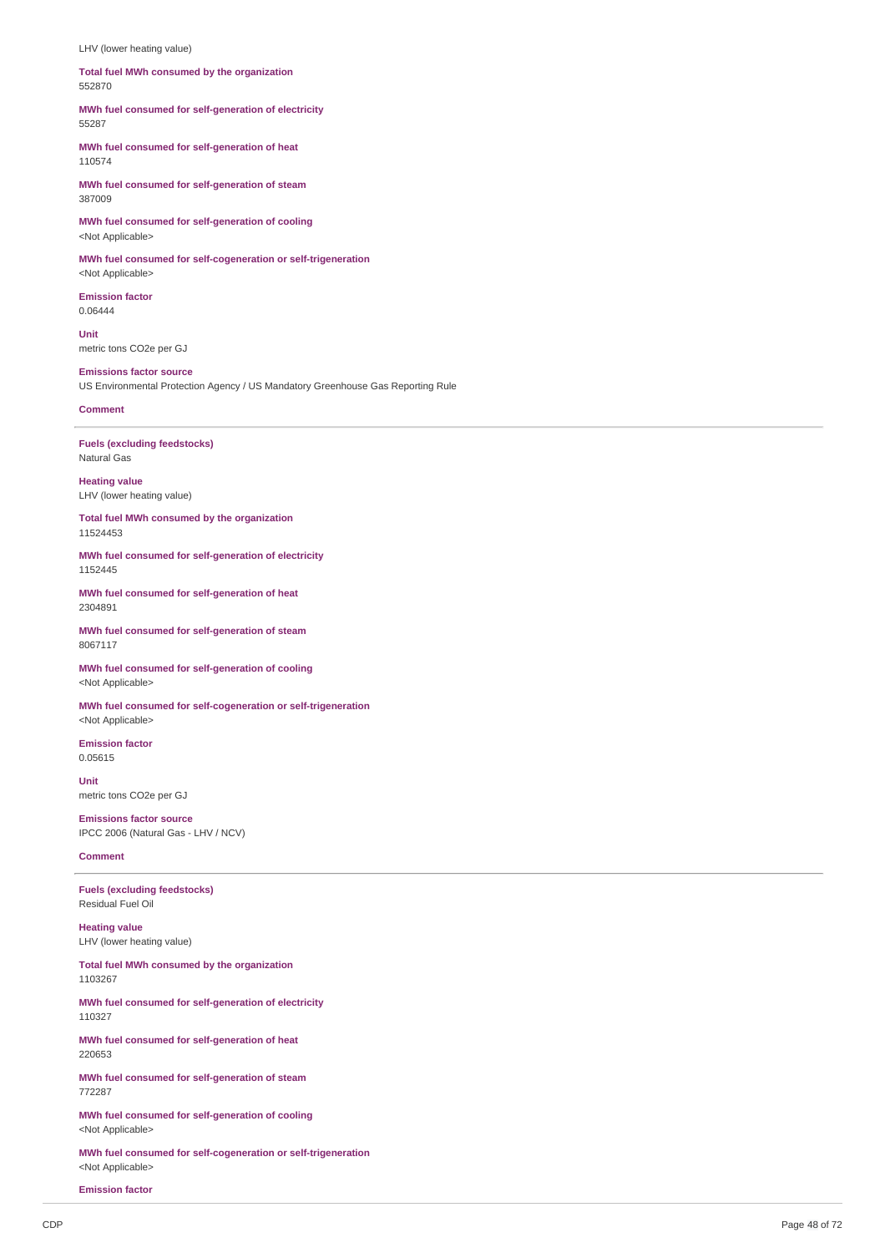LHV (lower heating value)

**Total fuel MWh consumed by the organization** 552870

**MWh fuel consumed for self-generation of electricity** 55287

**MWh fuel consumed for self-generation of heat** 110574

**MWh fuel consumed for self-generation of steam** 387009

**MWh fuel consumed for self-generation of cooling** <Not Applicable>

**MWh fuel consumed for self-cogeneration or self-trigeneration** <Not Applicable>

**Emission factor** 0.06444

**Unit** metric tons CO2e per GJ

**Emissions factor source** US Environmental Protection Agency / US Mandatory Greenhouse Gas Reporting Rule

**Comment**

**Fuels (excluding feedstocks)** Natural Gas

**Heating value** LHV (lower heating value)

**Total fuel MWh consumed by the organization** 11524453

**MWh fuel consumed for self-generation of electricity** 1152445

**MWh fuel consumed for self-generation of heat** 2304891

**MWh fuel consumed for self-generation of steam** 8067117

**MWh fuel consumed for self-generation of cooling** <Not Applicable>

**MWh fuel consumed for self-cogeneration or self-trigeneration** <Not Applicable>

**Emission factor** 0.05615

**Unit** metric tons CO2e per GJ

**Emissions factor source** IPCC 2006 (Natural Gas - LHV / NCV)

**Comment**

**Fuels (excluding feedstocks)** Residual Fuel Oil

**Heating value** LHV (lower heating value)

**Total fuel MWh consumed by the organization** 1103267

**MWh fuel consumed for self-generation of electricity** 110327

**MWh fuel consumed for self-generation of heat** 220653

**MWh fuel consumed for self-generation of steam** 772287

**MWh fuel consumed for self-generation of cooling** <Not Applicable>

**MWh fuel consumed for self-cogeneration or self-trigeneration** <Not Applicable>

**Emission factor**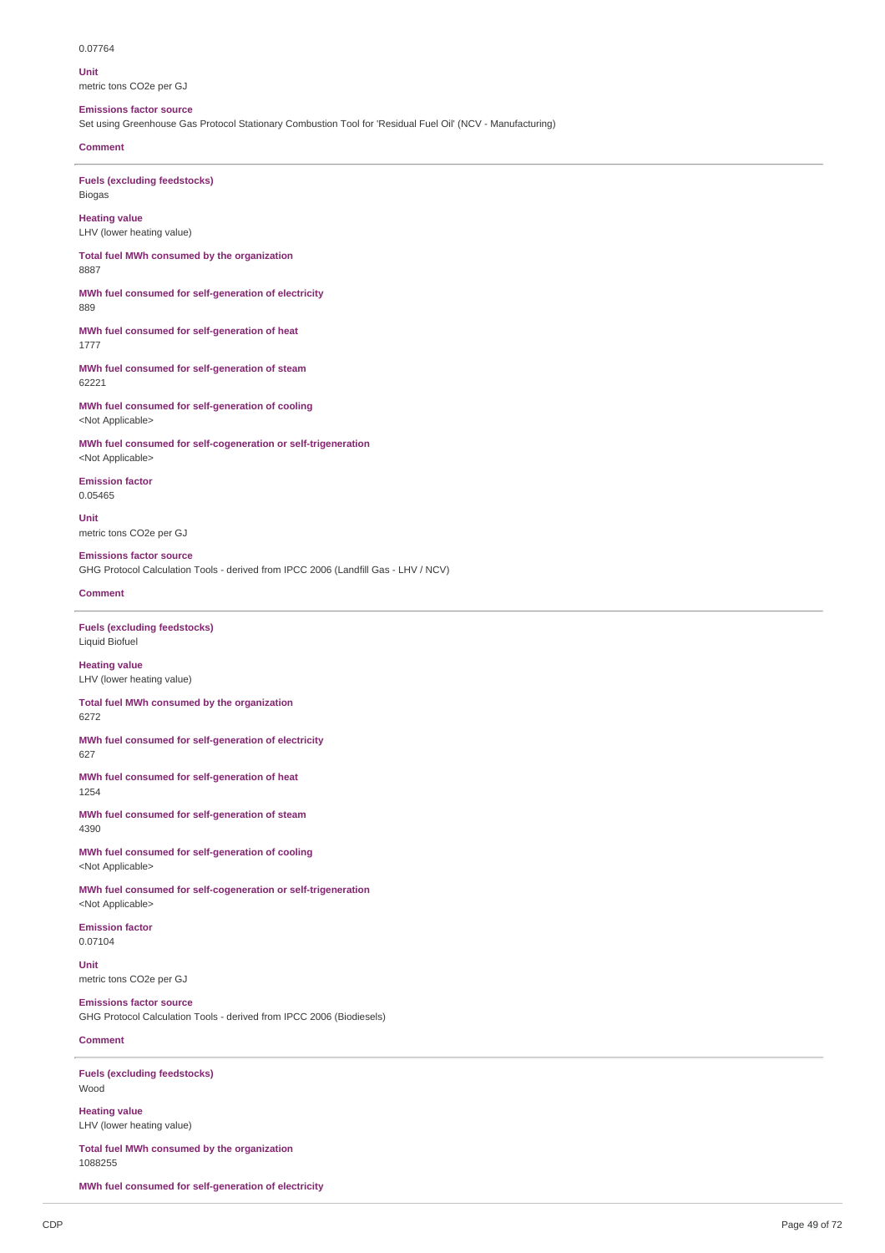0.07764

**Unit** metric tons CO2e per GJ

### **Emissions factor source**

Set using Greenhouse Gas Protocol Stationary Combustion Tool for 'Residual Fuel Oil' (NCV - Manufacturing)

**Comment**

**Fuels (excluding feedstocks)** Biogas

**Heating value** LHV (lower heating value)

**Total fuel MWh consumed by the organization** 8887

**MWh fuel consumed for self-generation of electricity** 889

**MWh fuel consumed for self-generation of heat** 1777

**MWh fuel consumed for self-generation of steam** 62221

**MWh fuel consumed for self-generation of cooling** <Not Applicable>

**MWh fuel consumed for self-cogeneration or self-trigeneration** <Not Applicable>

**Emission factor** 0.05465

**Unit** metric tons CO2e per GJ

## **Emissions factor source**

GHG Protocol Calculation Tools - derived from IPCC 2006 (Landfill Gas - LHV / NCV)

## **Comment**

**Fuels (excluding feedstocks)** Liquid Biofuel

**Heating value** LHV (lower heating value)

**Total fuel MWh consumed by the organization** 6272

**MWh fuel consumed for self-generation of electricity** 627

**MWh fuel consumed for self-generation of heat** 1254

**MWh fuel consumed for self-generation of steam** 4390

**MWh fuel consumed for self-generation of cooling** <Not Applicable>

**MWh fuel consumed for self-cogeneration or self-trigeneration** <Not Applicable>

**Emission factor** 0.07104

**Unit** metric tons CO2e per GJ

**Emissions factor source** GHG Protocol Calculation Tools - derived from IPCC 2006 (Biodiesels)

### **Comment**

**Fuels (excluding feedstocks)** Wood

**Heating value** LHV (lower heating value)

**Total fuel MWh consumed by the organization** 1088255

**MWh fuel consumed for self-generation of electricity**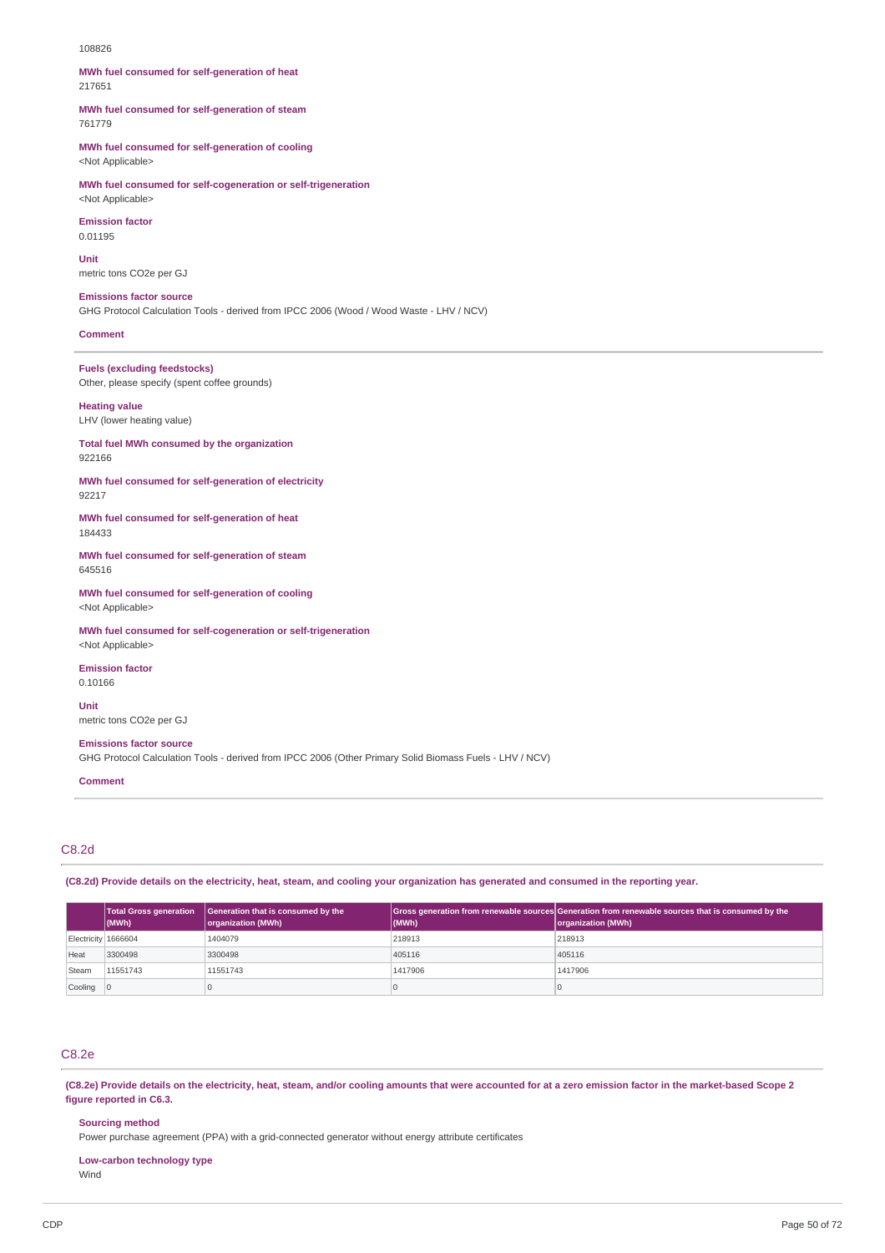#### 108826

**MWh fuel consumed for self-generation of heat** 217651

**MWh fuel consumed for self-generation of steam** 761779

**MWh fuel consumed for self-generation of cooling** <Not Applicable>

**MWh fuel consumed for self-cogeneration or self-trigeneration** <Not Applicable>

**Emission factor**

0.01195

**Unit** metric tons CO2e per GJ

**Emissions factor source**

GHG Protocol Calculation Tools - derived from IPCC 2006 (Wood / Wood Waste - LHV / NCV)

**Comment**

**Fuels (excluding feedstocks)** Other, please specify (spent coffee grounds)

**Heating value**

LHV (lower heating value)

**Total fuel MWh consumed by the organization** 922166

**MWh fuel consumed for self-generation of electricity** 92217

**MWh fuel consumed for self-generation of heat** 184433

**MWh fuel consumed for self-generation of steam** 645516

**MWh fuel consumed for self-generation of cooling** <Not Applicable>

**MWh fuel consumed for self-cogeneration or self-trigeneration** <Not Applicable>

**Emission factor** 0.10166

**Unit**

metric tons CO2e per GJ

**Emissions factor source**

GHG Protocol Calculation Tools - derived from IPCC 2006 (Other Primary Solid Biomass Fuels - LHV / NCV)

**Comment**

## C8.2d

(C8.2d) Provide details on the electricity, heat, steam, and cooling your organization has generated and consumed in the reporting year.

|                     | <b>Total Gross generation</b><br>$ $ (MWh) | Generation that is consumed by the<br>organization (MWh) | (MWh)   | Gross generation from renewable sources Generation from renewable sources that is consumed by the<br>organization (MWh) |
|---------------------|--------------------------------------------|----------------------------------------------------------|---------|-------------------------------------------------------------------------------------------------------------------------|
| Electricity 1666604 |                                            | 1404079                                                  | 218913  | 218913                                                                                                                  |
| Heat                | 3300498                                    | 3300498                                                  | 405116  | 405116                                                                                                                  |
| Steam               | 11551743                                   | 11551743                                                 | 1417906 | 1417906                                                                                                                 |
| Cooling             |                                            |                                                          |         |                                                                                                                         |

## C8.2e

(C8.2e) Provide details on the electricity, heat, steam, and/or cooling amounts that were accounted for at a zero emission factor in the market-based Scope 2 **figure reported in C6.3.**

**Sourcing method**

Power purchase agreement (PPA) with a grid-connected generator without energy attribute certificates

**Low-carbon technology type** Wind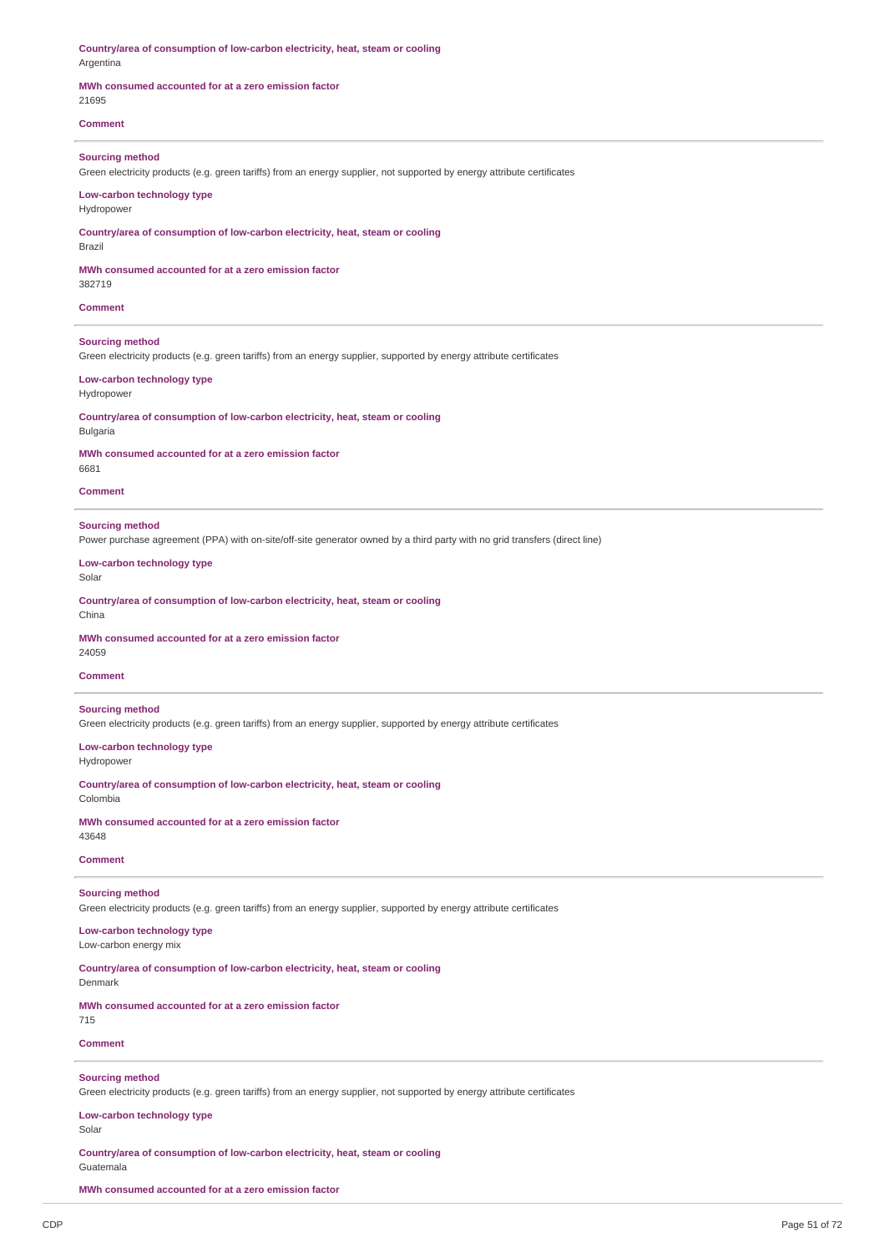**Country/area of consumption of low-carbon electricity, heat, steam or cooling** Argentina

### **MWh consumed accounted for at a zero emission factor**

21695

## **Comment**

### **Sourcing method**

Green electricity products (e.g. green tariffs) from an energy supplier, not supported by energy attribute certificates

### **Low-carbon technology type**

## Hydropower

**Country/area of consumption of low-carbon electricity, heat, steam or cooling**

Brazil

**MWh consumed accounted for at a zero emission factor**

382719

**Comment**

### **Sourcing method**

Green electricity products (e.g. green tariffs) from an energy supplier, supported by energy attribute certificates

### **Low-carbon technology type**

Hydropower

**Country/area of consumption of low-carbon electricity, heat, steam or cooling** Bulgaria

## **MWh consumed accounted for at a zero emission factor**

6681

### **Comment**

### **Sourcing method**

Power purchase agreement (PPA) with on-site/off-site generator owned by a third party with no grid transfers (direct line)

**Low-carbon technology type**

Solar

**Country/area of consumption of low-carbon electricity, heat, steam or cooling** China

### **MWh consumed accounted for at a zero emission factor**

24059

## **Comment**

## **Sourcing method**

Green electricity products (e.g. green tariffs) from an energy supplier, supported by energy attribute certificates

## **Low-carbon technology type**

Hydropower

**Country/area of consumption of low-carbon electricity, heat, steam or cooling** Colombia

**MWh consumed accounted for at a zero emission factor**

## 43648

## **Comment**

## **Sourcing method**

Green electricity products (e.g. green tariffs) from an energy supplier, supported by energy attribute certificates

## **Low-carbon technology type**

Low-carbon energy mix

## **Country/area of consumption of low-carbon electricity, heat, steam or cooling**

Denmark

## **MWh consumed accounted for at a zero emission factor**

715

## **Comment**

### **Sourcing method**

Green electricity products (e.g. green tariffs) from an energy supplier, not supported by energy attribute certificates

## **Low-carbon technology type**

Solar

## **Country/area of consumption of low-carbon electricity, heat, steam or cooling**

Guatemala

## **MWh consumed accounted for at a zero emission factor**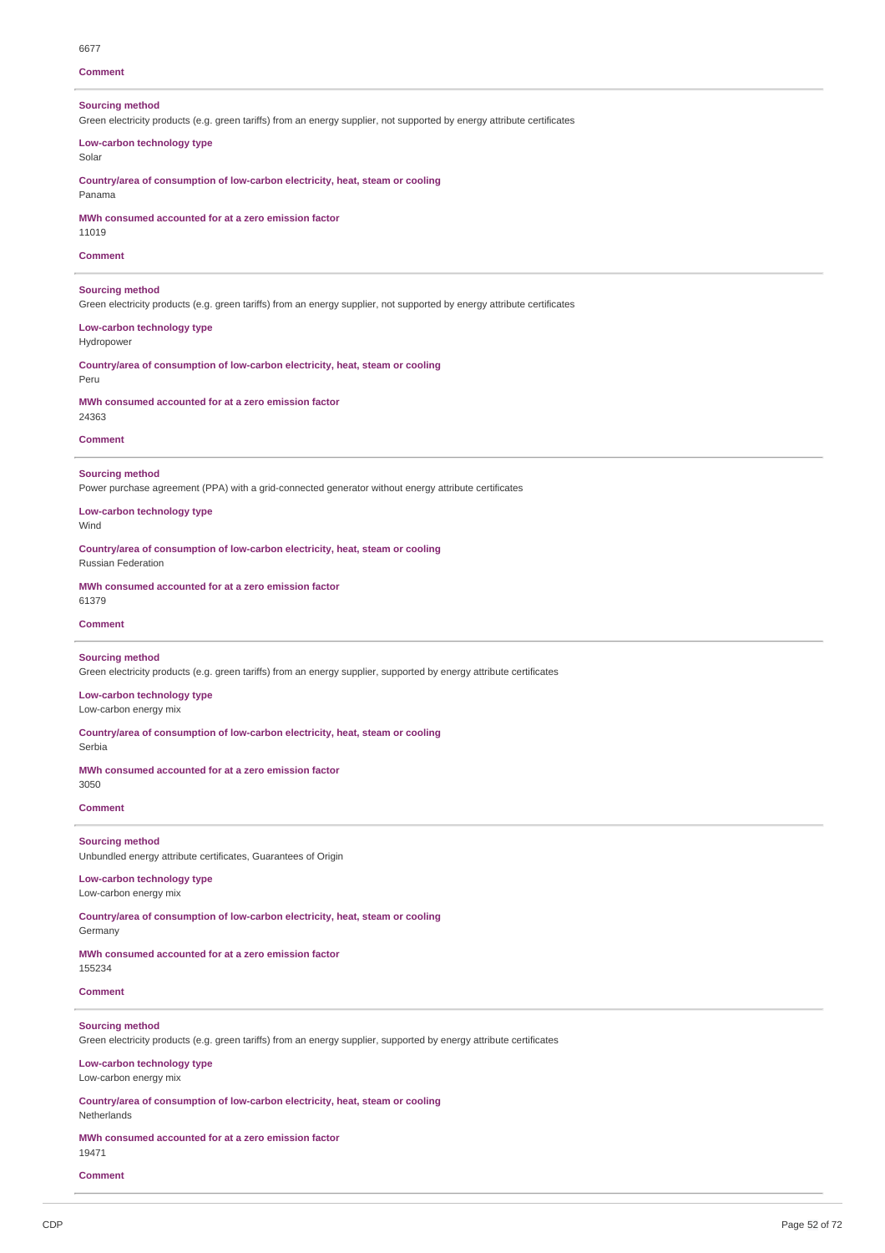## 6677 **Comment Sourcing method** Green electricity products (e.g. green tariffs) from an energy supplier, not supported by energy attribute certificates **Low-carbon technology type** Solar **Country/area of consumption of low-carbon electricity, heat, steam or cooling** Panama **MWh consumed accounted for at a zero emission factor** 11019 **Comment Sourcing method**

Green electricity products (e.g. green tariffs) from an energy supplier, not supported by energy attribute certificates

### **Low-carbon technology type** Hydropower

**Country/area of consumption of low-carbon electricity, heat, steam or cooling**

**MWh consumed accounted for at a zero emission factor**

# 24363

Peru

**Comment**

### **Sourcing method**

Power purchase agreement (PPA) with a grid-connected generator without energy attribute certificates

**Low-carbon technology type** Wind

**Country/area of consumption of low-carbon electricity, heat, steam or cooling**

Russian Federation

**MWh consumed accounted for at a zero emission factor** 61379

### **Comment**

## **Sourcing method**

Green electricity products (e.g. green tariffs) from an energy supplier, supported by energy attribute certificates

**Low-carbon technology type** Low-carbon energy mix

**Country/area of consumption of low-carbon electricity, heat, steam or cooling**

Serbia

**MWh consumed accounted for at a zero emission factor** 3050

**Comment**

## **Sourcing method**

Unbundled energy attribute certificates, Guarantees of Origin

### **Low-carbon technology type** Low-carbon energy mix

**Country/area of consumption of low-carbon electricity, heat, steam or cooling**

### Germany

**MWh consumed accounted for at a zero emission factor**

155234

## **Comment**

### **Sourcing method**

Green electricity products (e.g. green tariffs) from an energy supplier, supported by energy attribute certificates

## **Low-carbon technology type**

Low-carbon energy mix

**Country/area of consumption of low-carbon electricity, heat, steam or cooling**

## Netherlands

**MWh consumed accounted for at a zero emission factor**

## 19471

**Comment**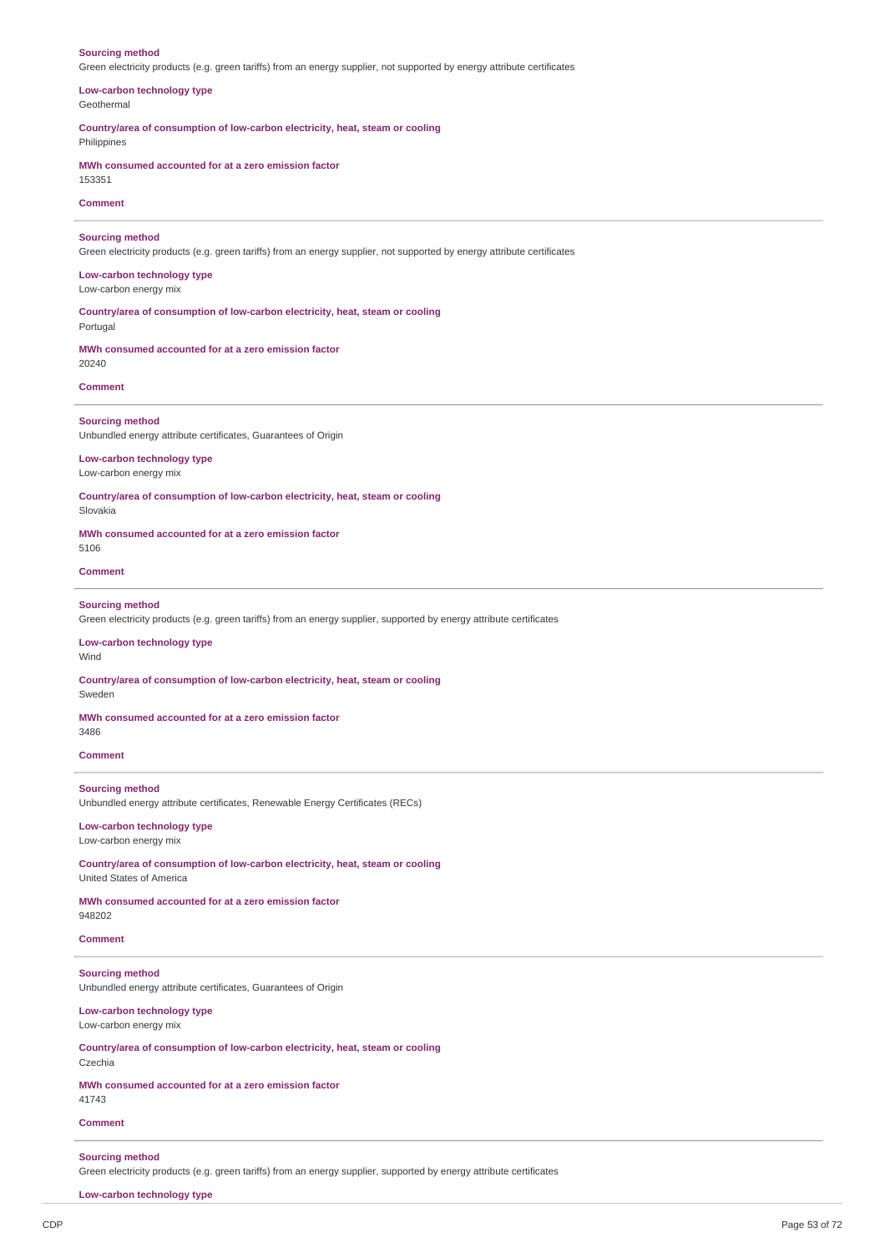### **Sourcing method**

Green electricity products (e.g. green tariffs) from an energy supplier, not supported by energy attribute certificates

## **Low-carbon technology type**

Geothermal

Philippines

**Country/area of consumption of low-carbon electricity, heat, steam or cooling**

## **MWh consumed accounted for at a zero emission factor**

153351

## **Comment**

### **Sourcing method**

Green electricity products (e.g. green tariffs) from an energy supplier, not supported by energy attribute certificates

### **Low-carbon technology type**

Low-carbon energy mix

**Country/area of consumption of low-carbon electricity, heat, steam or cooling** Portugal

## **MWh consumed accounted for at a zero emission factor**

### **Comment**

20240

## **Sourcing method**

Unbundled energy attribute certificates, Guarantees of Origin

### **Low-carbon technology type** Low-carbon energy mix

**Country/area of consumption of low-carbon electricity, heat, steam or cooling**

Slovakia

**MWh consumed accounted for at a zero emission factor** 5106

## **Comment**

## **Sourcing method**

Green electricity products (e.g. green tariffs) from an energy supplier, supported by energy attribute certificates

## **Low-carbon technology type**

Wind

**Country/area of consumption of low-carbon electricity, heat, steam or cooling**

## Sweden

**MWh consumed accounted for at a zero emission factor**

3486

**Comment**

## **Sourcing method**

Unbundled energy attribute certificates, Renewable Energy Certificates (RECs)

## **Low-carbon technology type**

Low-carbon energy mix

**Country/area of consumption of low-carbon electricity, heat, steam or cooling** United States of America

### **MWh consumed accounted for at a zero emission factor** 948202

**Comment**

### **Sourcing method**

Unbundled energy attribute certificates, Guarantees of Origin

## **Low-carbon technology type**

Low-carbon energy mix

**Country/area of consumption of low-carbon electricity, heat, steam or cooling** Czechia

## **MWh consumed accounted for at a zero emission factor** 41743

## **Comment**

### **Sourcing method**

Green electricity products (e.g. green tariffs) from an energy supplier, supported by energy attribute certificates

**Low-carbon technology type**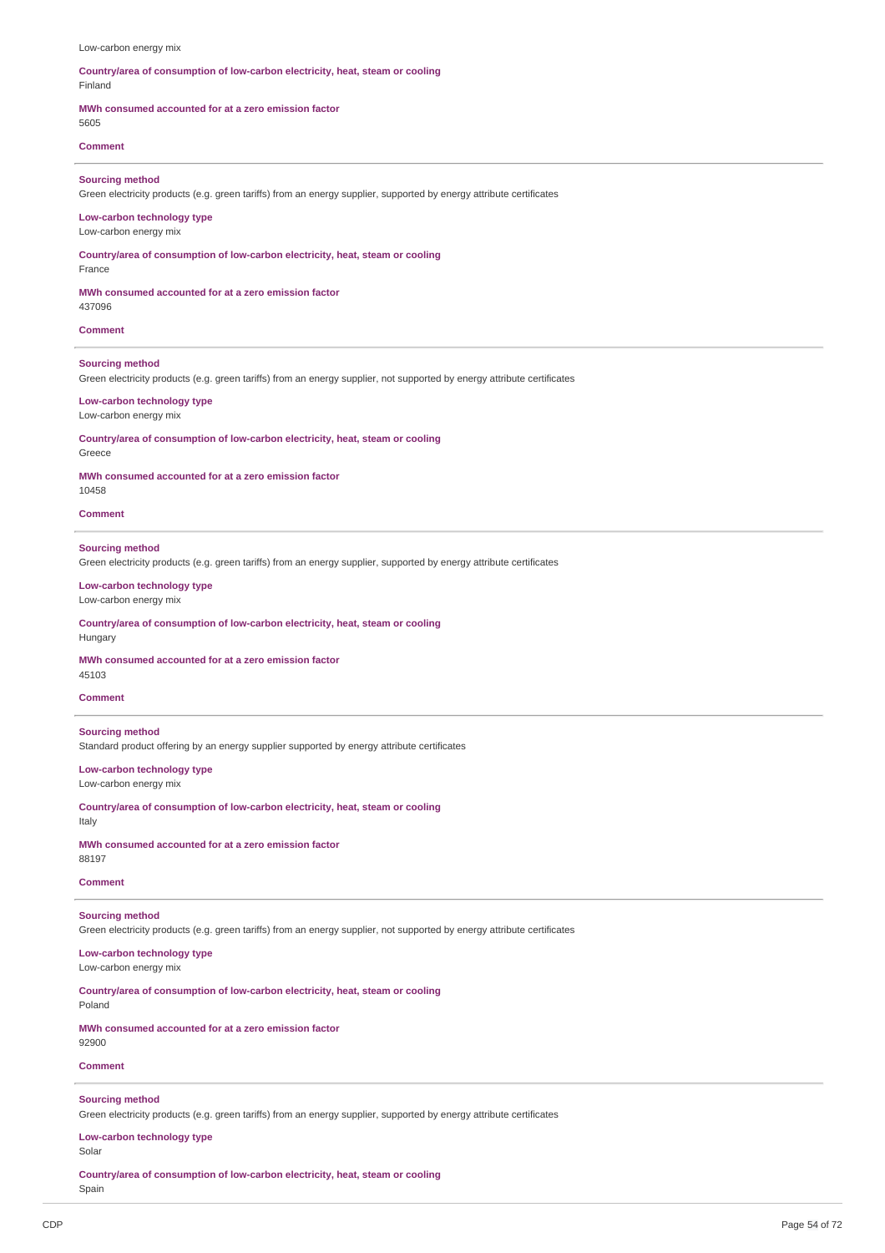#### Low-carbon energy mix

### **Country/area of consumption of low-carbon electricity, heat, steam or cooling** Finland

## **MWh consumed accounted for at a zero emission factor**

5605

## **Comment**

### **Sourcing method**

Green electricity products (e.g. green tariffs) from an energy supplier, supported by energy attribute certificates

## **Low-carbon technology type**

Low-carbon energy mix

**Country/area of consumption of low-carbon electricity, heat, steam or cooling**

## France

## **MWh consumed accounted for at a zero emission factor**

437096

## **Comment**

## **Sourcing method**

Green electricity products (e.g. green tariffs) from an energy supplier, not supported by energy attribute certificates

### **Low-carbon technology type**

### Low-carbon energy mix

**Country/area of consumption of low-carbon electricity, heat, steam or cooling**

Greece

### **MWh consumed accounted for at a zero emission factor**

10458

## **Comment**

### **Sourcing method**

Green electricity products (e.g. green tariffs) from an energy supplier, supported by energy attribute certificates

## **Low-carbon technology type**

Low-carbon energy mix

### **Country/area of consumption of low-carbon electricity, heat, steam or cooling** Hungary

## **MWh consumed accounted for at a zero emission factor**

45103

## **Comment**

## **Sourcing method**

Standard product offering by an energy supplier supported by energy attribute certificates

**Low-carbon technology type** Low-carbon energy mix

## **Country/area of consumption of low-carbon electricity, heat, steam or cooling** Italy

**MWh consumed accounted for at a zero emission factor** 88197

### **Comment**

## **Sourcing method**

Green electricity products (e.g. green tariffs) from an energy supplier, not supported by energy attribute certificates

### **Low-carbon technology type** Low-carbon energy mix

**Country/area of consumption of low-carbon electricity, heat, steam or cooling**

# Poland

**MWh consumed accounted for at a zero emission factor** 92900

## **Comment**

## **Sourcing method**

Green electricity products (e.g. green tariffs) from an energy supplier, supported by energy attribute certificates

## **Low-carbon technology type**

Solar

**Country/area of consumption of low-carbon electricity, heat, steam or cooling** Spain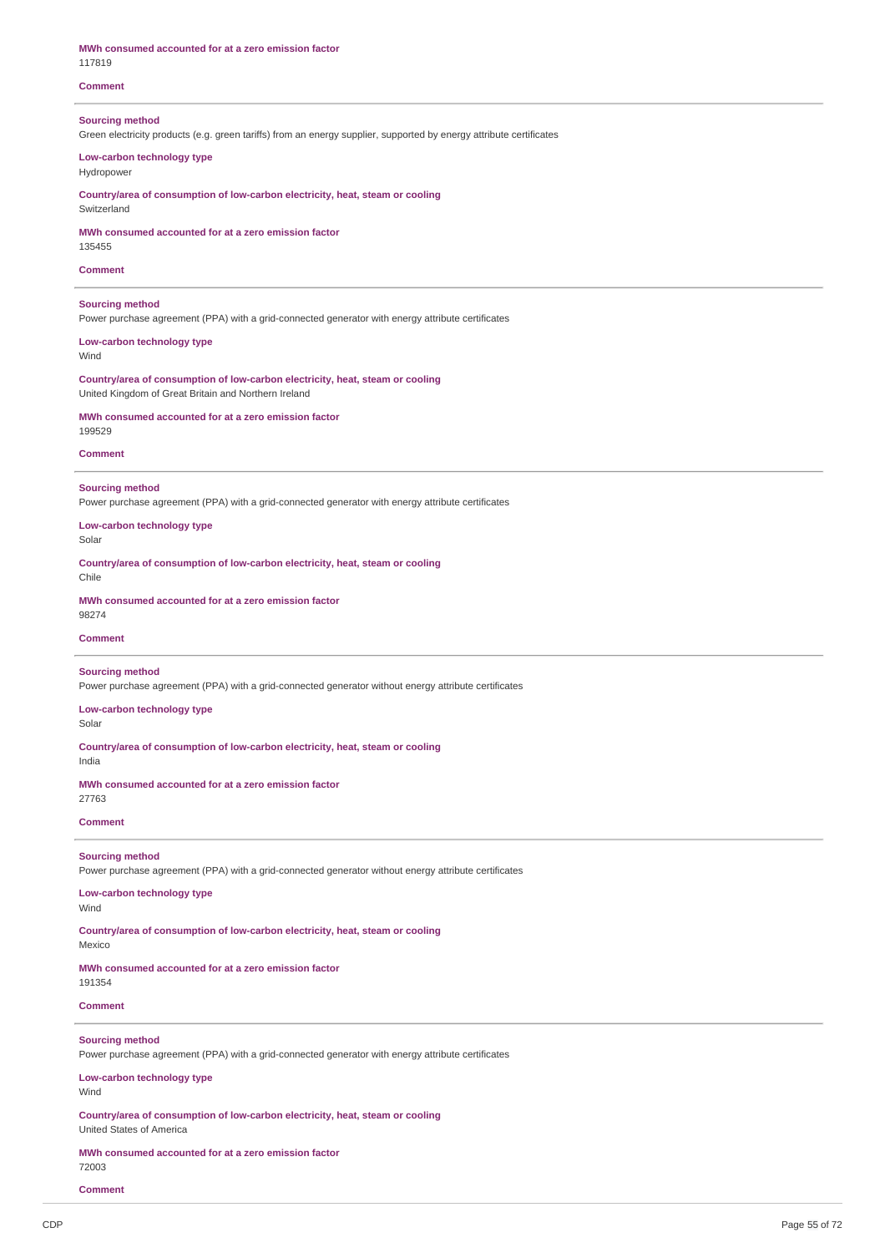| MWh consumed accounted for at a zero emission factor<br>117819                                                                                |
|-----------------------------------------------------------------------------------------------------------------------------------------------|
| <b>Comment</b>                                                                                                                                |
| <b>Sourcing method</b><br>Green electricity products (e.g. green tariffs) from an energy supplier, supported by energy attribute certificates |
| Low-carbon technology type<br>Hydropower                                                                                                      |
| Countrylarea of consumption of low-carbon electricity, heat, steam or cooling<br>Switzerland                                                  |
| MWh consumed accounted for at a zero emission factor<br>135455                                                                                |
| <b>Comment</b>                                                                                                                                |
| <b>Sourcing method</b><br>Power purchase agreement (PPA) with a grid-connected generator with energy attribute certificates                   |
| Low-carbon technology type<br>Wind                                                                                                            |
| Country/area of consumption of low-carbon electricity, heat, steam or cooling<br>United Kingdom of Great Britain and Northern Ireland         |
| MWh consumed accounted for at a zero emission factor<br>199529                                                                                |
| <b>Comment</b>                                                                                                                                |
| <b>Sourcing method</b><br>Power purchase agreement (PPA) with a grid-connected generator with energy attribute certificates                   |
| Low-carbon technology type<br>Solar                                                                                                           |
| Countrylarea of consumption of low-carbon electricity, heat, steam or cooling<br>Chile                                                        |
| MWh consumed accounted for at a zero emission factor<br>98274                                                                                 |
| <b>Comment</b>                                                                                                                                |
| <b>Sourcing method</b><br>Power purchase agreement (PPA) with a grid-connected generator without energy attribute certificates                |
| Low-carbon technology type<br>Solar                                                                                                           |
| Country/area of consumption of low-carbon electricity, heat, steam or cooling<br>India                                                        |
| MWh consumed accounted for at a zero emission factor<br>27763                                                                                 |
| <b>Comment</b>                                                                                                                                |
| <b>Sourcing method</b><br>Power purchase agreement (PPA) with a grid-connected generator without energy attribute certificates                |
| Low-carbon technology type<br>Wind                                                                                                            |
| Country/area of consumption of low-carbon electricity, heat, steam or cooling<br>Mexico                                                       |
| MWh consumed accounted for at a zero emission factor<br>191354                                                                                |
| <b>Comment</b>                                                                                                                                |

## **Sourcing method**

Power purchase agreement (PPA) with a grid-connected generator with energy attribute certificates

### **Low-carbon technology type** Wind

**Country/area of consumption of low-carbon electricity, heat, steam or cooling** United States of America

### **MWh consumed accounted for at a zero emission factor** 72003

**Comment**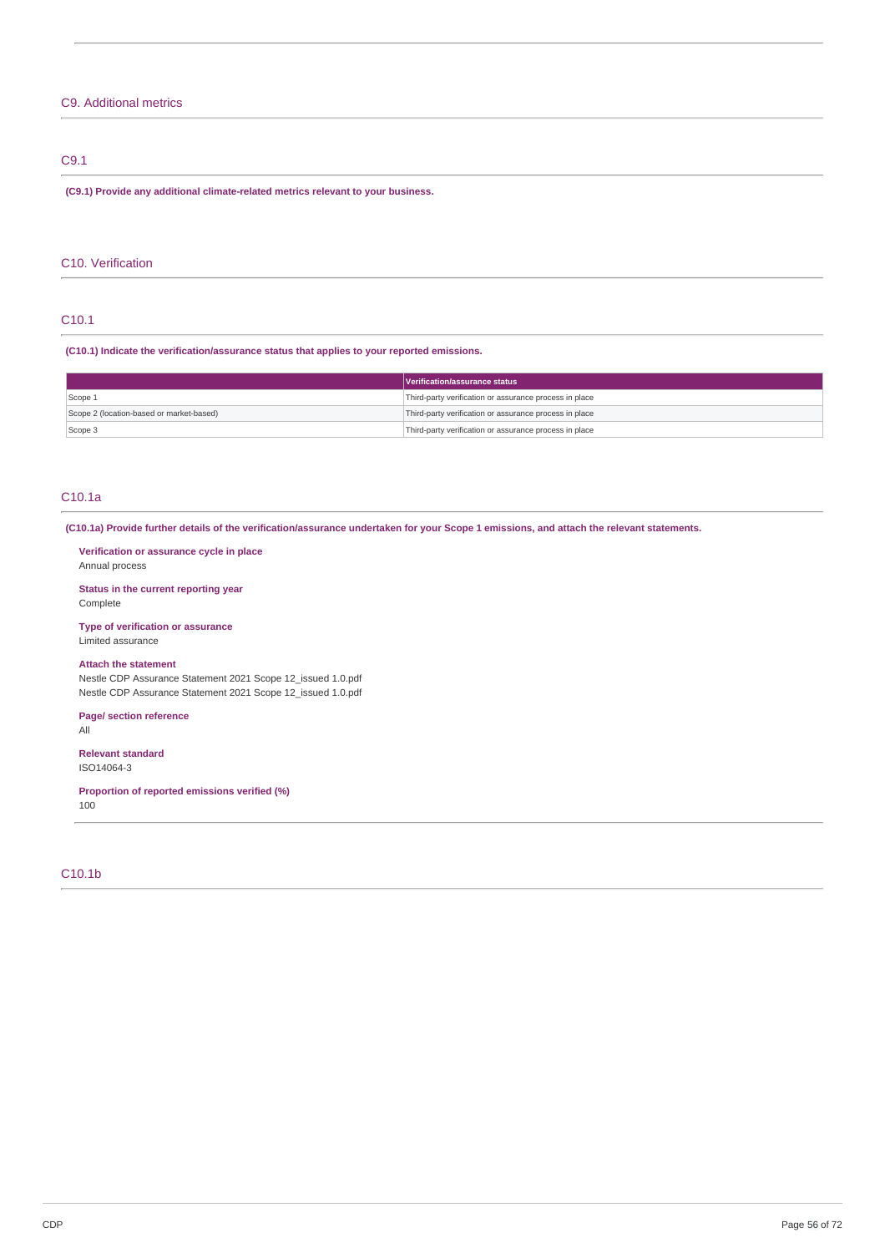## C9. Additional metrics

## C9.1

**(C9.1) Provide any additional climate-related metrics relevant to your business.**

## C10. Verification

## C10.1

**(C10.1) Indicate the verification/assurance status that applies to your reported emissions.**

|                                          | Verification/assurance status                          |  |
|------------------------------------------|--------------------------------------------------------|--|
| Scope 1                                  | Third-party verification or assurance process in place |  |
| Scope 2 (location-based or market-based) | Third-party verification or assurance process in place |  |
| Scope 3                                  | Third-party verification or assurance process in place |  |

## C10.1a

(C10.1a) Provide further details of the verification/assurance undertaken for your Scope 1 emissions, and attach the relevant statements.

### **Verification or assurance cycle in place** Annual process

**Status in the current reporting year** Complete

## **Type of verification or assurance**

Limited assurance

## **Attach the statement**

Nestle CDP Assurance Statement 2021 Scope 12\_issued 1.0.pdf Nestle CDP Assurance Statement 2021 Scope 12\_issued 1.0.pdf

## **Page/ section reference**

All

### **Relevant standard** ISO14064-3

**Proportion of reported emissions verified (%)** 100

## C10.1b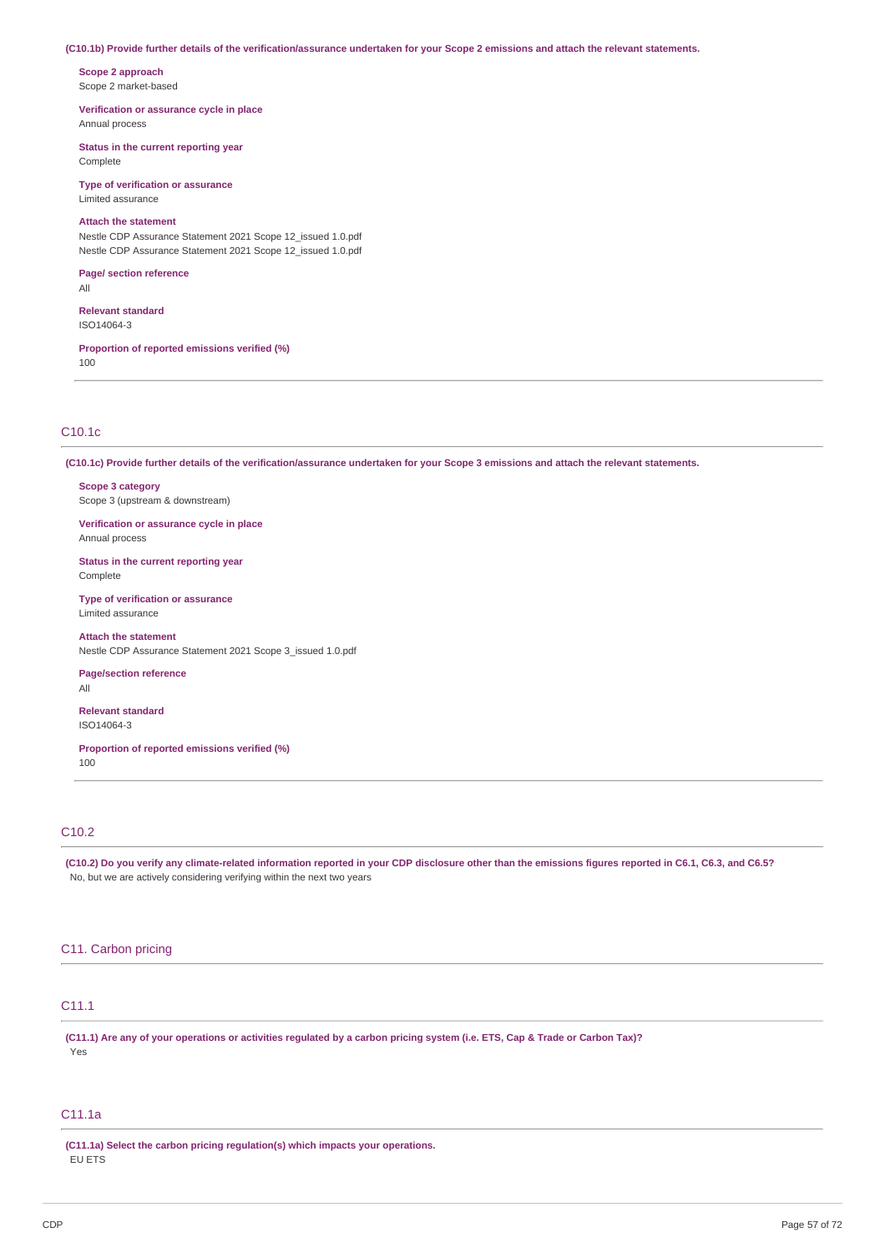### (C10.1b) Provide further details of the verification/assurance undertaken for your Scope 2 emissions and attach the relevant statements.

**Scope 2 approach** Scope 2 market-based

**Verification or assurance cycle in place** Annual process

**Status in the current reporting year** Complete

**Type of verification or assurance** Limited assurance

## **Attach the statement**

Nestle CDP Assurance Statement 2021 Scope 12\_issued 1.0.pdf Nestle CDP Assurance Statement 2021 Scope 12\_issued 1.0.pdf

**Page/ section reference** All

**Relevant standard** ISO14064-3

**Proportion of reported emissions verified (%)** 100

## C10.1c

(C10.1c) Provide further details of the verification/assurance undertaken for your Scope 3 emissions and attach the relevant statements.

**Scope 3 category** Scope 3 (upstream & downstream)

**Verification or assurance cycle in place** Annual process

**Status in the current reporting year** Complete

**Type of verification or assurance** Limited assurance

**Attach the statement**

Nestle CDP Assurance Statement 2021 Scope 3\_issued 1.0.pdf

**Page/section reference**

All

**Relevant standard** ISO14064-3

**Proportion of reported emissions verified (%)** 100

## C10.2

(C10.2) Do you verify any climate-related information reported in your CDP disclosure other than the emissions figures reported in C6.1, C6.3, and C6.5? No, but we are actively considering verifying within the next two years

## C11. Carbon pricing

## C11.1

(C11.1) Are any of your operations or activities regulated by a carbon pricing system (i.e. ETS, Cap & Trade or Carbon Tax)? Yes

## C11.1a

**(C11.1a) Select the carbon pricing regulation(s) which impacts your operations.** EU ETS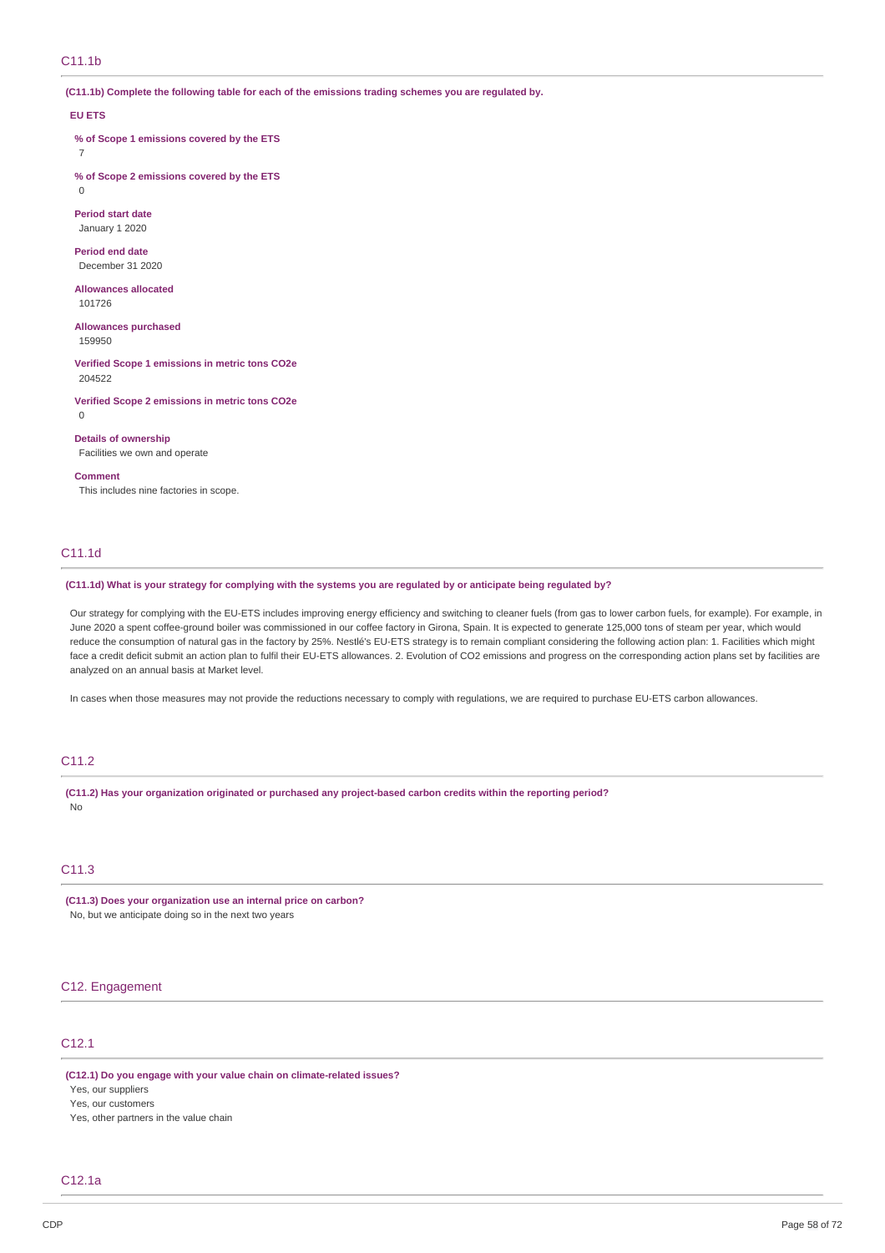**(C11.1b) Complete the following table for each of the emissions trading schemes you are regulated by.**

### **EU ETS**

**% of Scope 1 emissions covered by the ETS** 7

**% of Scope 2 emissions covered by the ETS** 0

**Period start date** January 1 2020

**Period end date** December 31 2020

**Allowances allocated** 101726

**Allowances purchased**

159950

**Verified Scope 1 emissions in metric tons CO2e** 204522

**Verified Scope 2 emissions in metric tons CO2e**  $\Omega$ 

**Details of ownership** Facilities we own and operate

**Comment**

This includes nine factories in scope.

## C11.1d

(C11.1d) What is your strategy for complying with the systems you are regulated by or anticipate being regulated by?

Our strategy for complying with the EU-ETS includes improving energy efficiency and switching to cleaner fuels (from gas to lower carbon fuels, for example). For example, in June 2020 a spent coffee-ground boiler was commissioned in our coffee factory in Girona, Spain. It is expected to generate 125,000 tons of steam per year, which would reduce the consumption of natural gas in the factory by 25%. Nestlé's EU-ETS strategy is to remain compliant considering the following action plan: 1. Facilities which might face a credit deficit submit an action plan to fulfil their EU-ETS allowances. 2. Evolution of CO2 emissions and progress on the corresponding action plans set by facilities are analyzed on an annual basis at Market level.

In cases when those measures may not provide the reductions necessary to comply with regulations, we are required to purchase EU-ETS carbon allowances.

## C11.2

**(C11.2) Has your organization originated or purchased any project-based carbon credits within the reporting period?** No

## C11.3

**(C11.3) Does your organization use an internal price on carbon?** No, but we anticipate doing so in the next two years

## C12. Engagement

## C12.1

**(C12.1) Do you engage with your value chain on climate-related issues?** Yes, our suppliers Yes, our customers

Yes, other partners in the value chain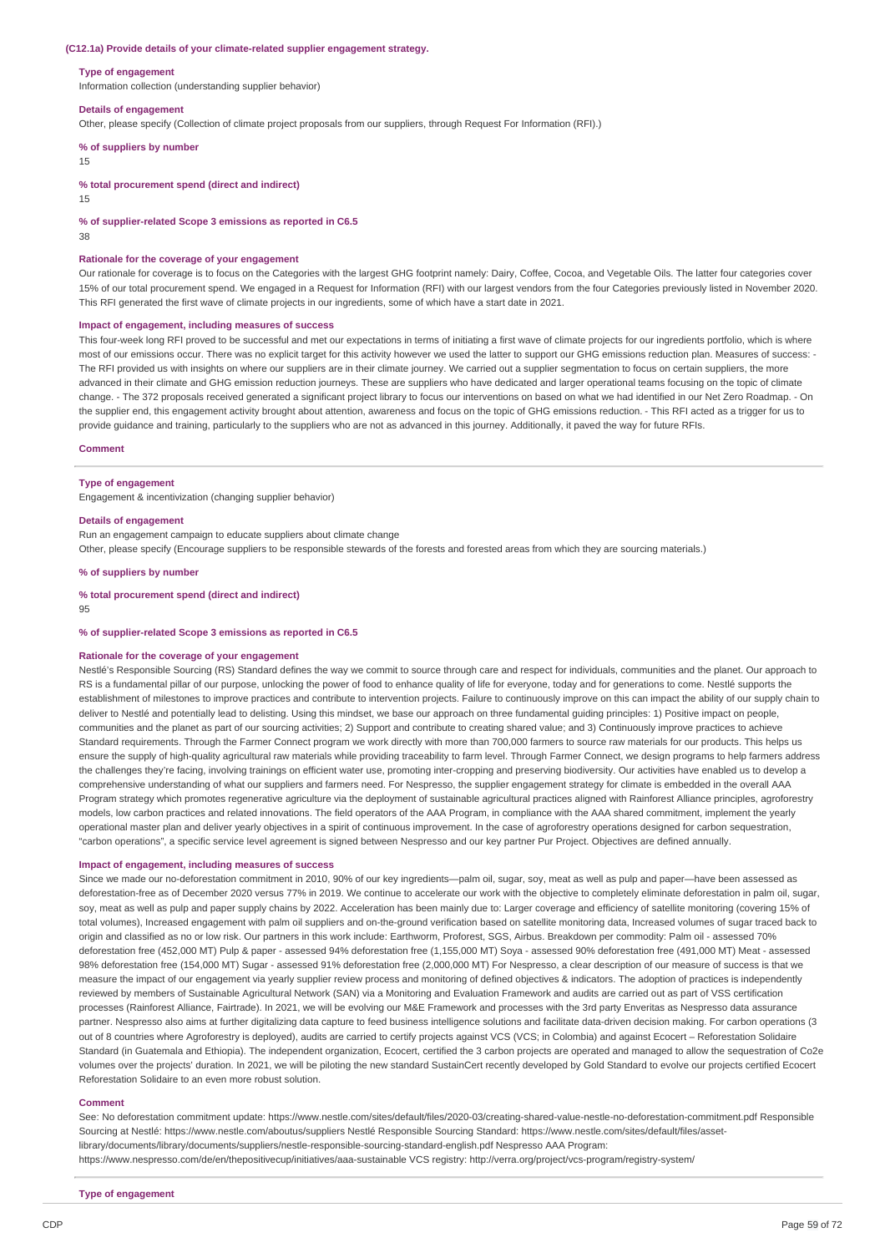### **(C12.1a) Provide details of your climate-related supplier engagement strategy.**

#### **Type of engagement**

Information collection (understanding supplier behavior)

### **Details of engagement**

Other, please specify (Collection of climate project proposals from our suppliers, through Request For Information (RFI).)

#### **% of suppliers by number**

15

**% total procurement spend (direct and indirect)**

15

**% of supplier-related Scope 3 emissions as reported in C6.5**

38

### **Rationale for the coverage of your engagement**

Our rationale for coverage is to focus on the Categories with the largest GHG footprint namely: Dairy, Coffee, Cocoa, and Vegetable Oils. The latter four categories cover 15% of our total procurement spend. We engaged in a Request for Information (RFI) with our largest vendors from the four Categories previously listed in November 2020. This RFI generated the first wave of climate projects in our ingredients, some of which have a start date in 2021.

### **Impact of engagement, including measures of success**

This four-week long RFI proved to be successful and met our expectations in terms of initiating a first wave of climate projects for our ingredients portfolio, which is where most of our emissions occur. There was no explicit target for this activity however we used the latter to support our GHG emissions reduction plan. Measures of success: - The RFI provided us with insights on where our suppliers are in their climate journey. We carried out a supplier segmentation to focus on certain suppliers, the more advanced in their climate and GHG emission reduction journeys. These are suppliers who have dedicated and larger operational teams focusing on the topic of climate change. - The 372 proposals received generated a significant project library to focus our interventions on based on what we had identified in our Net Zero Roadmap. - On the supplier end, this engagement activity brought about attention, awareness and focus on the topic of GHG emissions reduction. - This RFI acted as a trigger for us to provide guidance and training, particularly to the suppliers who are not as advanced in this journey. Additionally, it paved the way for future RFIs.

### **Comment**

### **Type of engagement**

Engagement & incentivization (changing supplier behavior)

#### **Details of engagement**

Run an engagement campaign to educate suppliers about climate change Other, please specify (Encourage suppliers to be responsible stewards of the forests and forested areas from which they are sourcing materials.)

### **% of suppliers by number**

#### **% total procurement spend (direct and indirect)**

95

### **% of supplier-related Scope 3 emissions as reported in C6.5**

### **Rationale for the coverage of your engagement**

Nestlé's Responsible Sourcing (RS) Standard defines the way we commit to source through care and respect for individuals, communities and the planet. Our approach to RS is a fundamental pillar of our purpose, unlocking the power of food to enhance quality of life for everyone, today and for generations to come. Nestlé supports the establishment of milestones to improve practices and contribute to intervention projects. Failure to continuously improve on this can impact the ability of our supply chain to deliver to Nestlé and potentially lead to delisting. Using this mindset, we base our approach on three fundamental guiding principles: 1) Positive impact on people, communities and the planet as part of our sourcing activities; 2) Support and contribute to creating shared value; and 3) Continuously improve practices to achieve Standard requirements. Through the Farmer Connect program we work directly with more than 700,000 farmers to source raw materials for our products. This helps us ensure the supply of high-quality agricultural raw materials while providing traceability to farm level. Through Farmer Connect, we design programs to help farmers address the challenges they're facing, involving trainings on efficient water use, promoting inter-cropping and preserving biodiversity. Our activities have enabled us to develop a comprehensive understanding of what our suppliers and farmers need. For Nespresso, the supplier engagement strategy for climate is embedded in the overall AAA Program strategy which promotes regenerative agriculture via the deployment of sustainable agricultural practices aligned with Rainforest Alliance principles, agroforestry models, low carbon practices and related innovations. The field operators of the AAA Program, in compliance with the AAA shared commitment, implement the yearly operational master plan and deliver yearly objectives in a spirit of continuous improvement. In the case of agroforestry operations designed for carbon sequestration, "carbon operations", a specific service level agreement is signed between Nespresso and our key partner Pur Project. Objectives are defined annually.

### **Impact of engagement, including measures of success**

Since we made our no-deforestation commitment in 2010, 90% of our key ingredients—palm oil, sugar, soy, meat as well as pulp and paper—have been assessed as deforestation-free as of December 2020 versus 77% in 2019. We continue to accelerate our work with the objective to completely eliminate deforestation in palm oil, sugar, soy, meat as well as pulp and paper supply chains by 2022. Acceleration has been mainly due to: Larger coverage and efficiency of satellite monitoring (covering 15% of total volumes), Increased engagement with palm oil suppliers and on-the-ground verification based on satellite monitoring data, Increased volumes of sugar traced back to origin and classified as no or low risk. Our partners in this work include: Earthworm, Proforest, SGS, Airbus. Breakdown per commodity: Palm oil - assessed 70% deforestation free (452,000 MT) Pulp & paper - assessed 94% deforestation free (1,155,000 MT) Soya - assessed 90% deforestation free (491,000 MT) Meat - assessed 98% deforestation free (154,000 MT) Sugar - assessed 91% deforestation free (2,000,000 MT) For Nespresso, a clear description of our measure of success is that we measure the impact of our engagement via yearly supplier review process and monitoring of defined objectives & indicators. The adoption of practices is independently reviewed by members of Sustainable Agricultural Network (SAN) via a Monitoring and Evaluation Framework and audits are carried out as part of VSS certification processes (Rainforest Alliance, Fairtrade). In 2021, we will be evolving our M&E Framework and processes with the 3rd party Enveritas as Nespresso data assurance partner. Nespresso also aims at further digitalizing data capture to feed business intelligence solutions and facilitate data-driven decision making. For carbon operations (3 out of 8 countries where Agroforestry is deployed), audits are carried to certify projects against VCS (VCS; in Colombia) and against Ecocert – Reforestation Solidaire Standard (in Guatemala and Ethiopia). The independent organization, Ecocert, certified the 3 carbon projects are operated and managed to allow the sequestration of Co2e volumes over the projects' duration. In 2021, we will be piloting the new standard SustainCert recently developed by Gold Standard to evolve our projects certified Ecocert Reforestation Solidaire to an even more robust solution.

### **Comment**

See: No deforestation commitment update: https://www.nestle.com/sites/default/files/2020-03/creating-shared-value-nestle-no-deforestation-commitment.pdf Responsible Sourcing at Nestlé: https://www.nestle.com/aboutus/suppliers Nestlé Responsible Sourcing Standard: https://www.nestle.com/sites/default/files/assetlibrary/documents/library/documents/suppliers/nestle-responsible-sourcing-standard-english.pdf Nespresso AAA Program: https://www.nespresso.com/de/en/thepositivecup/initiatives/aaa-sustainable VCS registry: http://verra.org/project/vcs-program/registry-system/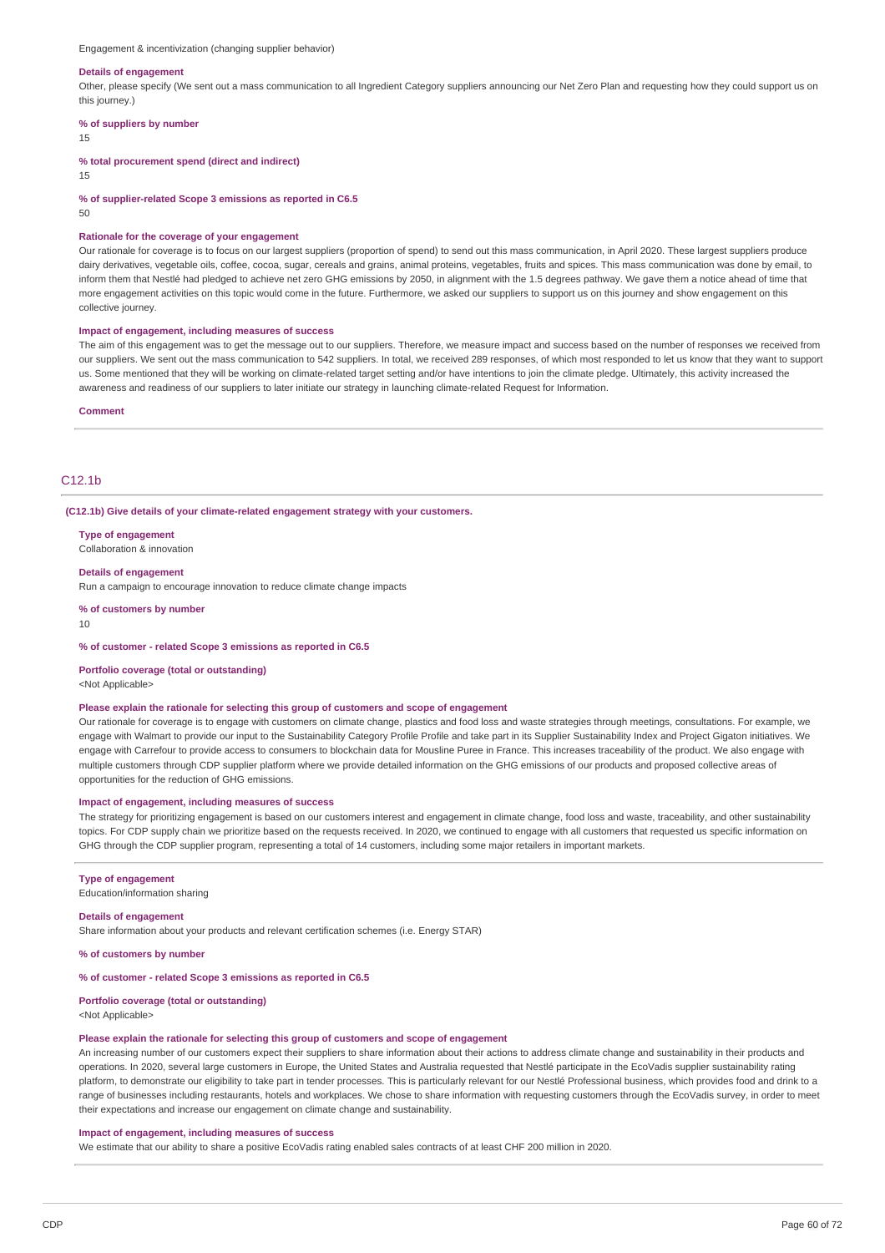Engagement & incentivization (changing supplier behavior)

#### **Details of engagement**

Other, please specify (We sent out a mass communication to all Ingredient Category suppliers announcing our Net Zero Plan and requesting how they could support us on this journey.)

#### **% of suppliers by number**

15

**% total procurement spend (direct and indirect)**

15

**% of supplier-related Scope 3 emissions as reported in C6.5**

50

### **Rationale for the coverage of your engagement**

Our rationale for coverage is to focus on our largest suppliers (proportion of spend) to send out this mass communication, in April 2020. These largest suppliers produce dairy derivatives, vegetable oils, coffee, cocoa, sugar, cereals and grains, animal proteins, vegetables, fruits and spices. This mass communication was done by email, to inform them that Nestlé had pledged to achieve net zero GHG emissions by 2050, in alignment with the 1.5 degrees pathway. We gave them a notice ahead of time that more engagement activities on this topic would come in the future. Furthermore, we asked our suppliers to support us on this journey and show engagement on this collective journey.

### **Impact of engagement, including measures of success**

The aim of this engagement was to get the message out to our suppliers. Therefore, we measure impact and success based on the number of responses we received from our suppliers. We sent out the mass communication to 542 suppliers. In total, we received 289 responses, of which most responded to let us know that they want to support us. Some mentioned that they will be working on climate-related target setting and/or have intentions to join the climate pledge. Ultimately, this activity increased the awareness and readiness of our suppliers to later initiate our strategy in launching climate-related Request for Information.

#### **Comment**

## C12.1b

**(C12.1b) Give details of your climate-related engagement strategy with your customers.**

**Type of engagement** Collaboration & innovation

### **Details of engagement**

Run a campaign to encourage innovation to reduce climate change impacts

**% of customers by number**

 $1<sub>0</sub>$ 

**% of customer - related Scope 3 emissions as reported in C6.5**

#### **Portfolio coverage (total or outstanding)**

<Not Applicable>

### **Please explain the rationale for selecting this group of customers and scope of engagement**

Our rationale for coverage is to engage with customers on climate change, plastics and food loss and waste strategies through meetings, consultations. For example, we engage with Walmart to provide our input to the Sustainability Category Profile Profile and take part in its Supplier Sustainability Index and Project Gigaton initiatives. We engage with Carrefour to provide access to consumers to blockchain data for Mousline Puree in France. This increases traceability of the product. We also engage with multiple customers through CDP supplier platform where we provide detailed information on the GHG emissions of our products and proposed collective areas of opportunities for the reduction of GHG emissions.

### **Impact of engagement, including measures of success**

The strategy for prioritizing engagement is based on our customers interest and engagement in climate change, food loss and waste, traceability, and other sustainability topics. For CDP supply chain we prioritize based on the requests received. In 2020, we continued to engage with all customers that requested us specific information on GHG through the CDP supplier program, representing a total of 14 customers, including some major retailers in important markets.

#### **Type of engagement**

Education/information sharing

### **Details of engagement**

Share information about your products and relevant certification schemes (i.e. Energy STAR)

**% of customers by number**

**% of customer - related Scope 3 emissions as reported in C6.5**

### **Portfolio coverage (total or outstanding)**

<Not Applicable>

### **Please explain the rationale for selecting this group of customers and scope of engagement**

An increasing number of our customers expect their suppliers to share information about their actions to address climate change and sustainability in their products and operations. In 2020, several large customers in Europe, the United States and Australia requested that Nestlé participate in the EcoVadis supplier sustainability rating platform, to demonstrate our eligibility to take part in tender processes. This is particularly relevant for our Nestlé Professional business, which provides food and drink to a range of businesses including restaurants, hotels and workplaces. We chose to share information with requesting customers through the EcoVadis survey, in order to meet their expectations and increase our engagement on climate change and sustainability.

### **Impact of engagement, including measures of success**

We estimate that our ability to share a positive EcoVadis rating enabled sales contracts of at least CHF 200 million in 2020.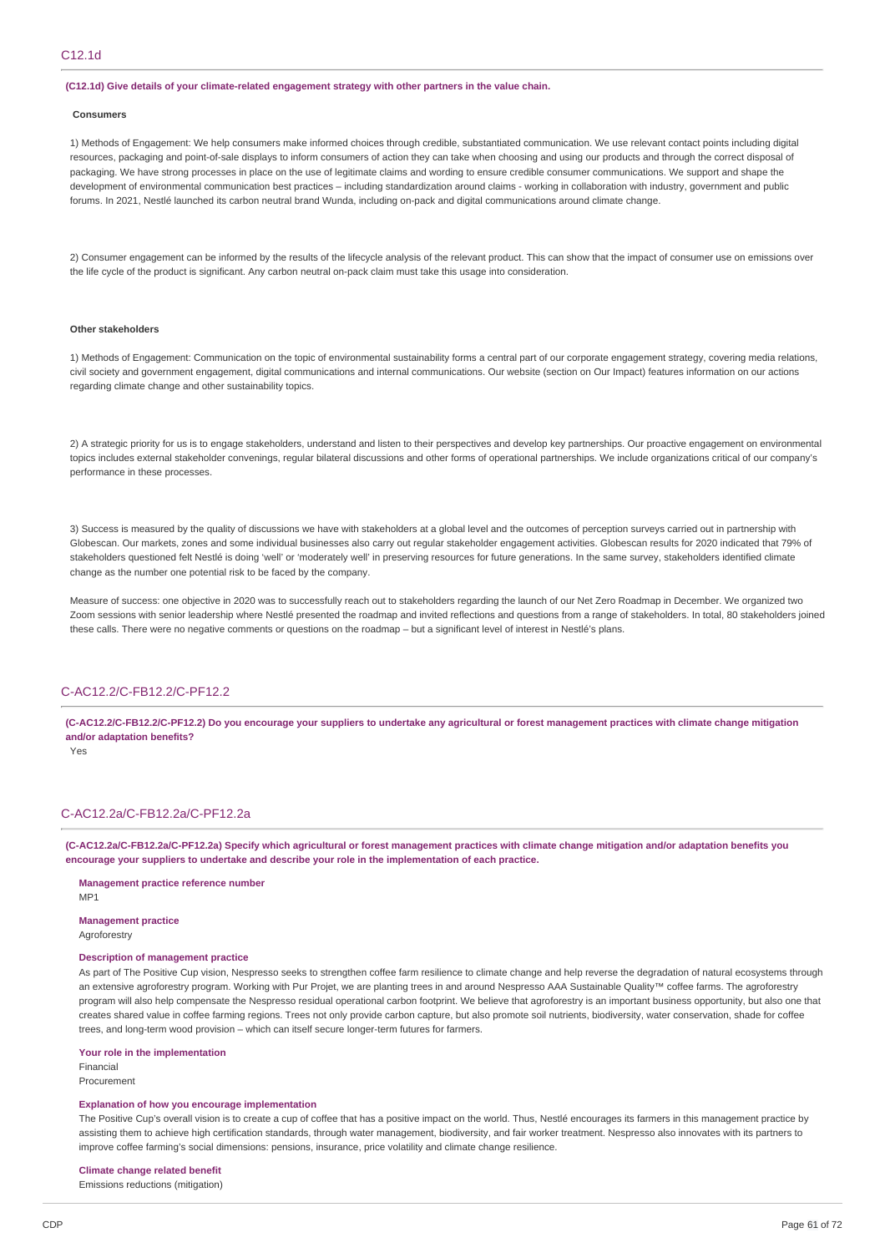### **(C12.1d) Give details of your climate-related engagement strategy with other partners in the value chain.**

#### **Consumers**

1) Methods of Engagement: We help consumers make informed choices through credible, substantiated communication. We use relevant contact points including digital resources, packaging and point-of-sale displays to inform consumers of action they can take when choosing and using our products and through the correct disposal of packaging. We have strong processes in place on the use of legitimate claims and wording to ensure credible consumer communications. We support and shape the development of environmental communication best practices – including standardization around claims - working in collaboration with industry, government and public forums. In 2021, Nestlé launched its carbon neutral brand Wunda, including on-pack and digital communications around climate change.

2) Consumer engagement can be informed by the results of the lifecycle analysis of the relevant product. This can show that the impact of consumer use on emissions over the life cycle of the product is significant. Any carbon neutral on-pack claim must take this usage into consideration.

### **Other stakeholders**

1) Methods of Engagement: Communication on the topic of environmental sustainability forms a central part of our corporate engagement strategy, covering media relations, civil society and government engagement, digital communications and internal communications. Our website (section on Our Impact) features information on our actions regarding climate change and other sustainability topics.

2) A strategic priority for us is to engage stakeholders, understand and listen to their perspectives and develop key partnerships. Our proactive engagement on environmental topics includes external stakeholder convenings, regular bilateral discussions and other forms of operational partnerships. We include organizations critical of our company's performance in these processes.

3) Success is measured by the quality of discussions we have with stakeholders at a global level and the outcomes of perception surveys carried out in partnership with Globescan. Our markets, zones and some individual businesses also carry out regular stakeholder engagement activities. Globescan results for 2020 indicated that 79% of stakeholders questioned felt Nestlé is doing 'well' or 'moderately well' in preserving resources for future generations. In the same survey, stakeholders identified climate change as the number one potential risk to be faced by the company.

Measure of success: one objective in 2020 was to successfully reach out to stakeholders regarding the launch of our Net Zero Roadmap in December. We organized two Zoom sessions with senior leadership where Nestlé presented the roadmap and invited reflections and questions from a range of stakeholders. In total, 80 stakeholders joined these calls. There were no negative comments or questions on the roadmap – but a significant level of interest in Nestlé's plans.

## C-AC12.2/C-FB12.2/C-PF12.2

(C-AC12.2/C-FB12.2/C-PF12.2) Do you encourage your suppliers to undertake any agricultural or forest management practices with climate change mitigation **and/or adaptation benefits?**

Yes

## C-AC12.2a/C-FB12.2a/C-PF12.2a

(C-AC12.2a/C-FB12.2a/C-PF12.2a) Specify which agricultural or forest management practices with climate change mitigation and/or adaptation benefits you **encourage your suppliers to undertake and describe your role in the implementation of each practice.**

### **Management practice reference number**

M<sub>P1</sub>

**Management practice** Agroforestry

### **Description of management practice**

As part of The Positive Cup vision, Nespresso seeks to strengthen coffee farm resilience to climate change and help reverse the degradation of natural ecosystems through an extensive agroforestry program. Working with Pur Projet, we are planting trees in and around Nespresso AAA Sustainable Quality™ coffee farms. The agroforestry program will also help compensate the Nespresso residual operational carbon footprint. We believe that agroforestry is an important business opportunity, but also one that creates shared value in coffee farming regions. Trees not only provide carbon capture, but also promote soil nutrients, biodiversity, water conservation, shade for coffee trees, and long-term wood provision – which can itself secure longer-term futures for farmers.

**Your role in the implementation**

Financial Procurement

#### **Explanation of how you encourage implementation**

The Positive Cup's overall vision is to create a cup of coffee that has a positive impact on the world. Thus, Nestlé encourages its farmers in this management practice by assisting them to achieve high certification standards, through water management, biodiversity, and fair worker treatment. Nespresso also innovates with its partners to improve coffee farming's social dimensions: pensions, insurance, price volatility and climate change resilience.

### **Climate change related benefit**

Emissions reductions (mitigation)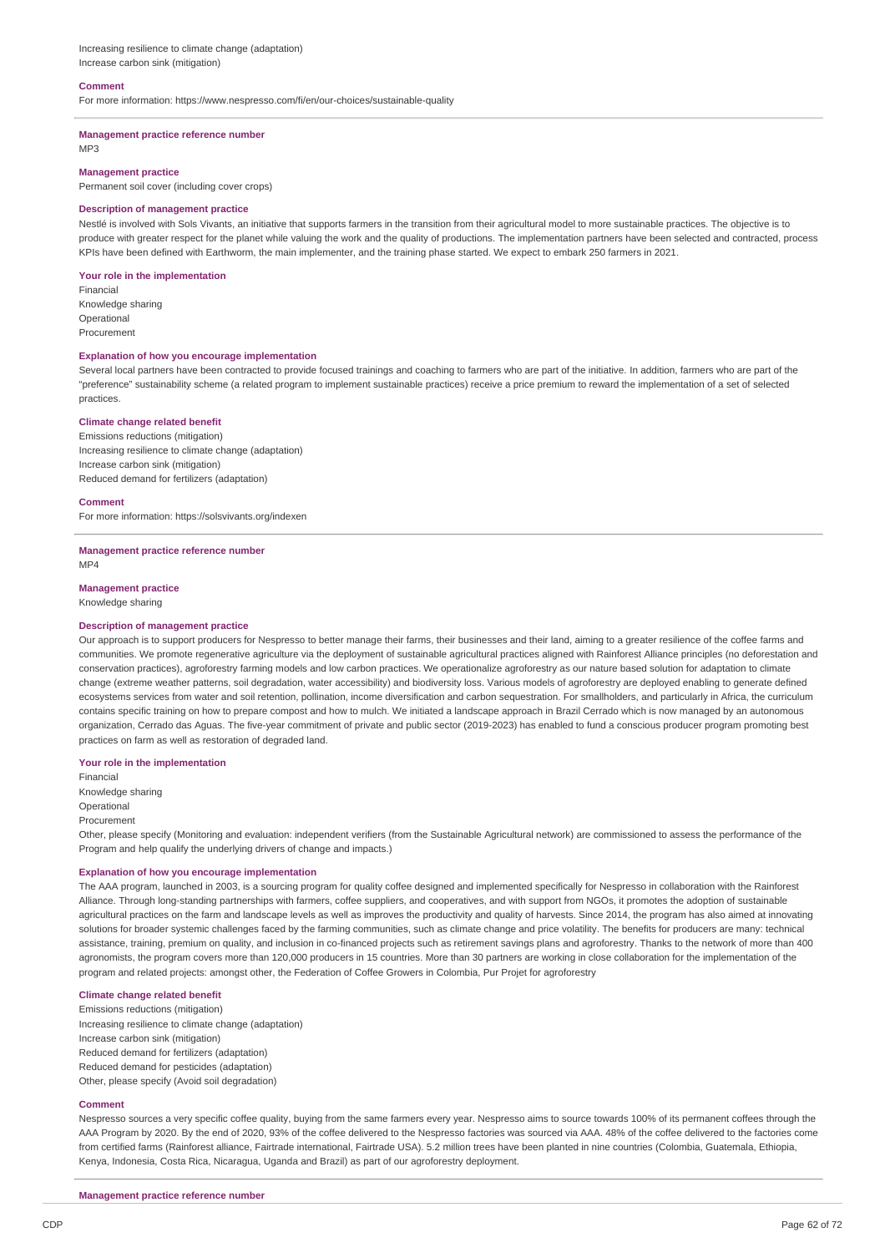Increasing resilience to climate change (adaptation) Increase carbon sink (mitigation)

### **Comment**

For more information: https://www.nespresso.com/fi/en/our-choices/sustainable-quality

#### **Management practice reference number** MP3

### **Management practice**

Permanent soil cover (including cover crops)

### **Description of management practice**

Nestlé is involved with Sols Vivants, an initiative that supports farmers in the transition from their agricultural model to more sustainable practices. The objective is to produce with greater respect for the planet while valuing the work and the quality of productions. The implementation partners have been selected and contracted, process KPIs have been defined with Earthworm, the main implementer, and the training phase started. We expect to embark 250 farmers in 2021.

### **Your role in the implementation**

Financial Knowledge sharing Operational **Procurement** 

### **Explanation of how you encourage implementation**

Several local partners have been contracted to provide focused trainings and coaching to farmers who are part of the initiative. In addition, farmers who are part of the "preference" sustainability scheme (a related program to implement sustainable practices) receive a price premium to reward the implementation of a set of selected practices.

### **Climate change related benefit**

Emissions reductions (mitigation) Increasing resilience to climate change (adaptation) Increase carbon sink (mitigation) Reduced demand for fertilizers (adaptation)

#### **Comment**

For more information: https://solsvivants.org/indexen

**Management practice reference number** MP4

**Management practice**

Knowledge sharing

### **Description of management practice**

Our approach is to support producers for Nespresso to better manage their farms, their businesses and their land, aiming to a greater resilience of the coffee farms and communities. We promote regenerative agriculture via the deployment of sustainable agricultural practices aligned with Rainforest Alliance principles (no deforestation and conservation practices), agroforestry farming models and low carbon practices. We operationalize agroforestry as our nature based solution for adaptation to climate change (extreme weather patterns, soil degradation, water accessibility) and biodiversity loss. Various models of agroforestry are deployed enabling to generate defined ecosystems services from water and soil retention, pollination, income diversification and carbon sequestration. For smallholders, and particularly in Africa, the curriculum contains specific training on how to prepare compost and how to mulch. We initiated a landscape approach in Brazil Cerrado which is now managed by an autonomous organization, Cerrado das Aguas. The five-year commitment of private and public sector (2019-2023) has enabled to fund a conscious producer program promoting best practices on farm as well as restoration of degraded land.

### **Your role in the implementation**

Financial Knowledge sharing

Operational

Procurement

Other, please specify (Monitoring and evaluation: independent verifiers (from the Sustainable Agricultural network) are commissioned to assess the performance of the Program and help qualify the underlying drivers of change and impacts.)

### **Explanation of how you encourage implementation**

The AAA program, launched in 2003, is a sourcing program for quality coffee designed and implemented specifically for Nespresso in collaboration with the Rainforest Alliance. Through long-standing partnerships with farmers, coffee suppliers, and cooperatives, and with support from NGOs, it promotes the adoption of sustainable agricultural practices on the farm and landscape levels as well as improves the productivity and quality of harvests. Since 2014, the program has also aimed at innovating solutions for broader systemic challenges faced by the farming communities, such as climate change and price volatility. The benefits for producers are many: technical assistance, training, premium on quality, and inclusion in co-financed projects such as retirement savings plans and agroforestry. Thanks to the network of more than 400 agronomists, the program covers more than 120,000 producers in 15 countries. More than 30 partners are working in close collaboration for the implementation of the program and related projects: amongst other, the Federation of Coffee Growers in Colombia, Pur Projet for agroforestry

### **Climate change related benefit**

Emissions reductions (mitigation) Increasing resilience to climate change (adaptation) Increase carbon sink (mitigation) Reduced demand for fertilizers (adaptation) Reduced demand for pesticides (adaptation) Other, please specify (Avoid soil degradation)

#### **Comment**

Nespresso sources a very specific coffee quality, buying from the same farmers every year. Nespresso aims to source towards 100% of its permanent coffees through the AAA Program by 2020. By the end of 2020, 93% of the coffee delivered to the Nespresso factories was sourced via AAA. 48% of the coffee delivered to the factories come from certified farms (Rainforest alliance, Fairtrade international, Fairtrade USA). 5.2 million trees have been planted in nine countries (Colombia, Guatemala, Ethiopia, Kenya, Indonesia, Costa Rica, Nicaragua, Uganda and Brazil) as part of our agroforestry deployment.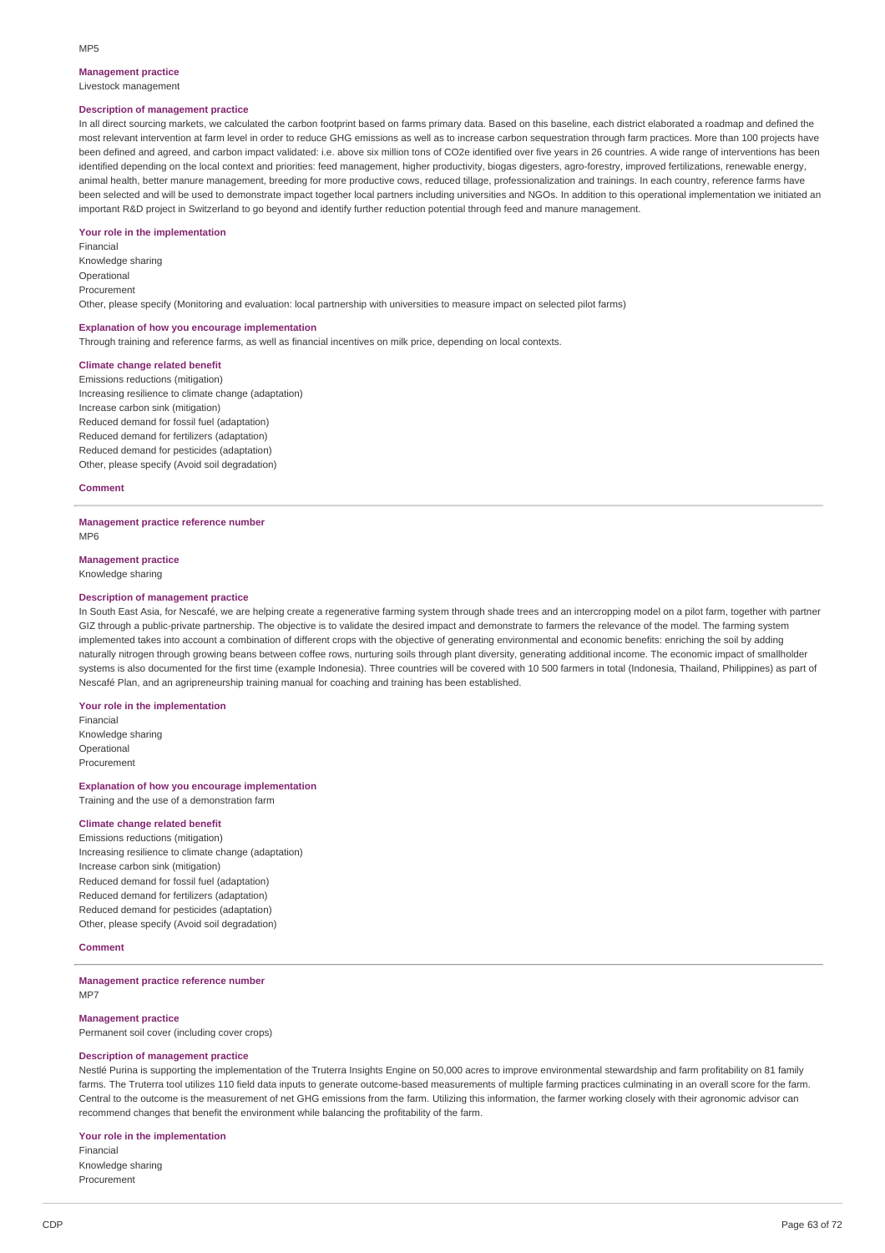### **Management practice**

Livestock management

### **Description of management practice**

In all direct sourcing markets, we calculated the carbon footprint based on farms primary data. Based on this baseline, each district elaborated a roadmap and defined the most relevant intervention at farm level in order to reduce GHG emissions as well as to increase carbon sequestration through farm practices. More than 100 projects have been defined and agreed, and carbon impact validated: i.e. above six million tons of CO2e identified over five years in 26 countries. A wide range of interventions has been identified depending on the local context and priorities: feed management, higher productivity, biogas digesters, agro-forestry, improved fertilizations, renewable energy, animal health, better manure management, breeding for more productive cows, reduced tillage, professionalization and trainings. In each country, reference farms have been selected and will be used to demonstrate impact together local partners including universities and NGOs. In addition to this operational implementation we initiated an important R&D project in Switzerland to go beyond and identify further reduction potential through feed and manure management.

#### **Your role in the implementation**

Financial Knowledge sharing Operational Procurement Other, please specify (Monitoring and evaluation: local partnership with universities to measure impact on selected pilot farms)

#### **Explanation of how you encourage implementation**

Through training and reference farms, as well as financial incentives on milk price, depending on local contexts.

## **Climate change related benefit**

Emissions reductions (mitigation) Increasing resilience to climate change (adaptation) Increase carbon sink (mitigation) Reduced demand for fossil fuel (adaptation) Reduced demand for fertilizers (adaptation) Reduced demand for pesticides (adaptation) Other, please specify (Avoid soil degradation)

### **Comment**

### **Management practice reference number**

MP6

## **Management practice**

Knowledge sharing

### **Description of management practice**

In South East Asia, for Nescafé, we are helping create a regenerative farming system through shade trees and an intercropping model on a pilot farm, together with partner GIZ through a public-private partnership. The objective is to validate the desired impact and demonstrate to farmers the relevance of the model. The farming system implemented takes into account a combination of different crops with the objective of generating environmental and economic benefits: enriching the soil by adding naturally nitrogen through growing beans between coffee rows, nurturing soils through plant diversity, generating additional income. The economic impact of smallholder systems is also documented for the first time (example Indonesia). Three countries will be covered with 10 500 farmers in total (Indonesia, Thailand, Philippines) as part of Nescafé Plan, and an agripreneurship training manual for coaching and training has been established.

### **Your role in the implementation**

Financial Knowledge sharing Operational Procurement

**Explanation of how you encourage implementation** Training and the use of a demonstration farm

### **Climate change related benefit**

Emissions reductions (mitigation) Increasing resilience to climate change (adaptation) Increase carbon sink (mitigation) Reduced demand for fossil fuel (adaptation) Reduced demand for fertilizers (adaptation) Reduced demand for pesticides (adaptation) Other, please specify (Avoid soil degradation)

## **Comment**

### **Management practice reference number** MP7

### **Management practice**

Permanent soil cover (including cover crops)

### **Description of management practice**

Nestlé Purina is supporting the implementation of the Truterra Insights Engine on 50,000 acres to improve environmental stewardship and farm profitability on 81 family farms. The Truterra tool utilizes 110 field data inputs to generate outcome-based measurements of multiple farming practices culminating in an overall score for the farm. Central to the outcome is the measurement of net GHG emissions from the farm. Utilizing this information, the farmer working closely with their agronomic advisor can recommend changes that benefit the environment while balancing the profitability of the farm.

### **Your role in the implementation**

Financial Knowledge sharing Procurement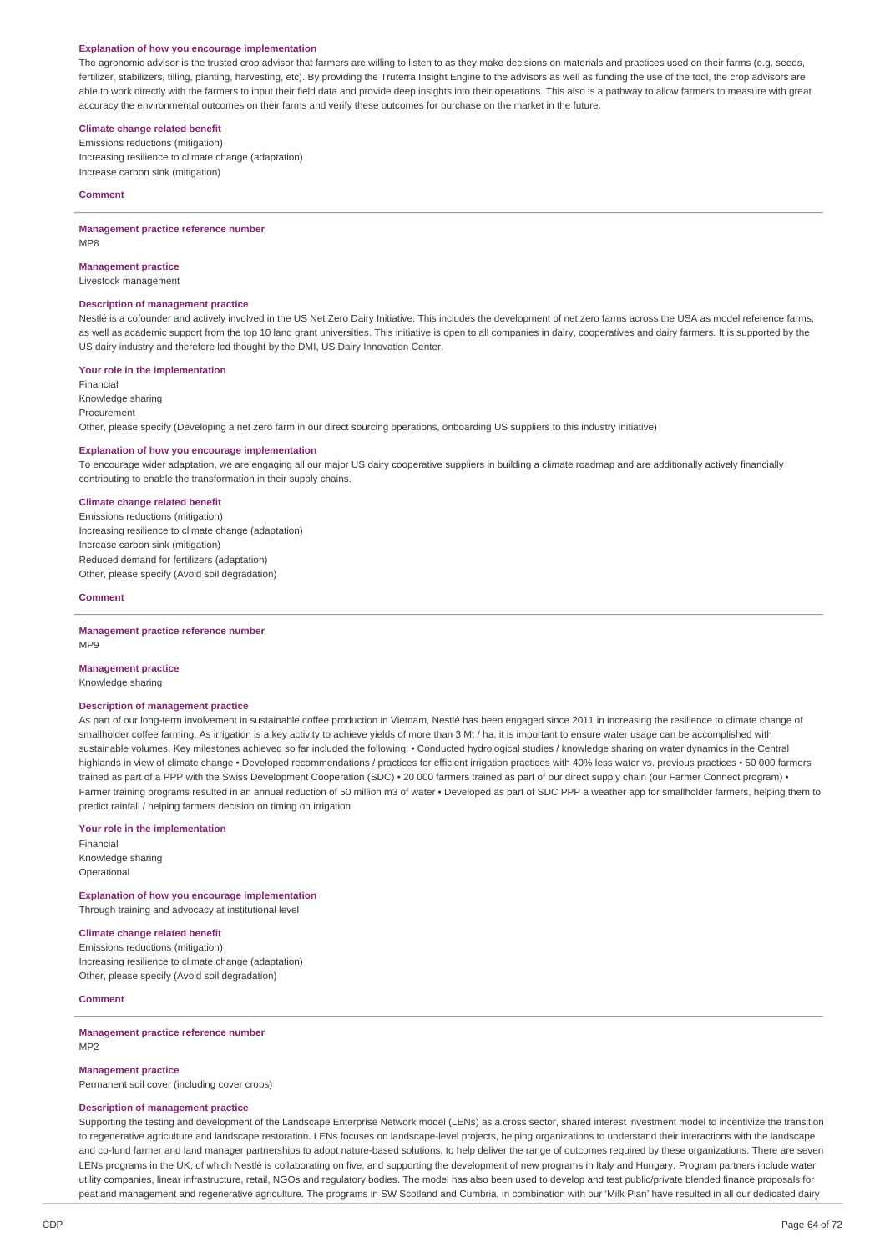### **Explanation of how you encourage implementation**

The agronomic advisor is the trusted crop advisor that farmers are willing to listen to as they make decisions on materials and practices used on their farms (e.g. seeds, fertilizer, stabilizers, tilling, planting, harvesting, etc). By providing the Truterra Insight Engine to the advisors as well as funding the use of the tool, the crop advisors are able to work directly with the farmers to input their field data and provide deep insights into their operations. This also is a pathway to allow farmers to measure with great accuracy the environmental outcomes on their farms and verify these outcomes for purchase on the market in the future.

## **Climate change related benefit**

Emissions reductions (mitigation) Increasing resilience to climate change (adaptation) Increase carbon sink (mitigation)

#### **Comment**

**Management practice reference number** MP8

### **Management practice**

Livestock management

### **Description of management practice**

Nestlé is a cofounder and actively involved in the US Net Zero Dairy Initiative. This includes the development of net zero farms across the USA as model reference farms, as well as academic support from the top 10 land grant universities. This initiative is open to all companies in dairy, cooperatives and dairy farmers. It is supported by the US dairy industry and therefore led thought by the DMI, US Dairy Innovation Center.

### **Your role in the implementation**

Financial Knowledge sharing Procurement Other, please specify (Developing a net zero farm in our direct sourcing operations, onboarding US suppliers to this industry initiative)

## **Explanation of how you encourage implementation**

To encourage wider adaptation, we are engaging all our major US dairy cooperative suppliers in building a climate roadmap and are additionally actively financially contributing to enable the transformation in their supply chains.

## **Climate change related benefit**

Emissions reductions (mitigation) Increasing resilience to climate change (adaptation) Increase carbon sink (mitigation) Reduced demand for fertilizers (adaptation) Other, please specify (Avoid soil degradation)

### **Comment**

**Management practice reference number** MP9

#### **Management practice**

Knowledge sharing

### **Description of management practice**

As part of our long-term involvement in sustainable coffee production in Vietnam, Nestlé has been engaged since 2011 in increasing the resilience to climate change of smallholder coffee farming. As irrigation is a key activity to achieve yields of more than 3 Mt / ha, it is important to ensure water usage can be accomplished with sustainable volumes. Key milestones achieved so far included the following: • Conducted hydrological studies / knowledge sharing on water dynamics in the Central highlands in view of climate change • Developed recommendations / practices for efficient irrigation practices with 40% less water vs. previous practices • 50 000 farmers trained as part of a PPP with the Swiss Development Cooperation (SDC) • 20 000 farmers trained as part of our direct supply chain (our Farmer Connect program) • Farmer training programs resulted in an annual reduction of 50 million m3 of water • Developed as part of SDC PPP a weather app for smallholder farmers, helping them to predict rainfall / helping farmers decision on timing on irrigation

#### **Your role in the implementation**

Financial Knowledge sharing Operational

**Explanation of how you encourage implementation** Through training and advocacy at institutional level

### **Climate change related benefit**

Emissions reductions (mitigation) Increasing resilience to climate change (adaptation) Other, please specify (Avoid soil degradation)

### **Comment**

### **Management practice reference number** MP2

#### **Management practice**

Permanent soil cover (including cover crops)

### **Description of management practice**

Supporting the testing and development of the Landscape Enterprise Network model (LENs) as a cross sector, shared interest investment model to incentivize the transition to regenerative agriculture and landscape restoration. LENs focuses on landscape-level projects, helping organizations to understand their interactions with the landscape and co-fund farmer and land manager partnerships to adopt nature-based solutions, to help deliver the range of outcomes required by these organizations. There are seven LENs programs in the UK, of which Nestlé is collaborating on five, and supporting the development of new programs in Italy and Hungary. Program partners include water utility companies, linear infrastructure, retail, NGOs and regulatory bodies. The model has also been used to develop and test public/private blended finance proposals for peatland management and regenerative agriculture. The programs in SW Scotland and Cumbria, in combination with our 'Milk Plan' have resulted in all our dedicated dairy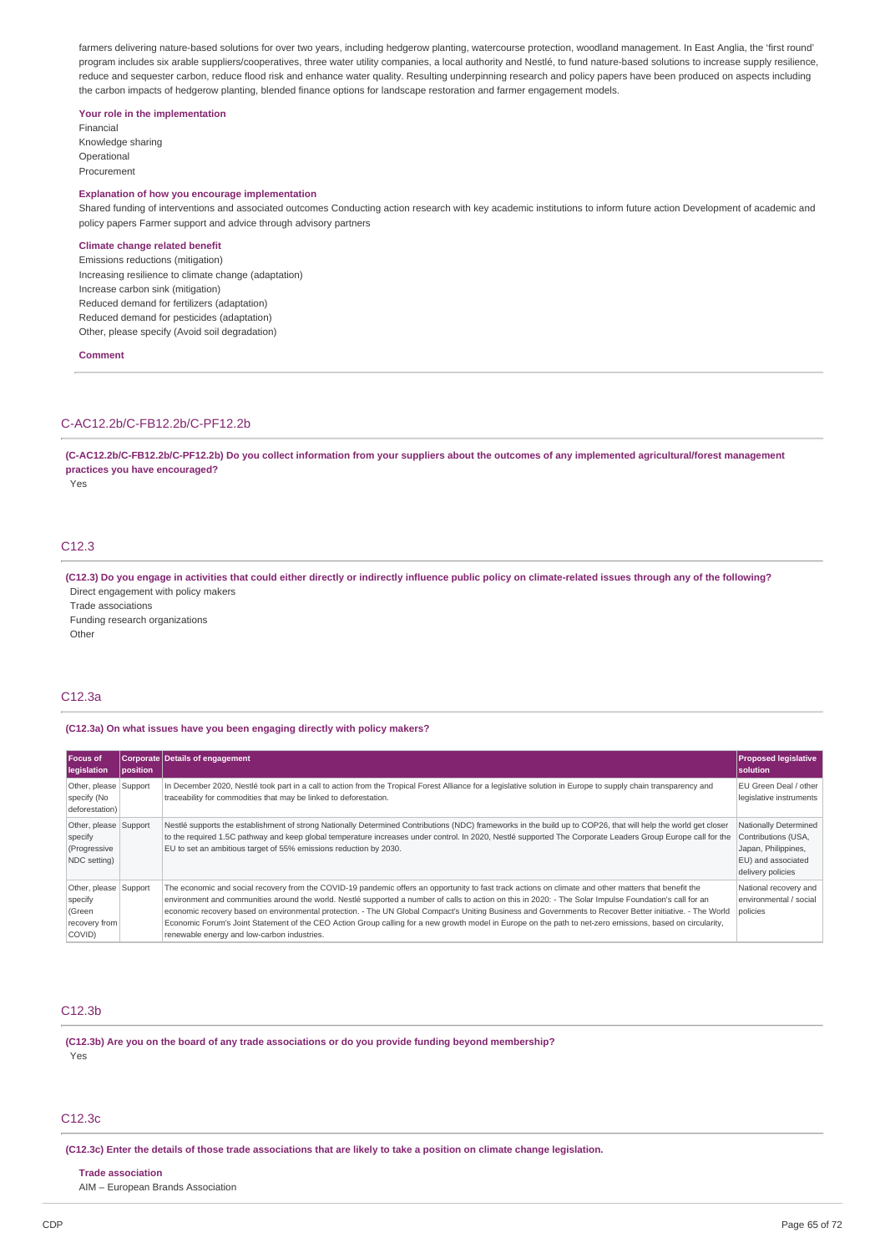farmers delivering nature-based solutions for over two years, including hedgerow planting, watercourse protection, woodland management. In East Anglia, the 'first round' program includes six arable suppliers/cooperatives, three water utility companies, a local authority and Nestlé, to fund nature-based solutions to increase supply resilience, reduce and sequester carbon, reduce flood risk and enhance water quality. Resulting underpinning research and policy papers have been produced on aspects including the carbon impacts of hedgerow planting, blended finance options for landscape restoration and farmer engagement models.

### **Your role in the implementation**

Financial Knowledge sharing Operational Procurement

## **Explanation of how you encourage implementation**

Shared funding of interventions and associated outcomes Conducting action research with key academic institutions to inform future action Development of academic and policy papers Farmer support and advice through advisory partners

### **Climate change related benefit**

Emissions reductions (mitigation) Increasing resilience to climate change (adaptation) Increase carbon sink (mitigation) Reduced demand for fertilizers (adaptation) Reduced demand for pesticides (adaptation) Other, please specify (Avoid soil degradation)

**Comment**

## C-AC12.2b/C-FB12.2b/C-PF12.2b

(C-AC12.2b/C-FB12.2b/C-PF12.2b) Do you collect information from your suppliers about the outcomes of any implemented agricultural/forest management **practices you have encouraged?**

Yes

## C<sub>12.3</sub>

(C12.3) Do you engage in activities that could either directly or indirectly influence public policy on climate-related issues through any of the following? Direct engagement with policy makers

Trade associations

Funding research organizations

**Other** 

### C12.3a

### **(C12.3a) On what issues have you been engaging directly with policy makers?**

| Focus of<br>legislation                                               | position | <b>Corporate Details of engagement</b>                                                                                                                                                                                                                                                                                                                                                                                                                                                                                                                                                                                                                                                      | <b>Proposed legislative</b><br><b>Isolution</b>                                                                |
|-----------------------------------------------------------------------|----------|---------------------------------------------------------------------------------------------------------------------------------------------------------------------------------------------------------------------------------------------------------------------------------------------------------------------------------------------------------------------------------------------------------------------------------------------------------------------------------------------------------------------------------------------------------------------------------------------------------------------------------------------------------------------------------------------|----------------------------------------------------------------------------------------------------------------|
| Other, please Support<br>specify (No<br>deforestation)                |          | In December 2020, Nestlé took part in a call to action from the Tropical Forest Alliance for a legislative solution in Europe to supply chain transparency and<br>traceability for commodities that may be linked to deforestation.                                                                                                                                                                                                                                                                                                                                                                                                                                                         | EU Green Deal / other<br>legislative instruments                                                               |
| Other, please Support<br>specify<br>(Progressive<br>NDC setting)      |          | Nestlé supports the establishment of strong Nationally Determined Contributions (NDC) frameworks in the build up to COP26, that will help the world get closer<br>to the required 1.5C pathway and keep global temperature increases under control. In 2020, Nestlé supported The Corporate Leaders Group Europe call for the<br>EU to set an ambitious target of 55% emissions reduction by 2030.                                                                                                                                                                                                                                                                                          | Nationally Determined<br>Contributions (USA,<br>Japan, Philippines,<br>EU) and associated<br>delivery policies |
| Other, please Support<br>specify<br>(Green<br>recovery from<br>COVID) |          | The economic and social recovery from the COVID-19 pandemic offers an opportunity to fast track actions on climate and other matters that benefit the<br>environment and communities around the world. Nestlé supported a number of calls to action on this in 2020: - The Solar Impulse Foundation's call for an<br>economic recovery based on environmental protection. - The UN Global Compact's Uniting Business and Governments to Recover Better initiative. - The World<br>Economic Forum's Joint Statement of the CEO Action Group calling for a new growth model in Europe on the path to net-zero emissions, based on circularity,<br>renewable energy and low-carbon industries. | National recovery and<br>environmental / social<br>policies                                                    |

## C12.3b

**(C12.3b) Are you on the board of any trade associations or do you provide funding beyond membership?** Yes

## C12.3c

(C12.3c) Enter the details of those trade associations that are likely to take a position on climate change legislation.

**Trade association**

AIM – European Brands Association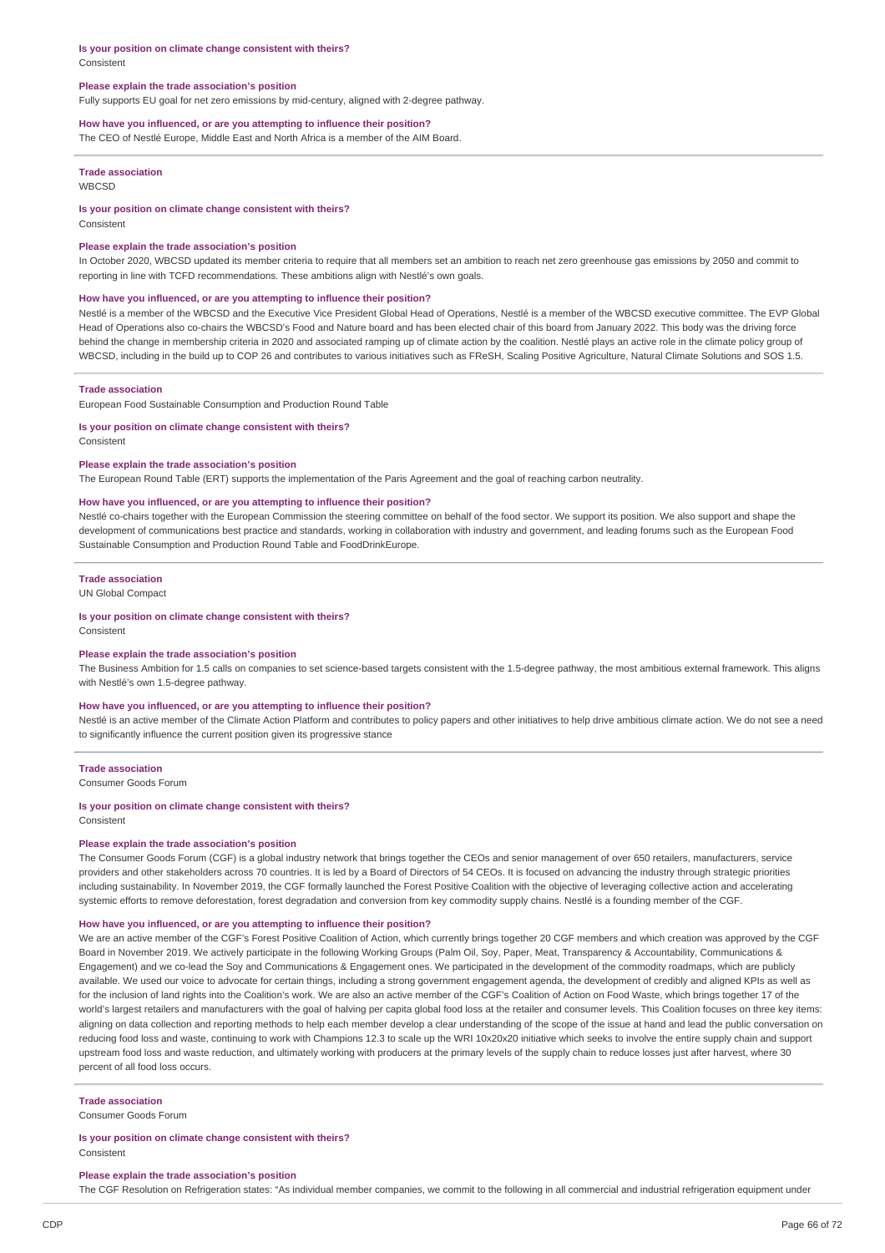#### **Is your position on climate change consistent with theirs?** Consistent

### **Please explain the trade association's position**

Fully supports EU goal for net zero emissions by mid-century, aligned with 2-degree pathway.

### **How have you influenced, or are you attempting to influence their position?**

The CEO of Nestlé Europe, Middle East and North Africa is a member of the AIM Board.

## **Trade association**

**WBCSD** 

### **Is your position on climate change consistent with theirs?**

**Consistent** 

#### **Please explain the trade association's position**

In October 2020, WBCSD updated its member criteria to require that all members set an ambition to reach net zero greenhouse gas emissions by 2050 and commit to reporting in line with TCFD recommendations. These ambitions align with Nestlé's own goals.

#### **How have you influenced, or are you attempting to influence their position?**

Nestlé is a member of the WBCSD and the Executive Vice President Global Head of Operations, Nestlé is a member of the WBCSD executive committee. The EVP Global Head of Operations also co-chairs the WBCSD's Food and Nature board and has been elected chair of this board from January 2022. This body was the driving force behind the change in membership criteria in 2020 and associated ramping up of climate action by the coalition. Nestlé plays an active role in the climate policy group of WBCSD, including in the build up to COP 26 and contributes to various initiatives such as FReSH, Scaling Positive Agriculture, Natural Climate Solutions and SOS 1.5.

### **Trade association**

European Food Sustainable Consumption and Production Round Table

### **Is your position on climate change consistent with theirs?**

Consistent

### **Please explain the trade association's position**

The European Round Table (ERT) supports the implementation of the Paris Agreement and the goal of reaching carbon neutrality.

### **How have you influenced, or are you attempting to influence their position?**

Nestlé co-chairs together with the European Commission the steering committee on behalf of the food sector. We support its position. We also support and shape the development of communications best practice and standards, working in collaboration with industry and government, and leading forums such as the European Food Sustainable Consumption and Production Round Table and FoodDrinkEurope.

#### **Trade association**

UN Global Compact

### **Is your position on climate change consistent with theirs?**

Consistent

### **Please explain the trade association's position**

The Business Ambition for 1.5 calls on companies to set science-based targets consistent with the 1.5-degree pathway, the most ambitious external framework. This aligns with Nestlé's own 1.5-degree pathway.

### **How have you influenced, or are you attempting to influence their position?**

Nestlé is an active member of the Climate Action Platform and contributes to policy papers and other initiatives to help drive ambitious climate action. We do not see a need to significantly influence the current position given its progressive stance

### **Trade association**

Consumer Goods Forum

### **Is your position on climate change consistent with theirs?** Consistent

### **Please explain the trade association's position**

The Consumer Goods Forum (CGF) is a global industry network that brings together the CEOs and senior management of over 650 retailers, manufacturers, service providers and other stakeholders across 70 countries. It is led by a Board of Directors of 54 CEOs. It is focused on advancing the industry through strategic priorities including sustainability. In November 2019, the CGF formally launched the Forest Positive Coalition with the objective of leveraging collective action and accelerating systemic efforts to remove deforestation, forest degradation and conversion from key commodity supply chains. Nestlé is a founding member of the CGF.

### **How have you influenced, or are you attempting to influence their position?**

We are an active member of the CGF's Forest Positive Coalition of Action, which currently brings together 20 CGF members and which creation was approved by the CGF Board in November 2019. We actively participate in the following Working Groups (Palm Oil, Soy, Paper, Meat, Transparency & Accountability, Communications & Engagement) and we co-lead the Soy and Communications & Engagement ones. We participated in the development of the commodity roadmaps, which are publicly available. We used our voice to advocate for certain things, including a strong government engagement agenda, the development of credibly and aligned KPIs as well as for the inclusion of land rights into the Coalition's work. We are also an active member of the CGF's Coalition of Action on Food Waste, which brings together 17 of the world's largest retailers and manufacturers with the goal of halving per capita global food loss at the retailer and consumer levels. This Coalition focuses on three key items: aligning on data collection and reporting methods to help each member develop a clear understanding of the scope of the issue at hand and lead the public conversation on reducing food loss and waste, continuing to work with Champions 12.3 to scale up the WRI 10x20x20 initiative which seeks to involve the entire supply chain and support upstream food loss and waste reduction, and ultimately working with producers at the primary levels of the supply chain to reduce losses just after harvest, where 30 percent of all food loss occurs.

#### **Trade association**

Consumer Goods Forum

### **Is your position on climate change consistent with theirs?** Consistent

#### **Please explain the trade association's position**

The CGF Resolution on Refrigeration states: "As individual member companies, we commit to the following in all commercial and industrial refrigeration equipment under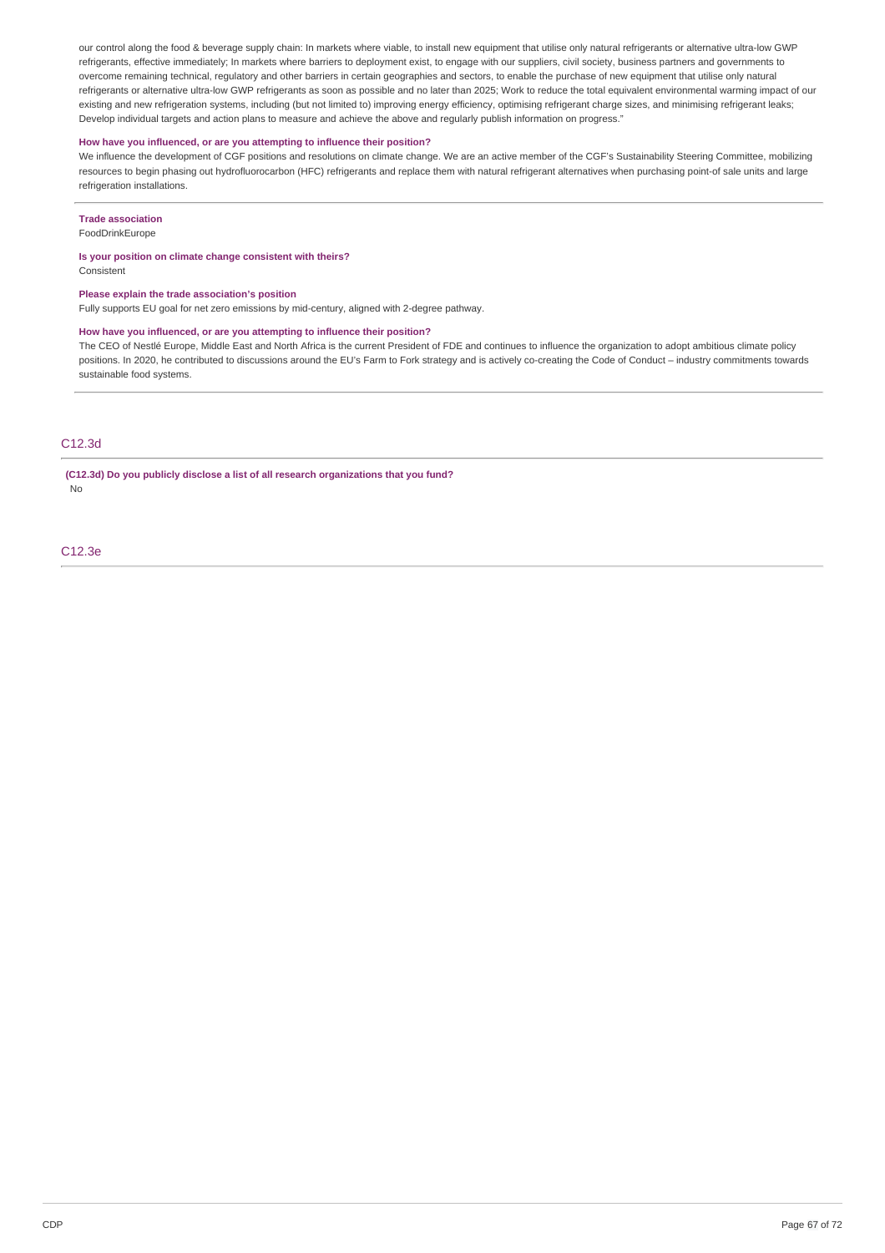our control along the food & beverage supply chain: In markets where viable, to install new equipment that utilise only natural refrigerants or alternative ultra-low GWP refrigerants, effective immediately; In markets where barriers to deployment exist, to engage with our suppliers, civil society, business partners and governments to overcome remaining technical, regulatory and other barriers in certain geographies and sectors, to enable the purchase of new equipment that utilise only natural refrigerants or alternative ultra-low GWP refrigerants as soon as possible and no later than 2025; Work to reduce the total equivalent environmental warming impact of our existing and new refrigeration systems, including (but not limited to) improving energy efficiency, optimising refrigerant charge sizes, and minimising refrigerant leaks; Develop individual targets and action plans to measure and achieve the above and regularly publish information on progress."

### **How have you influenced, or are you attempting to influence their position?**

We influence the development of CGF positions and resolutions on climate change. We are an active member of the CGF's Sustainability Steering Committee, mobilizing resources to begin phasing out hydrofluorocarbon (HFC) refrigerants and replace them with natural refrigerant alternatives when purchasing point-of sale units and large refrigeration installations.

### **Trade association**

FoodDrinkEurope

## **Is your position on climate change consistent with theirs?**

Consistent

#### **Please explain the trade association's position**

Fully supports EU goal for net zero emissions by mid-century, aligned with 2-degree pathway.

## **How have you influenced, or are you attempting to influence their position?**

The CEO of Nestlé Europe, Middle East and North Africa is the current President of FDE and continues to influence the organization to adopt ambitious climate policy positions. In 2020, he contributed to discussions around the EU's Farm to Fork strategy and is actively co-creating the Code of Conduct – industry commitments towards sustainable food systems.

### C12.3d

**(C12.3d) Do you publicly disclose a list of all research organizations that you fund?** No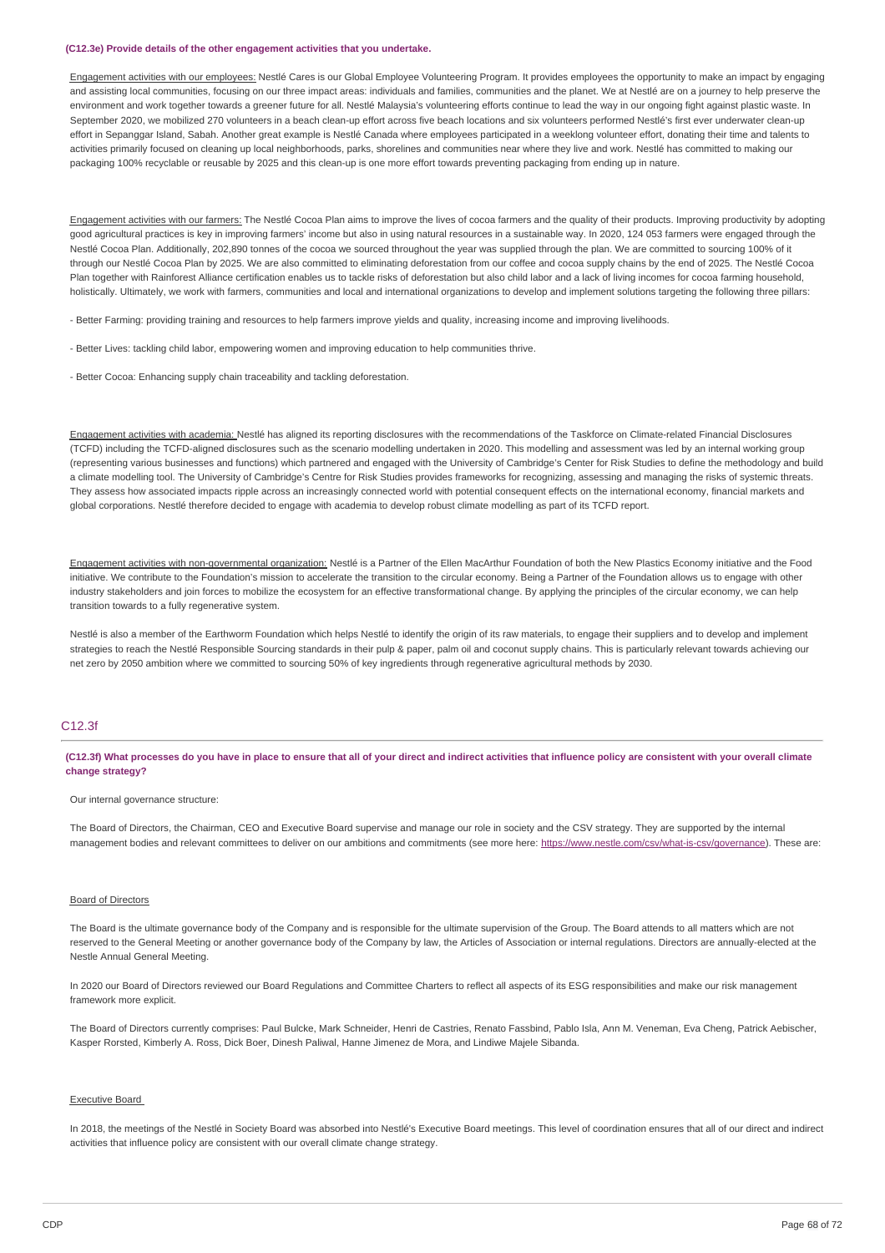### **(C12.3e) Provide details of the other engagement activities that you undertake.**

Engagement activities with our employees: Nestlé Cares is our Global Employee Volunteering Program. It provides employees the opportunity to make an impact by engaging and assisting local communities, focusing on our three impact areas: individuals and families, communities and the planet. We at Nestlé are on a journey to help preserve the environment and work together towards a greener future for all. Nestlé Malaysia's volunteering efforts continue to lead the way in our ongoing fight against plastic waste. In September 2020, we mobilized 270 volunteers in a beach clean-up effort across five beach locations and six volunteers performed Nestlé's first ever underwater clean-up effort in Sepanggar Island, Sabah. Another great example is Nestlé Canada where employees participated in a weeklong volunteer effort, donating their time and talents to activities primarily focused on cleaning up local neighborhoods, parks, shorelines and communities near where they live and work. Nestlé has committed to making our packaging 100% recyclable or reusable by 2025 and this clean-up is one more effort towards preventing packaging from ending up in nature.

Engagement activities with our farmers: The Nestlé Cocoa Plan aims to improve the lives of cocoa farmers and the quality of their products. Improving productivity by adopting good agricultural practices is key in improving farmers' income but also in using natural resources in a sustainable way. In 2020, 124 053 farmers were engaged through the Nestlé Cocoa Plan. Additionally, 202,890 tonnes of the cocoa we sourced throughout the year was supplied through the plan. We are committed to sourcing 100% of it through our Nestlé Cocoa Plan by 2025. We are also committed to eliminating deforestation from our coffee and cocoa supply chains by the end of 2025. The Nestlé Cocoa Plan together with Rainforest Alliance certification enables us to tackle risks of deforestation but also child labor and a lack of living incomes for cocoa farming household, holistically. Ultimately, we work with farmers, communities and local and international organizations to develop and implement solutions targeting the following three pillars:

- Better Farming: providing training and resources to help farmers improve yields and quality, increasing income and improving livelihoods.

- Better Lives: tackling child labor, empowering women and improving education to help communities thrive.
- Better Cocoa: Enhancing supply chain traceability and tackling deforestation.

Engagement activities with academia: Nestlé has aligned its reporting disclosures with the recommendations of the Taskforce on Climate-related Financial Disclosures (TCFD) including the TCFD-aligned disclosures such as the scenario modelling undertaken in 2020. This modelling and assessment was led by an internal working group (representing various businesses and functions) which partnered and engaged with the University of Cambridge's Center for Risk Studies to define the methodology and build a climate modelling tool. The University of Cambridge's Centre for Risk Studies provides frameworks for recognizing, assessing and managing the risks of systemic threats. They assess how associated impacts ripple across an increasingly connected world with potential consequent effects on the international economy, financial markets and global corporations. Nestlé therefore decided to engage with academia to develop robust climate modelling as part of its TCFD report.

Engagement activities with non-governmental organization: Nestlé is a Partner of the Ellen MacArthur Foundation of both the New Plastics Economy initiative and the Food initiative. We contribute to the Foundation's mission to accelerate the transition to the circular economy. Being a Partner of the Foundation allows us to engage with other industry stakeholders and join forces to mobilize the ecosystem for an effective transformational change. By applying the principles of the circular economy, we can help transition towards to a fully regenerative system.

Nestlé is also a member of the Earthworm Foundation which helps Nestlé to identify the origin of its raw materials, to engage their suppliers and to develop and implement strategies to reach the Nestlé Responsible Sourcing standards in their pulp & paper, palm oil and coconut supply chains. This is particularly relevant towards achieving our net zero by 2050 ambition where we committed to sourcing 50% of key ingredients through regenerative agricultural methods by 2030.

### C12.3f

(C12.3f) What processes do you have in place to ensure that all of your direct and indirect activities that influence policy are consistent with your overall climate **change strategy?**

#### Our internal governance structure:

The Board of Directors, the Chairman, CEO and Executive Board supervise and manage our role in society and the CSV strategy. They are supported by the internal management bodies and relevant committees to deliver on our ambitions and commitments (see more here: <https://www.nestle.com/csv/what-is-csv/governance>). These are:

### Board of Directors

The Board is the ultimate governance body of the Company and is responsible for the ultimate supervision of the Group. The Board attends to all matters which are not reserved to the General Meeting or another governance body of the Company by law, the Articles of Association or internal regulations. Directors are annually-elected at the Nestle Annual General Meeting.

In 2020 our Board of Directors reviewed our Board Regulations and Committee Charters to reflect all aspects of its ESG responsibilities and make our risk management framework more explicit.

The Board of Directors currently comprises: Paul Bulcke, Mark Schneider, Henri de Castries, Renato Fassbind, Pablo Isla, Ann M. Veneman, Eva Cheng, Patrick Aebischer, Kasper Rorsted, Kimberly A. Ross, Dick Boer, Dinesh Paliwal, Hanne Jimenez de Mora, and Lindiwe Majele Sibanda.

#### Executive Board

In 2018, the meetings of the Nestlé in Society Board was absorbed into Nestlé's Executive Board meetings. This level of coordination ensures that all of our direct and indirect activities that influence policy are consistent with our overall climate change strategy.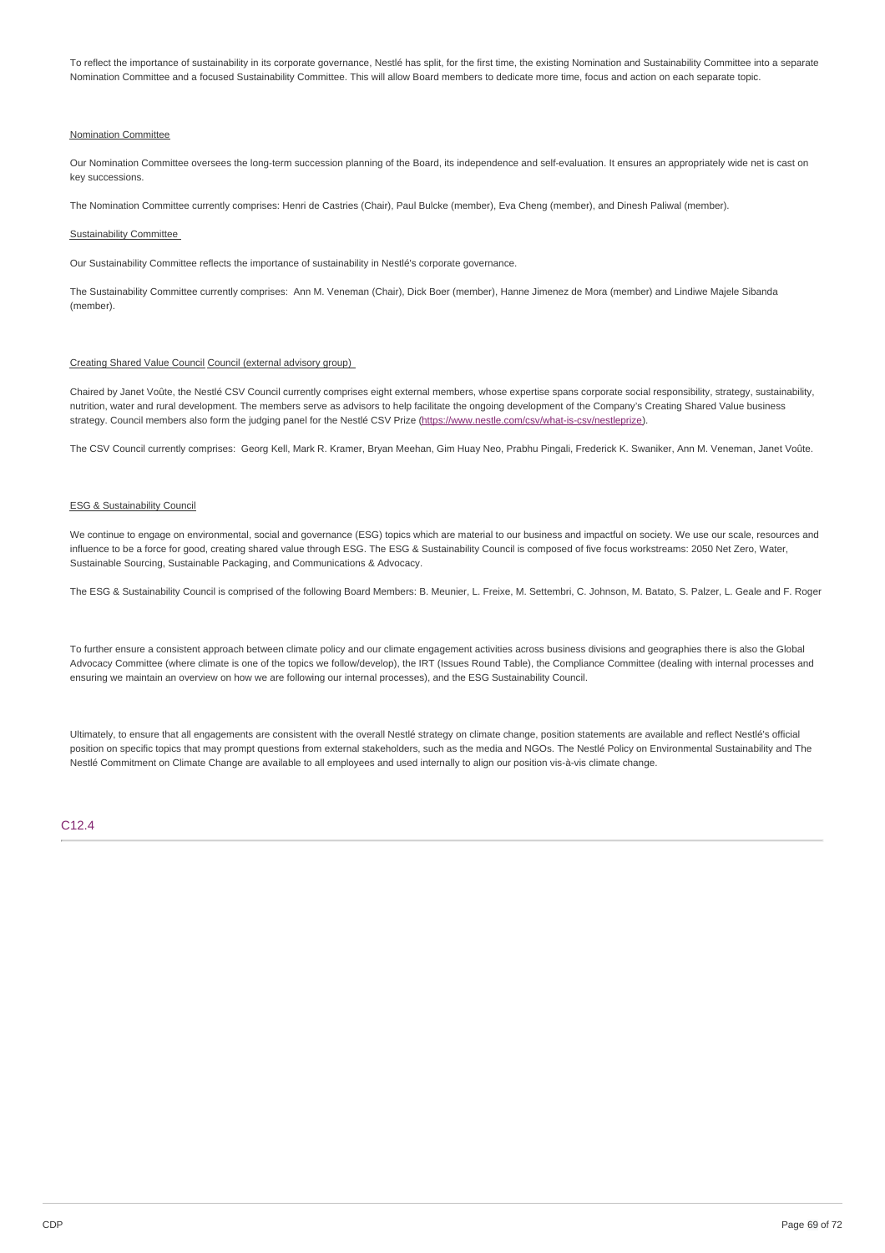To reflect the importance of sustainability in its corporate governance, Nestlé has split, for the first time, the existing Nomination and Sustainability Committee into a separate Nomination Committee and a focused Sustainability Committee. This will allow Board members to dedicate more time, focus and action on each separate topic.

### Nomination Committee

Our Nomination Committee oversees the long-term succession planning of the Board, its independence and self-evaluation. It ensures an appropriately wide net is cast on key successions.

The Nomination Committee currently comprises: Henri de Castries (Chair), Paul Bulcke (member), Eva Cheng (member), and Dinesh Paliwal (member).

### Sustainability Committee

Our Sustainability Committee reflects the importance of sustainability in Nestlé's corporate governance.

The Sustainability Committee currently comprises: Ann M. Veneman (Chair), Dick Boer (member), Hanne Jimenez de Mora (member) and Lindiwe Majele Sibanda (member).

### Creating Shared Value Council Council (external advisory group)

Chaired by Janet Voûte, the Nestlé CSV Council currently comprises eight external members, whose expertise spans corporate social responsibility, strategy, sustainability, nutrition, water and rural development. The members serve as advisors to help facilitate the ongoing development of the Company's Creating Shared Value business strategy. Council members also form the judging panel for the Nestlé CSV Prize (<https://www.nestle.com/csv/what-is-csv/nestleprize>).

The CSV Council currently comprises: Georg Kell, Mark R. Kramer, Bryan Meehan, Gim Huay Neo, Prabhu Pingali, Frederick K. Swaniker, Ann M. Veneman, Janet Voûte.

### ESG & Sustainability Council

We continue to engage on environmental, social and governance (ESG) topics which are material to our business and impactful on society. We use our scale, resources and influence to be a force for good, creating shared value through ESG. The ESG & Sustainability Council is composed of five focus workstreams: 2050 Net Zero, Water, Sustainable Sourcing, Sustainable Packaging, and Communications & Advocacy.

The ESG & Sustainability Council is comprised of the following Board Members: B. Meunier, L. Freixe, M. Settembri, C. Johnson, M. Batato, S. Palzer, L. Geale and F. Roger

To further ensure a consistent approach between climate policy and our climate engagement activities across business divisions and geographies there is also the Global Advocacy Committee (where climate is one of the topics we follow/develop), the IRT (Issues Round Table), the Compliance Committee (dealing with internal processes and ensuring we maintain an overview on how we are following our internal processes), and the ESG Sustainability Council.

Ultimately, to ensure that all engagements are consistent with the overall Nestlé strategy on climate change, position statements are available and reflect Nestlé's official position on specific topics that may prompt questions from external stakeholders, such as the media and NGOs. The Nestlé Policy on Environmental Sustainability and The Nestlé Commitment on Climate Change are available to all employees and used internally to align our position vis-à-vis climate change.

C12.4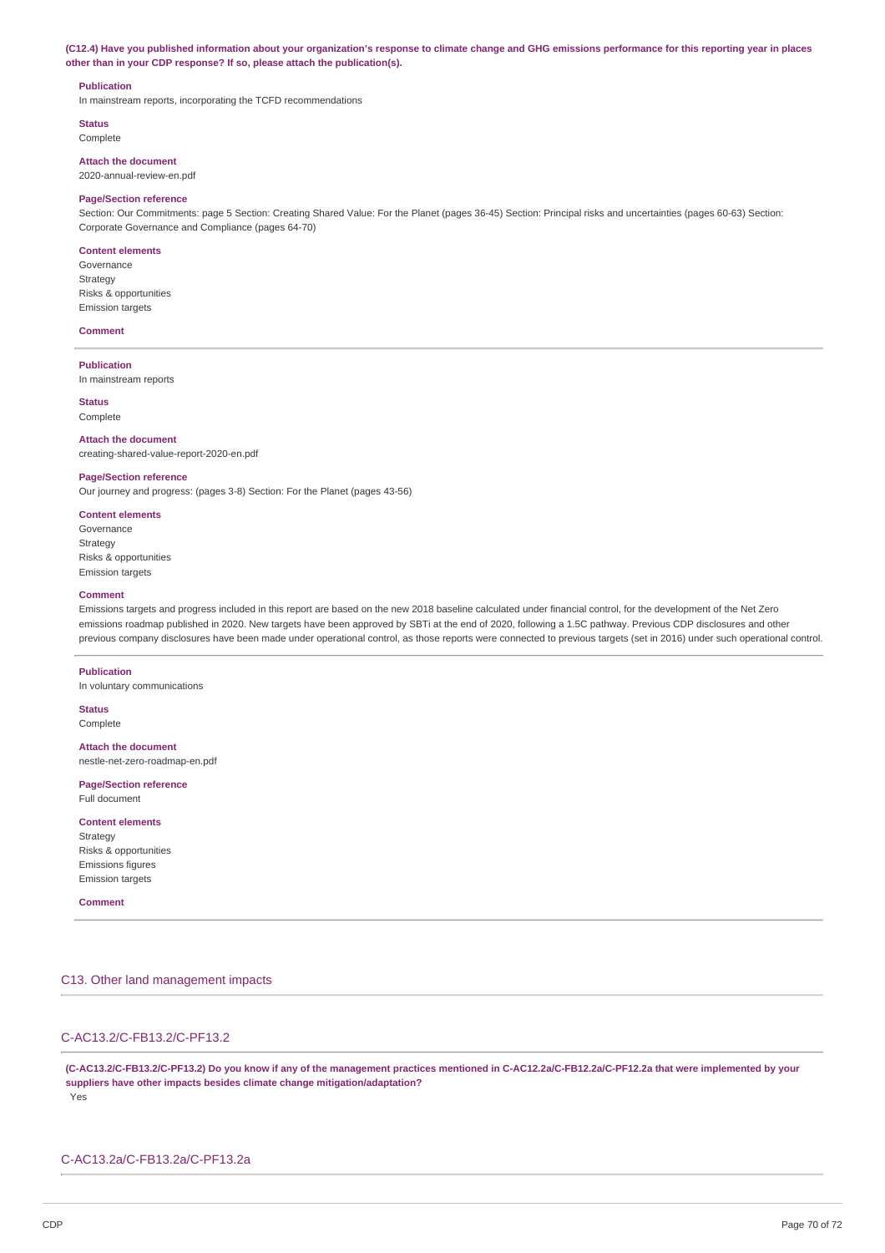(C12.4) Have you published information about your organization's response to climate change and GHG emissions performance for this reporting year in places **other than in your CDP response? If so, please attach the publication(s).**

### **Publication**

In mainstream reports, incorporating the TCFD recommendations

**Status**

Complete

**Attach the document** 2020-annual-review-en.pdf

### **Page/Section reference**

Section: Our Commitments: page 5 Section: Creating Shared Value: For the Planet (pages 36-45) Section: Principal risks and uncertainties (pages 60-63) Section: Corporate Governance and Compliance (pages 64-70)

### **Content elements**

Governance Strategy Risks & opportunities Emission targets

### **Comment**

**Publication**

In mainstream reports

**Status** Complete

**Attach the document** creating-shared-value-report-2020-en.pdf

### **Page/Section reference**

Our journey and progress: (pages 3-8) Section: For the Planet (pages 43-56)

## **Content elements** Governance Strategy Risks & opportunities

Emission targets

### **Comment**

Emissions targets and progress included in this report are based on the new 2018 baseline calculated under financial control, for the development of the Net Zero emissions roadmap published in 2020. New targets have been approved by SBTi at the end of 2020, following a 1.5C pathway. Previous CDP disclosures and other previous company disclosures have been made under operational control, as those reports were connected to previous targets (set in 2016) under such operational control.

### **Publication**

In voluntary communications

### **Status** Complete

**Attach the document**

nestle-net-zero-roadmap-en.pdf

**Page/Section reference** Full document

### **Content elements**

Strategy Risks & opportunities Emissions figures Emission targets

### **Comment**

## C13. Other land management impacts

## C-AC13.2/C-FB13.2/C-PF13.2

(C-AC13.2/C-FB13.2/C-PF13.2) Do you know if any of the management practices mentioned in C-AC12.2a/C-FB12.2a/C-PF12.2a that were implemented by your **suppliers have other impacts besides climate change mitigation/adaptation?** Yes

### C-AC13.2a/C-FB13.2a/C-PF13.2a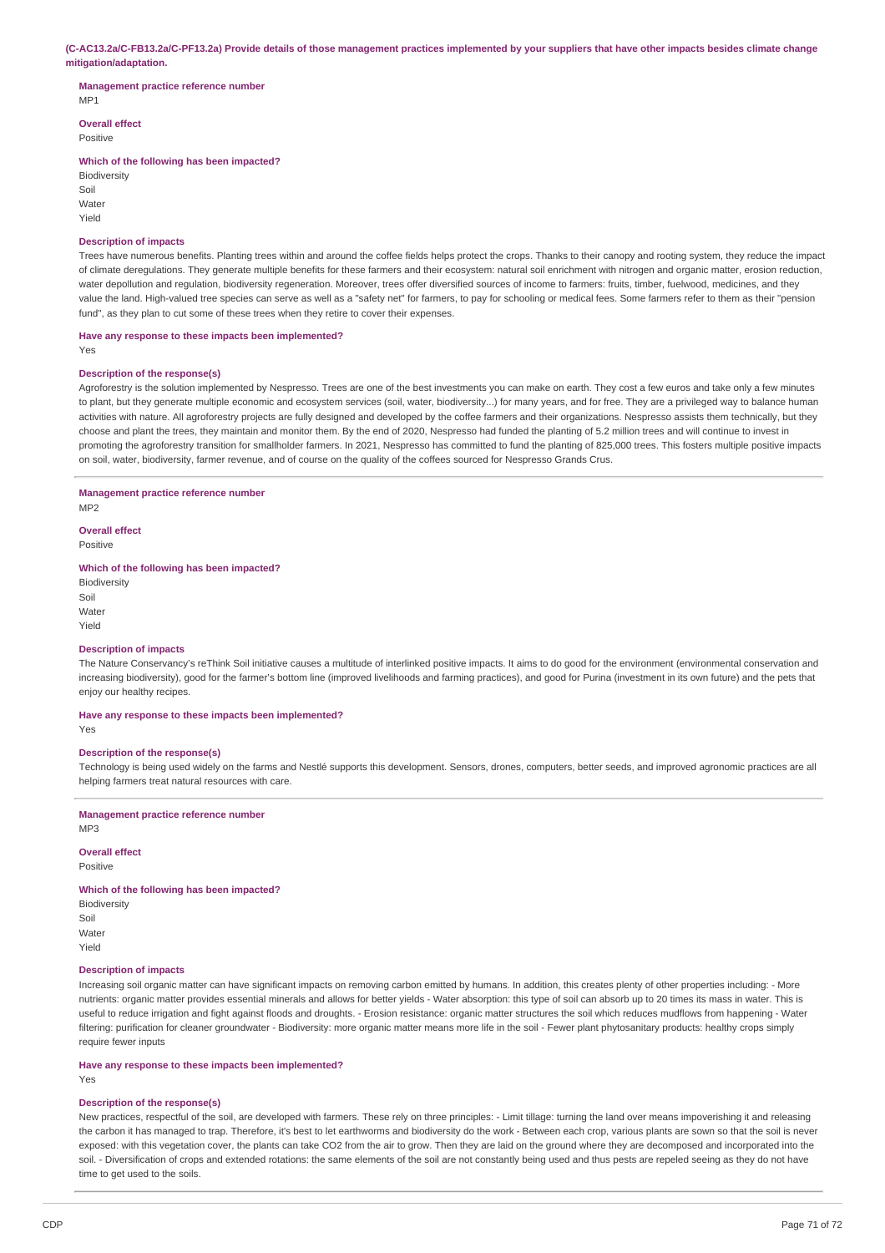### (C-AC13.2a/C-FB13.2a/C-PF13.2a) Provide details of those management practices implemented by your suppliers that have other impacts besides climate change **mitigation/adaptation.**

### **Management practice reference number** M<sub>P1</sub>

**Overall effect**

Positive

### **Which of the following has been impacted?**

**Biodiversity** Soil Water Yield

### **Description of impacts**

Trees have numerous benefits. Planting trees within and around the coffee fields helps protect the crops. Thanks to their canopy and rooting system, they reduce the impact of climate deregulations. They generate multiple benefits for these farmers and their ecosystem: natural soil enrichment with nitrogen and organic matter, erosion reduction, water depollution and regulation, biodiversity regeneration. Moreover, trees offer diversified sources of income to farmers: fruits, timber, fuelwood, medicines, and they value the land. High-valued tree species can serve as well as a "safety net" for farmers, to pay for schooling or medical fees. Some farmers refer to them as their "pension fund", as they plan to cut some of these trees when they retire to cover their expenses.

### **Have any response to these impacts been implemented?**

Yes

## **Description of the response(s)**

Agroforestry is the solution implemented by Nespresso. Trees are one of the best investments you can make on earth. They cost a few euros and take only a few minutes to plant, but they generate multiple economic and ecosystem services (soil, water, biodiversity...) for many years, and for free. They are a privileged way to balance human activities with nature. All agroforestry projects are fully designed and developed by the coffee farmers and their organizations. Nespresso assists them technically, but they choose and plant the trees, they maintain and monitor them. By the end of 2020, Nespresso had funded the planting of 5.2 million trees and will continue to invest in promoting the agroforestry transition for smallholder farmers. In 2021, Nespresso has committed to fund the planting of 825,000 trees. This fosters multiple positive impacts on soil, water, biodiversity, farmer revenue, and of course on the quality of the coffees sourced for Nespresso Grands Crus.

## **Management practice reference number**

M<sub>P2</sub>

**Overall effect** Positive

### **Which of the following has been impacted?**

**Biodiversity** Soil Water Yield

### **Description of impacts**

The Nature Conservancy's reThink Soil initiative causes a multitude of interlinked positive impacts. It aims to do good for the environment (environmental conservation and increasing biodiversity), good for the farmer's bottom line (improved livelihoods and farming practices), and good for Purina (investment in its own future) and the pets that enjoy our healthy recipes.

### **Have any response to these impacts been implemented?**

Yes

### **Description of the response(s)**

Technology is being used widely on the farms and Nestlé supports this development. Sensors, drones, computers, better seeds, and improved agronomic practices are all helping farmers treat natural resources with care.

### **Management practice reference number**

MP3

### **Overall effect**

Positive

## **Which of the following has been impacted?**

**Biodiversity** Soil Water Yield

### **Description of impacts**

Increasing soil organic matter can have significant impacts on removing carbon emitted by humans. In addition, this creates plenty of other properties including: - More nutrients: organic matter provides essential minerals and allows for better yields - Water absorption: this type of soil can absorb up to 20 times its mass in water. This is useful to reduce irrigation and fight against floods and droughts. - Erosion resistance: organic matter structures the soil which reduces mudflows from happening - Water filtering: purification for cleaner groundwater - Biodiversity: more organic matter means more life in the soil - Fewer plant phytosanitary products: healthy crops simply require fewer inputs

### **Have any response to these impacts been implemented?**

Yes

### **Description of the response(s)**

New practices, respectful of the soil, are developed with farmers. These rely on three principles: - Limit tillage: turning the land over means impoverishing it and releasing the carbon it has managed to trap. Therefore, it's best to let earthworms and biodiversity do the work - Between each crop, various plants are sown so that the soil is never exposed: with this vegetation cover, the plants can take CO2 from the air to grow. Then they are laid on the ground where they are decomposed and incorporated into the soil. - Diversification of crops and extended rotations: the same elements of the soil are not constantly being used and thus pests are repeled seeing as they do not have time to get used to the soils.